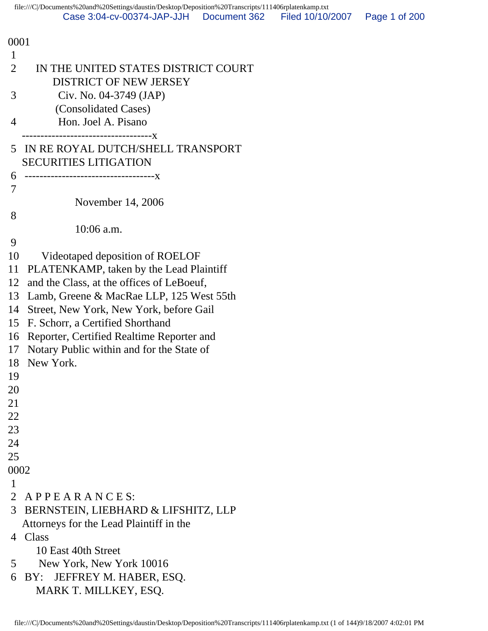| 0001                                                                                   |
|----------------------------------------------------------------------------------------|
| 1                                                                                      |
| $\overline{2}$<br>IN THE UNITED STATES DISTRICT COURT<br><b>DISTRICT OF NEW JERSEY</b> |
| 3<br>Civ. No. 04-3749 (JAP)                                                            |
| (Consolidated Cases)                                                                   |
| Hon. Joel A. Pisano<br>4                                                               |
| ---------------------------X                                                           |
| IN RE ROYAL DUTCH/SHELL TRANSPORT<br>5                                                 |
| <b>SECURITIES LITIGATION</b>                                                           |
| 6                                                                                      |
| 7                                                                                      |
| November 14, 2006                                                                      |
| 8                                                                                      |
| $10:06$ a.m.                                                                           |
| 9                                                                                      |
| 10<br>Videotaped deposition of ROELOF                                                  |
| PLATENKAMP, taken by the Lead Plaintiff<br>11                                          |
| and the Class, at the offices of LeBoeuf,<br>12                                        |
| Lamb, Greene & MacRae LLP, 125 West 55th<br>13                                         |
| Street, New York, New York, before Gail<br>14                                          |
| 15<br>F. Schorr, a Certified Shorthand                                                 |
| Reporter, Certified Realtime Reporter and<br>16                                        |
| Notary Public within and for the State of<br>17                                        |
| New York.<br>18                                                                        |
| 19                                                                                     |
| 20                                                                                     |
| 21                                                                                     |
| 22                                                                                     |
| 23                                                                                     |
| 24                                                                                     |
| 25                                                                                     |
| 0002                                                                                   |
| 1                                                                                      |
| 2 APPEARANCES:                                                                         |
| 3 <sup>1</sup><br>BERNSTEIN, LIEBHARD & LIFSHITZ, LLP                                  |
| Attorneys for the Lead Plaintiff in the                                                |
| 4 Class                                                                                |
| 10 East 40th Street                                                                    |
| 5<br>New York, New York 10016                                                          |
| 6<br>JEFFREY M. HABER, ESQ.<br>BY:                                                     |
| MARK T. MILLKEY, ESQ.                                                                  |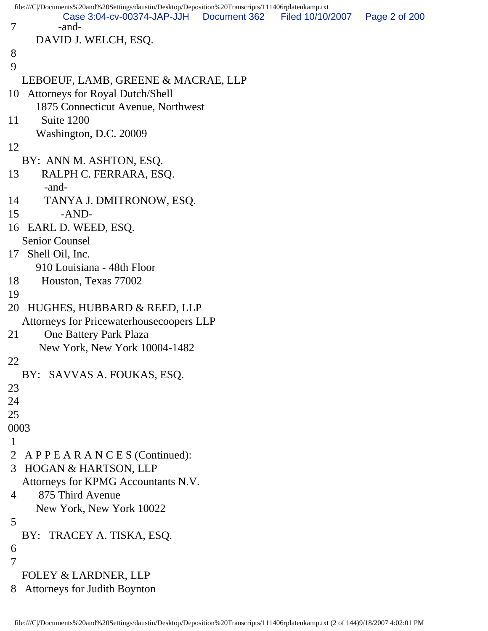|                          | file:///C /Documents%20and%20Settings/daustin/Desktop/Deposition%20Transcripts/111406rplatenkamp.txt |              |                  |               |
|--------------------------|------------------------------------------------------------------------------------------------------|--------------|------------------|---------------|
| $\overline{\mathcal{L}}$ | Case 3:04-cv-00374-JAP-JJH<br>-and-                                                                  | Document 362 | Filed 10/10/2007 | Page 2 of 200 |
|                          |                                                                                                      |              |                  |               |
|                          | DAVID J. WELCH, ESQ.                                                                                 |              |                  |               |
| 8<br>9                   |                                                                                                      |              |                  |               |
|                          |                                                                                                      |              |                  |               |
|                          | LEBOEUF, LAMB, GREENE & MACRAE, LLP                                                                  |              |                  |               |
| 10                       | <b>Attorneys for Royal Dutch/Shell</b>                                                               |              |                  |               |
|                          | 1875 Connecticut Avenue, Northwest                                                                   |              |                  |               |
| 11                       | Suite 1200                                                                                           |              |                  |               |
|                          | Washington, D.C. 20009                                                                               |              |                  |               |
| 12                       |                                                                                                      |              |                  |               |
|                          | BY: ANN M. ASHTON, ESQ.                                                                              |              |                  |               |
| 13                       | RALPH C. FERRARA, ESQ.                                                                               |              |                  |               |
|                          | -and-                                                                                                |              |                  |               |
| 14                       | TANYA J. DMITRONOW, ESQ.                                                                             |              |                  |               |
| 15                       | $-AND-$                                                                                              |              |                  |               |
|                          | 16 EARL D. WEED, ESQ.                                                                                |              |                  |               |
|                          | <b>Senior Counsel</b>                                                                                |              |                  |               |
|                          | 17 Shell Oil, Inc.                                                                                   |              |                  |               |
|                          | 910 Louisiana - 48th Floor                                                                           |              |                  |               |
| 18                       | Houston, Texas 77002                                                                                 |              |                  |               |
| 19                       |                                                                                                      |              |                  |               |
| 20                       | HUGHES, HUBBARD & REED, LLP                                                                          |              |                  |               |
|                          | <b>Attorneys for Pricewaterhousecoopers LLP</b>                                                      |              |                  |               |
| 21                       | One Battery Park Plaza                                                                               |              |                  |               |
|                          | New York, New York 10004-1482                                                                        |              |                  |               |
| 22                       |                                                                                                      |              |                  |               |
|                          | BY: SAVVAS A. FOUKAS, ESQ.                                                                           |              |                  |               |
| 23                       |                                                                                                      |              |                  |               |
| 24                       |                                                                                                      |              |                  |               |
| 25                       |                                                                                                      |              |                  |               |
| 0003                     |                                                                                                      |              |                  |               |
| $\mathbf 1$              |                                                                                                      |              |                  |               |
| 2                        | APPEARANCES (Continued):                                                                             |              |                  |               |
| 3                        | HOGAN & HARTSON, LLP                                                                                 |              |                  |               |
|                          | Attorneys for KPMG Accountants N.V.                                                                  |              |                  |               |
| 4                        | 875 Third Avenue                                                                                     |              |                  |               |
|                          | New York, New York 10022                                                                             |              |                  |               |
| 5                        |                                                                                                      |              |                  |               |
|                          | BY: TRACEY A. TISKA, ESQ.                                                                            |              |                  |               |
| 6                        |                                                                                                      |              |                  |               |
| $\overline{7}$           |                                                                                                      |              |                  |               |
|                          | <b>FOLEY &amp; LARDNER, LLP</b>                                                                      |              |                  |               |
| 8                        | <b>Attorneys for Judith Boynton</b>                                                                  |              |                  |               |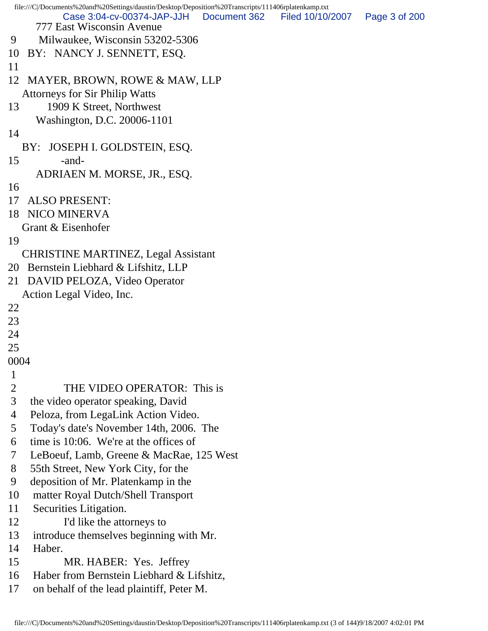```
file:///C|/Documents%20and%20Settings/daustin/Desktop/Deposition%20Transcripts/111406rplatenkamp.txt
      777 East Wisconsin Avenue
 9 Milwaukee, Wisconsin 53202-5306
10 BY: NANCY J. SENNETT, ESQ.
11 
12 MAYER, BROWN, ROWE & MAW, LLP
   Attorneys for Sir Philip Watts
13 1909 K Street, Northwest
      Washington, D.C. 20006-1101
14 
   BY: JOSEPH I. GOLDSTEIN, ESQ.
15 -and-
      ADRIAEN M. MORSE, JR., ESQ.
16 
17 ALSO PRESENT:
18 NICO MINERVA
   Grant & Eisenhofer
19 
   CHRISTINE MARTINEZ, Legal Assistant
20 Bernstein Liebhard & Lifshitz, LLP
21 DAVID PELOZA, Video Operator
   Action Legal Video, Inc.
22 
23 
24 
25 
0004
\frac{1}{2}THE VIDEO OPERATOR: This is
 3 the video operator speaking, David
 4 Peloza, from LegaLink Action Video.
 5 Today's date's November 14th, 2006. The
 6 time is 10:06. We're at the offices of
 7 LeBoeuf, Lamb, Greene & MacRae, 125 West
 8 55th Street, New York City, for the
 9 deposition of Mr. Platenkamp in the
10 matter Royal Dutch/Shell Transport
11 Securities Litigation.
12 I'd like the attorneys to
13 introduce themselves beginning with Mr.
14 Haber.
15 MR. HABER: Yes. Jeffrey
16 Haber from Bernstein Liebhard & Lifshitz,
17 on behalf of the lead plaintiff, Peter M.
           Case 3:04-cv-00374-JAP-JJH Document 362 Filed 10/10/2007 Page 3 of 200
```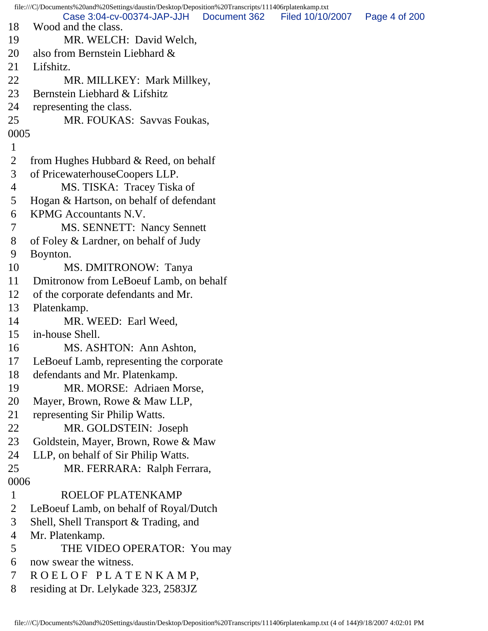file:///C|/Documents%20and%20Settings/daustin/Desktop/Deposition%20Transcripts/111406rplatenkamp.txt 18 Wood and the class. 19 MR. WELCH: David Welch, 20 also from Bernstein Liebhard & 21 Lifshitz. 22 MR. MILLKEY: Mark Millkey, 23 Bernstein Liebhard & Lifshitz 24 representing the class. 25 MR. FOUKAS: Savvas Foukas, 0005 1 2 from Hughes Hubbard & Reed, on behalf 3 of PricewaterhouseCoopers LLP. 4 MS. TISKA: Tracey Tiska of 5 Hogan & Hartson, on behalf of defendant 6 KPMG Accountants N.V. 7 MS. SENNETT: Nancy Sennett 8 of Foley & Lardner, on behalf of Judy 9 Boynton. 10 MS. DMITRONOW: Tanya 11 Dmitronow from LeBoeuf Lamb, on behalf 12 of the corporate defendants and Mr. 13 Platenkamp. 14 MR. WEED: Earl Weed, 15 in-house Shell. 16 MS. ASHTON: Ann Ashton, 17 LeBoeuf Lamb, representing the corporate 18 defendants and Mr. Platenkamp. 19 MR. MORSE: Adriaen Morse, 20 Mayer, Brown, Rowe & Maw LLP, 21 representing Sir Philip Watts. 22 MR. GOLDSTEIN: Joseph 23 Goldstein, Mayer, Brown, Rowe & Maw 24 LLP, on behalf of Sir Philip Watts. 25 MR. FERRARA: Ralph Ferrara, 0006 1 ROELOF PLATENKAMP 2 LeBoeuf Lamb, on behalf of Royal/Dutch 3 Shell, Shell Transport & Trading, and 4 Mr. Platenkamp. 5 THE VIDEO OPERATOR: You may 6 now swear the witness. 7 R O E L O F P L A T E N K A M P, 8 residing at Dr. Lelykade 323, 2583JZ Case 3:04-cv-00374-JAP-JJH Document 362 Filed 10/10/2007 Page 4 of 200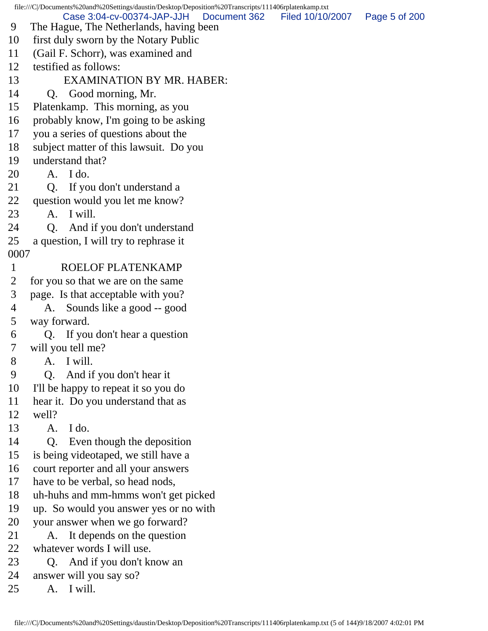file:///C|/Documents%20and%20Settings/daustin/Desktop/Deposition%20Transcripts/111406rplatenkamp.txt 9 The Hague, The Netherlands, having been 10 first duly sworn by the Notary Public 11 (Gail F. Schorr), was examined and 12 testified as follows: 13 EXAMINATION BY MR. HABER: 14 Q. Good morning, Mr. 15 Platenkamp. This morning, as you 16 probably know, I'm going to be asking 17 you a series of questions about the 18 subject matter of this lawsuit. Do you 19 understand that? 20 A. I do. 21 Q. If you don't understand a 22 question would you let me know? 23 A. I will. 24 Q. And if you don't understand 25 a question, I will try to rephrase it 0007 1 ROELOF PLATENKAMP 2 for you so that we are on the same 3 page. Is that acceptable with you? 4 A. Sounds like a good -- good 5 way forward. 6 Q. If you don't hear a question 7 will you tell me? 8 A. I will. 9 Q. And if you don't hear it 10 I'll be happy to repeat it so you do 11 hear it. Do you understand that as 12 well? 13 A. I do. 14 Q. Even though the deposition 15 is being videotaped, we still have a 16 court reporter and all your answers 17 have to be verbal, so head nods, 18 uh-huhs and mm-hmms won't get picked 19 up. So would you answer yes or no with 20 your answer when we go forward? 21 A. It depends on the question 22 whatever words I will use. 23 Q. And if you don't know an 24 answer will you say so? 25 A. I will. Case 3:04-cv-00374-JAP-JJH Document 362 Filed 10/10/2007 Page 5 of 200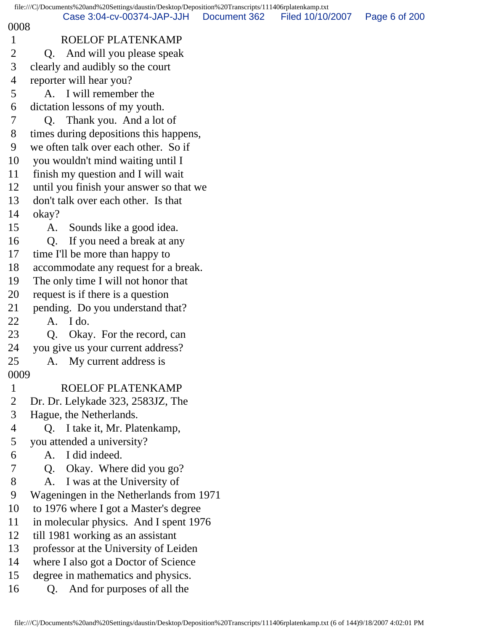## 0008

- 1 ROELOF PLATENKAMP
- 2 O. And will you please speak
- 3 clearly and audibly so the court
- 4 reporter will hear you?
- 5 A. I will remember the
- 6 dictation lessons of my youth.
- 7 Q. Thank you. And a lot of
- 8 times during depositions this happens,
- 9 we often talk over each other. So if
- 10 you wouldn't mind waiting until I
- 11 finish my question and I will wait
- 12 until you finish your answer so that we
- 13 don't talk over each other. Is that
- 14 okay?
- 15 A. Sounds like a good idea.
- 16 Q. If you need a break at any
- 17 time I'll be more than happy to
- 18 accommodate any request for a break.
- 19 The only time I will not honor that
- 20 request is if there is a question
- 21 pending. Do you understand that?
- 22 A. I do.
- 23 Q. Okay. For the record, can
- 24 you give us your current address?
- 25 A. My current address is
- 0009
- 1 ROELOF PLATENKAMP
- 2 Dr. Dr. Lelykade 323, 2583JZ, The
- 3 Hague, the Netherlands.
- 4 Q. I take it, Mr. Platenkamp,
- 5 you attended a university?
- 6 A. I did indeed.
- 7 Q. Okay. Where did you go?
- 8 A. I was at the University of
- 9 Wageningen in the Netherlands from 1971
- 10 to 1976 where I got a Master's degree
- 11 in molecular physics. And I spent 1976
- 12 till 1981 working as an assistant
- 13 professor at the University of Leiden
- 14 where I also got a Doctor of Science
- 15 degree in mathematics and physics.
- 16 Q. And for purposes of all the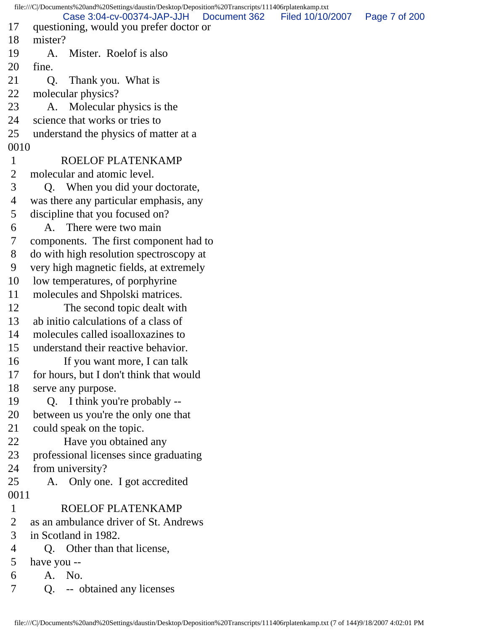file:///C|/Documents%20and%20Settings/daustin/Desktop/Deposition%20Transcripts/111406rplatenkamp.txt 17 questioning, would you prefer doctor or 18 mister? 19 A. Mister. Roelof is also 20 fine. 21 Q. Thank you. What is 22 molecular physics? 23 A. Molecular physics is the 24 science that works or tries to 25 understand the physics of matter at a 0010 1 ROELOF PLATENKAMP 2 molecular and atomic level. 3 Q. When you did your doctorate, 4 was there any particular emphasis, any 5 discipline that you focused on? 6 A. There were two main 7 components. The first component had to 8 do with high resolution spectroscopy at 9 very high magnetic fields, at extremely 10 low temperatures, of porphyrine 11 molecules and Shpolski matrices. 12 The second topic dealt with 13 ab initio calculations of a class of 14 molecules called isoalloxazines to 15 understand their reactive behavior. 16 If you want more, I can talk 17 for hours, but I don't think that would 18 serve any purpose. 19 Q. I think you're probably -- 20 between us you're the only one that 21 could speak on the topic. 22 Have you obtained any 23 professional licenses since graduating 24 from university? 25 A. Only one. I got accredited 0011 1 ROELOF PLATENKAMP 2 as an ambulance driver of St. Andrews 3 in Scotland in 1982. 4 Q. Other than that license, 5 have you -- 6 A. No. 7 Q. -- obtained any licenses Case 3:04-cv-00374-JAP-JJH Document 362 Filed 10/10/2007 Page 7 of 200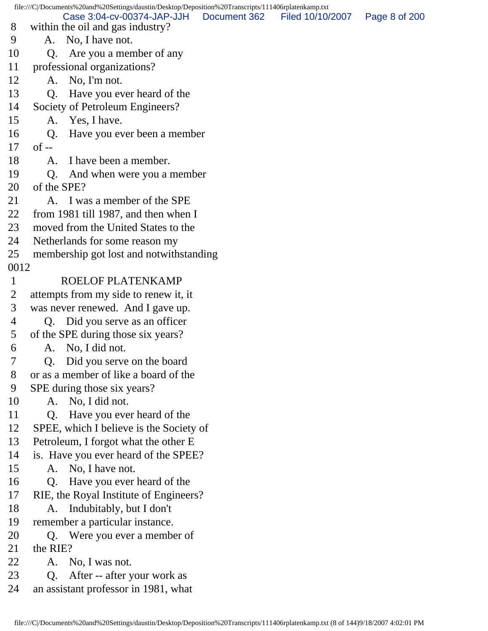file:///C|/Documents%20and%20Settings/daustin/Desktop/Deposition%20Transcripts/111406rplatenkamp.txt 8 within the oil and gas industry? 9 A. No, I have not. 10 Q. Are you a member of any 11 professional organizations? 12 A. No, I'm not. 13 Q. Have you ever heard of the 14 Society of Petroleum Engineers? 15 A. Yes, I have. 16 Q. Have you ever been a member  $17$  of  $-$ 18 A. I have been a member. 19 Q. And when were you a member 20 of the SPE? 21 A. I was a member of the SPE 22 from 1981 till 1987, and then when I 23 moved from the United States to the 24 Netherlands for some reason my 25 membership got lost and notwithstanding 0012 1 ROELOF PLATENKAMP 2 attempts from my side to renew it, it 3 was never renewed. And I gave up. 4 Q. Did you serve as an officer 5 of the SPE during those six years? 6 A. No, I did not. 7 Q. Did you serve on the board 8 or as a member of like a board of the 9 SPE during those six years? 10 A. No, I did not. 11 Q. Have you ever heard of the 12 SPEE, which I believe is the Society of 13 Petroleum, I forgot what the other E 14 is. Have you ever heard of the SPEE? 15 A. No, I have not. 16 Q. Have you ever heard of the 17 RIE, the Royal Institute of Engineers? 18 A. Indubitably, but I don't 19 remember a particular instance. 20 Q. Were you ever a member of 21 the RIE? 22 A. No, I was not. 23 Q. After -- after your work as 24 an assistant professor in 1981, what Case 3:04-cv-00374-JAP-JJH Document 362 Filed 10/10/2007 Page 8 of 200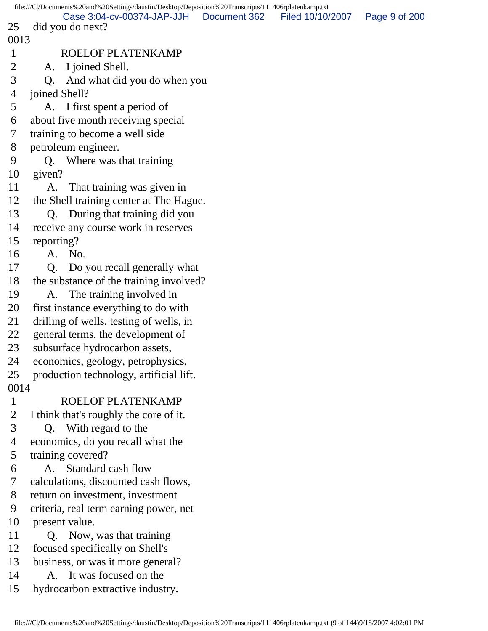|                | file:///C /Documents%20and%20Settings/daustin/Desktop/Deposition%20Transcripts/111406rplatenkamp.txt |              |                  |               |
|----------------|------------------------------------------------------------------------------------------------------|--------------|------------------|---------------|
| 25             | Case 3:04-cv-00374-JAP-JJH<br>did you do next?                                                       | Document 362 | Filed 10/10/2007 | Page 9 of 200 |
| 0013           |                                                                                                      |              |                  |               |
| $\mathbf{1}$   | <b>ROELOF PLATENKAMP</b>                                                                             |              |                  |               |
| $\overline{2}$ | I joined Shell.<br>A.                                                                                |              |                  |               |
| 3              | And what did you do when you<br>Q.                                                                   |              |                  |               |
| 4              | joined Shell?                                                                                        |              |                  |               |
| 5              | I first spent a period of<br>A.                                                                      |              |                  |               |
| 6              | about five month receiving special                                                                   |              |                  |               |
| 7              | training to become a well side                                                                       |              |                  |               |
| 8              | petroleum engineer.                                                                                  |              |                  |               |
| 9              | Q. Where was that training                                                                           |              |                  |               |
| 10             | given?                                                                                               |              |                  |               |
| 11             | A.<br>That training was given in                                                                     |              |                  |               |
| 12             | the Shell training center at The Hague.                                                              |              |                  |               |
| 13             | During that training did you<br>Q.                                                                   |              |                  |               |
| 14             | receive any course work in reserves                                                                  |              |                  |               |
| 15             | reporting?                                                                                           |              |                  |               |
| 16             | A. No.                                                                                               |              |                  |               |
| 17             | Q <sub>r</sub><br>Do you recall generally what                                                       |              |                  |               |
| 18             | the substance of the training involved?                                                              |              |                  |               |
| 19             | The training involved in<br>A.                                                                       |              |                  |               |
| 20             | first instance everything to do with                                                                 |              |                  |               |
| 21             | drilling of wells, testing of wells, in                                                              |              |                  |               |
| 22             | general terms, the development of                                                                    |              |                  |               |
| 23             | subsurface hydrocarbon assets,                                                                       |              |                  |               |
| 24             | economics, geology, petrophysics,                                                                    |              |                  |               |
| 25             | production technology, artificial lift.                                                              |              |                  |               |
| 0014           |                                                                                                      |              |                  |               |
| $\mathbf{1}$   | <b>ROELOF PLATENKAMP</b>                                                                             |              |                  |               |
| $\overline{2}$ | I think that's roughly the core of it.                                                               |              |                  |               |
| 3              | Q. With regard to the                                                                                |              |                  |               |
| 4              | economics, do you recall what the                                                                    |              |                  |               |
| 5              | training covered?                                                                                    |              |                  |               |
| 6              | A. Standard cash flow                                                                                |              |                  |               |
| 7              | calculations, discounted cash flows,                                                                 |              |                  |               |
| 8              | return on investment, investment                                                                     |              |                  |               |
| 9              | criteria, real term earning power, net                                                               |              |                  |               |
| 10             | present value.                                                                                       |              |                  |               |
| 11             | Now, was that training<br>O.                                                                         |              |                  |               |
| 12             | focused specifically on Shell's                                                                      |              |                  |               |
| 13             | business, or was it more general?                                                                    |              |                  |               |
| 14             | A. It was focused on the                                                                             |              |                  |               |
| 15             | hydrocarbon extractive industry.                                                                     |              |                  |               |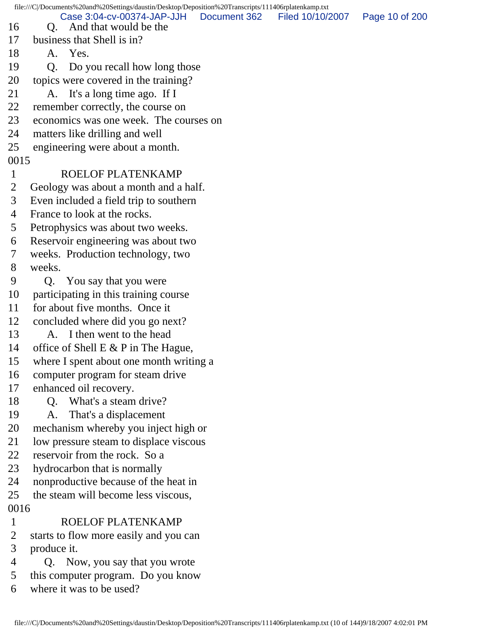file:///C|/Documents%20and%20Settings/daustin/Desktop/Deposition%20Transcripts/111406rplatenkamp.txt 16 Q. And that would be the 17 business that Shell is in? 18 A. Yes. 19 Q. Do you recall how long those 20 topics were covered in the training? 21 A. It's a long time ago. If I 22 remember correctly, the course on 23 economics was one week. The courses on 24 matters like drilling and well 25 engineering were about a month. 0015 1 ROELOF PLATENKAMP 2 Geology was about a month and a half. 3 Even included a field trip to southern 4 France to look at the rocks. 5 Petrophysics was about two weeks. 6 Reservoir engineering was about two 7 weeks. Production technology, two 8 weeks. 9 Q. You say that you were 10 participating in this training course 11 for about five months. Once it 12 concluded where did you go next? 13 A. I then went to the head 14 office of Shell E & P in The Hague, 15 where I spent about one month writing a 16 computer program for steam drive 17 enhanced oil recovery. 18 Q. What's a steam drive? 19 A. That's a displacement 20 mechanism whereby you inject high or 21 low pressure steam to displace viscous 22 reservoir from the rock. So a 23 hydrocarbon that is normally 24 nonproductive because of the heat in 25 the steam will become less viscous, 0016 1 ROELOF PLATENKAMP 2 starts to flow more easily and you can 3 produce it. 4 Q. Now, you say that you wrote 5 this computer program. Do you know 6 where it was to be used? Case 3:04-cv-00374-JAP-JJH Document 362 Filed 10/10/2007 Page 10 of 200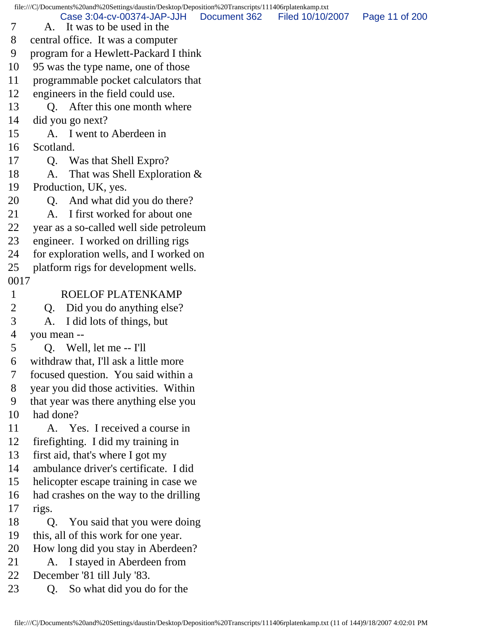file:///C|/Documents%20and%20Settings/daustin/Desktop/Deposition%20Transcripts/111406rplatenkamp.txt

 7 A. It was to be used in the Case 3:04-cv-00374-JAP-JJH Document 362 Filed 10/10/2007 Page 11 of 200

8 central office. It was a computer

9 program for a Hewlett-Packard I think

10 95 was the type name, one of those

11 programmable pocket calculators that

12 engineers in the field could use.

13 Q. After this one month where

14 did you go next?

15 A. I went to Aberdeen in

16 Scotland.

17 Q. Was that Shell Expro?

18 A. That was Shell Exploration &

19 Production, UK, yes.

20 Q. And what did you do there?

21 A. I first worked for about one

22 year as a so-called well side petroleum

23 engineer. I worked on drilling rigs

24 for exploration wells, and I worked on

25 platform rigs for development wells.

0017

1 ROELOF PLATENKAMP

2 Q. Did you do anything else?

3 A. I did lots of things, but

4 you mean --

5 Q. Well, let me -- I'll

6 withdraw that, I'll ask a little more

7 focused question. You said within a

8 year you did those activities. Within

9 that year was there anything else you

10 had done?

11 A. Yes. I received a course in

12 firefighting. I did my training in

13 first aid, that's where I got my

14 ambulance driver's certificate. I did

15 helicopter escape training in case we

16 had crashes on the way to the drilling

17 rigs.

18 Q. You said that you were doing

19 this, all of this work for one year.

20 How long did you stay in Aberdeen?

21 A. I stayed in Aberdeen from

22 December '81 till July '83.

23 Q. So what did you do for the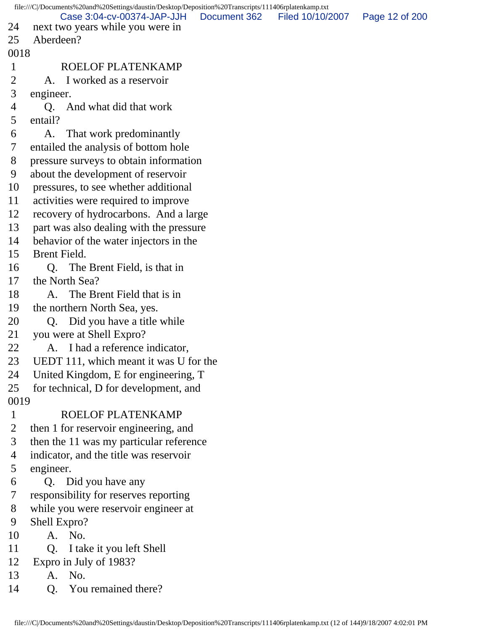|              | file:///C /Documents%20and%20Settings/daustin/Desktop/Deposition%20Transcripts/111406rplatenkamp.txt |              |                  |                |
|--------------|------------------------------------------------------------------------------------------------------|--------------|------------------|----------------|
| 24           | Case 3:04-cv-00374-JAP-JJH<br>next two years while you were in                                       | Document 362 | Filed 10/10/2007 | Page 12 of 200 |
| 25           | Aberdeen?                                                                                            |              |                  |                |
| 0018         |                                                                                                      |              |                  |                |
| $\mathbf{1}$ | ROELOF PLATENKAMP                                                                                    |              |                  |                |
| 2            | A. I worked as a reservoir                                                                           |              |                  |                |
| 3            | engineer.                                                                                            |              |                  |                |
| 4            | And what did that work<br>Q.                                                                         |              |                  |                |
| 5            | entail?                                                                                              |              |                  |                |
| 6            | That work predominantly<br>A.                                                                        |              |                  |                |
| 7            | entailed the analysis of bottom hole                                                                 |              |                  |                |
| 8            | pressure surveys to obtain information                                                               |              |                  |                |
| 9            | about the development of reservoir                                                                   |              |                  |                |
| 10           | pressures, to see whether additional                                                                 |              |                  |                |
| 11           | activities were required to improve                                                                  |              |                  |                |
| 12           | recovery of hydrocarbons. And a large                                                                |              |                  |                |
| 13           | part was also dealing with the pressure                                                              |              |                  |                |
| 14           | behavior of the water injectors in the                                                               |              |                  |                |
| 15           | Brent Field.                                                                                         |              |                  |                |
| 16           | The Brent Field, is that in<br>Q.                                                                    |              |                  |                |
| 17           | the North Sea?                                                                                       |              |                  |                |
| 18           | The Brent Field that is in<br>A.                                                                     |              |                  |                |
| 19           | the northern North Sea, yes.                                                                         |              |                  |                |
| 20           | Q. Did you have a title while                                                                        |              |                  |                |
| 21           | you were at Shell Expro?                                                                             |              |                  |                |
| 22           | A. I had a reference indicator,                                                                      |              |                  |                |
| 23           | UEDT 111, which meant it was U for the                                                               |              |                  |                |
| 24           | United Kingdom, E for engineering, T                                                                 |              |                  |                |
| 25           | for technical, D for development, and                                                                |              |                  |                |
| 0019         |                                                                                                      |              |                  |                |
| $\mathbf{1}$ | ROELOF PLATENKAMP                                                                                    |              |                  |                |
| 2            | then 1 for reservoir engineering, and                                                                |              |                  |                |
| 3            | then the 11 was my particular reference                                                              |              |                  |                |
| 4            | indicator, and the title was reservoir                                                               |              |                  |                |
| 5            | engineer.                                                                                            |              |                  |                |
| 6            | Q. Did you have any                                                                                  |              |                  |                |
| 7            | responsibility for reserves reporting                                                                |              |                  |                |
| 8            | while you were reservoir engineer at                                                                 |              |                  |                |
| 9            | Shell Expro?                                                                                         |              |                  |                |
| 10           | A. No.                                                                                               |              |                  |                |
| 11           | Q.<br>I take it you left Shell                                                                       |              |                  |                |
| 12           | Expro in July of 1983?                                                                               |              |                  |                |
| 13           | No.<br>A.                                                                                            |              |                  |                |
| 14           | You remained there?<br>Q.                                                                            |              |                  |                |
|              |                                                                                                      |              |                  |                |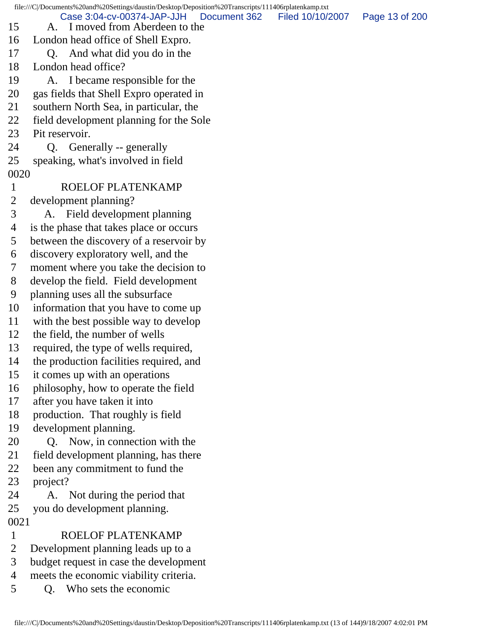file:///C|/Documents%20and%20Settings/daustin/Desktop/Deposition%20Transcripts/111406rplatenkamp.txt 15 A. I moved from Aberdeen to the 16 London head office of Shell Expro. 17 Q. And what did you do in the 18 London head office? 19 A. I became responsible for the 20 gas fields that Shell Expro operated in 21 southern North Sea, in particular, the 22 field development planning for the Sole 23 Pit reservoir. 24 Q. Generally -- generally 25 speaking, what's involved in field 0020 1 ROELOF PLATENKAMP 2 development planning? 3 A. Field development planning 4 is the phase that takes place or occurs 5 between the discovery of a reservoir by 6 discovery exploratory well, and the 7 moment where you take the decision to 8 develop the field. Field development 9 planning uses all the subsurface 10 information that you have to come up 11 with the best possible way to develop 12 the field, the number of wells 13 required, the type of wells required, 14 the production facilities required, and 15 it comes up with an operations 16 philosophy, how to operate the field 17 after you have taken it into 18 production. That roughly is field 19 development planning. 20 Q. Now, in connection with the 21 field development planning, has there 22 been any commitment to fund the 23 project? 24 A. Not during the period that 25 you do development planning. 0021 1 ROELOF PLATENKAMP 2 Development planning leads up to a 3 budget request in case the development 4 meets the economic viability criteria. 5 Q. Who sets the economic Case 3:04-cv-00374-JAP-JJH Document 362 Filed 10/10/2007 Page 13 of 200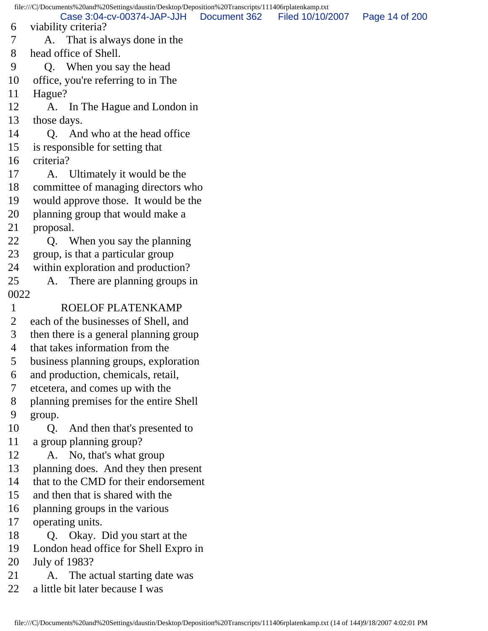file:///C|/Documents%20and%20Settings/daustin/Desktop/Deposition%20Transcripts/111406rplatenkamp.txt 6 viability criteria? 7 A. That is always done in the 8 head office of Shell. 9 Q. When you say the head 10 office, you're referring to in The 11 Hague? 12 A. In The Hague and London in 13 those days. 14 Q. And who at the head office 15 is responsible for setting that 16 criteria? 17 A. Ultimately it would be the 18 committee of managing directors who 19 would approve those. It would be the 20 planning group that would make a 21 proposal. 22 Q. When you say the planning 23 group, is that a particular group 24 within exploration and production? 25 A. There are planning groups in 0022 1 ROELOF PLATENKAMP 2 each of the businesses of Shell, and 3 then there is a general planning group 4 that takes information from the 5 business planning groups, exploration 6 and production, chemicals, retail, 7 etcetera, and comes up with the 8 planning premises for the entire Shell 9 group. 10 Q. And then that's presented to 11 a group planning group? 12 A. No, that's what group 13 planning does. And they then present 14 that to the CMD for their endorsement 15 and then that is shared with the 16 planning groups in the various 17 operating units. 18 Q. Okay. Did you start at the 19 London head office for Shell Expro in 20 July of 1983? 21 A. The actual starting date was 22 a little bit later because I was Case 3:04-cv-00374-JAP-JJH Document 362 Filed 10/10/2007 Page 14 of 200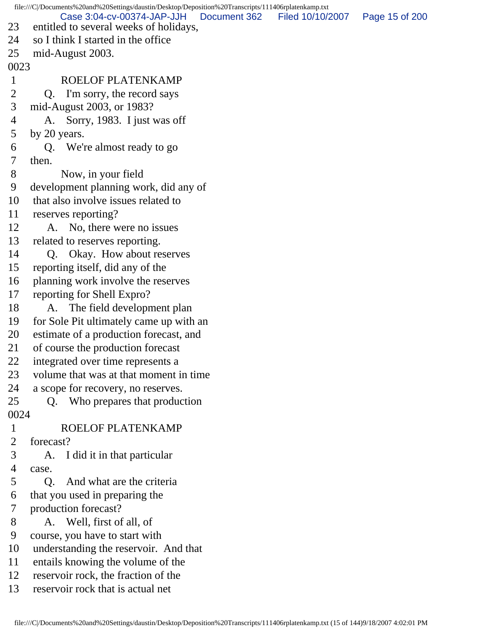file:///C|/Documents%20and%20Settings/daustin/Desktop/Deposition%20Transcripts/111406rplatenkamp.txt 23 entitled to several weeks of holidays, 24 so I think I started in the office 25 mid-August 2003. 0023 1 ROELOF PLATENKAMP 2 Q. I'm sorry, the record says 3 mid-August 2003, or 1983? 4 A. Sorry, 1983. I just was off 5 by 20 years. 6 Q. We're almost ready to go 7 then. 8 Now, in your field 9 development planning work, did any of 10 that also involve issues related to 11 reserves reporting? 12 A. No, there were no issues 13 related to reserves reporting. 14 Q. Okay. How about reserves 15 reporting itself, did any of the 16 planning work involve the reserves 17 reporting for Shell Expro? 18 A. The field development plan 19 for Sole Pit ultimately came up with an 20 estimate of a production forecast, and 21 of course the production forecast 22 integrated over time represents a 23 volume that was at that moment in time 24 a scope for recovery, no reserves. 25 Q. Who prepares that production 0024 1 ROELOF PLATENKAMP 2 forecast? 3 A. I did it in that particular 4 case. 5 Q. And what are the criteria 6 that you used in preparing the 7 production forecast? 8 A. Well, first of all, of 9 course, you have to start with 10 understanding the reservoir. And that 11 entails knowing the volume of the 12 reservoir rock, the fraction of the 13 reservoir rock that is actual net Case 3:04-cv-00374-JAP-JJH Document 362 Filed 10/10/2007 Page 15 of 200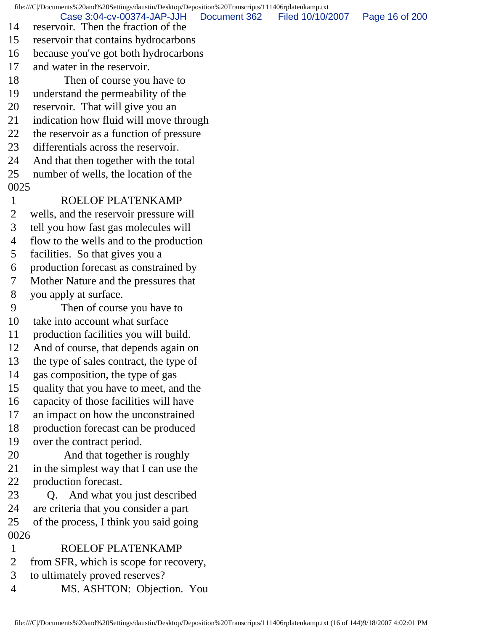file:///C|/Documents%20and%20Settings/daustin/Desktop/Deposition%20Transcripts/111406rplatenkamp.txt

14 reservoir. Then the fraction of the Case 3:04-cv-00374-JAP-JJH Document 362 Filed 10/10/2007 Page 16 of 200

- 15 reservoir that contains hydrocarbons
- 16 because you've got both hydrocarbons
- 17 and water in the reservoir.
- 18 Then of course you have to
- 19 understand the permeability of the
- 20 reservoir. That will give you an
- 21 indication how fluid will move through
- 22 the reservoir as a function of pressure
- 23 differentials across the reservoir.
- 24 And that then together with the total
- 25 number of wells, the location of the
- 0025
- 1 ROELOF PLATENKAMP
- 2 wells, and the reservoir pressure will
- 3 tell you how fast gas molecules will
- 4 flow to the wells and to the production
- 5 facilities. So that gives you a
- 6 production forecast as constrained by
- 7 Mother Nature and the pressures that
- 8 you apply at surface.
- 9 Then of course you have to
- 10 take into account what surface
- 11 production facilities you will build.
- 12 And of course, that depends again on
- 13 the type of sales contract, the type of
- 14 gas composition, the type of gas
- 15 quality that you have to meet, and the
- 16 capacity of those facilities will have
- 17 an impact on how the unconstrained
- 18 production forecast can be produced
- 19 over the contract period.
- 20 And that together is roughly
- 21 in the simplest way that I can use the
- 22 production forecast.
- 23 Q. And what you just described 24 are criteria that you consider a part
- 25 of the process, I think you said going 0026
- 1 ROELOF PLATENKAMP
- 2 from SFR, which is scope for recovery,
- 3 to ultimately proved reserves?
- 4 MS. ASHTON: Objection. You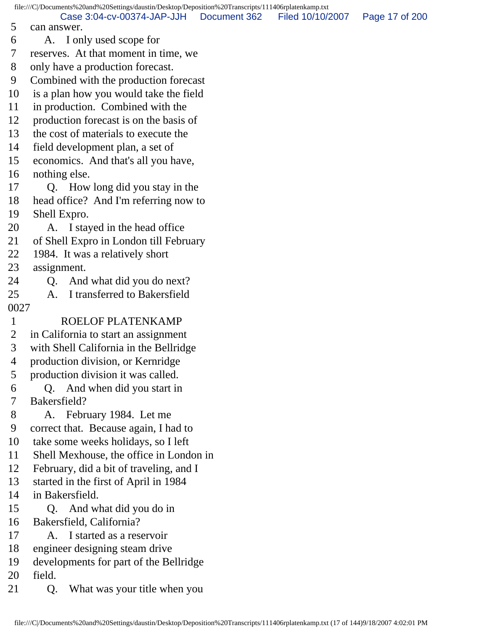file:///C|/Documents%20and%20Settings/daustin/Desktop/Deposition%20Transcripts/111406rplatenkamp.txt 5 can answer. 6 A. I only used scope for 7 reserves. At that moment in time, we 8 only have a production forecast. 9 Combined with the production forecast 10 is a plan how you would take the field 11 in production. Combined with the 12 production forecast is on the basis of 13 the cost of materials to execute the 14 field development plan, a set of 15 economics. And that's all you have, 16 nothing else. 17 Q. How long did you stay in the 18 head office? And I'm referring now to 19 Shell Expro. 20 A. I stayed in the head office 21 of Shell Expro in London till February 22 1984. It was a relatively short 23 assignment. 24 O. And what did you do next? 25 A. I transferred to Bakersfield 0027 1 ROELOF PLATENKAMP 2 in California to start an assignment 3 with Shell California in the Bellridge 4 production division, or Kernridge 5 production division it was called. 6 Q. And when did you start in 7 Bakersfield? 8 A. February 1984. Let me 9 correct that. Because again, I had to 10 take some weeks holidays, so I left 11 Shell Mexhouse, the office in London in 12 February, did a bit of traveling, and I 13 started in the first of April in 1984 14 in Bakersfield. 15 Q. And what did you do in 16 Bakersfield, California? 17 A. I started as a reservoir 18 engineer designing steam drive 19 developments for part of the Bellridge 20 field. Case 3:04-cv-00374-JAP-JJH Document 362 Filed 10/10/2007 Page 17 of 200

21 Q. What was your title when you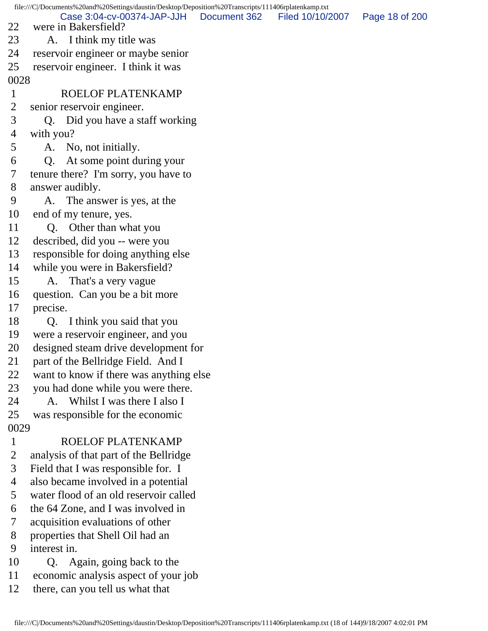file:///C|/Documents%20and%20Settings/daustin/Desktop/Deposition%20Transcripts/111406rplatenkamp.txt 22 were in Bakersfield? 23 A. I think my title was 24 reservoir engineer or maybe senior 25 reservoir engineer. I think it was 0028 1 ROELOF PLATENKAMP 2 senior reservoir engineer. 3 Q. Did you have a staff working 4 with you? 5 A. No, not initially. 6 Q. At some point during your 7 tenure there? I'm sorry, you have to 8 answer audibly. 9 A. The answer is yes, at the 10 end of my tenure, yes. 11 Q. Other than what you 12 described, did you -- were you 13 responsible for doing anything else 14 while you were in Bakersfield? 15 A. That's a very vague 16 question. Can you be a bit more 17 precise. 18 Q. I think you said that you 19 were a reservoir engineer, and you 20 designed steam drive development for 21 part of the Bellridge Field. And I 22 want to know if there was anything else 23 you had done while you were there. 24 A. Whilst I was there I also I 25 was responsible for the economic 0029 1 ROELOF PLATENKAMP 2 analysis of that part of the Bellridge 3 Field that I was responsible for. I 4 also became involved in a potential 5 water flood of an old reservoir called 6 the 64 Zone, and I was involved in 7 acquisition evaluations of other 8 properties that Shell Oil had an 9 interest in. 10 Q. Again, going back to the Case 3:04-cv-00374-JAP-JJH Document 362 Filed 10/10/2007 Page 18 of 200

- 11 economic analysis aspect of your job
- 12 there, can you tell us what that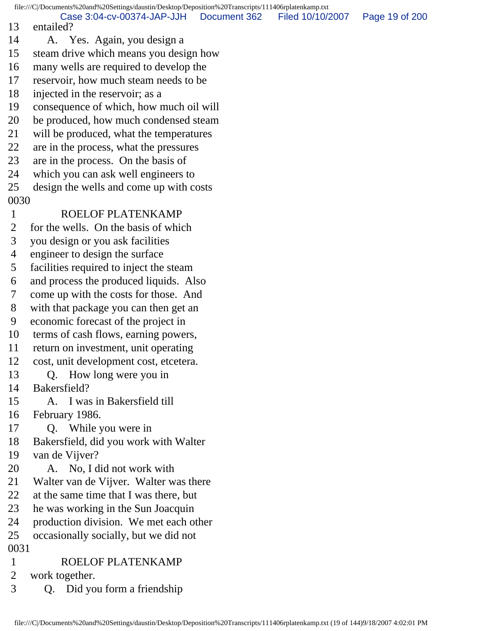file:///C|/Documents%20and%20Settings/daustin/Desktop/Deposition%20Transcripts/111406rplatenkamp.txt 13 entailed? 14 A. Yes. Again, you design a 15 steam drive which means you design how 16 many wells are required to develop the 17 reservoir, how much steam needs to be 18 injected in the reservoir; as a 19 consequence of which, how much oil will 20 be produced, how much condensed steam 21 will be produced, what the temperatures 22 are in the process, what the pressures 23 are in the process. On the basis of 24 which you can ask well engineers to 25 design the wells and come up with costs 0030 1 ROELOF PLATENKAMP 2 for the wells. On the basis of which 3 you design or you ask facilities 4 engineer to design the surface 5 facilities required to inject the steam 6 and process the produced liquids. Also 7 come up with the costs for those. And 8 with that package you can then get an 9 economic forecast of the project in 10 terms of cash flows, earning powers, 11 return on investment, unit operating 12 cost, unit development cost, etcetera. 13 Q. How long were you in 14 Bakersfield? 15 A. I was in Bakersfield till 16 February 1986. 17 Q. While you were in 18 Bakersfield, did you work with Walter 19 van de Vijver? 20 A. No, I did not work with 21 Walter van de Vijver. Walter was there 22 at the same time that I was there, but 23 he was working in the Sun Joacquin 24 production division. We met each other 25 occasionally socially, but we did not 0031 1 ROELOF PLATENKAMP 2 work together. Case 3:04-cv-00374-JAP-JJH Document 362 Filed 10/10/2007 Page 19 of 200

3 Q. Did you form a friendship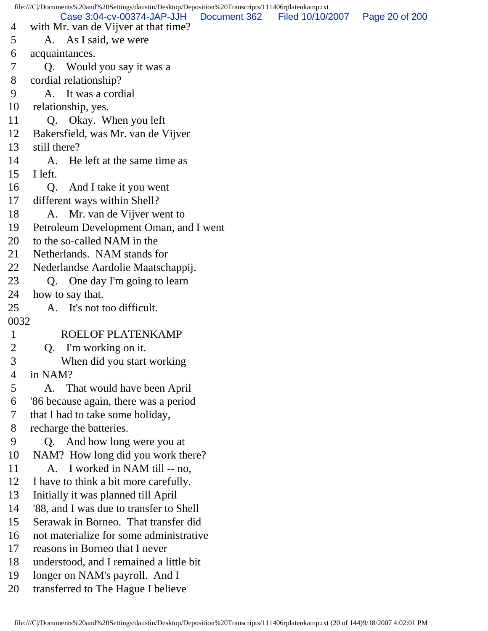file:///C|/Documents%20and%20Settings/daustin/Desktop/Deposition%20Transcripts/111406rplatenkamp.txt 4 with Mr. van de Vijver at that time? 5 A. As I said, we were 6 acquaintances. 7 Q. Would you say it was a 8 cordial relationship? 9 A. It was a cordial 10 relationship, yes. 11 Q. Okay. When you left 12 Bakersfield, was Mr. van de Vijver 13 still there? 14 A. He left at the same time as 15 I left. 16 Q. And I take it you went 17 different ways within Shell? 18 A. Mr. van de Vijver went to 19 Petroleum Development Oman, and I went 20 to the so-called NAM in the 21 Netherlands. NAM stands for 22 Nederlandse Aardolie Maatschappij. 23 Q. One day I'm going to learn 24 how to say that. 25 A. It's not too difficult. 0032 1 ROELOF PLATENKAMP 2 Q. I'm working on it. 3 When did you start working 4 in NAM? 5 A. That would have been April 6 '86 because again, there was a period 7 that I had to take some holiday, 8 recharge the batteries. 9 Q. And how long were you at 10 NAM? How long did you work there? 11 A. I worked in NAM till -- no, 12 I have to think a bit more carefully. 13 Initially it was planned till April 14 '88, and I was due to transfer to Shell 15 Serawak in Borneo. That transfer did 16 not materialize for some administrative 17 reasons in Borneo that I never 18 understood, and I remained a little bit 19 longer on NAM's payroll. And I 20 transferred to The Hague I believe Case 3:04-cv-00374-JAP-JJH Document 362 Filed 10/10/2007 Page 20 of 200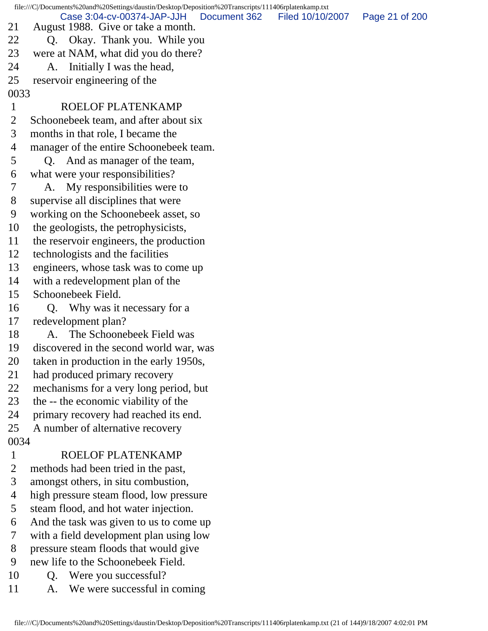file:///C|/Documents%20and%20Settings/daustin/Desktop/Deposition%20Transcripts/111406rplatenkamp.txt 21 August 1988. Give or take a month. 22 Q. Okay. Thank you. While you 23 were at NAM, what did you do there? 24 A. Initially I was the head, 25 reservoir engineering of the 0033 1 ROELOF PLATENKAMP 2 Schoonebeek team, and after about six 3 months in that role, I became the 4 manager of the entire Schoonebeek team. 5 Q. And as manager of the team, 6 what were your responsibilities? 7 A. My responsibilities were to 8 supervise all disciplines that were 9 working on the Schoonebeek asset, so 10 the geologists, the petrophysicists, 11 the reservoir engineers, the production 12 technologists and the facilities 13 engineers, whose task was to come up 14 with a redevelopment plan of the 15 Schoonebeek Field. 16 Q. Why was it necessary for a 17 redevelopment plan? 18 A. The Schoonebeek Field was 19 discovered in the second world war, was 20 taken in production in the early 1950s, 21 had produced primary recovery 22 mechanisms for a very long period, but 23 the -- the economic viability of the 24 primary recovery had reached its end. 25 A number of alternative recovery 0034 1 ROELOF PLATENKAMP 2 methods had been tried in the past, 3 amongst others, in situ combustion, 4 high pressure steam flood, low pressure 5 steam flood, and hot water injection. 6 And the task was given to us to come up 7 with a field development plan using low 8 pressure steam floods that would give 9 new life to the Schoonebeek Field. 10 Q. Were you successful? 11 A. We were successful in coming Case 3:04-cv-00374-JAP-JJH Document 362 Filed 10/10/2007 Page 21 of 200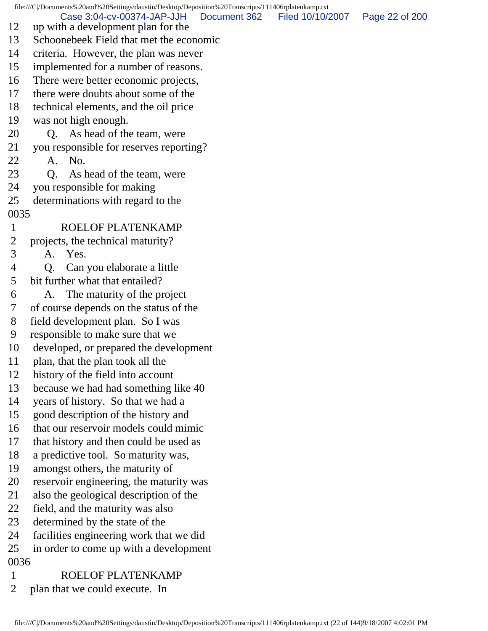file:///C|/Documents%20and%20Settings/daustin/Desktop/Deposition%20Transcripts/111406rplatenkamp.txt Case 3:04-cv-00374-JAP-JJH Document 362 Filed 10/10/2007 Page 22 of 200

- 12 up with a development plan for the
- 13 Schoonebeek Field that met the economic
- 14 criteria. However, the plan was never
- 15 implemented for a number of reasons.
- 16 There were better economic projects,
- 17 there were doubts about some of the
- 18 technical elements, and the oil price
- 19 was not high enough.
- 20 Q. As head of the team, were
- 21 you responsible for reserves reporting?
- 22 A. No.
- 23 Q. As head of the team, were
- 24 you responsible for making
- 25 determinations with regard to the 0035
- 1 ROELOF PLATENKAMP
- 2 projects, the technical maturity?
- 3 A. Yes.
- 4 Q. Can you elaborate a little
- 5 bit further what that entailed?
- 6 A. The maturity of the project
- 7 of course depends on the status of the
- 8 field development plan. So I was
- 9 responsible to make sure that we
- 10 developed, or prepared the development
- 11 plan, that the plan took all the
- 12 history of the field into account
- 13 because we had had something like 40
- 14 years of history. So that we had a
- 15 good description of the history and
- 16 that our reservoir models could mimic
- 17 that history and then could be used as
- 18 a predictive tool. So maturity was,
- 19 amongst others, the maturity of
- 20 reservoir engineering, the maturity was
- 21 also the geological description of the
- 22 field, and the maturity was also
- 23 determined by the state of the
- 24 facilities engineering work that we did
- 25 in order to come up with a development
- 0036
- 1 ROELOF PLATENKAMP
- 2 plan that we could execute. In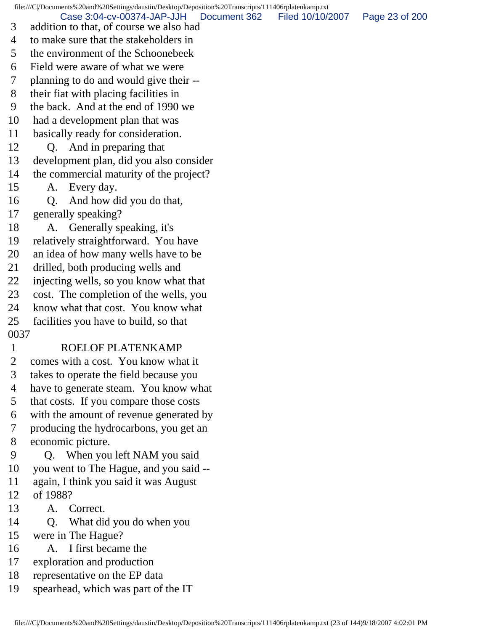file:///C|/Documents%20and%20Settings/daustin/Desktop/Deposition%20Transcripts/111406rplatenkamp.txt

Case 3:04-cv-00374-JAP-JJH Document 362 Filed 10/10/2007 Page 23 of 200

- 3 addition to that, of course we also had
- 4 to make sure that the stakeholders in
- 5 the environment of the Schoonebeek
- 6 Field were aware of what we were
- 7 planning to do and would give their --
- 8 their fiat with placing facilities in
- 9 the back. And at the end of 1990 we
- 10 had a development plan that was
- 11 basically ready for consideration.

## 12 Q. And in preparing that

- 13 development plan, did you also consider
- 14 the commercial maturity of the project?
- 15 A. Every day.
- 16 Q. And how did you do that,
- 17 generally speaking?
- 18 A. Generally speaking, it's
- 19 relatively straightforward. You have
- 20 an idea of how many wells have to be
- 21 drilled, both producing wells and
- 22 injecting wells, so you know what that
- 23 cost. The completion of the wells, you
- 24 know what that cost. You know what
- 25 facilities you have to build, so that
- 0037

## 1 ROELOF PLATENKAMP

- 2 comes with a cost. You know what it
- 3 takes to operate the field because you
- 4 have to generate steam. You know what
- 5 that costs. If you compare those costs
- 6 with the amount of revenue generated by
- 7 producing the hydrocarbons, you get an 8 economic picture.
- 9 Q. When you left NAM you said
- 10 you went to The Hague, and you said --
- 11 again, I think you said it was August
- 12 of 1988?
- 13 A. Correct.
- 14 Q. What did you do when you
- 15 were in The Hague?
- 16 A. I first became the
- 17 exploration and production
- 18 representative on the EP data
- 19 spearhead, which was part of the IT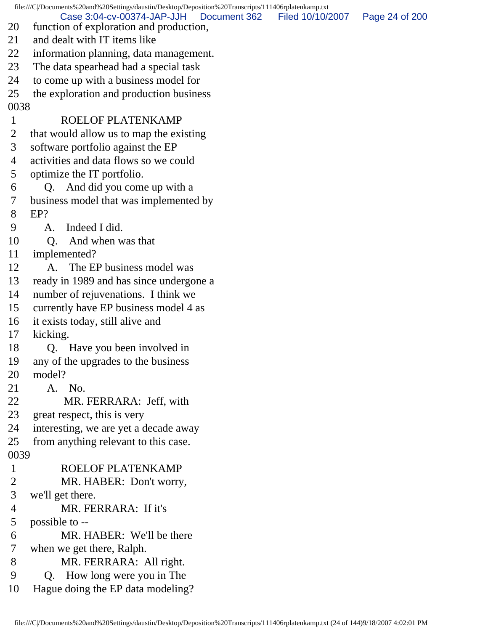file:///C|/Documents%20and%20Settings/daustin/Desktop/Deposition%20Transcripts/111406rplatenkamp.txt 20 function of exploration and production, 21 and dealt with IT items like 22 information planning, data management. 23 The data spearhead had a special task 24 to come up with a business model for 25 the exploration and production business 0038 1 ROELOF PLATENKAMP 2 that would allow us to map the existing 3 software portfolio against the EP 4 activities and data flows so we could 5 optimize the IT portfolio. 6 Q. And did you come up with a 7 business model that was implemented by 8 EP? 9 A. Indeed I did. 10 Q. And when was that 11 implemented? 12 A. The EP business model was 13 ready in 1989 and has since undergone a 14 number of rejuvenations. I think we 15 currently have EP business model 4 as 16 it exists today, still alive and 17 kicking. 18 Q. Have you been involved in 19 any of the upgrades to the business 20 model? 21 A. No. 22 MR. FERRARA: Jeff, with 23 great respect, this is very 24 interesting, we are yet a decade away 25 from anything relevant to this case. 0039 1 ROELOF PLATENKAMP 2 MR. HABER: Don't worry, 3 we'll get there. 4 MR. FERRARA: If it's 5 possible to -- 6 MR. HABER: We'll be there 7 when we get there, Ralph. 8 MR. FERRARA: All right. 9 Q. How long were you in The 10 Hague doing the EP data modeling? Case 3:04-cv-00374-JAP-JJH Document 362 Filed 10/10/2007 Page 24 of 200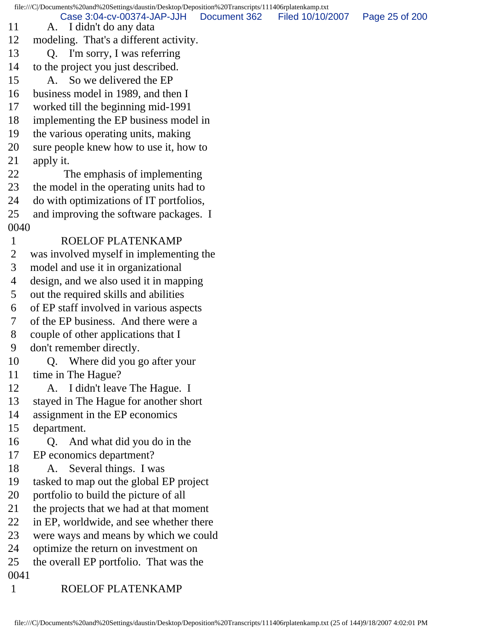file:///C|/Documents%20and%20Settings/daustin/Desktop/Deposition%20Transcripts/111406rplatenkamp.txt 11 A. I didn't do any data 12 modeling. That's a different activity. 13 Q. I'm sorry, I was referring 14 to the project you just described. 15 A. So we delivered the EP 16 business model in 1989, and then I 17 worked till the beginning mid-1991 18 implementing the EP business model in 19 the various operating units, making 20 sure people knew how to use it, how to 21 apply it. 22 The emphasis of implementing 23 the model in the operating units had to 24 do with optimizations of IT portfolios, 25 and improving the software packages. I 0040 1 ROELOF PLATENKAMP 2 was involved myself in implementing the 3 model and use it in organizational 4 design, and we also used it in mapping 5 out the required skills and abilities 6 of EP staff involved in various aspects 7 of the EP business. And there were a 8 couple of other applications that I 9 don't remember directly. 10 Q. Where did you go after your 11 time in The Hague? 12 A. I didn't leave The Hague. I 13 stayed in The Hague for another short 14 assignment in the EP economics 15 department. 16 Q. And what did you do in the 17 EP economics department? 18 A. Several things. I was 19 tasked to map out the global EP project 20 portfolio to build the picture of all 21 the projects that we had at that moment 22 in EP, worldwide, and see whether there 23 were ways and means by which we could 24 optimize the return on investment on 25 the overall EP portfolio. That was the 0041 1 ROELOF PLATENKAMP Case 3:04-cv-00374-JAP-JJH Document 362 Filed 10/10/2007 Page 25 of 200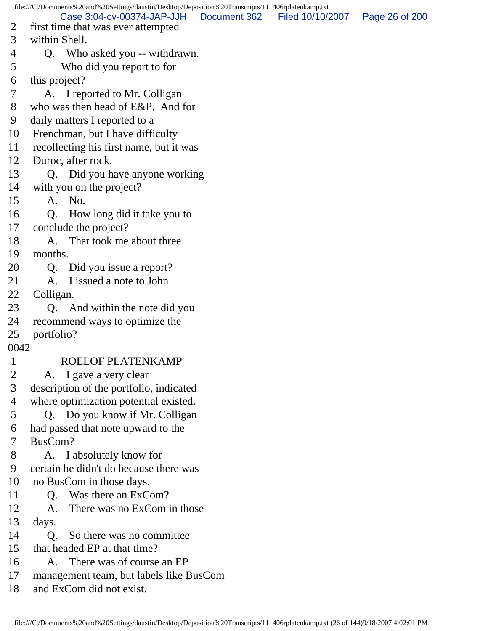file:///C|/Documents%20and%20Settings/daustin/Desktop/Deposition%20Transcripts/111406rplatenkamp.txt 2 first time that was ever attempted 3 within Shell. 4 Q. Who asked you -- withdrawn. 5 Who did you report to for 6 this project? 7 A. I reported to Mr. Colligan 8 who was then head of E&P. And for 9 daily matters I reported to a 10 Frenchman, but I have difficulty 11 recollecting his first name, but it was 12 Duroc, after rock. 13 Q. Did you have anyone working 14 with you on the project? 15 A. No. 16 Q. How long did it take you to 17 conclude the project? 18 A. That took me about three 19 months. 20 Q. Did you issue a report? 21 A. I issued a note to John 22 Colligan. 23 Q. And within the note did you 24 recommend ways to optimize the 25 portfolio? 0042 1 ROELOF PLATENKAMP 2 A. I gave a very clear 3 description of the portfolio, indicated 4 where optimization potential existed. 5 Q. Do you know if Mr. Colligan 6 had passed that note upward to the 7 BusCom? 8 A. I absolutely know for 9 certain he didn't do because there was 10 no BusCom in those days. 11 Q. Was there an ExCom? 12 A. There was no ExCom in those 13 days. 14 Q. So there was no committee 15 that headed EP at that time? 16 A. There was of course an EP 17 management team, but labels like BusCom 18 and ExCom did not exist. Case 3:04-cv-00374-JAP-JJH Document 362 Filed 10/10/2007 Page 26 of 200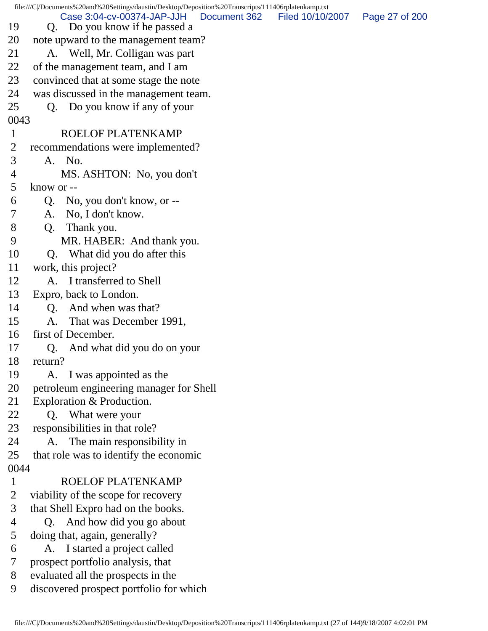file:///C|/Documents%20and%20Settings/daustin/Desktop/Deposition%20Transcripts/111406rplatenkamp.txt 19 Q. Do you know if he passed a 20 note upward to the management team? 21 A. Well, Mr. Colligan was part 22 of the management team, and I am 23 convinced that at some stage the note 24 was discussed in the management team. 25 Q. Do you know if any of your 0043 1 ROELOF PLATENKAMP 2 recommendations were implemented? 3 A. No. 4 MS. ASHTON: No, you don't 5 know or -- 6 Q. No, you don't know, or -- 7 A. No, I don't know. 8 Q. Thank you. 9 MR. HABER: And thank you. 10 Q. What did you do after this 11 work, this project? 12 A. I transferred to Shell 13 Expro, back to London. 14 Q. And when was that? 15 A. That was December 1991, 16 first of December. 17 Q. And what did you do on your 18 return? 19 A. I was appointed as the 20 petroleum engineering manager for Shell 21 Exploration & Production. 22 Q. What were your 23 responsibilities in that role? 24 A. The main responsibility in 25 that role was to identify the economic 0044 1 ROELOF PLATENKAMP 2 viability of the scope for recovery 3 that Shell Expro had on the books. 4 Q. And how did you go about 5 doing that, again, generally? 6 A. I started a project called 7 prospect portfolio analysis, that 8 evaluated all the prospects in the 9 discovered prospect portfolio for which Case 3:04-cv-00374-JAP-JJH Document 362 Filed 10/10/2007 Page 27 of 200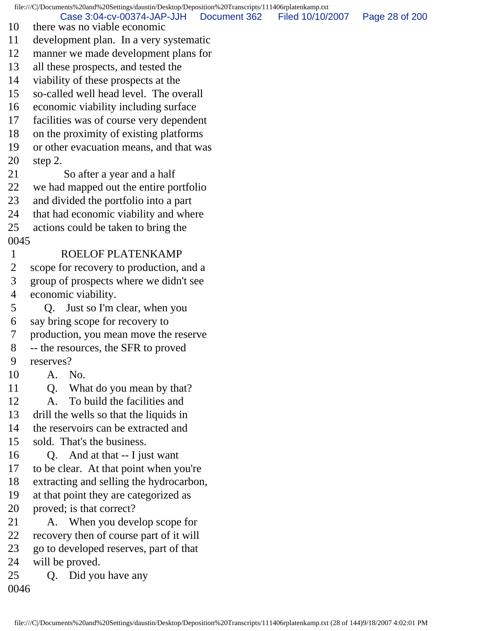file:///C|/Documents%20and%20Settings/daustin/Desktop/Deposition%20Transcripts/111406rplatenkamp.txt 10 there was no viable economic 11 development plan. In a very systematic 12 manner we made development plans for 13 all these prospects, and tested the 14 viability of these prospects at the 15 so-called well head level. The overall 16 economic viability including surface 17 facilities was of course very dependent 18 on the proximity of existing platforms 19 or other evacuation means, and that was 20 step 2. 21 So after a year and a half 22 we had mapped out the entire portfolio 23 and divided the portfolio into a part 24 that had economic viability and where 25 actions could be taken to bring the 0045 1 ROELOF PLATENKAMP 2 scope for recovery to production, and a 3 group of prospects where we didn't see 4 economic viability. 5 Q. Just so I'm clear, when you 6 say bring scope for recovery to 7 production, you mean move the reserve 8 -- the resources, the SFR to proved 9 reserves? 10 A. No. 11 Q. What do you mean by that? 12 A. To build the facilities and 13 drill the wells so that the liquids in 14 the reservoirs can be extracted and 15 sold. That's the business. 16 Q. And at that -- I just want 17 to be clear. At that point when you're 18 extracting and selling the hydrocarbon, 19 at that point they are categorized as 20 proved; is that correct? 21 A. When you develop scope for 22 recovery then of course part of it will 23 go to developed reserves, part of that 24 will be proved. 25 Q. Did you have any 0046 Case 3:04-cv-00374-JAP-JJH Document 362 Filed 10/10/2007 Page 28 of 200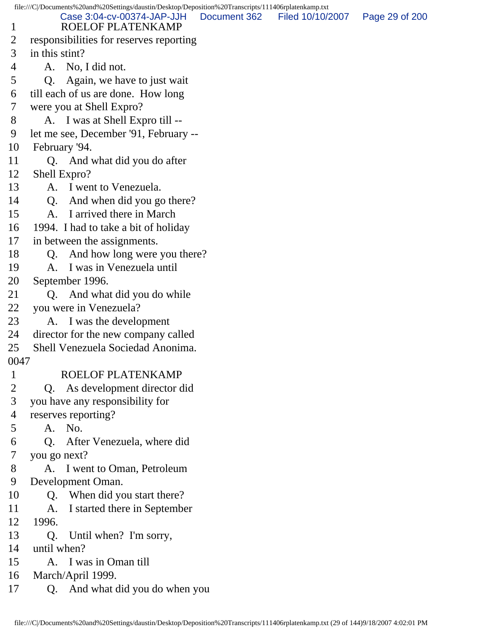file:///C|/Documents%20and%20Settings/daustin/Desktop/Deposition%20Transcripts/111406rplatenkamp.txt 1 ROELOF PLATENKAMP 2 responsibilities for reserves reporting 3 in this stint? 4 A. No, I did not. 5 Q. Again, we have to just wait 6 till each of us are done. How long 7 were you at Shell Expro? 8 A. I was at Shell Expro till -- 9 let me see, December '91, February -- 10 February '94. 11 Q. And what did you do after 12 Shell Expro? 13 A. I went to Venezuela. 14 Q. And when did you go there? 15 A. I arrived there in March 16 1994. I had to take a bit of holiday 17 in between the assignments. 18 O. And how long were you there? 19 A. I was in Venezuela until 20 September 1996. 21 Q. And what did you do while 22 you were in Venezuela? 23 A. I was the development 24 director for the new company called 25 Shell Venezuela Sociedad Anonima. 0047 1 ROELOF PLATENKAMP 2 Q. As development director did 3 you have any responsibility for 4 reserves reporting? 5 A. No. 6 Q. After Venezuela, where did 7 you go next? 8 A. I went to Oman, Petroleum 9 Development Oman. 10 Q. When did you start there? 11 A. I started there in September 12 1996. 13 Q. Until when? I'm sorry, 14 until when? 15 A. I was in Oman till 16 March/April 1999. 17 Q. And what did you do when you Case 3:04-cv-00374-JAP-JJH Document 362 Filed 10/10/2007 Page 29 of 200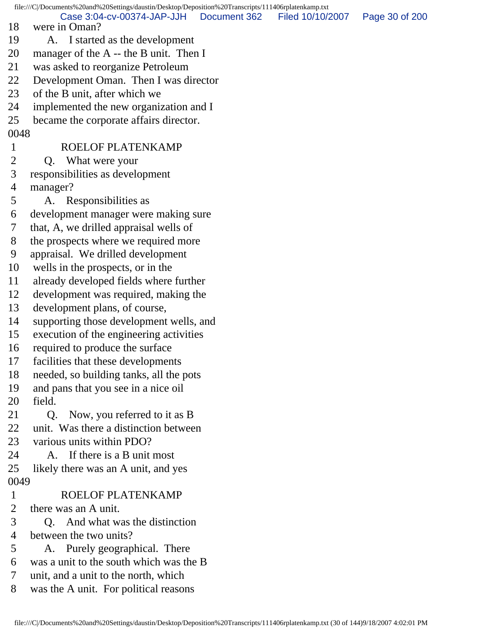file:///C|/Documents%20and%20Settings/daustin/Desktop/Deposition%20Transcripts/111406rplatenkamp.txt 18 were in Oman? 19 A. I started as the development 20 manager of the A -- the B unit. Then I 21 was asked to reorganize Petroleum 22 Development Oman. Then I was director 23 of the B unit, after which we 24 implemented the new organization and I 25 became the corporate affairs director. 0048 1 ROELOF PLATENKAMP 2 Q. What were your 3 responsibilities as development 4 manager? 5 A. Responsibilities as 6 development manager were making sure 7 that, A, we drilled appraisal wells of 8 the prospects where we required more 9 appraisal. We drilled development 10 wells in the prospects, or in the 11 already developed fields where further 12 development was required, making the 13 development plans, of course, 14 supporting those development wells, and 15 execution of the engineering activities 16 required to produce the surface 17 facilities that these developments 18 needed, so building tanks, all the pots 19 and pans that you see in a nice oil 20 field. 21 Q. Now, you referred to it as B 22 unit. Was there a distinction between 23 various units within PDO? 24 A. If there is a B unit most 25 likely there was an A unit, and yes 0049 1 ROELOF PLATENKAMP 2 there was an A unit. 3 Q. And what was the distinction 4 between the two units? 5 A. Purely geographical. There 6 was a unit to the south which was the B 7 unit, and a unit to the north, which 8 was the A unit. For political reasons Case 3:04-cv-00374-JAP-JJH Document 362 Filed 10/10/2007 Page 30 of 200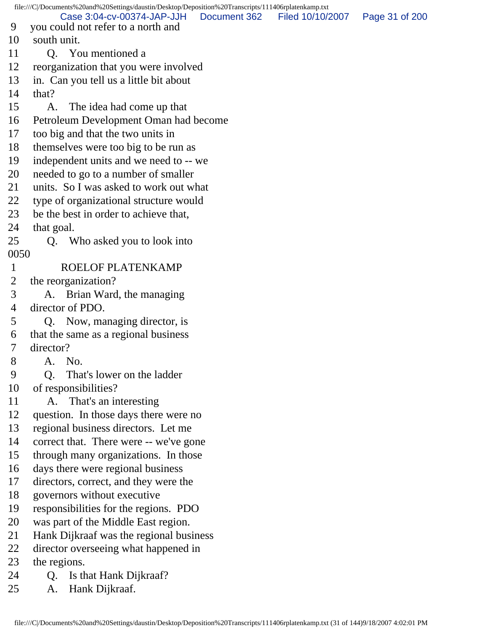file:///C|/Documents%20and%20Settings/daustin/Desktop/Deposition%20Transcripts/111406rplatenkamp.txt 9 you could not refer to a north and 10 south unit. 11 O. You mentioned a 12 reorganization that you were involved 13 in. Can you tell us a little bit about 14 that? 15 A. The idea had come up that 16 Petroleum Development Oman had become 17 too big and that the two units in 18 themselves were too big to be run as 19 independent units and we need to -- we 20 needed to go to a number of smaller 21 units. So I was asked to work out what 22 type of organizational structure would 23 be the best in order to achieve that, 24 that goal. 25 Q. Who asked you to look into 0050 1 ROELOF PLATENKAMP 2 the reorganization? 3 A. Brian Ward, the managing 4 director of PDO. 5 Q. Now, managing director, is 6 that the same as a regional business 7 director? 8 A. No. 9 Q. That's lower on the ladder 10 of responsibilities? 11 A. That's an interesting 12 question. In those days there were no 13 regional business directors. Let me 14 correct that. There were -- we've gone 15 through many organizations. In those 16 days there were regional business 17 directors, correct, and they were the 18 governors without executive 19 responsibilities for the regions. PDO 20 was part of the Middle East region. 21 Hank Dijkraaf was the regional business 22 director overseeing what happened in 23 the regions. 24 Q. Is that Hank Dijkraaf? 25 A. Hank Dijkraaf. Case 3:04-cv-00374-JAP-JJH Document 362 Filed 10/10/2007 Page 31 of 200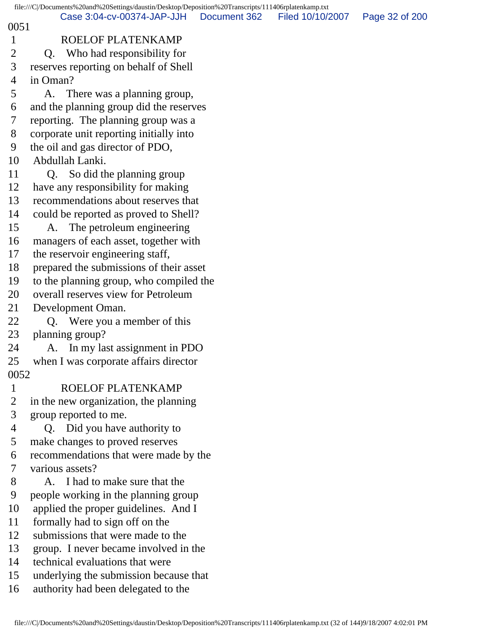|                | file:///C /Documents%20and%20Settings/daustin/Desktop/Deposition%20Transcripts/111406rplatenkamp.txt |              |                  |                |
|----------------|------------------------------------------------------------------------------------------------------|--------------|------------------|----------------|
| 0051           | Case 3:04-cv-00374-JAP-JJH                                                                           | Document 362 | Filed 10/10/2007 | Page 32 of 200 |
| $\mathbf{1}$   | <b>ROELOF PLATENKAMP</b>                                                                             |              |                  |                |
| 2              | Q. Who had responsibility for                                                                        |              |                  |                |
| 3              | reserves reporting on behalf of Shell                                                                |              |                  |                |
| 4              | in Oman?                                                                                             |              |                  |                |
| 5              | There was a planning group,<br>A.                                                                    |              |                  |                |
| 6              | and the planning group did the reserves                                                              |              |                  |                |
| 7              | reporting. The planning group was a                                                                  |              |                  |                |
| 8              | corporate unit reporting initially into                                                              |              |                  |                |
| 9              | the oil and gas director of PDO,                                                                     |              |                  |                |
| 10             | Abdullah Lanki.                                                                                      |              |                  |                |
| 11             | So did the planning group<br>Q.                                                                      |              |                  |                |
| 12             | have any responsibility for making                                                                   |              |                  |                |
| 13             | recommendations about reserves that                                                                  |              |                  |                |
| 14             | could be reported as proved to Shell?                                                                |              |                  |                |
| 15             | The petroleum engineering<br>A.                                                                      |              |                  |                |
| 16             | managers of each asset, together with                                                                |              |                  |                |
| 17             | the reservoir engineering staff,                                                                     |              |                  |                |
| 18             | prepared the submissions of their asset                                                              |              |                  |                |
| 19             | to the planning group, who compiled the                                                              |              |                  |                |
| 20             | overall reserves view for Petroleum                                                                  |              |                  |                |
| 21             | Development Oman.                                                                                    |              |                  |                |
| 22             | Q. Were you a member of this                                                                         |              |                  |                |
| 23             | planning group?                                                                                      |              |                  |                |
| 24             | In my last assignment in PDO<br>А.                                                                   |              |                  |                |
| 25             | when I was corporate affairs director                                                                |              |                  |                |
| 0052           |                                                                                                      |              |                  |                |
| $\mathbf 1$    | ROELOF PLATENKAMP                                                                                    |              |                  |                |
| $\overline{2}$ | in the new organization, the planning                                                                |              |                  |                |
| 3              | group reported to me.                                                                                |              |                  |                |
| 4              | Q. Did you have authority to                                                                         |              |                  |                |
| 5              | make changes to proved reserves                                                                      |              |                  |                |
| 6              | recommendations that were made by the                                                                |              |                  |                |
| 7              | various assets?                                                                                      |              |                  |                |
| 8              | I had to make sure that the<br>A.                                                                    |              |                  |                |
| 9              | people working in the planning group                                                                 |              |                  |                |
| 10             | applied the proper guidelines. And I                                                                 |              |                  |                |
| 11             | formally had to sign off on the                                                                      |              |                  |                |
| 12             | submissions that were made to the                                                                    |              |                  |                |
| 13             | group. I never became involved in the                                                                |              |                  |                |
| 14             | technical evaluations that were                                                                      |              |                  |                |
| 15             | underlying the submission because that                                                               |              |                  |                |
| 16             | authority had been delegated to the                                                                  |              |                  |                |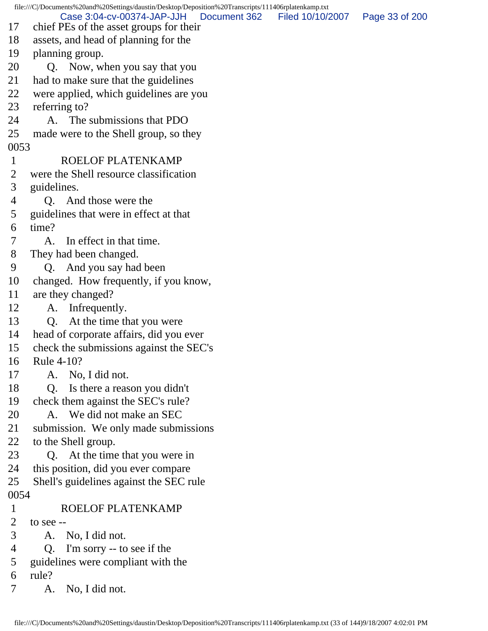file:///C|/Documents%20and%20Settings/daustin/Desktop/Deposition%20Transcripts/111406rplatenkamp.txt 17 chief PEs of the asset groups for their 18 assets, and head of planning for the 19 planning group. 20 Q. Now, when you say that you 21 had to make sure that the guidelines 22 were applied, which guidelines are you 23 referring to? 24 A. The submissions that PDO 25 made were to the Shell group, so they 0053 1 ROELOF PLATENKAMP 2 were the Shell resource classification 3 guidelines. 4 Q. And those were the 5 guidelines that were in effect at that 6 time? 7 A. In effect in that time. 8 They had been changed. 9 Q. And you say had been 10 changed. How frequently, if you know, 11 are they changed? 12 A. Infrequently. 13 Q. At the time that you were 14 head of corporate affairs, did you ever 15 check the submissions against the SEC's 16 Rule 4-10? 17 A. No, I did not. 18 Q. Is there a reason you didn't 19 check them against the SEC's rule? 20 A. We did not make an SEC 21 submission. We only made submissions 22 to the Shell group. 23 Q. At the time that you were in 24 this position, did you ever compare 25 Shell's guidelines against the SEC rule 0054 1 ROELOF PLATENKAMP 2 to see  $-$  3 A. No, I did not. 4 Q. I'm sorry -- to see if the 5 guidelines were compliant with the 6 rule? 7 A. No, I did not. Case 3:04-cv-00374-JAP-JJH Document 362 Filed 10/10/2007 Page 33 of 200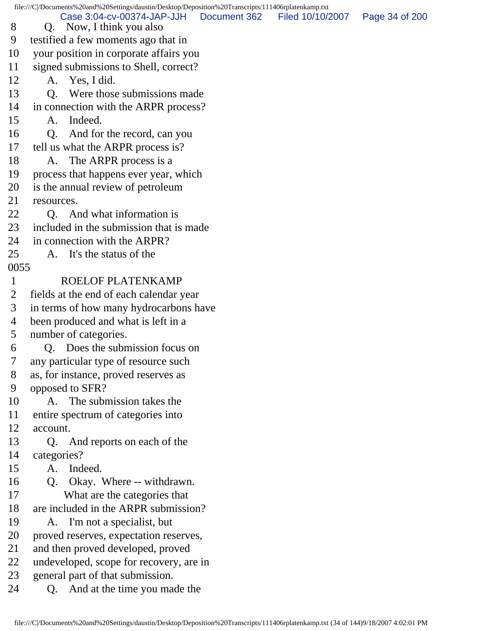file:///C|/Documents%20and%20Settings/daustin/Desktop/Deposition%20Transcripts/111406rplatenkamp.txt 8 Q. Now, I think you also 9 testified a few moments ago that in 10 your position in corporate affairs you 11 signed submissions to Shell, correct? 12 A. Yes, I did. 13 Q. Were those submissions made 14 in connection with the ARPR process? 15 A. Indeed. 16 Q. And for the record, can you 17 tell us what the ARPR process is? 18 A. The ARPR process is a 19 process that happens ever year, which 20 is the annual review of petroleum 21 resources. 22 O. And what information is 23 included in the submission that is made 24 in connection with the ARPR? 25 A. It's the status of the 0055 1 ROELOF PLATENKAMP 2 fields at the end of each calendar year 3 in terms of how many hydrocarbons have 4 been produced and what is left in a 5 number of categories. 6 Q. Does the submission focus on 7 any particular type of resource such 8 as, for instance, proved reserves as 9 opposed to SFR? 10 A. The submission takes the 11 entire spectrum of categories into 12 account. 13 Q. And reports on each of the 14 categories? 15 A. Indeed. 16 Q. Okay. Where -- withdrawn. 17 What are the categories that 18 are included in the ARPR submission? 19 A. I'm not a specialist, but 20 proved reserves, expectation reserves, 21 and then proved developed, proved 22 undeveloped, scope for recovery, are in 23 general part of that submission. 24 Q. And at the time you made the Case 3:04-cv-00374-JAP-JJH Document 362 Filed 10/10/2007 Page 34 of 200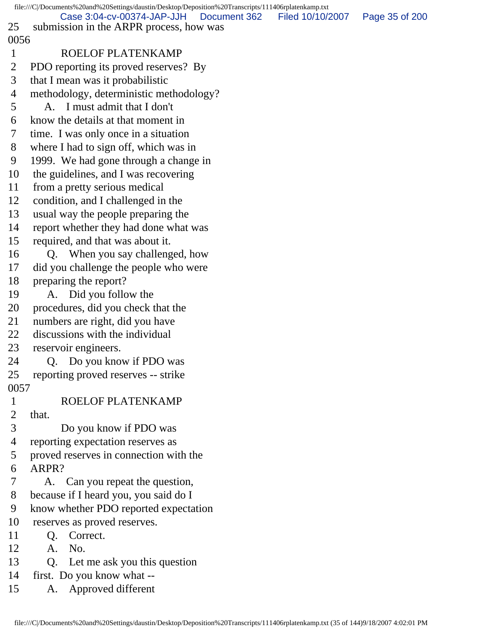file:///C|/Documents%20and%20Settings/daustin/Desktop/Deposition%20Transcripts/111406rplatenkamp.txt 25 submission in the ARPR process, how was 0056 1 ROELOF PLATENKAMP 2 PDO reporting its proved reserves? By 3 that I mean was it probabilistic 4 methodology, deterministic methodology? 5 A. I must admit that I don't 6 know the details at that moment in 7 time. I was only once in a situation 8 where I had to sign off, which was in 9 1999. We had gone through a change in 10 the guidelines, and I was recovering 11 from a pretty serious medical 12 condition, and I challenged in the 13 usual way the people preparing the 14 report whether they had done what was 15 required, and that was about it. 16 Q. When you say challenged, how 17 did you challenge the people who were 18 preparing the report? 19 A. Did you follow the 20 procedures, did you check that the 21 numbers are right, did you have 22 discussions with the individual 23 reservoir engineers. 24 Q. Do you know if PDO was 25 reporting proved reserves -- strike 0057 1 ROELOF PLATENKAMP 2 that. 3 Do you know if PDO was 4 reporting expectation reserves as 5 proved reserves in connection with the 6 ARPR? 7 A. Can you repeat the question, 8 because if I heard you, you said do I 9 know whether PDO reported expectation 10 reserves as proved reserves. 11 Q. Correct. 12 A. No. 13 Q. Let me ask you this question 14 first. Do you know what -- 15 A. Approved different Case 3:04-cv-00374-JAP-JJH Document 362 Filed 10/10/2007 Page 35 of 200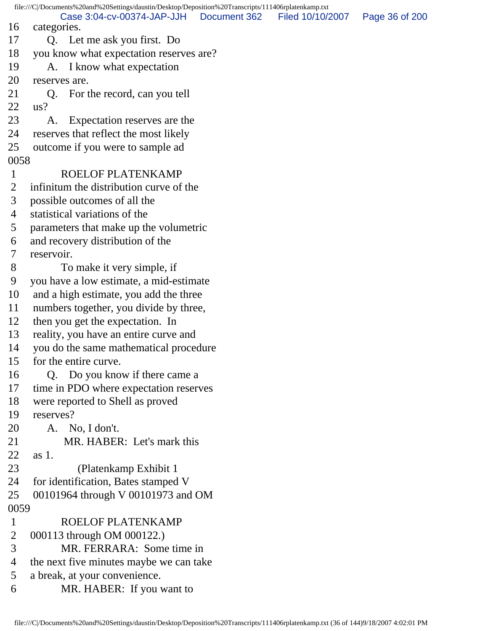file:///C|/Documents%20and%20Settings/daustin/Desktop/Deposition%20Transcripts/111406rplatenkamp.txt 16 categories. 17 Q. Let me ask you first. Do 18 you know what expectation reserves are? 19 A. I know what expectation 20 reserves are. 21 Q. For the record, can you tell 22 us? 23 A. Expectation reserves are the 24 reserves that reflect the most likely 25 outcome if you were to sample ad 0058 1 ROELOF PLATENKAMP 2 infinitum the distribution curve of the 3 possible outcomes of all the 4 statistical variations of the 5 parameters that make up the volumetric 6 and recovery distribution of the 7 reservoir. 8 To make it very simple, if 9 you have a low estimate, a mid-estimate 10 and a high estimate, you add the three 11 numbers together, you divide by three, 12 then you get the expectation. In 13 reality, you have an entire curve and 14 you do the same mathematical procedure 15 for the entire curve. 16 Q. Do you know if there came a 17 time in PDO where expectation reserves 18 were reported to Shell as proved 19 reserves? 20 A. No, I don't. 21 MR. HABER: Let's mark this 22 as 1. 23 (Platenkamp Exhibit 1 24 for identification, Bates stamped V 25 00101964 through V 00101973 and OM 0059 1 ROELOF PLATENKAMP 2 000113 through OM 000122.) 3 MR. FERRARA: Some time in 4 the next five minutes maybe we can take 5 a break, at your convenience. 6 MR. HABER: If you want to Case 3:04-cv-00374-JAP-JJH Document 362 Filed 10/10/2007 Page 36 of 200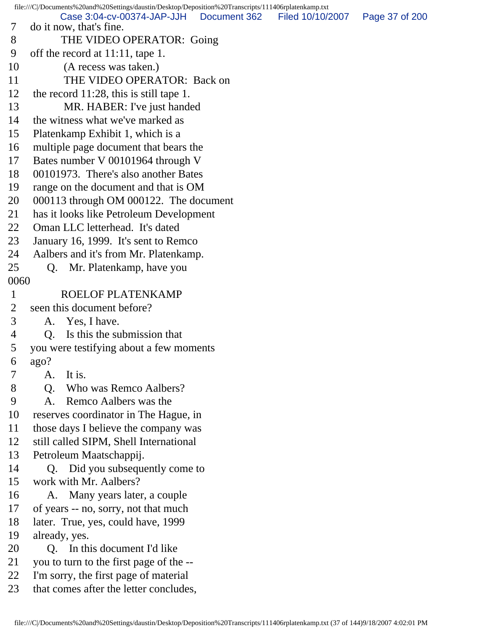file:///C|/Documents%20and%20Settings/daustin/Desktop/Deposition%20Transcripts/111406rplatenkamp.txt 7 do it now, that's fine. 8 THE VIDEO OPERATOR: Going 9 off the record at 11:11, tape 1. 10 (A recess was taken.) 11 THE VIDEO OPERATOR: Back on 12 the record 11:28, this is still tape 1. 13 MR. HABER: I've just handed 14 the witness what we've marked as 15 Platenkamp Exhibit 1, which is a 16 multiple page document that bears the 17 Bates number V 00101964 through V 18 00101973. There's also another Bates 19 range on the document and that is OM 20 000113 through OM 000122. The document 21 has it looks like Petroleum Development 22 Oman LLC letterhead. It's dated 23 January 16, 1999. It's sent to Remco 24 Aalbers and it's from Mr. Platenkamp. 25 Q. Mr. Platenkamp, have you 0060 1 ROELOF PLATENKAMP 2 seen this document before? 3 A. Yes, I have. 4 Q. Is this the submission that 5 you were testifying about a few moments 6 ago? 7 A. It is. 8 O. Who was Remco Aalbers? 9 A. Remco Aalbers was the 10 reserves coordinator in The Hague, in 11 those days I believe the company was 12 still called SIPM, Shell International 13 Petroleum Maatschappij. 14 Q. Did you subsequently come to 15 work with Mr. Aalbers? 16 A. Many years later, a couple 17 of years -- no, sorry, not that much 18 later. True, yes, could have, 1999 19 already, yes. 20 O. In this document I'd like 21 you to turn to the first page of the -- 22 I'm sorry, the first page of material 23 that comes after the letter concludes, Case 3:04-cv-00374-JAP-JJH Document 362 Filed 10/10/2007 Page 37 of 200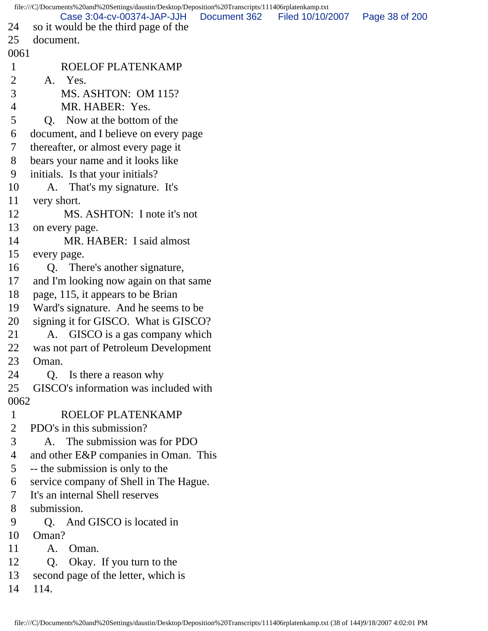file:///C|/Documents%20and%20Settings/daustin/Desktop/Deposition%20Transcripts/111406rplatenkamp.txt 24 so it would be the third page of the 25 document. 0061 1 ROELOF PLATENKAMP 2 A. Yes. 3 MS. ASHTON: OM 115? 4 MR. HABER: Yes. 5 Q. Now at the bottom of the 6 document, and I believe on every page 7 thereafter, or almost every page it 8 bears your name and it looks like 9 initials. Is that your initials? 10 A. That's my signature. It's 11 very short. 12 MS. ASHTON: I note it's not 13 on every page. 14 MR. HABER: I said almost 15 every page. 16 Q. There's another signature, 17 and I'm looking now again on that same 18 page, 115, it appears to be Brian 19 Ward's signature. And he seems to be 20 signing it for GISCO. What is GISCO? 21 A. GISCO is a gas company which 22 was not part of Petroleum Development 23 Oman. 24 Q. Is there a reason why 25 GISCO's information was included with 0062 1 ROELOF PLATENKAMP 2 PDO's in this submission? 3 A. The submission was for PDO 4 and other E&P companies in Oman. This 5 -- the submission is only to the 6 service company of Shell in The Hague. 7 It's an internal Shell reserves 8 submission. 9 Q. And GISCO is located in 10 Oman? 11 A. Oman. 12 Q. Okay. If you turn to the 13 second page of the letter, which is 14 114. Case 3:04-cv-00374-JAP-JJH Document 362 Filed 10/10/2007 Page 38 of 200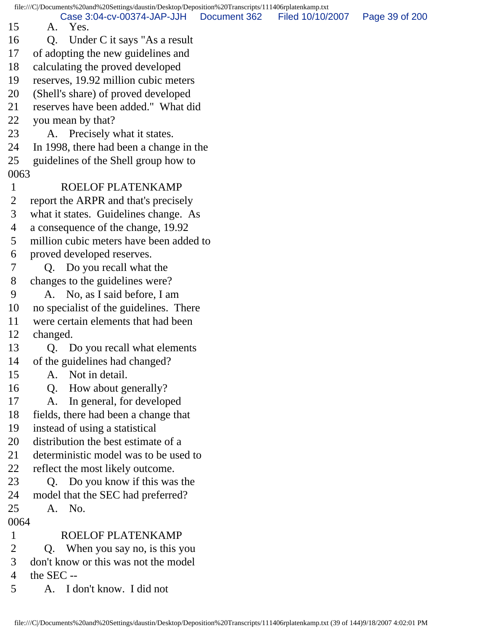file:///C|/Documents%20and%20Settings/daustin/Desktop/Deposition%20Transcripts/111406rplatenkamp.txt 15 A. Yes. 16 Q. Under C it says "As a result 17 of adopting the new guidelines and 18 calculating the proved developed 19 reserves, 19.92 million cubic meters 20 (Shell's share) of proved developed 21 reserves have been added." What did 22 you mean by that? 23 A. Precisely what it states. 24 In 1998, there had been a change in the 25 guidelines of the Shell group how to 0063 1 ROELOF PLATENKAMP 2 report the ARPR and that's precisely 3 what it states. Guidelines change. As 4 a consequence of the change, 19.92 5 million cubic meters have been added to 6 proved developed reserves. 7 Q. Do you recall what the 8 changes to the guidelines were? 9 A. No, as I said before, I am 10 no specialist of the guidelines. There 11 were certain elements that had been 12 changed. 13 Q. Do you recall what elements 14 of the guidelines had changed? 15 A. Not in detail. 16 Q. How about generally? 17 A. In general, for developed 18 fields, there had been a change that 19 instead of using a statistical 20 distribution the best estimate of a 21 deterministic model was to be used to 22 reflect the most likely outcome. 23 Q. Do you know if this was the 24 model that the SEC had preferred? 25 A. No. 0064 1 ROELOF PLATENKAMP 2 Q. When you say no, is this you 3 don't know or this was not the model 4 the SEC -- Case 3:04-cv-00374-JAP-JJH Document 362 Filed 10/10/2007 Page 39 of 200

5 A. I don't know. I did not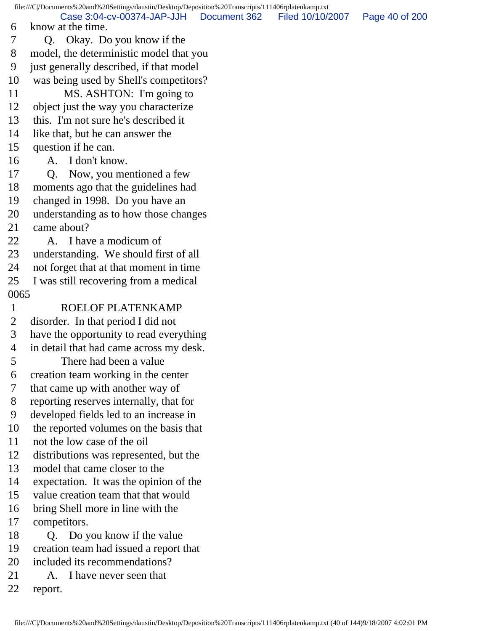file:///C|/Documents%20and%20Settings/daustin/Desktop/Deposition%20Transcripts/111406rplatenkamp.txt 6 know at the time. 7 Q. Okay. Do you know if the 8 model, the deterministic model that you 9 just generally described, if that model 10 was being used by Shell's competitors? 11 MS. ASHTON: I'm going to 12 object just the way you characterize 13 this. I'm not sure he's described it 14 like that, but he can answer the 15 question if he can. 16 A. I don't know. 17 Q. Now, you mentioned a few 18 moments ago that the guidelines had 19 changed in 1998. Do you have an 20 understanding as to how those changes 21 came about? 22 A. I have a modicum of 23 understanding. We should first of all 24 not forget that at that moment in time 25 I was still recovering from a medical 0065 1 ROELOF PLATENKAMP 2 disorder. In that period I did not 3 have the opportunity to read everything 4 in detail that had came across my desk. 5 There had been a value 6 creation team working in the center 7 that came up with another way of 8 reporting reserves internally, that for 9 developed fields led to an increase in 10 the reported volumes on the basis that 11 not the low case of the oil 12 distributions was represented, but the 13 model that came closer to the 14 expectation. It was the opinion of the 15 value creation team that that would 16 bring Shell more in line with the 17 competitors. 18 Q. Do you know if the value 19 creation team had issued a report that 20 included its recommendations? 21 A. I have never seen that 22 report. Case 3:04-cv-00374-JAP-JJH Document 362 Filed 10/10/2007 Page 40 of 200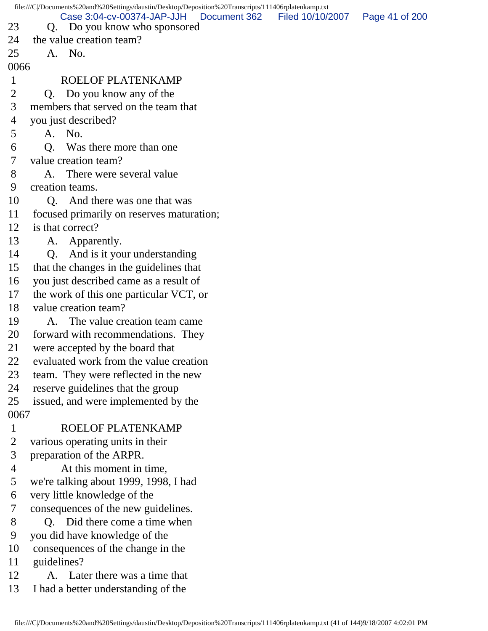|      |                              |                                                                                                                                                                                                                                                                                                                                                                                                                                                                                                                                                                                                                                                                                                                                                                                                                                                                                                                                                                                                                                                                                                                                                                                                                                                                                                                  | Page 41 of 200                                                                                                           |
|------|------------------------------|------------------------------------------------------------------------------------------------------------------------------------------------------------------------------------------------------------------------------------------------------------------------------------------------------------------------------------------------------------------------------------------------------------------------------------------------------------------------------------------------------------------------------------------------------------------------------------------------------------------------------------------------------------------------------------------------------------------------------------------------------------------------------------------------------------------------------------------------------------------------------------------------------------------------------------------------------------------------------------------------------------------------------------------------------------------------------------------------------------------------------------------------------------------------------------------------------------------------------------------------------------------------------------------------------------------|--------------------------------------------------------------------------------------------------------------------------|
|      |                              |                                                                                                                                                                                                                                                                                                                                                                                                                                                                                                                                                                                                                                                                                                                                                                                                                                                                                                                                                                                                                                                                                                                                                                                                                                                                                                                  |                                                                                                                          |
|      |                              |                                                                                                                                                                                                                                                                                                                                                                                                                                                                                                                                                                                                                                                                                                                                                                                                                                                                                                                                                                                                                                                                                                                                                                                                                                                                                                                  |                                                                                                                          |
| 0066 |                              |                                                                                                                                                                                                                                                                                                                                                                                                                                                                                                                                                                                                                                                                                                                                                                                                                                                                                                                                                                                                                                                                                                                                                                                                                                                                                                                  |                                                                                                                          |
|      |                              |                                                                                                                                                                                                                                                                                                                                                                                                                                                                                                                                                                                                                                                                                                                                                                                                                                                                                                                                                                                                                                                                                                                                                                                                                                                                                                                  |                                                                                                                          |
|      |                              |                                                                                                                                                                                                                                                                                                                                                                                                                                                                                                                                                                                                                                                                                                                                                                                                                                                                                                                                                                                                                                                                                                                                                                                                                                                                                                                  |                                                                                                                          |
|      |                              |                                                                                                                                                                                                                                                                                                                                                                                                                                                                                                                                                                                                                                                                                                                                                                                                                                                                                                                                                                                                                                                                                                                                                                                                                                                                                                                  |                                                                                                                          |
|      |                              |                                                                                                                                                                                                                                                                                                                                                                                                                                                                                                                                                                                                                                                                                                                                                                                                                                                                                                                                                                                                                                                                                                                                                                                                                                                                                                                  |                                                                                                                          |
|      |                              |                                                                                                                                                                                                                                                                                                                                                                                                                                                                                                                                                                                                                                                                                                                                                                                                                                                                                                                                                                                                                                                                                                                                                                                                                                                                                                                  |                                                                                                                          |
| Q.   | Was there more than one      |                                                                                                                                                                                                                                                                                                                                                                                                                                                                                                                                                                                                                                                                                                                                                                                                                                                                                                                                                                                                                                                                                                                                                                                                                                                                                                                  |                                                                                                                          |
|      |                              |                                                                                                                                                                                                                                                                                                                                                                                                                                                                                                                                                                                                                                                                                                                                                                                                                                                                                                                                                                                                                                                                                                                                                                                                                                                                                                                  |                                                                                                                          |
|      |                              |                                                                                                                                                                                                                                                                                                                                                                                                                                                                                                                                                                                                                                                                                                                                                                                                                                                                                                                                                                                                                                                                                                                                                                                                                                                                                                                  |                                                                                                                          |
|      |                              |                                                                                                                                                                                                                                                                                                                                                                                                                                                                                                                                                                                                                                                                                                                                                                                                                                                                                                                                                                                                                                                                                                                                                                                                                                                                                                                  |                                                                                                                          |
|      |                              |                                                                                                                                                                                                                                                                                                                                                                                                                                                                                                                                                                                                                                                                                                                                                                                                                                                                                                                                                                                                                                                                                                                                                                                                                                                                                                                  |                                                                                                                          |
|      |                              |                                                                                                                                                                                                                                                                                                                                                                                                                                                                                                                                                                                                                                                                                                                                                                                                                                                                                                                                                                                                                                                                                                                                                                                                                                                                                                                  |                                                                                                                          |
|      |                              |                                                                                                                                                                                                                                                                                                                                                                                                                                                                                                                                                                                                                                                                                                                                                                                                                                                                                                                                                                                                                                                                                                                                                                                                                                                                                                                  |                                                                                                                          |
|      |                              |                                                                                                                                                                                                                                                                                                                                                                                                                                                                                                                                                                                                                                                                                                                                                                                                                                                                                                                                                                                                                                                                                                                                                                                                                                                                                                                  |                                                                                                                          |
|      |                              |                                                                                                                                                                                                                                                                                                                                                                                                                                                                                                                                                                                                                                                                                                                                                                                                                                                                                                                                                                                                                                                                                                                                                                                                                                                                                                                  |                                                                                                                          |
|      |                              |                                                                                                                                                                                                                                                                                                                                                                                                                                                                                                                                                                                                                                                                                                                                                                                                                                                                                                                                                                                                                                                                                                                                                                                                                                                                                                                  |                                                                                                                          |
|      |                              |                                                                                                                                                                                                                                                                                                                                                                                                                                                                                                                                                                                                                                                                                                                                                                                                                                                                                                                                                                                                                                                                                                                                                                                                                                                                                                                  |                                                                                                                          |
|      |                              |                                                                                                                                                                                                                                                                                                                                                                                                                                                                                                                                                                                                                                                                                                                                                                                                                                                                                                                                                                                                                                                                                                                                                                                                                                                                                                                  |                                                                                                                          |
|      |                              |                                                                                                                                                                                                                                                                                                                                                                                                                                                                                                                                                                                                                                                                                                                                                                                                                                                                                                                                                                                                                                                                                                                                                                                                                                                                                                                  |                                                                                                                          |
|      | The value creation team came |                                                                                                                                                                                                                                                                                                                                                                                                                                                                                                                                                                                                                                                                                                                                                                                                                                                                                                                                                                                                                                                                                                                                                                                                                                                                                                                  |                                                                                                                          |
|      |                              |                                                                                                                                                                                                                                                                                                                                                                                                                                                                                                                                                                                                                                                                                                                                                                                                                                                                                                                                                                                                                                                                                                                                                                                                                                                                                                                  |                                                                                                                          |
|      |                              |                                                                                                                                                                                                                                                                                                                                                                                                                                                                                                                                                                                                                                                                                                                                                                                                                                                                                                                                                                                                                                                                                                                                                                                                                                                                                                                  |                                                                                                                          |
|      |                              |                                                                                                                                                                                                                                                                                                                                                                                                                                                                                                                                                                                                                                                                                                                                                                                                                                                                                                                                                                                                                                                                                                                                                                                                                                                                                                                  |                                                                                                                          |
|      |                              |                                                                                                                                                                                                                                                                                                                                                                                                                                                                                                                                                                                                                                                                                                                                                                                                                                                                                                                                                                                                                                                                                                                                                                                                                                                                                                                  |                                                                                                                          |
|      |                              |                                                                                                                                                                                                                                                                                                                                                                                                                                                                                                                                                                                                                                                                                                                                                                                                                                                                                                                                                                                                                                                                                                                                                                                                                                                                                                                  |                                                                                                                          |
|      |                              |                                                                                                                                                                                                                                                                                                                                                                                                                                                                                                                                                                                                                                                                                                                                                                                                                                                                                                                                                                                                                                                                                                                                                                                                                                                                                                                  |                                                                                                                          |
| 0067 |                              |                                                                                                                                                                                                                                                                                                                                                                                                                                                                                                                                                                                                                                                                                                                                                                                                                                                                                                                                                                                                                                                                                                                                                                                                                                                                                                                  |                                                                                                                          |
|      |                              |                                                                                                                                                                                                                                                                                                                                                                                                                                                                                                                                                                                                                                                                                                                                                                                                                                                                                                                                                                                                                                                                                                                                                                                                                                                                                                                  |                                                                                                                          |
|      |                              |                                                                                                                                                                                                                                                                                                                                                                                                                                                                                                                                                                                                                                                                                                                                                                                                                                                                                                                                                                                                                                                                                                                                                                                                                                                                                                                  |                                                                                                                          |
|      |                              |                                                                                                                                                                                                                                                                                                                                                                                                                                                                                                                                                                                                                                                                                                                                                                                                                                                                                                                                                                                                                                                                                                                                                                                                                                                                                                                  |                                                                                                                          |
|      |                              |                                                                                                                                                                                                                                                                                                                                                                                                                                                                                                                                                                                                                                                                                                                                                                                                                                                                                                                                                                                                                                                                                                                                                                                                                                                                                                                  |                                                                                                                          |
|      |                              |                                                                                                                                                                                                                                                                                                                                                                                                                                                                                                                                                                                                                                                                                                                                                                                                                                                                                                                                                                                                                                                                                                                                                                                                                                                                                                                  |                                                                                                                          |
|      |                              |                                                                                                                                                                                                                                                                                                                                                                                                                                                                                                                                                                                                                                                                                                                                                                                                                                                                                                                                                                                                                                                                                                                                                                                                                                                                                                                  |                                                                                                                          |
|      |                              |                                                                                                                                                                                                                                                                                                                                                                                                                                                                                                                                                                                                                                                                                                                                                                                                                                                                                                                                                                                                                                                                                                                                                                                                                                                                                                                  |                                                                                                                          |
|      |                              |                                                                                                                                                                                                                                                                                                                                                                                                                                                                                                                                                                                                                                                                                                                                                                                                                                                                                                                                                                                                                                                                                                                                                                                                                                                                                                                  |                                                                                                                          |
|      |                              |                                                                                                                                                                                                                                                                                                                                                                                                                                                                                                                                                                                                                                                                                                                                                                                                                                                                                                                                                                                                                                                                                                                                                                                                                                                                                                                  |                                                                                                                          |
|      |                              |                                                                                                                                                                                                                                                                                                                                                                                                                                                                                                                                                                                                                                                                                                                                                                                                                                                                                                                                                                                                                                                                                                                                                                                                                                                                                                                  |                                                                                                                          |
|      |                              |                                                                                                                                                                                                                                                                                                                                                                                                                                                                                                                                                                                                                                                                                                                                                                                                                                                                                                                                                                                                                                                                                                                                                                                                                                                                                                                  |                                                                                                                          |
|      |                              |                                                                                                                                                                                                                                                                                                                                                                                                                                                                                                                                                                                                                                                                                                                                                                                                                                                                                                                                                                                                                                                                                                                                                                                                                                                                                                                  |                                                                                                                          |
|      |                              |                                                                                                                                                                                                                                                                                                                                                                                                                                                                                                                                                                                                                                                                                                                                                                                                                                                                                                                                                                                                                                                                                                                                                                                                                                                                                                                  |                                                                                                                          |
|      |                              | Case 3:04-cv-00374-JAP-JJH<br>Document 362<br>Q. Do you know who sponsored<br>the value creation team?<br>A. No.<br>ROELOF PLATENKAMP<br>Q. Do you know any of the<br>members that served on the team that<br>you just described?<br>A. No.<br>value creation team?<br>A. There were several value<br>creation teams.<br>Q. And there was one that was<br>focused primarily on reserves maturation;<br>is that correct?<br>A. Apparently.<br>Q. And is it your understanding<br>that the changes in the guidelines that<br>you just described came as a result of<br>the work of this one particular VCT, or<br>value creation team?<br>A.<br>forward with recommendations. They<br>were accepted by the board that<br>evaluated work from the value creation<br>team. They were reflected in the new<br>reserve guidelines that the group<br>issued, and were implemented by the<br>ROELOF PLATENKAMP<br>various operating units in their<br>preparation of the ARPR.<br>At this moment in time,<br>we're talking about 1999, 1998, I had<br>very little knowledge of the<br>consequences of the new guidelines.<br>Q. Did there come a time when<br>you did have knowledge of the<br>consequences of the change in the<br>guidelines?<br>A. Later there was a time that<br>I had a better understanding of the | file:///C /Documents%20and%20Settings/daustin/Desktop/Deposition%20Transcripts/111406rplatenkamp.txt<br>Filed 10/10/2007 |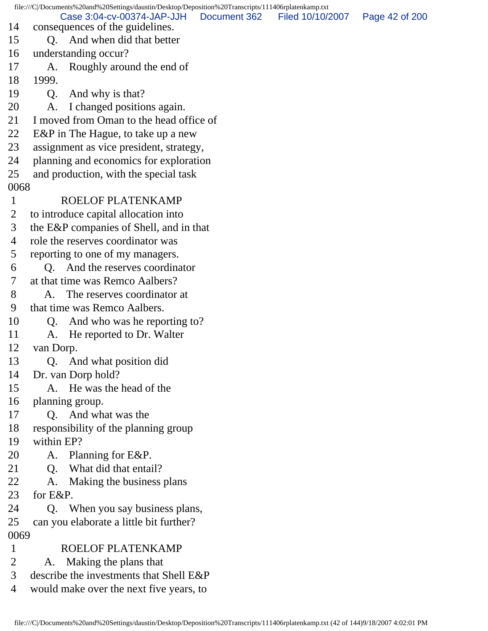file:///C|/Documents%20and%20Settings/daustin/Desktop/Deposition%20Transcripts/111406rplatenkamp.txt 14 consequences of the guidelines. 15 Q. And when did that better 16 understanding occur? 17 A. Roughly around the end of 18 1999. 19 Q. And why is that? 20 A. I changed positions again. 21 I moved from Oman to the head office of 22 E&P in The Hague, to take up a new 23 assignment as vice president, strategy, 24 planning and economics for exploration 25 and production, with the special task 0068 1 ROELOF PLATENKAMP 2 to introduce capital allocation into 3 the E&P companies of Shell, and in that 4 role the reserves coordinator was 5 reporting to one of my managers. 6 Q. And the reserves coordinator 7 at that time was Remco Aalbers? 8 A. The reserves coordinator at 9 that time was Remco Aalbers. 10 Q. And who was he reporting to? 11 A. He reported to Dr. Walter 12 van Dorp. 13 Q. And what position did 14 Dr. van Dorp hold? 15 A. He was the head of the 16 planning group. 17 Q. And what was the 18 responsibility of the planning group 19 within EP? 20 A. Planning for E&P. 21 Q. What did that entail? 22 A. Making the business plans 23 for E&P. 24 Q. When you say business plans, 25 can you elaborate a little bit further? 0069 1 ROELOF PLATENKAMP 2 A. Making the plans that Case 3:04-cv-00374-JAP-JJH Document 362 Filed 10/10/2007 Page 42 of 200

- 3 describe the investments that Shell E&P
- 4 would make over the next five years, to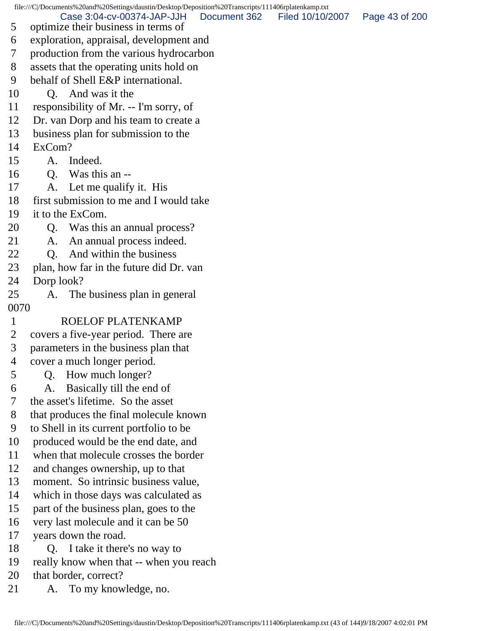file:///C|/Documents%20and%20Settings/daustin/Desktop/Deposition%20Transcripts/111406rplatenkamp.txt 5 optimize their business in terms of 6 exploration, appraisal, development and 7 production from the various hydrocarbon 8 assets that the operating units hold on 9 behalf of Shell E&P international. 10 Q. And was it the 11 responsibility of Mr. -- I'm sorry, of 12 Dr. van Dorp and his team to create a 13 business plan for submission to the 14 ExCom? 15 A. Indeed. 16 Q. Was this an -- 17 A. Let me qualify it. His 18 first submission to me and I would take 19 it to the ExCom. 20 Q. Was this an annual process? 21 A. An annual process indeed. 22 O. And within the business 23 plan, how far in the future did Dr. van 24 Dorp look? 25 A. The business plan in general 0070 1 ROELOF PLATENKAMP 2 covers a five-year period. There are 3 parameters in the business plan that 4 cover a much longer period. 5 Q. How much longer? 6 A. Basically till the end of 7 the asset's lifetime. So the asset 8 that produces the final molecule known 9 to Shell in its current portfolio to be 10 produced would be the end date, and 11 when that molecule crosses the border 12 and changes ownership, up to that 13 moment. So intrinsic business value, 14 which in those days was calculated as 15 part of the business plan, goes to the 16 very last molecule and it can be 50 17 years down the road. 18 Q. I take it there's no way to 19 really know when that -- when you reach 20 that border, correct? 21 A. To my knowledge, no. Case 3:04-cv-00374-JAP-JJH Document 362 Filed 10/10/2007 Page 43 of 200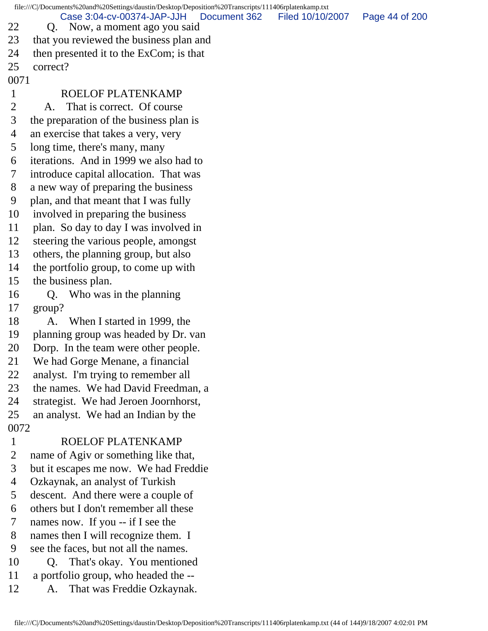file:///C|/Documents%20and%20Settings/daustin/Desktop/Deposition%20Transcripts/111406rplatenkamp.txt 22 Q. Now, a moment ago you said 23 that you reviewed the business plan and 24 then presented it to the ExCom; is that 25 correct? 0071 1 ROELOF PLATENKAMP 2 A. That is correct. Of course 3 the preparation of the business plan is 4 an exercise that takes a very, very 5 long time, there's many, many 6 iterations. And in 1999 we also had to 7 introduce capital allocation. That was 8 a new way of preparing the business 9 plan, and that meant that I was fully 10 involved in preparing the business 11 plan. So day to day I was involved in 12 steering the various people, amongst 13 others, the planning group, but also 14 the portfolio group, to come up with 15 the business plan. 16 Q. Who was in the planning 17 group? 18 A. When I started in 1999, the 19 planning group was headed by Dr. van 20 Dorp. In the team were other people. 21 We had Gorge Menane, a financial 22 analyst. I'm trying to remember all 23 the names. We had David Freedman, a 24 strategist. We had Jeroen Joornhorst, 25 an analyst. We had an Indian by the 0072 1 ROELOF PLATENKAMP 2 name of Agiv or something like that, 3 but it escapes me now. We had Freddie 4 Ozkaynak, an analyst of Turkish 5 descent. And there were a couple of 6 others but I don't remember all these 7 names now. If you -- if I see the 8 names then I will recognize them. I 9 see the faces, but not all the names. 10 Q. That's okay. You mentioned 11 a portfolio group, who headed the -- 12 A. That was Freddie Ozkaynak. Case 3:04-cv-00374-JAP-JJH Document 362 Filed 10/10/2007 Page 44 of 200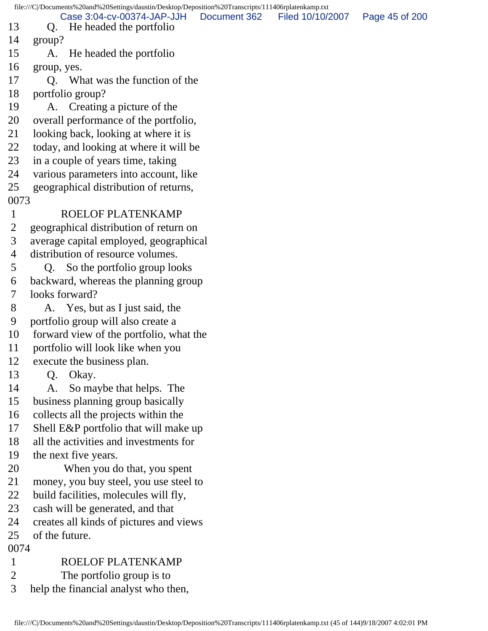|                | file:///C /Documents%20and%20Settings/daustin/Desktop/Deposition%20Transcripts/111406rplatenkamp.txt |                |
|----------------|------------------------------------------------------------------------------------------------------|----------------|
| 13             | Case 3:04-cv-00374-JAP-JJH<br>Document 362<br>Filed 10/10/2007<br>He headed the portfolio<br>Q.      | Page 45 of 200 |
| 14             | group?                                                                                               |                |
| 15             | He headed the portfolio<br>A.                                                                        |                |
| 16             | group, yes.                                                                                          |                |
| 17             | Q. What was the function of the                                                                      |                |
| 18             | portfolio group?                                                                                     |                |
| 19             | A. Creating a picture of the                                                                         |                |
| 20             | overall performance of the portfolio,                                                                |                |
| 21             | looking back, looking at where it is                                                                 |                |
| 22             | today, and looking at where it will be                                                               |                |
| 23             | in a couple of years time, taking                                                                    |                |
| 24             | various parameters into account, like                                                                |                |
| 25             | geographical distribution of returns,                                                                |                |
| 0073           |                                                                                                      |                |
| $\mathbf{1}$   | ROELOF PLATENKAMP                                                                                    |                |
| $\overline{2}$ | geographical distribution of return on                                                               |                |
| 3              | average capital employed, geographical                                                               |                |
| 4              | distribution of resource volumes.                                                                    |                |
| 5              | So the portfolio group looks<br>Q.                                                                   |                |
| 6              | backward, whereas the planning group                                                                 |                |
| 7              | looks forward?                                                                                       |                |
| 8              | A. Yes, but as I just said, the                                                                      |                |
| 9              | portfolio group will also create a                                                                   |                |
| 10             | forward view of the portfolio, what the                                                              |                |
| 11             | portfolio will look like when you                                                                    |                |
| 12             | execute the business plan.                                                                           |                |
| 13             | Okay.<br>Q.                                                                                          |                |
| 14             | So maybe that helps. The<br>A.                                                                       |                |
| 15             | business planning group basically                                                                    |                |
| 16             | collects all the projects within the                                                                 |                |
| 17             | Shell E&P portfolio that will make up                                                                |                |
| 18             | all the activities and investments for                                                               |                |
| 19             | the next five years.                                                                                 |                |
| 20             | When you do that, you spent                                                                          |                |
| 21             | money, you buy steel, you use steel to                                                               |                |
| 22             | build facilities, molecules will fly,                                                                |                |
| 23             | cash will be generated, and that                                                                     |                |
| 24             | creates all kinds of pictures and views                                                              |                |
| 25             | of the future.                                                                                       |                |
| 0074           |                                                                                                      |                |
| $\mathbf{1}$   | ROELOF PLATENKAMP                                                                                    |                |
| $\overline{2}$ | The portfolio group is to                                                                            |                |
| 3              | help the financial analyst who then,                                                                 |                |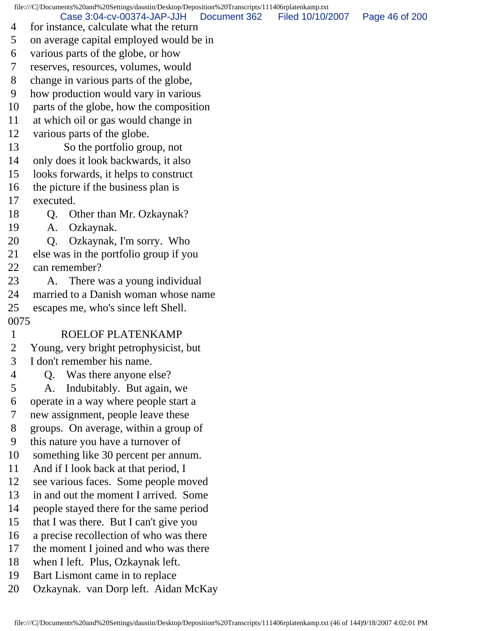file:///C|/Documents%20and%20Settings/daustin/Desktop/Deposition%20Transcripts/111406rplatenkamp.txt Case 3:04-cv-00374-JAP-JJH Document 362 Filed 10/10/2007 Page 46 of 200

- 4 for instance, calculate what the return
- 5 on average capital employed would be in
- 6 various parts of the globe, or how
- 7 reserves, resources, volumes, would
- 8 change in various parts of the globe,
- 9 how production would vary in various
- 10 parts of the globe, how the composition
- 11 at which oil or gas would change in
- 12 various parts of the globe.
- 13 So the portfolio group, not
- 14 only does it look backwards, it also
- 15 looks forwards, it helps to construct
- 16 the picture if the business plan is
- 17 executed.
- 18 Q. Other than Mr. Ozkaynak?
- 19 A. Ozkaynak.
- 20 Q. Ozkaynak, I'm sorry. Who
- 21 else was in the portfolio group if you
- 22 can remember?
- 23 A. There was a young individual
- 24 married to a Danish woman whose name
- 25 escapes me, who's since left Shell.
- 0075
- 1 ROELOF PLATENKAMP
- 2 Young, very bright petrophysicist, but
- 3 I don't remember his name.
- 4 Q. Was there anyone else?
- 5 A. Indubitably. But again, we
- 6 operate in a way where people start a
- 7 new assignment, people leave these
- 8 groups. On average, within a group of
- 9 this nature you have a turnover of
- 10 something like 30 percent per annum.
- 11 And if I look back at that period, I
- 12 see various faces. Some people moved
- 13 in and out the moment I arrived. Some
- 14 people stayed there for the same period
- 15 that I was there. But I can't give you
- 16 a precise recollection of who was there
- 17 the moment I joined and who was there
- 18 when I left. Plus, Ozkaynak left.
- 19 Bart Lismont came in to replace
- 20 Ozkaynak. van Dorp left. Aidan McKay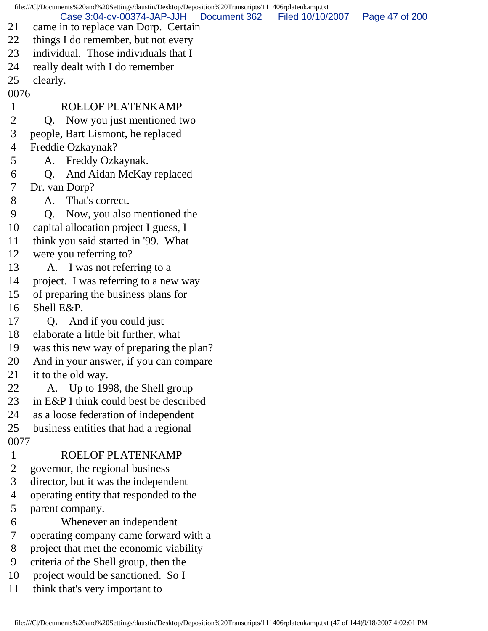file:///C|/Documents%20and%20Settings/daustin/Desktop/Deposition%20Transcripts/111406rplatenkamp.txt 21 came in to replace van Dorp. Certain 22 things I do remember, but not every 23 individual. Those individuals that I 24 really dealt with I do remember 25 clearly. 0076 1 ROELOF PLATENKAMP 2 Q. Now you just mentioned two 3 people, Bart Lismont, he replaced 4 Freddie Ozkaynak? 5 A. Freddy Ozkaynak. 6 Q. And Aidan McKay replaced 7 Dr. van Dorp? 8 A. That's correct. 9 Q. Now, you also mentioned the 10 capital allocation project I guess, I 11 think you said started in '99. What 12 were you referring to? 13 A. I was not referring to a 14 project. I was referring to a new way 15 of preparing the business plans for 16 Shell E&P. 17 Q. And if you could just 18 elaborate a little bit further, what 19 was this new way of preparing the plan? 20 And in your answer, if you can compare 21 it to the old way. 22 A. Up to 1998, the Shell group 23 in E&P I think could best be described 24 as a loose federation of independent 25 business entities that had a regional 0077 1 ROELOF PLATENKAMP 2 governor, the regional business 3 director, but it was the independent 4 operating entity that responded to the 5 parent company. 6 Whenever an independent 7 operating company came forward with a 8 project that met the economic viability 9 criteria of the Shell group, then the 10 project would be sanctioned. So I 11 think that's very important to Case 3:04-cv-00374-JAP-JJH Document 362 Filed 10/10/2007 Page 47 of 200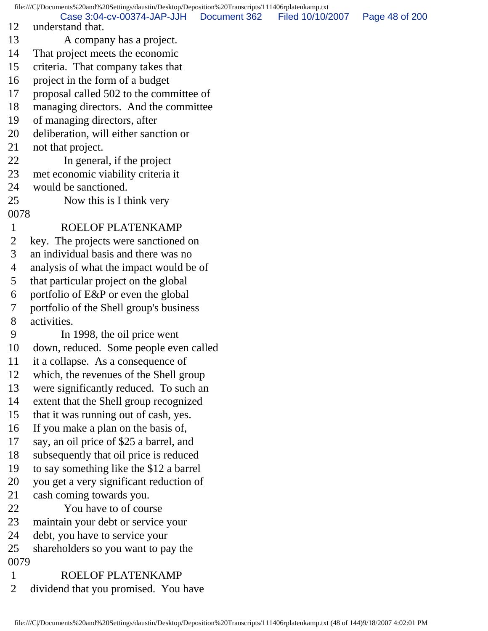file:///C|/Documents%20and%20Settings/daustin/Desktop/Deposition%20Transcripts/111406rplatenkamp.txt 12 understand that. 13 A company has a project. 14 That project meets the economic 15 criteria. That company takes that 16 project in the form of a budget 17 proposal called 502 to the committee of 18 managing directors. And the committee 19 of managing directors, after 20 deliberation, will either sanction or 21 not that project. 22 In general, if the project 23 met economic viability criteria it 24 would be sanctioned. 25 Now this is I think very 0078 1 ROELOF PLATENKAMP 2 key. The projects were sanctioned on 3 an individual basis and there was no 4 analysis of what the impact would be of 5 that particular project on the global 6 portfolio of E&P or even the global 7 portfolio of the Shell group's business 8 activities. 9 In 1998, the oil price went 10 down, reduced. Some people even called 11 it a collapse. As a consequence of 12 which, the revenues of the Shell group 13 were significantly reduced. To such an 14 extent that the Shell group recognized 15 that it was running out of cash, yes. 16 If you make a plan on the basis of, 17 say, an oil price of \$25 a barrel, and 18 subsequently that oil price is reduced 19 to say something like the \$12 a barrel 20 you get a very significant reduction of 21 cash coming towards you. 22 You have to of course 23 maintain your debt or service your 24 debt, you have to service your 25 shareholders so you want to pay the 0079 1 ROELOF PLATENKAMP 2 dividend that you promised. You have Case 3:04-cv-00374-JAP-JJH Document 362 Filed 10/10/2007 Page 48 of 200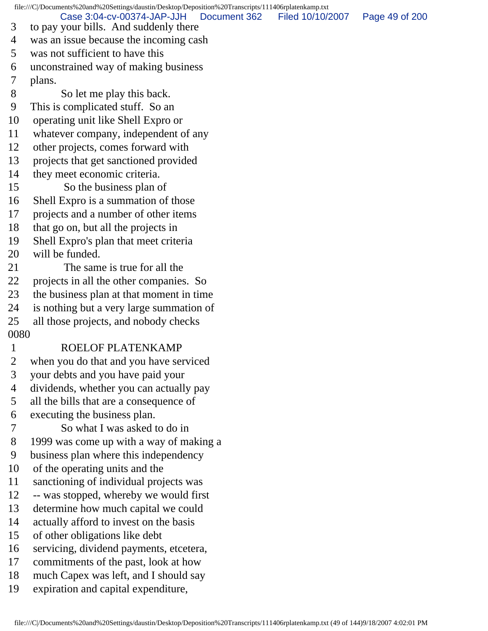file:///C|/Documents%20and%20Settings/daustin/Desktop/Deposition%20Transcripts/111406rplatenkamp.txt 3 to pay your bills. And suddenly there 4 was an issue because the incoming cash 5 was not sufficient to have this 6 unconstrained way of making business 7 plans. 8 So let me play this back. 9 This is complicated stuff. So an 10 operating unit like Shell Expro or 11 whatever company, independent of any 12 other projects, comes forward with 13 projects that get sanctioned provided 14 they meet economic criteria. 15 So the business plan of 16 Shell Expro is a summation of those 17 projects and a number of other items 18 that go on, but all the projects in 19 Shell Expro's plan that meet criteria 20 will be funded. 21 The same is true for all the 22 projects in all the other companies. So 23 the business plan at that moment in time 24 is nothing but a very large summation of 25 all those projects, and nobody checks 0080 1 ROELOF PLATENKAMP 2 when you do that and you have serviced 3 your debts and you have paid your 4 dividends, whether you can actually pay 5 all the bills that are a consequence of 6 executing the business plan. 7 So what I was asked to do in 8 1999 was come up with a way of making a 9 business plan where this independency 10 of the operating units and the 11 sanctioning of individual projects was 12 -- was stopped, whereby we would first 13 determine how much capital we could 14 actually afford to invest on the basis 15 of other obligations like debt 16 servicing, dividend payments, etcetera, 17 commitments of the past, look at how 18 much Capex was left, and I should say 19 expiration and capital expenditure, Case 3:04-cv-00374-JAP-JJH Document 362 Filed 10/10/2007 Page 49 of 200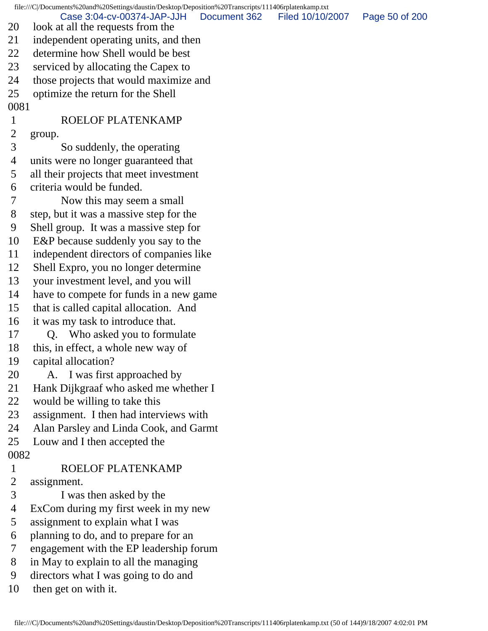file:///C|/Documents%20and%20Settings/daustin/Desktop/Deposition%20Transcripts/111406rplatenkamp.txt 20 look at all the requests from the 21 independent operating units, and then 22 determine how Shell would be best 23 serviced by allocating the Capex to 24 those projects that would maximize and 25 optimize the return for the Shell 0081 1 ROELOF PLATENKAMP 2 group. 3 So suddenly, the operating 4 units were no longer guaranteed that 5 all their projects that meet investment 6 criteria would be funded. 7 Now this may seem a small 8 step, but it was a massive step for the 9 Shell group. It was a massive step for 10 E&P because suddenly you say to the 11 independent directors of companies like 12 Shell Expro, you no longer determine 13 your investment level, and you will 14 have to compete for funds in a new game 15 that is called capital allocation. And 16 it was my task to introduce that. 17 Q. Who asked you to formulate 18 this, in effect, a whole new way of 19 capital allocation? 20 A. I was first approached by 21 Hank Dijkgraaf who asked me whether I 22 would be willing to take this 23 assignment. I then had interviews with 24 Alan Parsley and Linda Cook, and Garmt 25 Louw and I then accepted the 0082 1 ROELOF PLATENKAMP 2 assignment. 3 I was then asked by the 4 ExCom during my first week in my new 5 assignment to explain what I was 6 planning to do, and to prepare for an 7 engagement with the EP leadership forum 8 in May to explain to all the managing 9 directors what I was going to do and 10 then get on with it. Case 3:04-cv-00374-JAP-JJH Document 362 Filed 10/10/2007 Page 50 of 200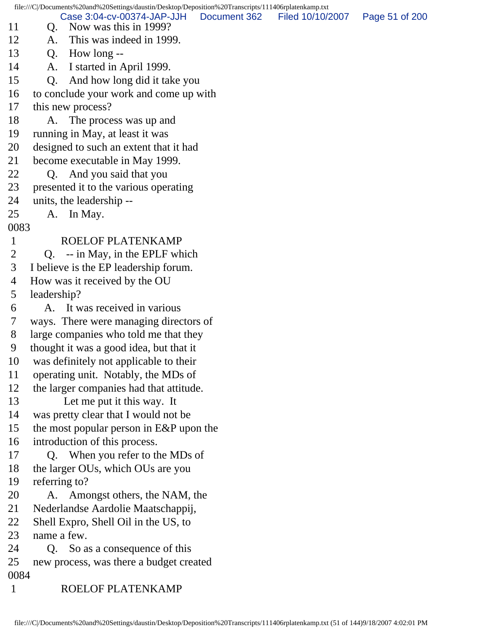file:///C|/Documents%20and%20Settings/daustin/Desktop/Deposition%20Transcripts/111406rplatenkamp.txt 11 Q. Now was this in 1999? 12 A. This was indeed in 1999. 13 Q. How long -- 14 A. I started in April 1999. 15 Q. And how long did it take you 16 to conclude your work and come up with 17 this new process? 18 A. The process was up and 19 running in May, at least it was 20 designed to such an extent that it had 21 become executable in May 1999. 22 Q. And you said that you 23 presented it to the various operating 24 units, the leadership -- 25 A. In May. 0083 1 ROELOF PLATENKAMP 2 Q. -- in May, in the EPLF which 3 I believe is the EP leadership forum. 4 How was it received by the OU 5 leadership? 6 A. It was received in various 7 ways. There were managing directors of 8 large companies who told me that they 9 thought it was a good idea, but that it 10 was definitely not applicable to their 11 operating unit. Notably, the MDs of 12 the larger companies had that attitude. 13 Let me put it this way. It 14 was pretty clear that I would not be 15 the most popular person in E&P upon the 16 introduction of this process. 17 Q. When you refer to the MDs of 18 the larger OUs, which OUs are you 19 referring to? 20 A. Amongst others, the NAM, the 21 Nederlandse Aardolie Maatschappij, 22 Shell Expro, Shell Oil in the US, to 23 name a few. 24 Q. So as a consequence of this 25 new process, was there a budget created 0084 1 ROELOF PLATENKAMP Case 3:04-cv-00374-JAP-JJH Document 362 Filed 10/10/2007 Page 51 of 200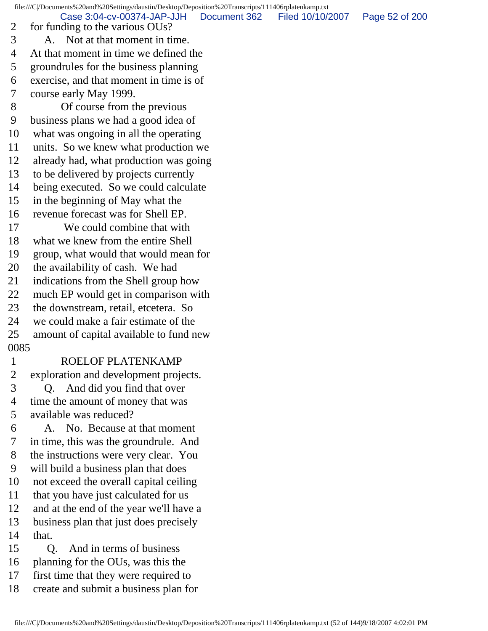file:///C|/Documents%20and%20Settings/daustin/Desktop/Deposition%20Transcripts/111406rplatenkamp.txt

Case 3:04-cv-00374-JAP-JJH Document 362 Filed 10/10/2007 Page 52 of 200

 2 for funding to the various OUs? 3 A. Not at that moment in time. 4 At that moment in time we defined the 5 groundrules for the business planning 6 exercise, and that moment in time is of 7 course early May 1999. 8 Of course from the previous 9 business plans we had a good idea of 10 what was ongoing in all the operating 11 units. So we knew what production we 12 already had, what production was going 13 to be delivered by projects currently 14 being executed. So we could calculate 15 in the beginning of May what the 16 revenue forecast was for Shell EP. 17 We could combine that with 18 what we knew from the entire Shell 19 group, what would that would mean for 20 the availability of cash. We had 21 indications from the Shell group how 22 much EP would get in comparison with 23 the downstream, retail, etcetera. So 24 we could make a fair estimate of the 25 amount of capital available to fund new 0085 1 ROELOF PLATENKAMP 2 exploration and development projects. 3 Q. And did you find that over 4 time the amount of money that was 5 available was reduced? 6 A. No. Because at that moment 7 in time, this was the groundrule. And 8 the instructions were very clear. You 9 will build a business plan that does 10 not exceed the overall capital ceiling 11 that you have just calculated for us 12 and at the end of the year we'll have a 13 business plan that just does precisely 14 that. 15 Q. And in terms of business 16 planning for the OUs, was this the 17 first time that they were required to 18 create and submit a business plan for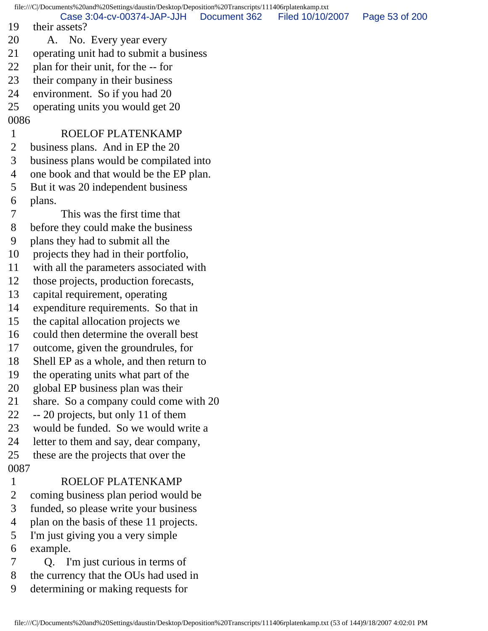file:///C|/Documents%20and%20Settings/daustin/Desktop/Deposition%20Transcripts/111406rplatenkamp.txt 19 their assets? 20 A. No. Every year every 21 operating unit had to submit a business 22 plan for their unit, for the -- for 23 their company in their business 24 environment. So if you had 20 25 operating units you would get 20 0086 1 ROELOF PLATENKAMP 2 business plans. And in EP the 20 3 business plans would be compilated into 4 one book and that would be the EP plan. 5 But it was 20 independent business 6 plans. 7 This was the first time that 8 before they could make the business 9 plans they had to submit all the 10 projects they had in their portfolio, 11 with all the parameters associated with 12 those projects, production forecasts, 13 capital requirement, operating 14 expenditure requirements. So that in 15 the capital allocation projects we 16 could then determine the overall best 17 outcome, given the groundrules, for 18 Shell EP as a whole, and then return to 19 the operating units what part of the 20 global EP business plan was their 21 share. So a company could come with 20 22 -- 20 projects, but only 11 of them 23 would be funded. So we would write a 24 letter to them and say, dear company, 25 these are the projects that over the 0087 1 ROELOF PLATENKAMP 2 coming business plan period would be 3 funded, so please write your business 4 plan on the basis of these 11 projects. 5 I'm just giving you a very simple 6 example. 7 Q. I'm just curious in terms of 8 the currency that the OUs had used in 9 determining or making requests for Case 3:04-cv-00374-JAP-JJH Document 362 Filed 10/10/2007 Page 53 of 200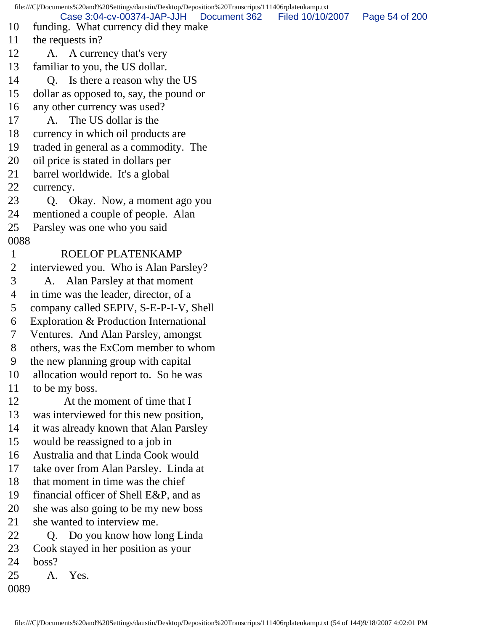file:///C|/Documents%20and%20Settings/daustin/Desktop/Deposition%20Transcripts/111406rplatenkamp.txt 10 funding. What currency did they make 11 the requests in? 12 A. A currency that's very 13 familiar to you, the US dollar. 14 O. Is there a reason why the US 15 dollar as opposed to, say, the pound or 16 any other currency was used? 17 A. The US dollar is the 18 currency in which oil products are 19 traded in general as a commodity. The 20 oil price is stated in dollars per 21 barrel worldwide. It's a global 22 currency. 23 Q. Okay. Now, a moment ago you 24 mentioned a couple of people. Alan 25 Parsley was one who you said 0088 1 ROELOF PLATENKAMP 2 interviewed you. Who is Alan Parsley? 3 A. Alan Parsley at that moment 4 in time was the leader, director, of a 5 company called SEPIV, S-E-P-I-V, Shell 6 Exploration & Production International 7 Ventures. And Alan Parsley, amongst 8 others, was the ExCom member to whom 9 the new planning group with capital 10 allocation would report to. So he was 11 to be my boss. 12 At the moment of time that I 13 was interviewed for this new position, 14 it was already known that Alan Parsley 15 would be reassigned to a job in 16 Australia and that Linda Cook would 17 take over from Alan Parsley. Linda at 18 that moment in time was the chief 19 financial officer of Shell E&P, and as 20 she was also going to be my new boss 21 she wanted to interview me. 22 Q. Do you know how long Linda 23 Cook stayed in her position as your 24 boss? 25 A. Yes. 0089 Case 3:04-cv-00374-JAP-JJH Document 362 Filed 10/10/2007 Page 54 of 200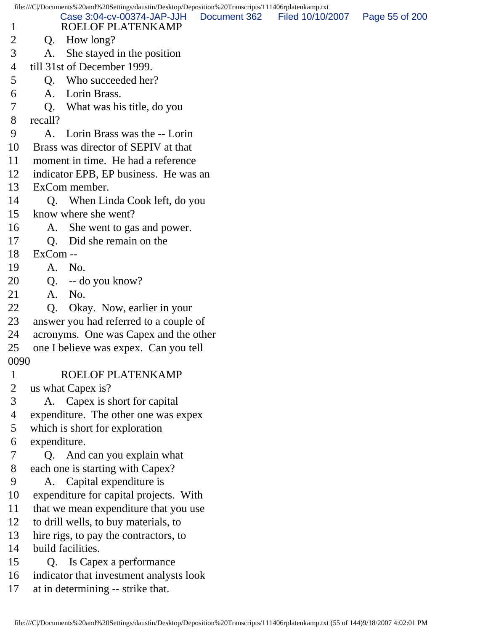file:///C|/Documents%20and%20Settings/daustin/Desktop/Deposition%20Transcripts/111406rplatenkamp.txt

- 1 ROELOF PLATENKAMP Case 3:04-cv-00374-JAP-JJH Document 362 Filed 10/10/2007 Page 55 of 200
- 2 Q. How long?
- 3 A. She stayed in the position
- 4 till 31st of December 1999.
- 5 Q. Who succeeded her?
- 6 A. Lorin Brass.
- 7 Q. What was his title, do you
- 8 recall?
- 9 A. Lorin Brass was the -- Lorin
- 10 Brass was director of SEPIV at that
- 11 moment in time. He had a reference
- 12 indicator EPB, EP business. He was an
- 13 ExCom member.
- 14 Q. When Linda Cook left, do you
- 15 know where she went?
- 16 A. She went to gas and power.
- 17 Q. Did she remain on the
- 18 ExCom --
- 19 A. No.
- 20 Q. -- do you know?
- 21 A. No.
- 22 Q. Okay. Now, earlier in your
- 23 answer you had referred to a couple of
- 24 acronyms. One was Capex and the other
- 25 one I believe was expex. Can you tell
- 0090

## 1 ROELOF PLATENKAMP

- 2 us what Capex is?
- 3 A. Capex is short for capital
- 4 expenditure. The other one was expex
- 5 which is short for exploration
- 6 expenditure.
- 7 Q. And can you explain what
- 8 each one is starting with Capex?
- 9 A. Capital expenditure is
- 10 expenditure for capital projects. With
- 11 that we mean expenditure that you use
- 12 to drill wells, to buy materials, to
- 13 hire rigs, to pay the contractors, to
- 14 build facilities.
- 15 Q. Is Capex a performance
- 16 indicator that investment analysts look
- 17 at in determining -- strike that.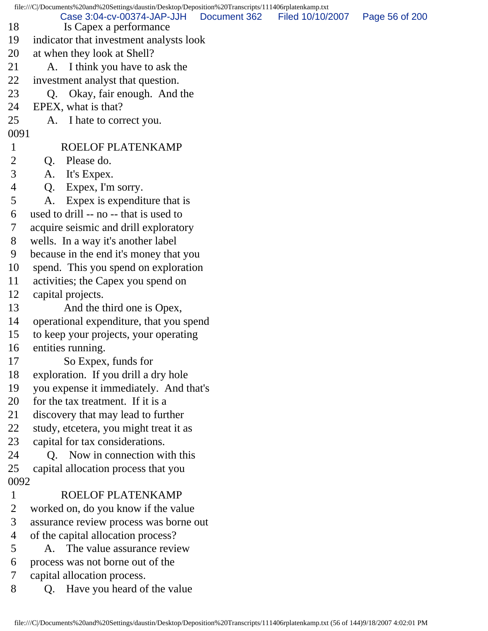| file:///C /Documents%20and%20Settings/daustin/Desktop/Deposition%20Transcripts/111406rplatenkamp.txt |                                                      |              |                  |                |  |  |
|------------------------------------------------------------------------------------------------------|------------------------------------------------------|--------------|------------------|----------------|--|--|
| 18                                                                                                   | Case 3:04-cv-00374-JAP-JJH<br>Is Capex a performance | Document 362 | Filed 10/10/2007 | Page 56 of 200 |  |  |
| 19                                                                                                   | indicator that investment analysts look              |              |                  |                |  |  |
| 20                                                                                                   | at when they look at Shell?                          |              |                  |                |  |  |
| 21                                                                                                   | A. I think you have to ask the                       |              |                  |                |  |  |
| 22                                                                                                   | investment analyst that question.                    |              |                  |                |  |  |
| 23                                                                                                   | Okay, fair enough. And the<br>O.                     |              |                  |                |  |  |
| 24                                                                                                   | EPEX, what is that?                                  |              |                  |                |  |  |
| 25                                                                                                   | A. I hate to correct you.                            |              |                  |                |  |  |
| 0091                                                                                                 |                                                      |              |                  |                |  |  |
| $\mathbf{1}$                                                                                         | ROELOF PLATENKAMP                                    |              |                  |                |  |  |
| $\overline{2}$                                                                                       | Q. Please do.                                        |              |                  |                |  |  |
| 3                                                                                                    | It's Expex.<br>A.                                    |              |                  |                |  |  |
| 4                                                                                                    | Expex, I'm sorry.<br>Q.                              |              |                  |                |  |  |
| 5                                                                                                    | Expex is expenditure that is<br>A.                   |              |                  |                |  |  |
| 6                                                                                                    | used to drill -- no -- that is used to               |              |                  |                |  |  |
| 7                                                                                                    | acquire seismic and drill exploratory                |              |                  |                |  |  |
| 8                                                                                                    | wells. In a way it's another label                   |              |                  |                |  |  |
| 9                                                                                                    | because in the end it's money that you               |              |                  |                |  |  |
| 10                                                                                                   | spend. This you spend on exploration                 |              |                  |                |  |  |
| 11                                                                                                   | activities; the Capex you spend on                   |              |                  |                |  |  |
| 12                                                                                                   | capital projects.                                    |              |                  |                |  |  |
| 13                                                                                                   | And the third one is Opex,                           |              |                  |                |  |  |
| 14                                                                                                   | operational expenditure, that you spend              |              |                  |                |  |  |
| 15                                                                                                   | to keep your projects, your operating                |              |                  |                |  |  |
| 16                                                                                                   | entities running.                                    |              |                  |                |  |  |
| 17                                                                                                   | So Expex, funds for                                  |              |                  |                |  |  |
| 18                                                                                                   | exploration. If you drill a dry hole                 |              |                  |                |  |  |
| 19                                                                                                   | you expense it immediately. And that's               |              |                  |                |  |  |
| 20                                                                                                   | for the tax treatment. If it is a                    |              |                  |                |  |  |
| 21                                                                                                   | discovery that may lead to further                   |              |                  |                |  |  |
| 22                                                                                                   | study, etcetera, you might treat it as               |              |                  |                |  |  |
| 23                                                                                                   | capital for tax considerations.                      |              |                  |                |  |  |
| 24                                                                                                   | Now in connection with this<br>0.                    |              |                  |                |  |  |
| 25                                                                                                   | capital allocation process that you                  |              |                  |                |  |  |
| 0092                                                                                                 |                                                      |              |                  |                |  |  |
| $\mathbf{1}$                                                                                         | ROELOF PLATENKAMP                                    |              |                  |                |  |  |
| $\overline{2}$                                                                                       | worked on, do you know if the value                  |              |                  |                |  |  |
| 3                                                                                                    | assurance review process was borne out               |              |                  |                |  |  |
| 4                                                                                                    | of the capital allocation process?                   |              |                  |                |  |  |
| 5                                                                                                    | A. The value assurance review                        |              |                  |                |  |  |
| 6                                                                                                    | process was not borne out of the                     |              |                  |                |  |  |
| 7                                                                                                    | capital allocation process.                          |              |                  |                |  |  |
| 8                                                                                                    | Have you heard of the value<br>Q.                    |              |                  |                |  |  |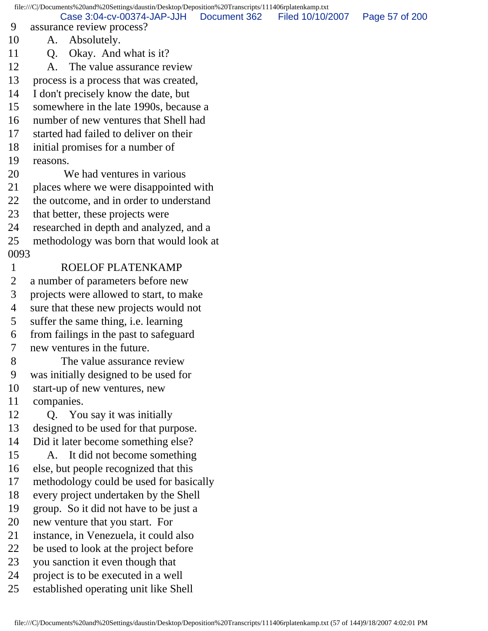file:///C|/Documents%20and%20Settings/daustin/Desktop/Deposition%20Transcripts/111406rplatenkamp.txt 9 assurance review process? 10 A. Absolutely. 11 O. Okay. And what is it? 12 A. The value assurance review 13 process is a process that was created, 14 I don't precisely know the date, but 15 somewhere in the late 1990s, because a 16 number of new ventures that Shell had 17 started had failed to deliver on their 18 initial promises for a number of 19 reasons. 20 We had ventures in various 21 places where we were disappointed with 22 the outcome, and in order to understand 23 that better, these projects were 24 researched in depth and analyzed, and a 25 methodology was born that would look at 0093 1 ROELOF PLATENKAMP 2 a number of parameters before new 3 projects were allowed to start, to make 4 sure that these new projects would not 5 suffer the same thing, i.e. learning 6 from failings in the past to safeguard 7 new ventures in the future. 8 The value assurance review 9 was initially designed to be used for 10 start-up of new ventures, new 11 companies. 12 Q. You say it was initially 13 designed to be used for that purpose. 14 Did it later become something else? 15 A. It did not become something 16 else, but people recognized that this 17 methodology could be used for basically 18 every project undertaken by the Shell 19 group. So it did not have to be just a 20 new venture that you start. For 21 instance, in Venezuela, it could also 22 be used to look at the project before 23 you sanction it even though that 24 project is to be executed in a well 25 established operating unit like Shell Case 3:04-cv-00374-JAP-JJH Document 362 Filed 10/10/2007 Page 57 of 200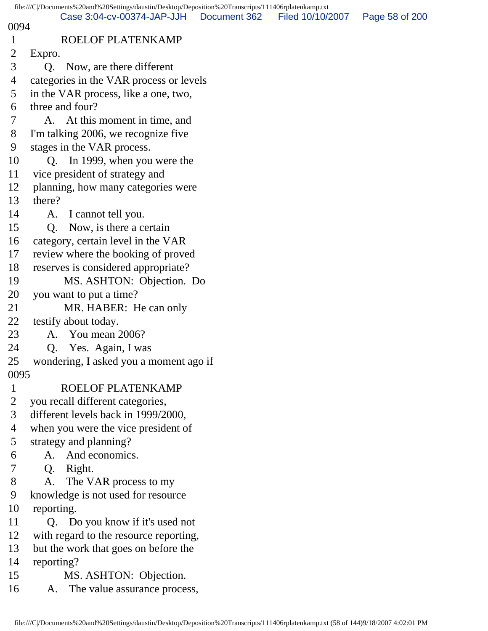|                | file:///C /Documents%20and%20Settings/daustin/Desktop/Deposition%20Transcripts/111406rplatenkamp.txt |              |                  |                |
|----------------|------------------------------------------------------------------------------------------------------|--------------|------------------|----------------|
| 0094           | Case 3:04-cv-00374-JAP-JJH                                                                           | Document 362 | Filed 10/10/2007 | Page 58 of 200 |
| $\mathbf{1}$   | ROELOF PLATENKAMP                                                                                    |              |                  |                |
| $\overline{2}$ | Expro.                                                                                               |              |                  |                |
| 3              | Now, are there different<br>O.                                                                       |              |                  |                |
| 4              | categories in the VAR process or levels                                                              |              |                  |                |
| 5              | in the VAR process, like a one, two,                                                                 |              |                  |                |
| 6              | three and four?                                                                                      |              |                  |                |
| 7              | A. At this moment in time, and                                                                       |              |                  |                |
| 8              | I'm talking 2006, we recognize five                                                                  |              |                  |                |
| 9              | stages in the VAR process.                                                                           |              |                  |                |
| 10             | Q. In 1999, when you were the                                                                        |              |                  |                |
| 11             | vice president of strategy and                                                                       |              |                  |                |
| 12             | planning, how many categories were                                                                   |              |                  |                |
| 13             | there?                                                                                               |              |                  |                |
| 14             | I cannot tell you.<br>A.                                                                             |              |                  |                |
| 15             | Now, is there a certain<br>Q.                                                                        |              |                  |                |
| 16             | category, certain level in the VAR                                                                   |              |                  |                |
| 17             | review where the booking of proved                                                                   |              |                  |                |
| 18             | reserves is considered appropriate?                                                                  |              |                  |                |
| 19             | MS. ASHTON: Objection. Do                                                                            |              |                  |                |
| 20             | you want to put a time?                                                                              |              |                  |                |
| 21             | MR. HABER: He can only                                                                               |              |                  |                |
| 22             | testify about today.                                                                                 |              |                  |                |
| 23             | A. You mean 2006?                                                                                    |              |                  |                |
| 24             | Yes. Again, I was<br>Q.                                                                              |              |                  |                |
| 25             | wondering, I asked you a moment ago if                                                               |              |                  |                |
| 0095           |                                                                                                      |              |                  |                |
| $\mathbf{1}$   | ROELOF PLATENKAMP                                                                                    |              |                  |                |
| $\overline{2}$ | you recall different categories,<br>different levels back in 1999/2000,                              |              |                  |                |
| 3<br>4         | when you were the vice president of                                                                  |              |                  |                |
| 5              | strategy and planning?                                                                               |              |                  |                |
| 6              | And economics.<br>A.                                                                                 |              |                  |                |
| 7              | Right.<br>Q.                                                                                         |              |                  |                |
| 8              | The VAR process to my<br>A.                                                                          |              |                  |                |
| 9              | knowledge is not used for resource                                                                   |              |                  |                |
| 10             | reporting.                                                                                           |              |                  |                |
| 11             | Q. Do you know if it's used not                                                                      |              |                  |                |
| 12             | with regard to the resource reporting,                                                               |              |                  |                |
| 13             | but the work that goes on before the                                                                 |              |                  |                |
| 14             | reporting?                                                                                           |              |                  |                |
| 15             | MS. ASHTON: Objection.                                                                               |              |                  |                |
| 16             | A. The value assurance process,                                                                      |              |                  |                |
|                |                                                                                                      |              |                  |                |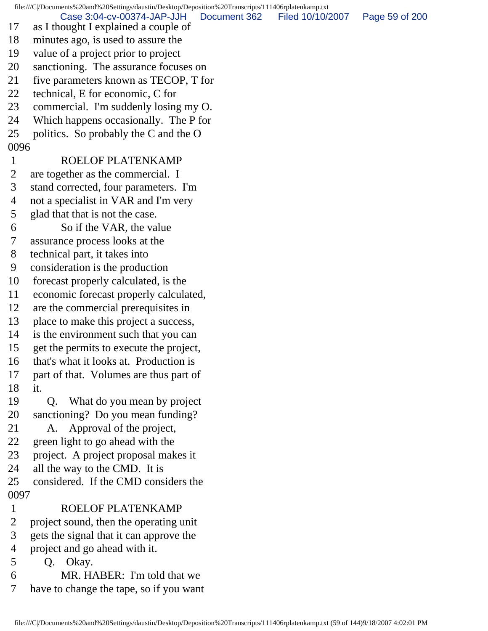file:///C|/Documents%20and%20Settings/daustin/Desktop/Deposition%20Transcripts/111406rplatenkamp.txt

Case 3:04-cv-00374-JAP-JJH Document 362 Filed 10/10/2007 Page 59 of 200

- 17 as I thought I explained a couple of
- 18 minutes ago, is used to assure the
- 19 value of a project prior to project
- 20 sanctioning. The assurance focuses on
- 21 five parameters known as TECOP, T for
- 22 technical, E for economic, C for
- 23 commercial. I'm suddenly losing my O.
- 24 Which happens occasionally. The P for
- 25 politics. So probably the C and the O

## 0096

## 1 ROELOF PLATENKAMP

- 2 are together as the commercial. I
- 3 stand corrected, four parameters. I'm
- 4 not a specialist in VAR and I'm very
- 5 glad that that is not the case.
- 6 So if the VAR, the value
- 7 assurance process looks at the
- 8 technical part, it takes into
- 9 consideration is the production
- 10 forecast properly calculated, is the
- 11 economic forecast properly calculated,
- 12 are the commercial prerequisites in
- 13 place to make this project a success,
- 14 is the environment such that you can
- 15 get the permits to execute the project,
- 16 that's what it looks at. Production is
- 17 part of that. Volumes are thus part of 18 it.
- 19 Q. What do you mean by project 20 sanctioning? Do you mean funding?
- 21 A. Approval of the project,
- 22 green light to go ahead with the
- 23 project. A project proposal makes it
- 24 all the way to the CMD. It is
- 25 considered. If the CMD considers the 0097
- 1 ROELOF PLATENKAMP
- 2 project sound, then the operating unit
- 3 gets the signal that it can approve the
- 4 project and go ahead with it.
- 5 Q. Okay.
- 6 MR. HABER: I'm told that we
- 7 have to change the tape, so if you want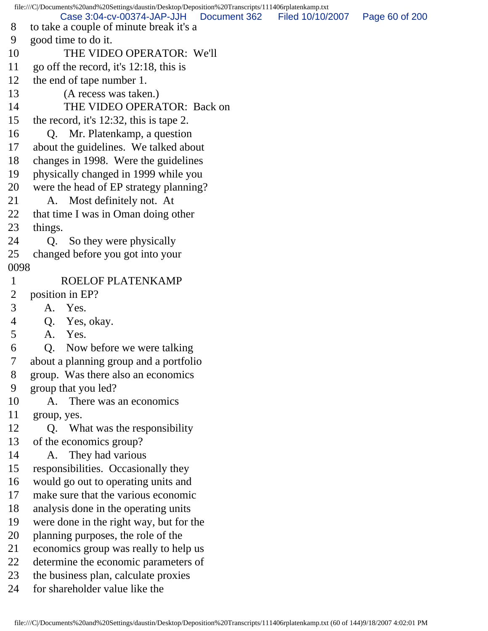file:///C|/Documents%20and%20Settings/daustin/Desktop/Deposition%20Transcripts/111406rplatenkamp.txt 8 to take a couple of minute break it's a 9 good time to do it. 10 THE VIDEO OPERATOR: We'll 11 go off the record, it's 12:18, this is 12 the end of tape number 1. 13 (A recess was taken.) 14 THE VIDEO OPERATOR: Back on 15 the record, it's 12:32, this is tape 2. 16 Q. Mr. Platenkamp, a question 17 about the guidelines. We talked about 18 changes in 1998. Were the guidelines 19 physically changed in 1999 while you 20 were the head of EP strategy planning? 21 A. Most definitely not. At 22 that time I was in Oman doing other 23 things. 24 Q. So they were physically 25 changed before you got into your 0098 1 ROELOF PLATENKAMP 2 position in EP? 3 A. Yes. 4 Q. Yes, okay. 5 A. Yes. 6 Q. Now before we were talking 7 about a planning group and a portfolio 8 group. Was there also an economics 9 group that you led? 10 A. There was an economics 11 group, yes. 12 Q. What was the responsibility 13 of the economics group? 14 A. They had various 15 responsibilities. Occasionally they 16 would go out to operating units and 17 make sure that the various economic 18 analysis done in the operating units 19 were done in the right way, but for the 20 planning purposes, the role of the 21 economics group was really to help us 22 determine the economic parameters of 23 the business plan, calculate proxies 24 for shareholder value like the Case 3:04-cv-00374-JAP-JJH Document 362 Filed 10/10/2007 Page 60 of 200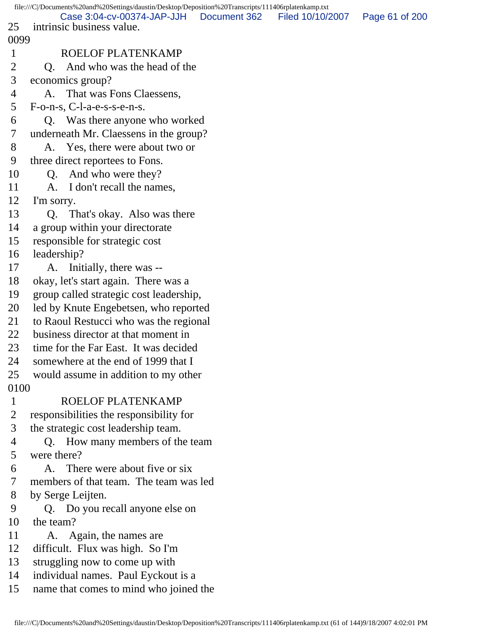file:///C|/Documents%20and%20Settings/daustin/Desktop/Deposition%20Transcripts/111406rplatenkamp.txt 25 intrinsic business value. 0099 1 ROELOF PLATENKAMP 2 Q. And who was the head of the 3 economics group? 4 A. That was Fons Claessens, 5 F-o-n-s, C-l-a-e-s-s-e-n-s. 6 Q. Was there anyone who worked 7 underneath Mr. Claessens in the group? 8 A. Yes, there were about two or 9 three direct reportees to Fons. 10 Q. And who were they? 11 A. I don't recall the names, 12 I'm sorry. 13 Q. That's okay. Also was there 14 a group within your directorate 15 responsible for strategic cost 16 leadership? 17 A. Initially, there was -- 18 okay, let's start again. There was a 19 group called strategic cost leadership, 20 led by Knute Engebetsen, who reported 21 to Raoul Restucci who was the regional 22 business director at that moment in 23 time for the Far East. It was decided 24 somewhere at the end of 1999 that I 25 would assume in addition to my other 0100 1 ROELOF PLATENKAMP 2 responsibilities the responsibility for 3 the strategic cost leadership team. 4 Q. How many members of the team 5 were there? 6 A. There were about five or six 7 members of that team. The team was led 8 by Serge Leijten. 9 Q. Do you recall anyone else on 10 the team? 11 A. Again, the names are 12 difficult. Flux was high. So I'm 13 struggling now to come up with 14 individual names. Paul Eyckout is a 15 name that comes to mind who joined the Case 3:04-cv-00374-JAP-JJH Document 362 Filed 10/10/2007 Page 61 of 200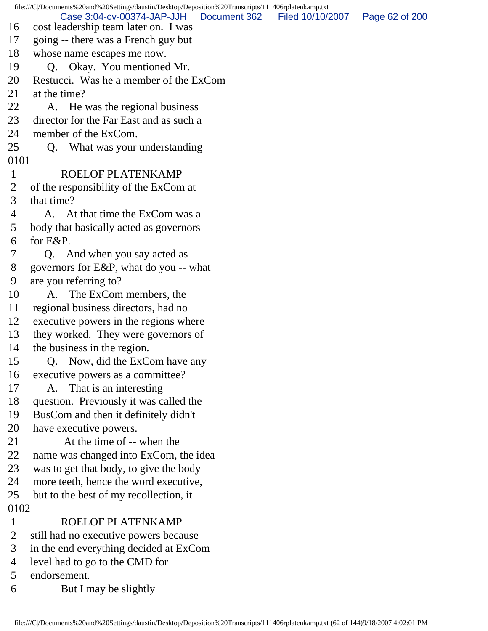file:///C|/Documents%20and%20Settings/daustin/Desktop/Deposition%20Transcripts/111406rplatenkamp.txt 16 cost leadership team later on. I was 17 going -- there was a French guy but 18 whose name escapes me now. 19 Q. Okay. You mentioned Mr. 20 Restucci. Was he a member of the ExCom 21 at the time? 22 A. He was the regional business 23 director for the Far East and as such a 24 member of the ExCom. 25 Q. What was your understanding 0101 1 ROELOF PLATENKAMP 2 of the responsibility of the ExCom at 3 that time? 4 A. At that time the ExCom was a 5 body that basically acted as governors 6 for E&P. 7 Q. And when you say acted as 8 governors for E&P, what do you -- what 9 are you referring to? 10 A. The ExCom members, the 11 regional business directors, had no 12 executive powers in the regions where 13 they worked. They were governors of 14 the business in the region. 15 Q. Now, did the ExCom have any 16 executive powers as a committee? 17 A. That is an interesting 18 question. Previously it was called the 19 BusCom and then it definitely didn't 20 have executive powers. 21 At the time of -- when the 22 name was changed into ExCom, the idea 23 was to get that body, to give the body 24 more teeth, hence the word executive, 25 but to the best of my recollection, it 0102 1 ROELOF PLATENKAMP 2 still had no executive powers because 3 in the end everything decided at ExCom 4 level had to go to the CMD for 5 endorsement. Case 3:04-cv-00374-JAP-JJH Document 362 Filed 10/10/2007 Page 62 of 200

6 But I may be slightly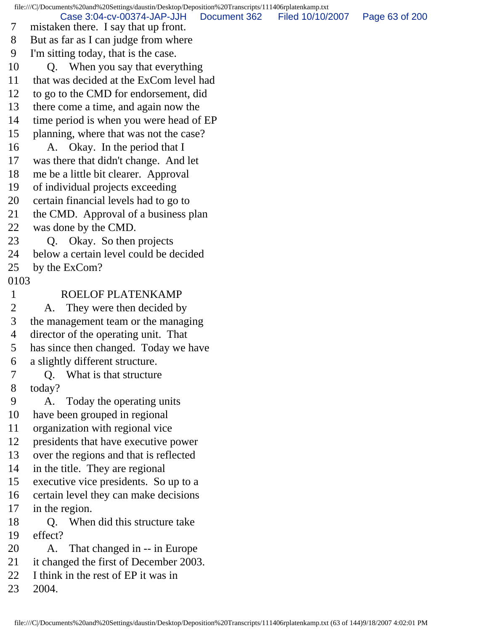file:///C|/Documents%20and%20Settings/daustin/Desktop/Deposition%20Transcripts/111406rplatenkamp.txt

Case 3:04-cv-00374-JAP-JJH Document 362 Filed 10/10/2007 Page 63 of 200

- 7 mistaken there. I say that up front.
- 8 But as far as I can judge from where
- 9 I'm sitting today, that is the case.
- 10 Q. When you say that everything
- 11 that was decided at the ExCom level had
- 12 to go to the CMD for endorsement, did
- 13 there come a time, and again now the
- 14 time period is when you were head of EP
- 15 planning, where that was not the case?
- 16 A. Okay. In the period that I
- 17 was there that didn't change. And let
- 18 me be a little bit clearer. Approval
- 19 of individual projects exceeding
- 20 certain financial levels had to go to
- 21 the CMD. Approval of a business plan
- 22 was done by the CMD.
- 23 Q. Okay. So then projects
- 24 below a certain level could be decided
- 25 by the ExCom?
- 0103

## 1 ROELOF PLATENKAMP

- 2 A. They were then decided by
- 3 the management team or the managing
- 4 director of the operating unit. That
- 5 has since then changed. Today we have
- 6 a slightly different structure.
- 7 Q. What is that structure
- 8 today?
- 9 A. Today the operating units
- 10 have been grouped in regional
- 11 organization with regional vice
- 12 presidents that have executive power
- 13 over the regions and that is reflected
- 14 in the title. They are regional
- 15 executive vice presidents. So up to a
- 16 certain level they can make decisions
- 17 in the region.
- 18 O. When did this structure take
- 19 effect?
- 20 A. That changed in -- in Europe
- 21 it changed the first of December 2003.
- 22 I think in the rest of EP it was in
- 23 2004.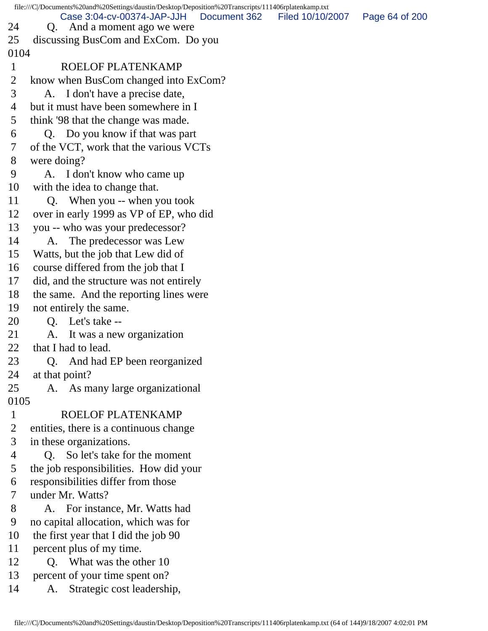| file:///C /Documents%20and%20Settings/daustin/Desktop/Deposition%20Transcripts/111406rplatenkamp.txt |                                                                              |                  |                |  |  |  |
|------------------------------------------------------------------------------------------------------|------------------------------------------------------------------------------|------------------|----------------|--|--|--|
| 24                                                                                                   | Case 3:04-cv-00374-JAP-JJH<br>Document 362<br>And a moment ago we were<br>Q. | Filed 10/10/2007 | Page 64 of 200 |  |  |  |
| 25                                                                                                   | discussing BusCom and ExCom. Do you                                          |                  |                |  |  |  |
| 0104                                                                                                 |                                                                              |                  |                |  |  |  |
| $\mathbf{1}$                                                                                         | ROELOF PLATENKAMP                                                            |                  |                |  |  |  |
| $\overline{2}$                                                                                       | know when BusCom changed into ExCom?                                         |                  |                |  |  |  |
| 3                                                                                                    | A. I don't have a precise date,                                              |                  |                |  |  |  |
| 4                                                                                                    | but it must have been somewhere in I                                         |                  |                |  |  |  |
| 5                                                                                                    | think '98 that the change was made.                                          |                  |                |  |  |  |
| 6                                                                                                    | Q. Do you know if that was part                                              |                  |                |  |  |  |
| 7                                                                                                    | of the VCT, work that the various VCTs                                       |                  |                |  |  |  |
| 8                                                                                                    | were doing?                                                                  |                  |                |  |  |  |
| 9                                                                                                    | A. I don't know who came up                                                  |                  |                |  |  |  |
| 10                                                                                                   | with the idea to change that.                                                |                  |                |  |  |  |
| 11                                                                                                   | Q. When you -- when you took                                                 |                  |                |  |  |  |
| 12                                                                                                   | over in early 1999 as VP of EP, who did                                      |                  |                |  |  |  |
| 13                                                                                                   | you -- who was your predecessor?                                             |                  |                |  |  |  |
| 14                                                                                                   | The predecessor was Lew<br>A.                                                |                  |                |  |  |  |
| 15                                                                                                   | Watts, but the job that Lew did of                                           |                  |                |  |  |  |
| 16                                                                                                   | course differed from the job that I                                          |                  |                |  |  |  |
| 17                                                                                                   | did, and the structure was not entirely                                      |                  |                |  |  |  |
| 18                                                                                                   | the same. And the reporting lines were                                       |                  |                |  |  |  |
| 19                                                                                                   | not entirely the same.                                                       |                  |                |  |  |  |
| 20                                                                                                   | Let's take --<br>Q.                                                          |                  |                |  |  |  |
| 21                                                                                                   | A.<br>It was a new organization                                              |                  |                |  |  |  |
| 22                                                                                                   | that I had to lead.                                                          |                  |                |  |  |  |
| 23                                                                                                   | And had EP been reorganized<br>Q.                                            |                  |                |  |  |  |
| 24                                                                                                   | at that point?                                                               |                  |                |  |  |  |
| 25                                                                                                   | A. As many large organizational                                              |                  |                |  |  |  |
| 0105                                                                                                 |                                                                              |                  |                |  |  |  |
| $\mathbf{1}$                                                                                         | ROELOF PLATENKAMP                                                            |                  |                |  |  |  |
| 2                                                                                                    | entities, there is a continuous change                                       |                  |                |  |  |  |
| 3                                                                                                    | in these organizations.                                                      |                  |                |  |  |  |
| 4                                                                                                    | Q. So let's take for the moment                                              |                  |                |  |  |  |
| 5                                                                                                    | the job responsibilities. How did your                                       |                  |                |  |  |  |
| 6                                                                                                    | responsibilities differ from those                                           |                  |                |  |  |  |
| 7                                                                                                    | under Mr. Watts?                                                             |                  |                |  |  |  |
| 8                                                                                                    | A. For instance, Mr. Watts had                                               |                  |                |  |  |  |
| 9                                                                                                    | no capital allocation, which was for                                         |                  |                |  |  |  |
| 10                                                                                                   | the first year that I did the job 90                                         |                  |                |  |  |  |
| 11                                                                                                   | percent plus of my time.                                                     |                  |                |  |  |  |
| 12                                                                                                   | Q. What was the other 10                                                     |                  |                |  |  |  |
| 13                                                                                                   | percent of your time spent on?                                               |                  |                |  |  |  |
| 14                                                                                                   | Strategic cost leadership,<br>A.                                             |                  |                |  |  |  |
|                                                                                                      |                                                                              |                  |                |  |  |  |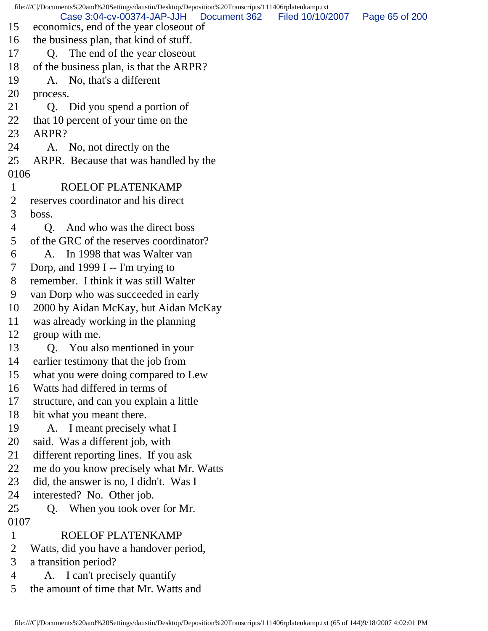file:///C|/Documents%20and%20Settings/daustin/Desktop/Deposition%20Transcripts/111406rplatenkamp.txt 15 economics, end of the year closeout of 16 the business plan, that kind of stuff. 17 Q. The end of the year closeout 18 of the business plan, is that the ARPR? 19 A. No, that's a different 20 process. 21 Q. Did you spend a portion of 22 that 10 percent of your time on the 23 ARPR? 24 A. No, not directly on the 25 ARPR. Because that was handled by the 0106 1 ROELOF PLATENKAMP 2 reserves coordinator and his direct 3 boss. 4 Q. And who was the direct boss 5 of the GRC of the reserves coordinator? 6 A. In 1998 that was Walter van 7 Dorp, and 1999 I -- I'm trying to 8 remember. I think it was still Walter 9 van Dorp who was succeeded in early 10 2000 by Aidan McKay, but Aidan McKay 11 was already working in the planning 12 group with me. 13 Q. You also mentioned in your 14 earlier testimony that the job from 15 what you were doing compared to Lew 16 Watts had differed in terms of 17 structure, and can you explain a little 18 bit what you meant there. 19 A. I meant precisely what I 20 said. Was a different job, with 21 different reporting lines. If you ask 22 me do you know precisely what Mr. Watts 23 did, the answer is no, I didn't. Was I 24 interested? No. Other job. 25 Q. When you took over for Mr. 0107 1 ROELOF PLATENKAMP 2 Watts, did you have a handover period, 3 a transition period? 4 A. I can't precisely quantify 5 the amount of time that Mr. Watts and Case 3:04-cv-00374-JAP-JJH Document 362 Filed 10/10/2007 Page 65 of 200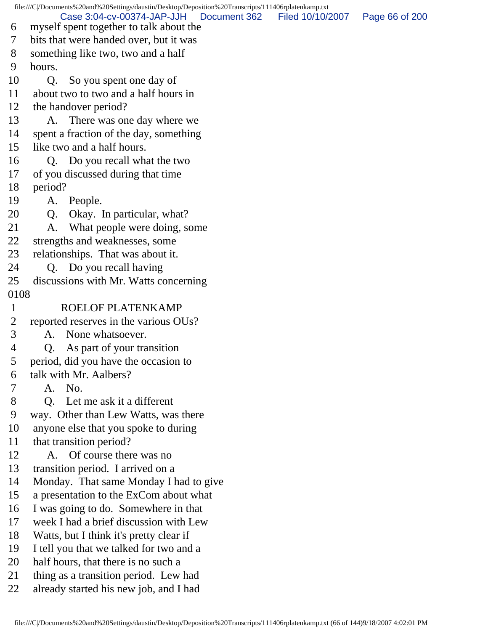file:///C|/Documents%20and%20Settings/daustin/Desktop/Deposition%20Transcripts/111406rplatenkamp.txt 6 myself spent together to talk about the 7 bits that were handed over, but it was 8 something like two, two and a half 9 hours. 10 Q. So you spent one day of 11 about two to two and a half hours in 12 the handover period? 13 A. There was one day where we 14 spent a fraction of the day, something 15 like two and a half hours. 16 Q. Do you recall what the two 17 of you discussed during that time 18 period? 19 A. People. 20 Q. Okay. In particular, what? 21 A. What people were doing, some 22 strengths and weaknesses, some 23 relationships. That was about it. 24 Q. Do you recall having 25 discussions with Mr. Watts concerning 0108 1 ROELOF PLATENKAMP 2 reported reserves in the various OUs? 3 A. None whatsoever. 4 Q. As part of your transition 5 period, did you have the occasion to 6 talk with Mr. Aalbers? 7 A. No. 8 Q. Let me ask it a different 9 way. Other than Lew Watts, was there 10 anyone else that you spoke to during 11 that transition period? 12 A. Of course there was no 13 transition period. I arrived on a 14 Monday. That same Monday I had to give 15 a presentation to the ExCom about what 16 I was going to do. Somewhere in that 17 week I had a brief discussion with Lew 18 Watts, but I think it's pretty clear if 19 I tell you that we talked for two and a 20 half hours, that there is no such a 21 thing as a transition period. Lew had 22 already started his new job, and I had Case 3:04-cv-00374-JAP-JJH Document 362 Filed 10/10/2007 Page 66 of 200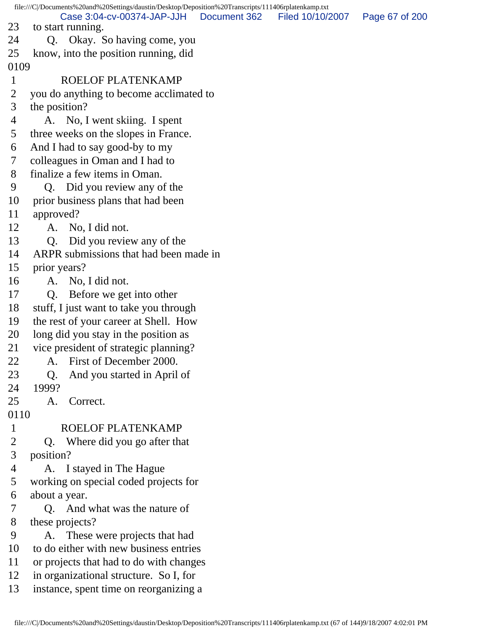file:///C|/Documents%20and%20Settings/daustin/Desktop/Deposition%20Transcripts/111406rplatenkamp.txt 23 to start running. 24 Q. Okay. So having come, you 25 know, into the position running, did 0109 1 ROELOF PLATENKAMP 2 you do anything to become acclimated to 3 the position? 4 A. No, I went skiing. I spent 5 three weeks on the slopes in France. 6 And I had to say good-by to my 7 colleagues in Oman and I had to 8 finalize a few items in Oman. 9 Q. Did you review any of the 10 prior business plans that had been 11 approved? 12 A. No, I did not. 13 Q. Did you review any of the 14 ARPR submissions that had been made in 15 prior years? 16 A. No, I did not. 17 Q. Before we get into other 18 stuff, I just want to take you through 19 the rest of your career at Shell. How 20 long did you stay in the position as 21 vice president of strategic planning? 22 A. First of December 2000. 23 Q. And you started in April of 24 1999? 25 A. Correct. 0110 1 ROELOF PLATENKAMP 2 Q. Where did you go after that 3 position? 4 A. I stayed in The Hague 5 working on special coded projects for 6 about a year. 7 Q. And what was the nature of 8 these projects? 9 A. These were projects that had 10 to do either with new business entries 11 or projects that had to do with changes 12 in organizational structure. So I, for 13 instance, spent time on reorganizing a Case 3:04-cv-00374-JAP-JJH Document 362 Filed 10/10/2007 Page 67 of 200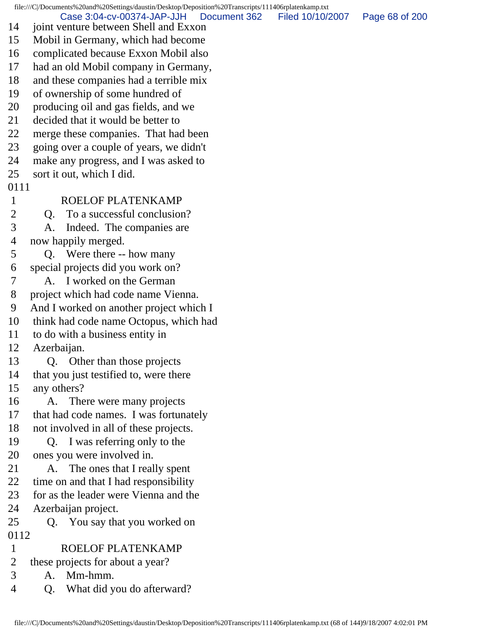file:///C|/Documents%20and%20Settings/daustin/Desktop/Deposition%20Transcripts/111406rplatenkamp.txt 14 joint venture between Shell and Exxon 15 Mobil in Germany, which had become 16 complicated because Exxon Mobil also 17 had an old Mobil company in Germany, 18 and these companies had a terrible mix 19 of ownership of some hundred of 20 producing oil and gas fields, and we 21 decided that it would be better to 22 merge these companies. That had been 23 going over a couple of years, we didn't 24 make any progress, and I was asked to 25 sort it out, which I did. 0111 1 ROELOF PLATENKAMP 2 O. To a successful conclusion? 3 A. Indeed. The companies are 4 now happily merged. 5 Q. Were there -- how many 6 special projects did you work on? 7 A. I worked on the German 8 project which had code name Vienna. 9 And I worked on another project which I 10 think had code name Octopus, which had 11 to do with a business entity in 12 Azerbaijan. 13 Q. Other than those projects 14 that you just testified to, were there 15 any others? 16 A. There were many projects 17 that had code names. I was fortunately 18 not involved in all of these projects. 19 Q. I was referring only to the 20 ones you were involved in. 21 A. The ones that I really spent 22 time on and that I had responsibility 23 for as the leader were Vienna and the 24 Azerbaijan project. 25 Q. You say that you worked on 0112 1 ROELOF PLATENKAMP 2 these projects for about a year? 3 A. Mm-hmm. 4 Q. What did you do afterward? Case 3:04-cv-00374-JAP-JJH Document 362 Filed 10/10/2007 Page 68 of 200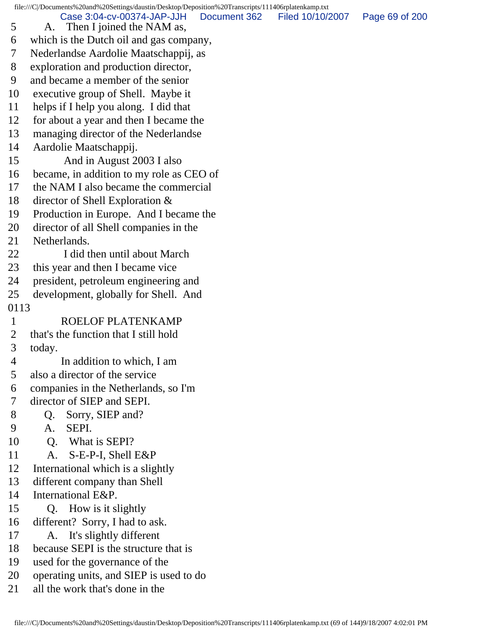file:///C|/Documents%20and%20Settings/daustin/Desktop/Deposition%20Transcripts/111406rplatenkamp.txt

Case 3:04-cv-00374-JAP-JJH Document 362 Filed 10/10/2007 Page 69 of 200

 5 A. Then I joined the NAM as, 6 which is the Dutch oil and gas company, 7 Nederlandse Aardolie Maatschappij, as 8 exploration and production director, 9 and became a member of the senior 10 executive group of Shell. Maybe it 11 helps if I help you along. I did that 12 for about a year and then I became the 13 managing director of the Nederlandse 14 Aardolie Maatschappij. 15 And in August 2003 I also 16 became, in addition to my role as CEO of 17 the NAM I also became the commercial 18 director of Shell Exploration & 19 Production in Europe. And I became the 20 director of all Shell companies in the 21 Netherlands. 22 **I** did then until about March 23 this year and then I became vice 24 president, petroleum engineering and 25 development, globally for Shell. And 0113 1 ROELOF PLATENKAMP 2 that's the function that I still hold 3 today. 4 In addition to which, I am 5 also a director of the service 6 companies in the Netherlands, so I'm 7 director of SIEP and SEPI. 8 Q. Sorry, SIEP and? 9 A. SEPI. 10 Q. What is SEPI? 11 A. S-E-P-I, Shell E&P 12 International which is a slightly 13 different company than Shell 14 International E&P. 15 Q. How is it slightly 16 different? Sorry, I had to ask. 17 A. It's slightly different 18 because SEPI is the structure that is 19 used for the governance of the 20 operating units, and SIEP is used to do 21 all the work that's done in the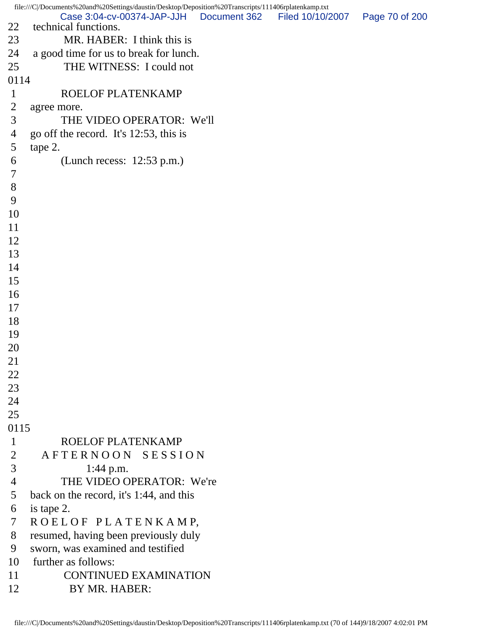| file:///C /Documents%20and%20Settings/daustin/Desktop/Deposition%20Transcripts/111406rplatenkamp.txt |                                                                    |              |                  |                |  |  |
|------------------------------------------------------------------------------------------------------|--------------------------------------------------------------------|--------------|------------------|----------------|--|--|
| 22                                                                                                   | Case 3:04-cv-00374-JAP-JJH<br>technical functions.                 | Document 362 | Filed 10/10/2007 | Page 70 of 200 |  |  |
| 23                                                                                                   | MR. HABER: I think this is                                         |              |                  |                |  |  |
| 24                                                                                                   |                                                                    |              |                  |                |  |  |
| 25                                                                                                   | a good time for us to break for lunch.<br>THE WITNESS: I could not |              |                  |                |  |  |
| 0114                                                                                                 |                                                                    |              |                  |                |  |  |
| $\mathbf{1}$                                                                                         | ROELOF PLATENKAMP                                                  |              |                  |                |  |  |
| $\overline{2}$                                                                                       |                                                                    |              |                  |                |  |  |
| 3                                                                                                    | agree more.<br>THE VIDEO OPERATOR: We'll                           |              |                  |                |  |  |
| 4                                                                                                    | go off the record. It's 12:53, this is                             |              |                  |                |  |  |
| 5                                                                                                    | tape 2.                                                            |              |                  |                |  |  |
| 6                                                                                                    | (Lunch recess: $12:53$ p.m.)                                       |              |                  |                |  |  |
| $\tau$                                                                                               |                                                                    |              |                  |                |  |  |
| 8                                                                                                    |                                                                    |              |                  |                |  |  |
| 9                                                                                                    |                                                                    |              |                  |                |  |  |
| 10                                                                                                   |                                                                    |              |                  |                |  |  |
| 11                                                                                                   |                                                                    |              |                  |                |  |  |
| 12                                                                                                   |                                                                    |              |                  |                |  |  |
| 13                                                                                                   |                                                                    |              |                  |                |  |  |
| 14                                                                                                   |                                                                    |              |                  |                |  |  |
| 15                                                                                                   |                                                                    |              |                  |                |  |  |
| 16                                                                                                   |                                                                    |              |                  |                |  |  |
| 17                                                                                                   |                                                                    |              |                  |                |  |  |
| 18                                                                                                   |                                                                    |              |                  |                |  |  |
| 19                                                                                                   |                                                                    |              |                  |                |  |  |
| 20                                                                                                   |                                                                    |              |                  |                |  |  |
| 21                                                                                                   |                                                                    |              |                  |                |  |  |
| 22                                                                                                   |                                                                    |              |                  |                |  |  |
| 23                                                                                                   |                                                                    |              |                  |                |  |  |
| 24                                                                                                   |                                                                    |              |                  |                |  |  |
| 25                                                                                                   |                                                                    |              |                  |                |  |  |
| 0115                                                                                                 |                                                                    |              |                  |                |  |  |
| $\mathbf{1}$                                                                                         | ROELOF PLATENKAMP                                                  |              |                  |                |  |  |
| $\overline{2}$                                                                                       | AFTERNOON SESSION                                                  |              |                  |                |  |  |
| 3                                                                                                    | $1:44$ p.m.                                                        |              |                  |                |  |  |
| $\overline{4}$                                                                                       | THE VIDEO OPERATOR: We're                                          |              |                  |                |  |  |
| 5                                                                                                    | back on the record, it's 1:44, and this                            |              |                  |                |  |  |
| 6                                                                                                    | is tape 2.                                                         |              |                  |                |  |  |
| 7                                                                                                    | ROELOF PLATENKAMP,                                                 |              |                  |                |  |  |
| 8                                                                                                    | resumed, having been previously duly                               |              |                  |                |  |  |
| 9                                                                                                    | sworn, was examined and testified                                  |              |                  |                |  |  |
| 10                                                                                                   | further as follows:                                                |              |                  |                |  |  |
| 11                                                                                                   | <b>CONTINUED EXAMINATION</b>                                       |              |                  |                |  |  |
| 12                                                                                                   | BY MR. HABER:                                                      |              |                  |                |  |  |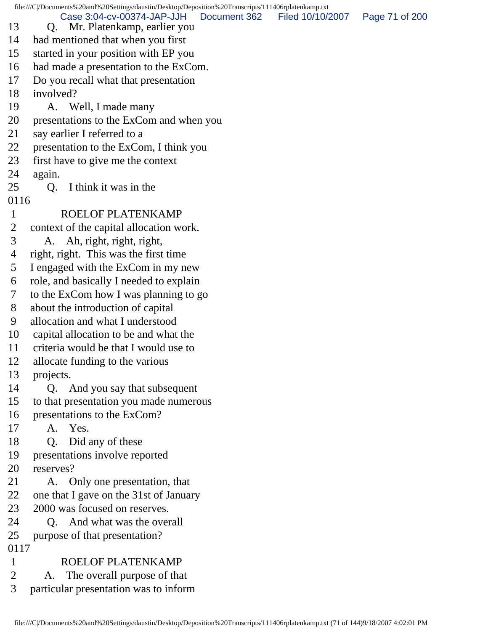file:///C|/Documents%20and%20Settings/daustin/Desktop/Deposition%20Transcripts/111406rplatenkamp.txt 13 Q. Mr. Platenkamp, earlier you 14 had mentioned that when you first 15 started in your position with EP you 16 had made a presentation to the ExCom. 17 Do you recall what that presentation 18 involved? 19 A. Well, I made many 20 presentations to the ExCom and when you 21 say earlier I referred to a 22 presentation to the ExCom, I think you 23 first have to give me the context 24 again. 25 Q. I think it was in the 0116 1 ROELOF PLATENKAMP 2 context of the capital allocation work. 3 A. Ah, right, right, right, 4 right, right. This was the first time 5 I engaged with the ExCom in my new 6 role, and basically I needed to explain 7 to the ExCom how I was planning to go 8 about the introduction of capital 9 allocation and what I understood 10 capital allocation to be and what the 11 criteria would be that I would use to 12 allocate funding to the various 13 projects. 14 Q. And you say that subsequent 15 to that presentation you made numerous 16 presentations to the ExCom? 17 A. Yes. 18 Q. Did any of these 19 presentations involve reported 20 reserves? 21 A. Only one presentation, that 22 one that I gave on the 31st of January 23 2000 was focused on reserves. 24 O. And what was the overall 25 purpose of that presentation? 0117 1 ROELOF PLATENKAMP 2 A. The overall purpose of that Case 3:04-cv-00374-JAP-JJH Document 362 Filed 10/10/2007 Page 71 of 200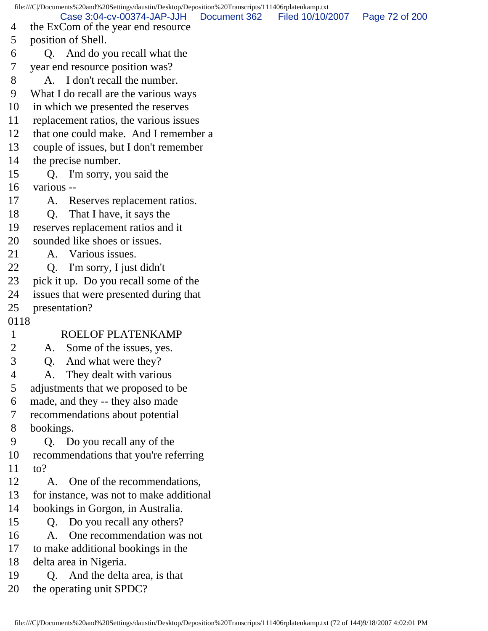file:///C|/Documents%20and%20Settings/daustin/Desktop/Deposition%20Transcripts/111406rplatenkamp.txt 4 the ExCom of the year end resource 5 position of Shell. 6 Q. And do you recall what the 7 year end resource position was? 8 A. I don't recall the number. 9 What I do recall are the various ways 10 in which we presented the reserves 11 replacement ratios, the various issues 12 that one could make. And I remember a 13 couple of issues, but I don't remember 14 the precise number. 15 Q. I'm sorry, you said the 16 various -- 17 A. Reserves replacement ratios. 18 Q. That I have, it says the 19 reserves replacement ratios and it 20 sounded like shoes or issues. 21 A. Various issues. 22 Q. I'm sorry, I just didn't 23 pick it up. Do you recall some of the 24 issues that were presented during that 25 presentation? 0118 1 ROELOF PLATENKAMP 2 A. Some of the issues, yes. 3 Q. And what were they? 4 A. They dealt with various 5 adjustments that we proposed to be 6 made, and they -- they also made 7 recommendations about potential 8 bookings. 9 Q. Do you recall any of the 10 recommendations that you're referring 11 to? 12 A. One of the recommendations, 13 for instance, was not to make additional 14 bookings in Gorgon, in Australia. 15 Q. Do you recall any others? 16 A. One recommendation was not 17 to make additional bookings in the 18 delta area in Nigeria. 19 Q. And the delta area, is that 20 the operating unit SPDC? Case 3:04-cv-00374-JAP-JJH Document 362 Filed 10/10/2007 Page 72 of 200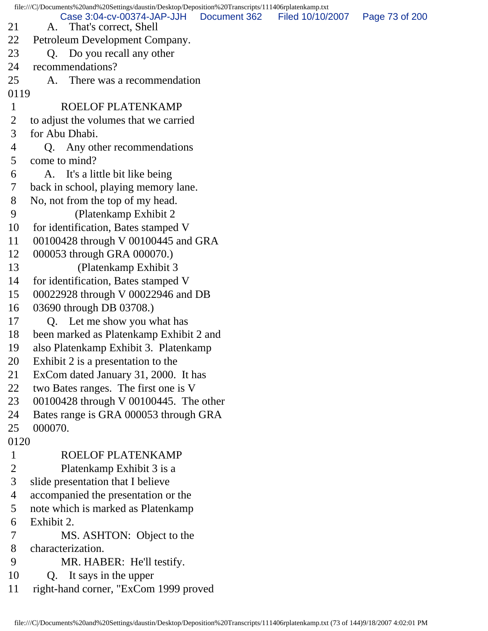file:///C|/Documents%20and%20Settings/daustin/Desktop/Deposition%20Transcripts/111406rplatenkamp.txt 21 A. That's correct, Shell 22 Petroleum Development Company. 23 Q. Do you recall any other 24 recommendations? 25 A. There was a recommendation 0119 1 ROELOF PLATENKAMP 2 to adjust the volumes that we carried 3 for Abu Dhabi. 4 Q. Any other recommendations 5 come to mind? 6 A. It's a little bit like being 7 back in school, playing memory lane. 8 No, not from the top of my head. 9 (Platenkamp Exhibit 2 10 for identification, Bates stamped V 11 00100428 through V 00100445 and GRA 12 000053 through GRA 000070.) 13 (Platenkamp Exhibit 3 14 for identification, Bates stamped V 15 00022928 through V 00022946 and DB 16 03690 through DB 03708.) 17 Q. Let me show you what has 18 been marked as Platenkamp Exhibit 2 and 19 also Platenkamp Exhibit 3. Platenkamp 20 Exhibit 2 is a presentation to the 21 ExCom dated January 31, 2000. It has 22 two Bates ranges. The first one is V 23 00100428 through V 00100445. The other 24 Bates range is GRA 000053 through GRA 25 000070. 0120 1 ROELOF PLATENKAMP 2 Platenkamp Exhibit 3 is a 3 slide presentation that I believe 4 accompanied the presentation or the 5 note which is marked as Platenkamp 6 Exhibit 2. 7 MS. ASHTON: Object to the 8 characterization. 9 MR. HABER: He'll testify. 10 Q. It says in the upper 11 right-hand corner, "ExCom 1999 proved Case 3:04-cv-00374-JAP-JJH Document 362 Filed 10/10/2007 Page 73 of 200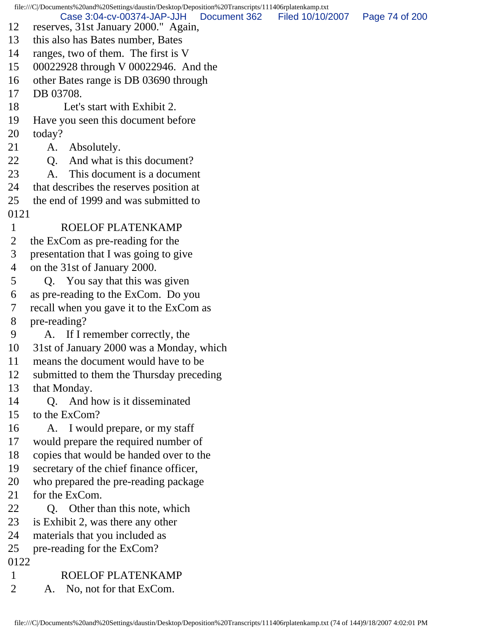file:///C|/Documents%20and%20Settings/daustin/Desktop/Deposition%20Transcripts/111406rplatenkamp.txt 12 reserves, 31st January 2000." Again, 13 this also has Bates number, Bates 14 ranges, two of them. The first is V 15 00022928 through V 00022946. And the 16 other Bates range is DB 03690 through 17 DB 03708. 18 Let's start with Exhibit 2. 19 Have you seen this document before 20 today? 21 A. Absolutely. 22 Q. And what is this document? 23 A. This document is a document 24 that describes the reserves position at 25 the end of 1999 and was submitted to 0121 1 ROELOF PLATENKAMP 2 the ExCom as pre-reading for the 3 presentation that I was going to give 4 on the 31st of January 2000. 5 Q. You say that this was given 6 as pre-reading to the ExCom. Do you 7 recall when you gave it to the ExCom as 8 pre-reading? 9 A. If I remember correctly, the 10 31st of January 2000 was a Monday, which 11 means the document would have to be 12 submitted to them the Thursday preceding 13 that Monday. 14 Q. And how is it disseminated 15 to the ExCom? 16 A. I would prepare, or my staff 17 would prepare the required number of 18 copies that would be handed over to the 19 secretary of the chief finance officer, 20 who prepared the pre-reading package 21 for the ExCom. 22 Q. Other than this note, which 23 is Exhibit 2, was there any other 24 materials that you included as 25 pre-reading for the ExCom? 0122 1 ROELOF PLATENKAMP 2 A. No, not for that ExCom. Case 3:04-cv-00374-JAP-JJH Document 362 Filed 10/10/2007 Page 74 of 200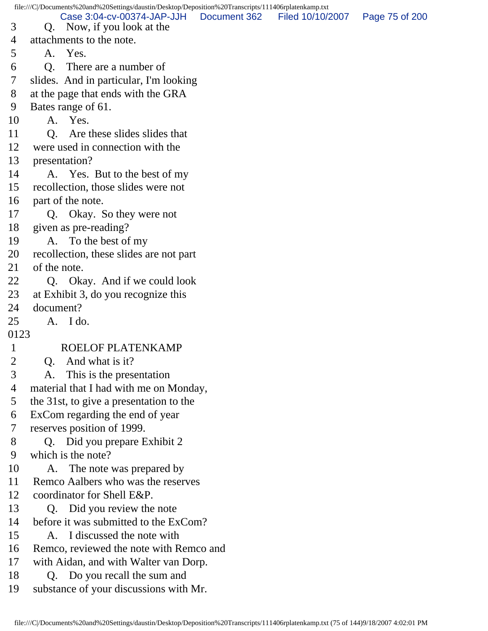file:///C|/Documents%20and%20Settings/daustin/Desktop/Deposition%20Transcripts/111406rplatenkamp.txt 3 Q. Now, if you look at the 4 attachments to the note. 5 A. Yes. 6 Q. There are a number of 7 slides. And in particular, I'm looking 8 at the page that ends with the GRA 9 Bates range of 61. 10 A. Yes. 11 Q. Are these slides slides that 12 were used in connection with the 13 presentation? 14 A. Yes. But to the best of my 15 recollection, those slides were not 16 part of the note. 17 Q. Okay. So they were not 18 given as pre-reading? 19 A. To the best of my 20 recollection, these slides are not part 21 of the note. 22 O. Okay. And if we could look 23 at Exhibit 3, do you recognize this 24 document? 25 A. I do. 0123 1 ROELOF PLATENKAMP 2 Q. And what is it? 3 A. This is the presentation 4 material that I had with me on Monday, 5 the 31st, to give a presentation to the 6 ExCom regarding the end of year 7 reserves position of 1999. 8 Q. Did you prepare Exhibit 2 9 which is the note? 10 A. The note was prepared by 11 Remco Aalbers who was the reserves 12 coordinator for Shell E&P. 13 Q. Did you review the note 14 before it was submitted to the ExCom? 15 A. I discussed the note with 16 Remco, reviewed the note with Remco and 17 with Aidan, and with Walter van Dorp. 18 Q. Do you recall the sum and 19 substance of your discussions with Mr. Case 3:04-cv-00374-JAP-JJH Document 362 Filed 10/10/2007 Page 75 of 200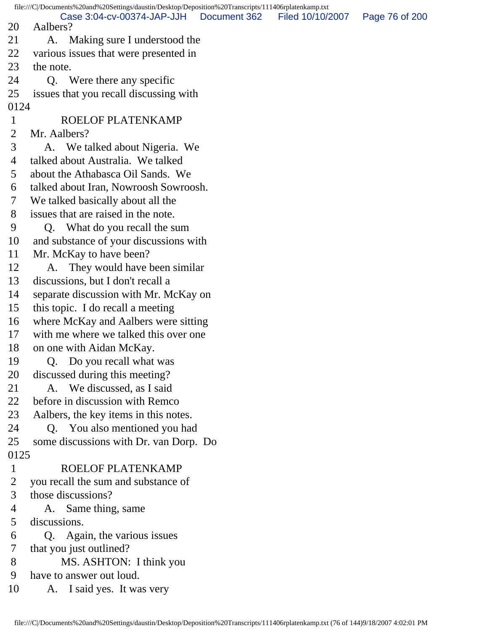file:///C|/Documents%20and%20Settings/daustin/Desktop/Deposition%20Transcripts/111406rplatenkamp.txt 20 Aalbers? 21 A. Making sure I understood the 22 various issues that were presented in 23 the note. 24 Q. Were there any specific 25 issues that you recall discussing with 0124 1 ROELOF PLATENKAMP 2 Mr. Aalbers? 3 A. We talked about Nigeria. We 4 talked about Australia. We talked 5 about the Athabasca Oil Sands. We 6 talked about Iran, Nowroosh Sowroosh. 7 We talked basically about all the 8 issues that are raised in the note. 9 Q. What do you recall the sum 10 and substance of your discussions with 11 Mr. McKay to have been? 12 A. They would have been similar 13 discussions, but I don't recall a 14 separate discussion with Mr. McKay on 15 this topic. I do recall a meeting 16 where McKay and Aalbers were sitting 17 with me where we talked this over one 18 on one with Aidan McKay. 19 Q. Do you recall what was 20 discussed during this meeting? 21 A. We discussed, as I said 22 before in discussion with Remco 23 Aalbers, the key items in this notes. 24 Q. You also mentioned you had 25 some discussions with Dr. van Dorp. Do 0125 1 ROELOF PLATENKAMP 2 you recall the sum and substance of 3 those discussions? 4 A. Same thing, same 5 discussions. 6 Q. Again, the various issues 7 that you just outlined? 8 MS. ASHTON: I think you 9 have to answer out loud. 10 A. I said yes. It was very Case 3:04-cv-00374-JAP-JJH Document 362 Filed 10/10/2007 Page 76 of 200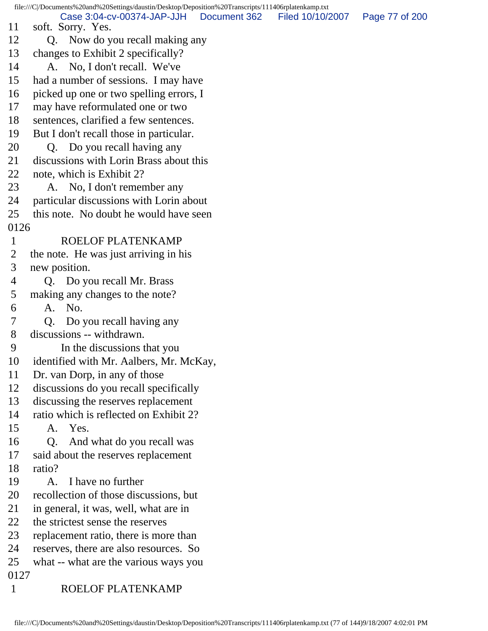file:///C|/Documents%20and%20Settings/daustin/Desktop/Deposition%20Transcripts/111406rplatenkamp.txt 11 soft. Sorry. Yes. 12 Q. Now do you recall making any 13 changes to Exhibit 2 specifically? 14 A. No, I don't recall. We've 15 had a number of sessions. I may have 16 picked up one or two spelling errors, I 17 may have reformulated one or two 18 sentences, clarified a few sentences. 19 But I don't recall those in particular. 20 Q. Do you recall having any 21 discussions with Lorin Brass about this 22 note, which is Exhibit 2? 23 A. No, I don't remember any 24 particular discussions with Lorin about 25 this note. No doubt he would have seen 0126 1 ROELOF PLATENKAMP 2 the note. He was just arriving in his 3 new position. 4 Q. Do you recall Mr. Brass 5 making any changes to the note? 6 A. No. 7 Q. Do you recall having any 8 discussions -- withdrawn. 9 In the discussions that you 10 identified with Mr. Aalbers, Mr. McKay, 11 Dr. van Dorp, in any of those 12 discussions do you recall specifically 13 discussing the reserves replacement 14 ratio which is reflected on Exhibit 2? 15 A. Yes. 16 Q. And what do you recall was 17 said about the reserves replacement 18 ratio? 19 A. I have no further 20 recollection of those discussions, but 21 in general, it was, well, what are in 22 the strictest sense the reserves 23 replacement ratio, there is more than 24 reserves, there are also resources. So 25 what -- what are the various ways you 0127 1 ROELOF PLATENKAMP Case 3:04-cv-00374-JAP-JJH Document 362 Filed 10/10/2007 Page 77 of 200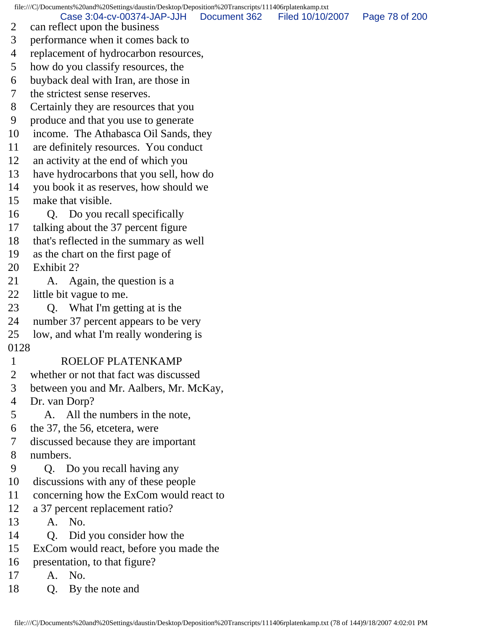file:///C|/Documents%20and%20Settings/daustin/Desktop/Deposition%20Transcripts/111406rplatenkamp.txt

Case 3:04-cv-00374-JAP-JJH Document 362 Filed 10/10/2007 Page 78 of 200

- 2 can reflect upon the business
- 3 performance when it comes back to
- 4 replacement of hydrocarbon resources,
- 5 how do you classify resources, the
- 6 buyback deal with Iran, are those in
- 7 the strictest sense reserves.
- 8 Certainly they are resources that you
- 9 produce and that you use to generate
- 10 income. The Athabasca Oil Sands, they
- 11 are definitely resources. You conduct
- 12 an activity at the end of which you
- 13 have hydrocarbons that you sell, how do
- 14 you book it as reserves, how should we
- 15 make that visible.
- 16 Q. Do you recall specifically
- 17 talking about the 37 percent figure
- 18 that's reflected in the summary as well
- 19 as the chart on the first page of
- 20 Exhibit 2?
- 21 A. Again, the question is a
- 22 little bit vague to me.
- 23 Q. What I'm getting at is the
- 24 number 37 percent appears to be very
- 25 low, and what I'm really wondering is
- 0128

## 1 ROELOF PLATENKAMP

- 2 whether or not that fact was discussed
- 3 between you and Mr. Aalbers, Mr. McKay,
- 4 Dr. van Dorp?
- 5 A. All the numbers in the note,
- 6 the 37, the 56, etcetera, were
- 7 discussed because they are important
- 8 numbers.
- 9 Q. Do you recall having any
- 10 discussions with any of these people
- 11 concerning how the ExCom would react to
- 12 a 37 percent replacement ratio?
- 13 A. No.
- 14 Q. Did you consider how the
- 15 ExCom would react, before you made the
- 16 presentation, to that figure?
- 17 A. No.
- 18 Q. By the note and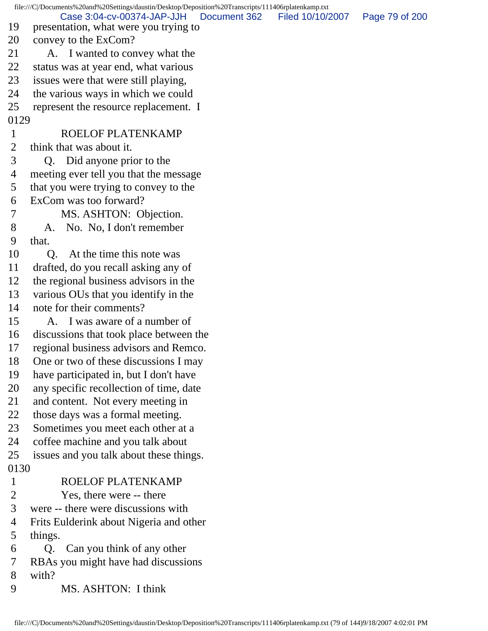file:///C|/Documents%20and%20Settings/daustin/Desktop/Deposition%20Transcripts/111406rplatenkamp.txt 19 presentation, what were you trying to 20 convey to the ExCom? 21 A. I wanted to convey what the 22 status was at year end, what various 23 issues were that were still playing, 24 the various ways in which we could 25 represent the resource replacement. I 0129 1 ROELOF PLATENKAMP 2 think that was about it. 3 Q. Did anyone prior to the 4 meeting ever tell you that the message 5 that you were trying to convey to the 6 ExCom was too forward? 7 MS. ASHTON: Objection. 8 A. No. No, I don't remember 9 that. 10 O. At the time this note was 11 drafted, do you recall asking any of 12 the regional business advisors in the 13 various OUs that you identify in the 14 note for their comments? 15 A. I was aware of a number of 16 discussions that took place between the 17 regional business advisors and Remco. 18 One or two of these discussions I may 19 have participated in, but I don't have 20 any specific recollection of time, date 21 and content. Not every meeting in 22 those days was a formal meeting. 23 Sometimes you meet each other at a 24 coffee machine and you talk about 25 issues and you talk about these things. 0130 1 ROELOF PLATENKAMP 2 Yes, there were -- there 3 were -- there were discussions with 4 Frits Eulderink about Nigeria and other 5 things. 6 Q. Can you think of any other 7 RBAs you might have had discussions 8 with? 9 MS. ASHTON: I think Case 3:04-cv-00374-JAP-JJH Document 362 Filed 10/10/2007 Page 79 of 200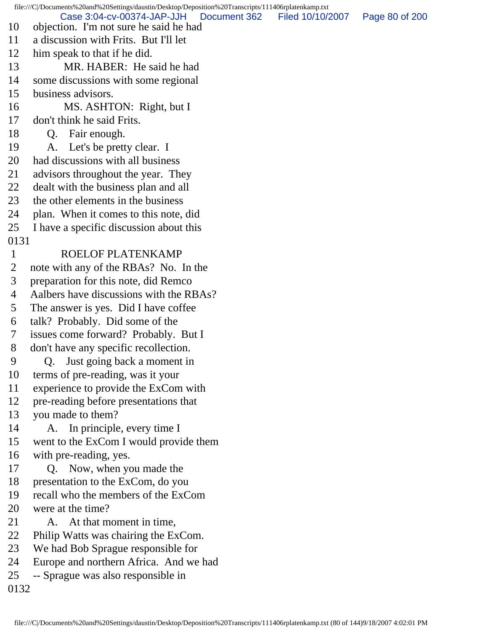file:///C|/Documents%20and%20Settings/daustin/Desktop/Deposition%20Transcripts/111406rplatenkamp.txt 10 objection. I'm not sure he said he had 11 a discussion with Frits. But I'll let 12 him speak to that if he did. 13 MR. HABER: He said he had 14 some discussions with some regional 15 business advisors. 16 MS. ASHTON: Right, but I 17 don't think he said Frits. 18 Q. Fair enough. 19 A. Let's be pretty clear. I 20 had discussions with all business 21 advisors throughout the year. They 22 dealt with the business plan and all 23 the other elements in the business 24 plan. When it comes to this note, did 25 I have a specific discussion about this 0131 1 ROELOF PLATENKAMP 2 note with any of the RBAs? No. In the 3 preparation for this note, did Remco 4 Aalbers have discussions with the RBAs? 5 The answer is yes. Did I have coffee 6 talk? Probably. Did some of the 7 issues come forward? Probably. But I 8 don't have any specific recollection. 9 Q. Just going back a moment in 10 terms of pre-reading, was it your 11 experience to provide the ExCom with 12 pre-reading before presentations that 13 you made to them? 14 A. In principle, every time I 15 went to the ExCom I would provide them 16 with pre-reading, yes. 17 Q. Now, when you made the 18 presentation to the ExCom, do you 19 recall who the members of the ExCom 20 were at the time? 21 A. At that moment in time, 22 Philip Watts was chairing the ExCom. 23 We had Bob Sprague responsible for 24 Europe and northern Africa. And we had 25 -- Sprague was also responsible in 0132 Case 3:04-cv-00374-JAP-JJH Document 362 Filed 10/10/2007 Page 80 of 200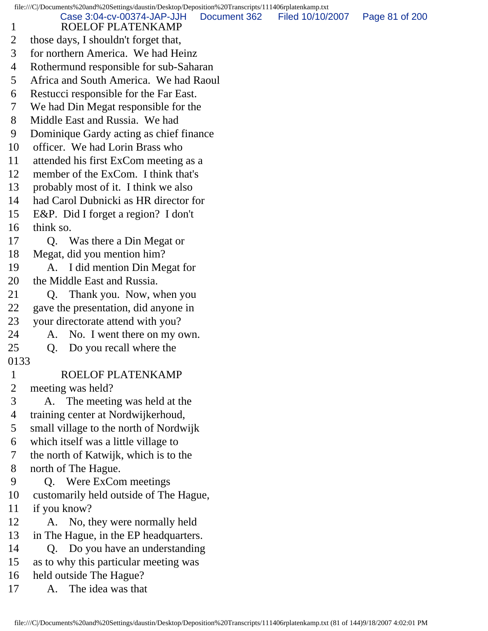file:///C|/Documents%20and%20Settings/daustin/Desktop/Deposition%20Transcripts/111406rplatenkamp.txt 1 ROELOF PLATENKAMP 2 those days, I shouldn't forget that, 3 for northern America. We had Heinz 4 Rothermund responsible for sub-Saharan 5 Africa and South America. We had Raoul 6 Restucci responsible for the Far East. 7 We had Din Megat responsible for the 8 Middle East and Russia. We had 9 Dominique Gardy acting as chief finance 10 officer. We had Lorin Brass who 11 attended his first ExCom meeting as a 12 member of the ExCom. I think that's 13 probably most of it. I think we also 14 had Carol Dubnicki as HR director for 15 E&P. Did I forget a region? I don't 16 think so. 17 Q. Was there a Din Megat or 18 Megat, did you mention him? 19 A. I did mention Din Megat for 20 the Middle East and Russia. 21 Q. Thank you. Now, when you 22 gave the presentation, did anyone in 23 your directorate attend with you? 24 A. No. I went there on my own. 25 Q. Do you recall where the 0133 1 ROELOF PLATENKAMP 2 meeting was held? 3 A. The meeting was held at the 4 training center at Nordwijkerhoud, 5 small village to the north of Nordwijk 6 which itself was a little village to 7 the north of Katwijk, which is to the 8 north of The Hague. 9 Q. Were ExCom meetings 10 customarily held outside of The Hague, 11 if you know? 12 A. No, they were normally held 13 in The Hague, in the EP headquarters. 14 Q. Do you have an understanding 15 as to why this particular meeting was 16 held outside The Hague? 17 A. The idea was that Case 3:04-cv-00374-JAP-JJH Document 362 Filed 10/10/2007 Page 81 of 200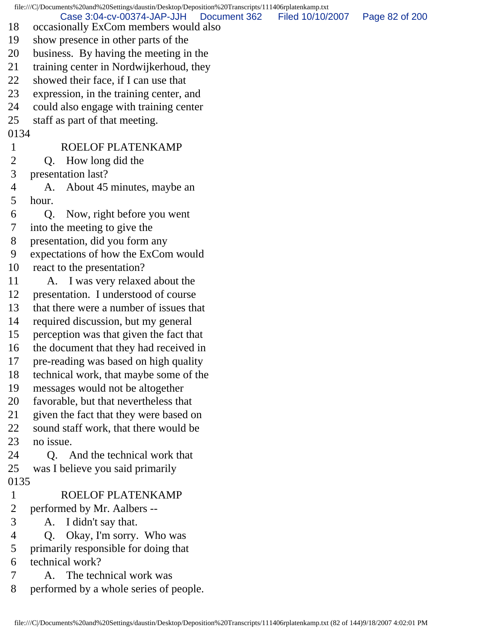file:///C|/Documents%20and%20Settings/daustin/Desktop/Deposition%20Transcripts/111406rplatenkamp.txt 18 occasionally ExCom members would also 19 show presence in other parts of the 20 business. By having the meeting in the 21 training center in Nordwijkerhoud, they 22 showed their face, if I can use that 23 expression, in the training center, and 24 could also engage with training center 25 staff as part of that meeting. 0134 1 ROELOF PLATENKAMP 2 Q. How long did the 3 presentation last? 4 A. About 45 minutes, maybe an 5 hour. 6 Q. Now, right before you went 7 into the meeting to give the 8 presentation, did you form any 9 expectations of how the ExCom would 10 react to the presentation? 11 A. I was very relaxed about the 12 presentation. I understood of course 13 that there were a number of issues that 14 required discussion, but my general 15 perception was that given the fact that 16 the document that they had received in 17 pre-reading was based on high quality 18 technical work, that maybe some of the 19 messages would not be altogether 20 favorable, but that nevertheless that 21 given the fact that they were based on 22 sound staff work, that there would be 23 no issue. 24 Q. And the technical work that 25 was I believe you said primarily 0135 1 ROELOF PLATENKAMP 2 performed by Mr. Aalbers -- 3 A. I didn't say that. 4 Q. Okay, I'm sorry. Who was 5 primarily responsible for doing that 6 technical work? 7 A. The technical work was 8 performed by a whole series of people. Case 3:04-cv-00374-JAP-JJH Document 362 Filed 10/10/2007 Page 82 of 200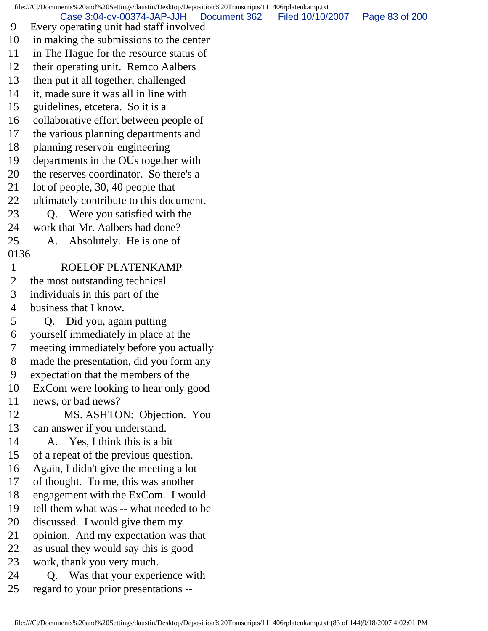file:///C|/Documents%20and%20Settings/daustin/Desktop/Deposition%20Transcripts/111406rplatenkamp.txt 9 Every operating unit had staff involved 10 in making the submissions to the center 11 in The Hague for the resource status of 12 their operating unit. Remco Aalbers 13 then put it all together, challenged 14 it, made sure it was all in line with 15 guidelines, etcetera. So it is a 16 collaborative effort between people of 17 the various planning departments and 18 planning reservoir engineering 19 departments in the OUs together with 20 the reserves coordinator. So there's a 21 lot of people, 30, 40 people that 22 ultimately contribute to this document. 23 Q. Were you satisfied with the 24 work that Mr. Aalbers had done? 25 A. Absolutely. He is one of 0136 1 ROELOF PLATENKAMP 2 the most outstanding technical 3 individuals in this part of the 4 business that I know. 5 Q. Did you, again putting 6 yourself immediately in place at the 7 meeting immediately before you actually 8 made the presentation, did you form any 9 expectation that the members of the 10 ExCom were looking to hear only good 11 news, or bad news? 12 MS. ASHTON: Objection. You 13 can answer if you understand. 14 A. Yes, I think this is a bit 15 of a repeat of the previous question. 16 Again, I didn't give the meeting a lot 17 of thought. To me, this was another 18 engagement with the ExCom. I would 19 tell them what was -- what needed to be 20 discussed. I would give them my 21 opinion. And my expectation was that 22 as usual they would say this is good 23 work, thank you very much. 24 Q. Was that your experience with 25 regard to your prior presentations -- Case 3:04-cv-00374-JAP-JJH Document 362 Filed 10/10/2007 Page 83 of 200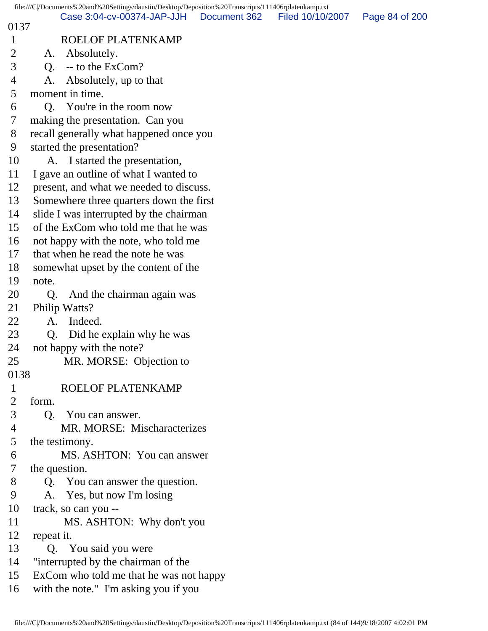|                               | file:///C /Documents%20and%20Settings/daustin/Desktop/Deposition%20Transcripts/111406rplatenkamp.txt |              |                  |                |
|-------------------------------|------------------------------------------------------------------------------------------------------|--------------|------------------|----------------|
| 0137                          | Case 3:04-cv-00374-JAP-JJH                                                                           | Document 362 | Filed 10/10/2007 | Page 84 of 200 |
| $\mathbf{1}$                  | ROELOF PLATENKAMP                                                                                    |              |                  |                |
| $\overline{2}$                | Absolutely.<br>A.                                                                                    |              |                  |                |
| 3                             | -- to the ExCom?<br>Q.                                                                               |              |                  |                |
| $\overline{4}$                | Absolutely, up to that<br>A.                                                                         |              |                  |                |
| 5                             | moment in time.                                                                                      |              |                  |                |
| 6                             | Q. You're in the room now                                                                            |              |                  |                |
| 7                             | making the presentation. Can you                                                                     |              |                  |                |
| 8                             | recall generally what happened once you                                                              |              |                  |                |
| 9                             | started the presentation?                                                                            |              |                  |                |
| 10                            | A. I started the presentation,                                                                       |              |                  |                |
| 11                            | I gave an outline of what I wanted to                                                                |              |                  |                |
| 12                            | present, and what we needed to discuss.                                                              |              |                  |                |
| 13                            | Somewhere three quarters down the first                                                              |              |                  |                |
| 14                            | slide I was interrupted by the chairman                                                              |              |                  |                |
| 15                            | of the ExCom who told me that he was                                                                 |              |                  |                |
| 16                            | not happy with the note, who told me                                                                 |              |                  |                |
| 17                            | that when he read the note he was                                                                    |              |                  |                |
| 18                            | somewhat upset by the content of the                                                                 |              |                  |                |
| 19                            | note.                                                                                                |              |                  |                |
| 20                            | And the chairman again was<br>Q.                                                                     |              |                  |                |
| 21                            | Philip Watts?                                                                                        |              |                  |                |
| 22                            | Indeed.<br>A.                                                                                        |              |                  |                |
| 23                            | Did he explain why he was<br>Q.                                                                      |              |                  |                |
| 24                            | not happy with the note?                                                                             |              |                  |                |
| 25                            | MR. MORSE: Objection to                                                                              |              |                  |                |
| 0138                          |                                                                                                      |              |                  |                |
| $\mathbf 1$<br>$\overline{2}$ | ROELOF PLATENKAMP<br>form.                                                                           |              |                  |                |
| 3                             |                                                                                                      |              |                  |                |
| $\overline{4}$                | You can answer.<br>Q.<br>MR. MORSE: Mischaracterizes                                                 |              |                  |                |
| 5                             | the testimony.                                                                                       |              |                  |                |
| 6                             | MS. ASHTON: You can answer                                                                           |              |                  |                |
| 7                             | the question.                                                                                        |              |                  |                |
| 8                             | Q. You can answer the question.                                                                      |              |                  |                |
| 9                             | Yes, but now I'm losing<br>A.                                                                        |              |                  |                |
| 10                            | track, so can you --                                                                                 |              |                  |                |
| 11                            | MS. ASHTON: Why don't you                                                                            |              |                  |                |
| 12                            | repeat it.                                                                                           |              |                  |                |
| 13                            | Q. You said you were                                                                                 |              |                  |                |
| 14                            | "interrupted by the chairman of the                                                                  |              |                  |                |
| 15                            | ExCom who told me that he was not happy                                                              |              |                  |                |
|                               |                                                                                                      |              |                  |                |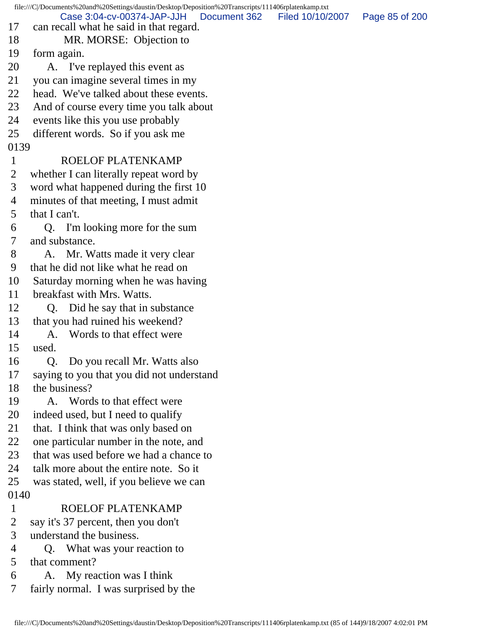file:///C|/Documents%20and%20Settings/daustin/Desktop/Deposition%20Transcripts/111406rplatenkamp.txt 17 can recall what he said in that regard. 18 MR. MORSE: Objection to 19 form again. 20 A. I've replayed this event as 21 you can imagine several times in my 22 head. We've talked about these events. 23 And of course every time you talk about 24 events like this you use probably 25 different words. So if you ask me 0139 1 ROELOF PLATENKAMP 2 whether I can literally repeat word by 3 word what happened during the first 10 4 minutes of that meeting, I must admit 5 that I can't. 6 Q. I'm looking more for the sum 7 and substance. 8 A. Mr. Watts made it very clear 9 that he did not like what he read on 10 Saturday morning when he was having 11 breakfast with Mrs. Watts. 12 Q. Did he say that in substance 13 that you had ruined his weekend? 14 A. Words to that effect were 15 used. 16 Q. Do you recall Mr. Watts also 17 saying to you that you did not understand 18 the business? 19 A. Words to that effect were 20 indeed used, but I need to qualify 21 that. I think that was only based on 22 one particular number in the note, and 23 that was used before we had a chance to 24 talk more about the entire note. So it 25 was stated, well, if you believe we can 0140 1 ROELOF PLATENKAMP 2 say it's 37 percent, then you don't 3 understand the business. 4 Q. What was your reaction to 5 that comment? 6 A. My reaction was I think 7 fairly normal. I was surprised by the Case 3:04-cv-00374-JAP-JJH Document 362 Filed 10/10/2007 Page 85 of 200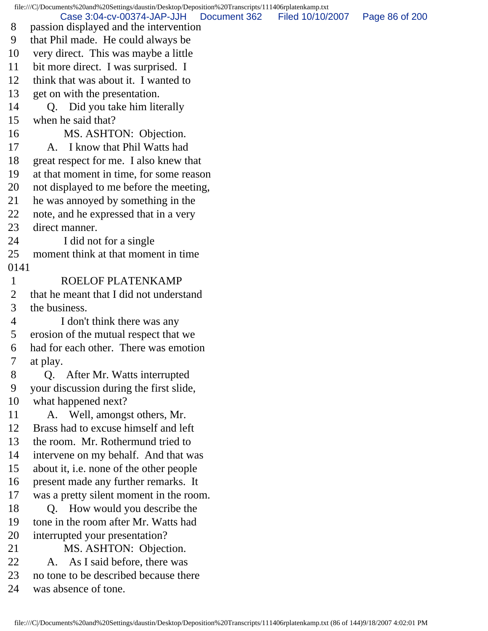file:///C|/Documents%20and%20Settings/daustin/Desktop/Deposition%20Transcripts/111406rplatenkamp.txt 8 passion displayed and the intervention 9 that Phil made. He could always be 10 very direct. This was maybe a little 11 bit more direct. I was surprised. I 12 think that was about it. I wanted to 13 get on with the presentation. 14 Q. Did you take him literally 15 when he said that? 16 MS. ASHTON: Objection. 17 A. I know that Phil Watts had 18 great respect for me. I also knew that 19 at that moment in time, for some reason 20 not displayed to me before the meeting, 21 he was annoyed by something in the 22 note, and he expressed that in a very 23 direct manner. 24 I did not for a single 25 moment think at that moment in time 0141 1 ROELOF PLATENKAMP 2 that he meant that I did not understand 3 the business. 4 I don't think there was any 5 erosion of the mutual respect that we 6 had for each other. There was emotion 7 at play. 8 Q. After Mr. Watts interrupted 9 your discussion during the first slide, 10 what happened next? 11 A. Well, amongst others, Mr. 12 Brass had to excuse himself and left 13 the room. Mr. Rothermund tried to 14 intervene on my behalf. And that was 15 about it, i.e. none of the other people 16 present made any further remarks. It 17 was a pretty silent moment in the room. 18 Q. How would you describe the 19 tone in the room after Mr. Watts had 20 interrupted your presentation? 21 MS. ASHTON: Objection. 22 A. As I said before, there was 23 no tone to be described because there 24 was absence of tone. Case 3:04-cv-00374-JAP-JJH Document 362 Filed 10/10/2007 Page 86 of 200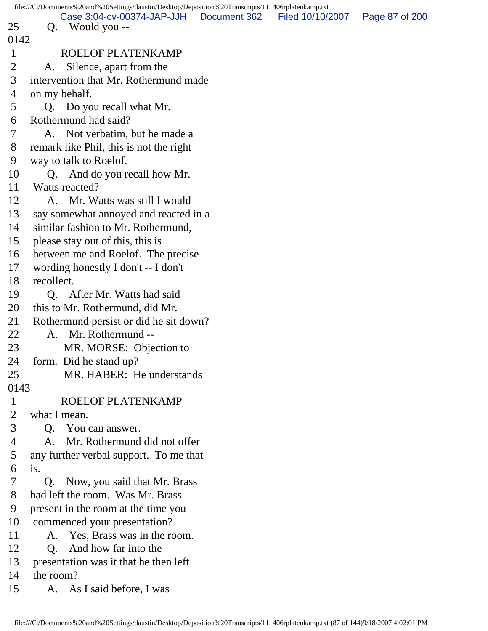|                | file:///C /Documents%20and%20Settings/daustin/Desktop/Deposition%20Transcripts/111406rplatenkamp.txt |                  |                |
|----------------|------------------------------------------------------------------------------------------------------|------------------|----------------|
| 25             | Case 3:04-cv-00374-JAP-JJH Document 362<br>Q. Would you --                                           | Filed 10/10/2007 | Page 87 of 200 |
| 0142           |                                                                                                      |                  |                |
| $\mathbf{1}$   | ROELOF PLATENKAMP                                                                                    |                  |                |
| $\overline{2}$ | A. Silence, apart from the                                                                           |                  |                |
| 3              | intervention that Mr. Rothermund made                                                                |                  |                |
| 4              | on my behalf.                                                                                        |                  |                |
| 5              | Q. Do you recall what Mr.                                                                            |                  |                |
| 6              | Rothermund had said?                                                                                 |                  |                |
| 7              | A. Not verbatim, but he made a                                                                       |                  |                |
| 8              | remark like Phil, this is not the right                                                              |                  |                |
| 9              | way to talk to Roelof.                                                                               |                  |                |
| 10             | And do you recall how Mr.<br>Q.                                                                      |                  |                |
| 11             | Watts reacted?                                                                                       |                  |                |
| 12             | A. Mr. Watts was still I would                                                                       |                  |                |
| 13             | say somewhat annoyed and reacted in a                                                                |                  |                |
| 14             | similar fashion to Mr. Rothermund,                                                                   |                  |                |
| 15             | please stay out of this, this is                                                                     |                  |                |
| 16             | between me and Roelof. The precise                                                                   |                  |                |
| 17             | wording honestly I don't -- I don't                                                                  |                  |                |
| 18             | recollect.                                                                                           |                  |                |
| 19             | Q. After Mr. Watts had said                                                                          |                  |                |
| 20             | this to Mr. Rothermund, did Mr.                                                                      |                  |                |
| 21             | Rothermund persist or did he sit down?                                                               |                  |                |
| 22             | A. Mr. Rothermund --                                                                                 |                  |                |
| 23             | MR. MORSE: Objection to                                                                              |                  |                |
| 24             | form. Did he stand up?                                                                               |                  |                |
| 25             | MR. HABER: He understands                                                                            |                  |                |
| 0143           |                                                                                                      |                  |                |
| $\mathbf{1}$   | ROELOF PLATENKAMP                                                                                    |                  |                |
| $\overline{2}$ | what I mean.                                                                                         |                  |                |
| 3              | Q. You can answer.                                                                                   |                  |                |
| 4              | Mr. Rothermund did not offer<br>A.                                                                   |                  |                |
| 5              | any further verbal support. To me that                                                               |                  |                |
| 6              | is.                                                                                                  |                  |                |
| 7              | Q. Now, you said that Mr. Brass                                                                      |                  |                |
| 8              | had left the room. Was Mr. Brass                                                                     |                  |                |
| 9              | present in the room at the time you                                                                  |                  |                |
| 10             | commenced your presentation?                                                                         |                  |                |
| 11             | A. Yes, Brass was in the room.                                                                       |                  |                |
| 12             | And how far into the<br>Q.                                                                           |                  |                |
| 13             | presentation was it that he then left                                                                |                  |                |
| 14             | the room?                                                                                            |                  |                |
| 15             | A. As I said before, I was                                                                           |                  |                |
|                |                                                                                                      |                  |                |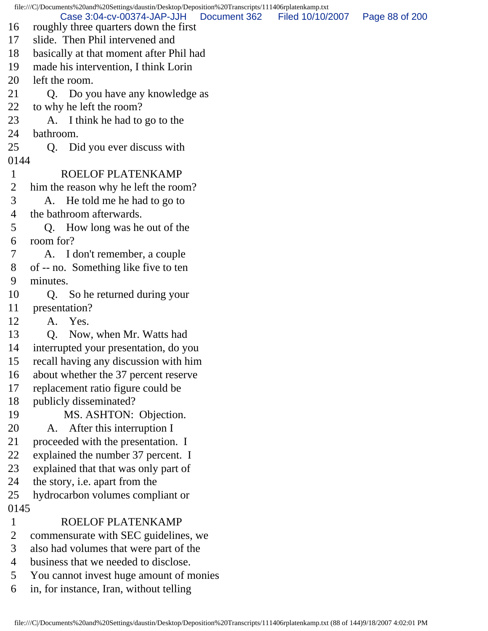file:///C|/Documents%20and%20Settings/daustin/Desktop/Deposition%20Transcripts/111406rplatenkamp.txt 16 roughly three quarters down the first 17 slide. Then Phil intervened and 18 basically at that moment after Phil had 19 made his intervention, I think Lorin 20 left the room. 21 Q. Do you have any knowledge as 22 to why he left the room? 23 A. I think he had to go to the 24 bathroom. 25 Q. Did you ever discuss with 0144 1 ROELOF PLATENKAMP 2 him the reason why he left the room? 3 A. He told me he had to go to 4 the bathroom afterwards. 5 Q. How long was he out of the 6 room for? 7 A. I don't remember, a couple 8 of -- no. Something like five to ten 9 minutes. 10 Q. So he returned during your 11 presentation? 12 A. Yes. 13 Q. Now, when Mr. Watts had 14 interrupted your presentation, do you 15 recall having any discussion with him 16 about whether the 37 percent reserve 17 replacement ratio figure could be 18 publicly disseminated? 19 MS. ASHTON: Objection. 20 A. After this interruption I 21 proceeded with the presentation. I 22 explained the number 37 percent. I 23 explained that that was only part of 24 the story, i.e. apart from the 25 hydrocarbon volumes compliant or 0145 1 ROELOF PLATENKAMP 2 commensurate with SEC guidelines, we 3 also had volumes that were part of the 4 business that we needed to disclose. 5 You cannot invest huge amount of monies 6 in, for instance, Iran, without telling Case 3:04-cv-00374-JAP-JJH Document 362 Filed 10/10/2007 Page 88 of 200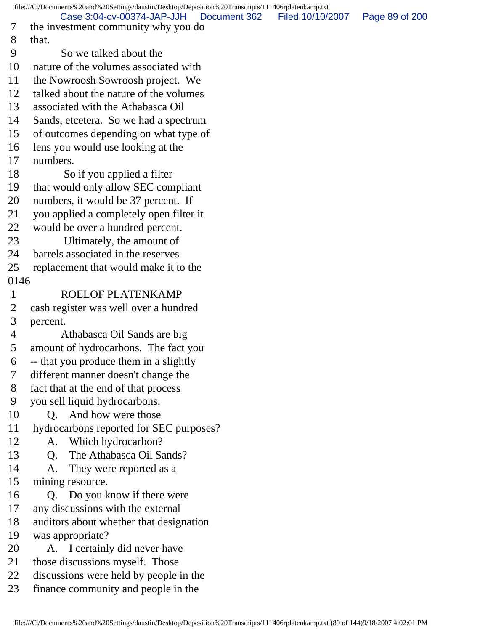```
file:///C|/Documents%20and%20Settings/daustin/Desktop/Deposition%20Transcripts/111406rplatenkamp.txt
 7 the investment community why you do
 8 that.
 9 So we talked about the
10 nature of the volumes associated with
11 the Nowroosh Sowroosh project. We
12 talked about the nature of the volumes
13 associated with the Athabasca Oil
14 Sands, etcetera. So we had a spectrum
15 of outcomes depending on what type of
16 lens you would use looking at the
17 numbers.
18 So if you applied a filter
19 that would only allow SEC compliant
20 numbers, it would be 37 percent. If
21 you applied a completely open filter it
22 would be over a hundred percent.
23 Ultimately, the amount of
24 barrels associated in the reserves
25 replacement that would make it to the
0146
 1 ROELOF PLATENKAMP
 2 cash register was well over a hundred
 3 percent.
 4 Athabasca Oil Sands are big
 5 amount of hydrocarbons. The fact you
 6 -- that you produce them in a slightly
 7 different manner doesn't change the
 8 fact that at the end of that process
 9 you sell liquid hydrocarbons.
10 O. And how were those
11 hydrocarbons reported for SEC purposes?
12 A. Which hydrocarbon?
13 O. The Athabasca Oil Sands?
14 A. They were reported as a
15 mining resource.
16 Q. Do you know if there were
17 any discussions with the external
18 auditors about whether that designation
19 was appropriate?
20 A. I certainly did never have
21 those discussions myself. Those
22 discussions were held by people in the
23 finance community and people in the
          Case 3:04-cv-00374-JAP-JJH Document 362 Filed 10/10/2007 Page 89 of 200
```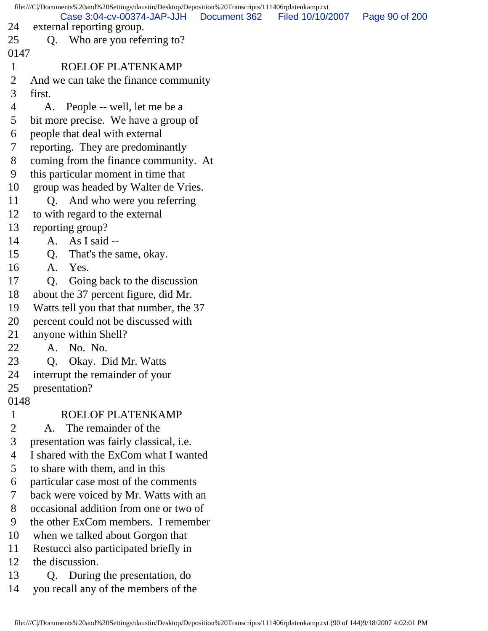file:///C|/Documents%20and%20Settings/daustin/Desktop/Deposition%20Transcripts/111406rplatenkamp.txt 24 external reporting group. 25 Q. Who are you referring to? 0147 1 ROELOF PLATENKAMP 2 And we can take the finance community 3 first. 4 A. People -- well, let me be a 5 bit more precise. We have a group of 6 people that deal with external 7 reporting. They are predominantly 8 coming from the finance community. At 9 this particular moment in time that 10 group was headed by Walter de Vries. 11 Q. And who were you referring 12 to with regard to the external 13 reporting group? 14 A. As I said -- 15 Q. That's the same, okay. 16 A. Yes. 17 Q. Going back to the discussion 18 about the 37 percent figure, did Mr. 19 Watts tell you that that number, the 37 20 percent could not be discussed with 21 anyone within Shell? 22 A. No. No. 23 Q. Okay. Did Mr. Watts 24 interrupt the remainder of your 25 presentation? 0148 1 ROELOF PLATENKAMP 2 A. The remainder of the 3 presentation was fairly classical, i.e. 4 I shared with the ExCom what I wanted 5 to share with them, and in this 6 particular case most of the comments 7 back were voiced by Mr. Watts with an 8 occasional addition from one or two of 9 the other ExCom members. I remember 10 when we talked about Gorgon that 11 Restucci also participated briefly in 12 the discussion. 13 Q. During the presentation, do 14 you recall any of the members of the Case 3:04-cv-00374-JAP-JJH Document 362 Filed 10/10/2007 Page 90 of 200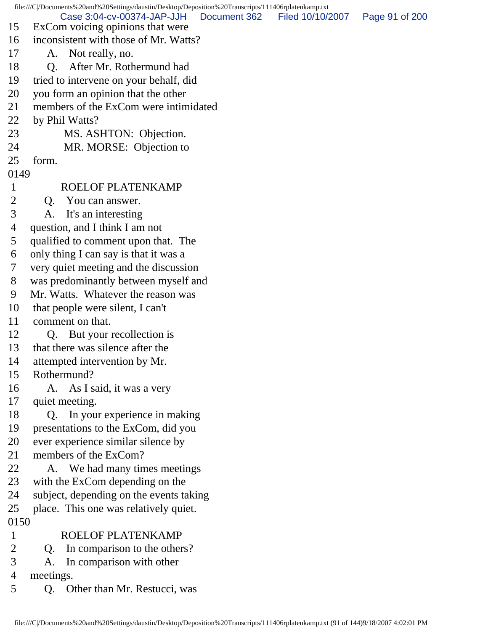file:///C|/Documents%20and%20Settings/daustin/Desktop/Deposition%20Transcripts/111406rplatenkamp.txt 15 ExCom voicing opinions that were 16 inconsistent with those of Mr. Watts? 17 A. Not really, no. 18 Q. After Mr. Rothermund had 19 tried to intervene on your behalf, did 20 you form an opinion that the other 21 members of the ExCom were intimidated 22 by Phil Watts? 23 MS. ASHTON: Objection. 24 MR. MORSE: Objection to 25 form. 0149 1 ROELOF PLATENKAMP 2 Q. You can answer. 3 A. It's an interesting 4 question, and I think I am not 5 qualified to comment upon that. The 6 only thing I can say is that it was a 7 very quiet meeting and the discussion 8 was predominantly between myself and 9 Mr. Watts. Whatever the reason was 10 that people were silent, I can't 11 comment on that. 12 Q. But your recollection is 13 that there was silence after the 14 attempted intervention by Mr. 15 Rothermund? 16 A. As I said, it was a very 17 quiet meeting. 18 Q. In your experience in making 19 presentations to the ExCom, did you 20 ever experience similar silence by 21 members of the ExCom? 22 A. We had many times meetings 23 with the ExCom depending on the 24 subject, depending on the events taking 25 place. This one was relatively quiet. 0150 1 ROELOF PLATENKAMP 2 O. In comparison to the others? 3 A. In comparison with other 4 meetings. 5 Q. Other than Mr. Restucci, was Case 3:04-cv-00374-JAP-JJH Document 362 Filed 10/10/2007 Page 91 of 200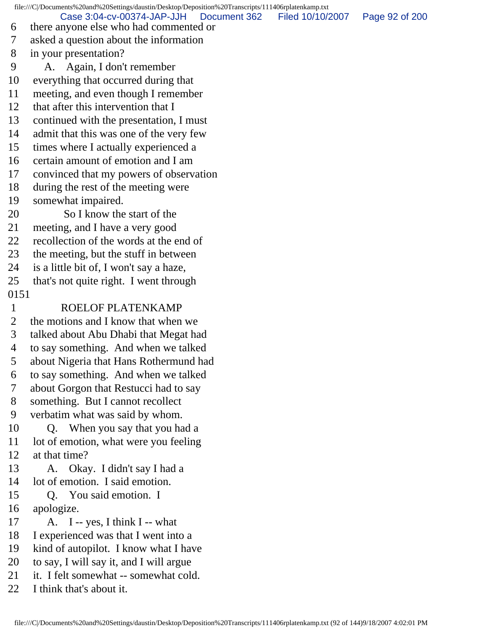file:///C|/Documents%20and%20Settings/daustin/Desktop/Deposition%20Transcripts/111406rplatenkamp.txt 6 there anyone else who had commented or 7 asked a question about the information 8 in your presentation? 9 A. Again, I don't remember 10 everything that occurred during that 11 meeting, and even though I remember 12 that after this intervention that I 13 continued with the presentation, I must 14 admit that this was one of the very few 15 times where I actually experienced a 16 certain amount of emotion and I am 17 convinced that my powers of observation 18 during the rest of the meeting were 19 somewhat impaired. 20 So I know the start of the 21 meeting, and I have a very good 22 recollection of the words at the end of 23 the meeting, but the stuff in between 24 is a little bit of, I won't say a haze, 25 that's not quite right. I went through 0151 1 ROELOF PLATENKAMP 2 the motions and I know that when we 3 talked about Abu Dhabi that Megat had 4 to say something. And when we talked 5 about Nigeria that Hans Rothermund had 6 to say something. And when we talked 7 about Gorgon that Restucci had to say 8 something. But I cannot recollect 9 verbatim what was said by whom. 10 Q. When you say that you had a 11 lot of emotion, what were you feeling 12 at that time? 13 A. Okay. I didn't say I had a 14 lot of emotion. I said emotion. 15 Q. You said emotion. I 16 apologize. 17 A. I -- yes, I think I -- what 18 I experienced was that I went into a 19 kind of autopilot. I know what I have 20 to say, I will say it, and I will argue 21 it. I felt somewhat -- somewhat cold. 22 I think that's about it. Case 3:04-cv-00374-JAP-JJH Document 362 Filed 10/10/2007 Page 92 of 200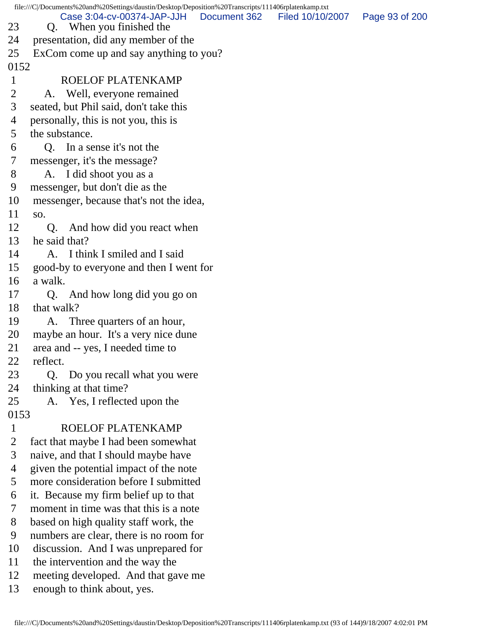file:///C|/Documents%20and%20Settings/daustin/Desktop/Deposition%20Transcripts/111406rplatenkamp.txt 23 Q. When you finished the 24 presentation, did any member of the 25 ExCom come up and say anything to you? 0152 1 ROELOF PLATENKAMP 2 A. Well, everyone remained 3 seated, but Phil said, don't take this 4 personally, this is not you, this is 5 the substance. 6 Q. In a sense it's not the 7 messenger, it's the message? 8 A. I did shoot you as a 9 messenger, but don't die as the 10 messenger, because that's not the idea, 11 so. 12 Q. And how did you react when 13 he said that? 14 A. I think I smiled and I said 15 good-by to everyone and then I went for 16 a walk. 17 Q. And how long did you go on 18 that walk? 19 A. Three quarters of an hour, 20 maybe an hour. It's a very nice dune 21 area and -- yes, I needed time to 22 reflect. 23 Q. Do you recall what you were 24 thinking at that time? 25 A. Yes, I reflected upon the 0153 1 ROELOF PLATENKAMP 2 fact that maybe I had been somewhat 3 naive, and that I should maybe have 4 given the potential impact of the note 5 more consideration before I submitted 6 it. Because my firm belief up to that 7 moment in time was that this is a note 8 based on high quality staff work, the 9 numbers are clear, there is no room for 10 discussion. And I was unprepared for 11 the intervention and the way the 12 meeting developed. And that gave me 13 enough to think about, yes. Case 3:04-cv-00374-JAP-JJH Document 362 Filed 10/10/2007 Page 93 of 200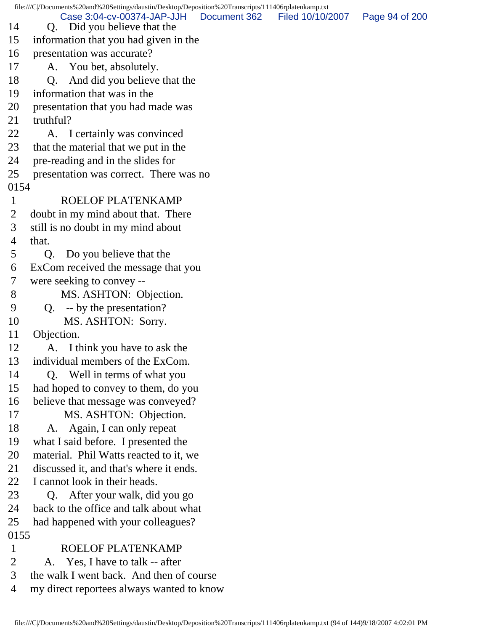file:///C|/Documents%20and%20Settings/daustin/Desktop/Deposition%20Transcripts/111406rplatenkamp.txt 14 Q. Did you believe that the 15 information that you had given in the 16 presentation was accurate? 17 A. You bet, absolutely. 18 O. And did you believe that the 19 information that was in the 20 presentation that you had made was 21 truthful? 22 A. I certainly was convinced 23 that the material that we put in the 24 pre-reading and in the slides for 25 presentation was correct. There was no 0154 1 ROELOF PLATENKAMP 2 doubt in my mind about that. There 3 still is no doubt in my mind about 4 that. 5 Q. Do you believe that the 6 ExCom received the message that you 7 were seeking to convey -- 8 MS. ASHTON: Objection. 9 Q. -- by the presentation? 10 MS. ASHTON: Sorry. 11 Objection. 12 A. I think you have to ask the 13 individual members of the ExCom. 14 Q. Well in terms of what you 15 had hoped to convey to them, do you 16 believe that message was conveyed? 17 MS. ASHTON: Objection. 18 A. Again, I can only repeat 19 what I said before. I presented the 20 material. Phil Watts reacted to it, we 21 discussed it, and that's where it ends. 22 I cannot look in their heads. 23 Q. After your walk, did you go 24 back to the office and talk about what 25 had happened with your colleagues? 0155 1 ROELOF PLATENKAMP 2 A. Yes, I have to talk -- after 3 the walk I went back. And then of course 4 my direct reportees always wanted to know Case 3:04-cv-00374-JAP-JJH Document 362 Filed 10/10/2007 Page 94 of 200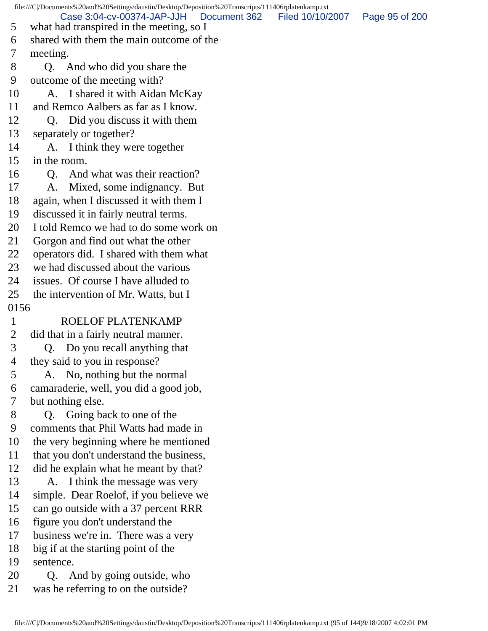file:///C|/Documents%20and%20Settings/daustin/Desktop/Deposition%20Transcripts/111406rplatenkamp.txt 5 what had transpired in the meeting, so I 6 shared with them the main outcome of the 7 meeting. 8 Q. And who did you share the 9 outcome of the meeting with? 10 A. I shared it with Aidan McKay 11 and Remco Aalbers as far as I know. 12 Q. Did you discuss it with them 13 separately or together? 14 A. I think they were together 15 in the room. 16 Q. And what was their reaction? 17 A. Mixed, some indignancy. But 18 again, when I discussed it with them I 19 discussed it in fairly neutral terms. 20 I told Remco we had to do some work on 21 Gorgon and find out what the other 22 operators did. I shared with them what 23 we had discussed about the various 24 issues. Of course I have alluded to 25 the intervention of Mr. Watts, but I 0156 1 ROELOF PLATENKAMP 2 did that in a fairly neutral manner. 3 Q. Do you recall anything that 4 they said to you in response? 5 A. No, nothing but the normal 6 camaraderie, well, you did a good job, 7 but nothing else. 8 Q. Going back to one of the 9 comments that Phil Watts had made in 10 the very beginning where he mentioned 11 that you don't understand the business, 12 did he explain what he meant by that? 13 A. I think the message was very 14 simple. Dear Roelof, if you believe we 15 can go outside with a 37 percent RRR 16 figure you don't understand the 17 business we're in. There was a very 18 big if at the starting point of the 19 sentence. 20 Q. And by going outside, who 21 was he referring to on the outside? Case 3:04-cv-00374-JAP-JJH Document 362 Filed 10/10/2007 Page 95 of 200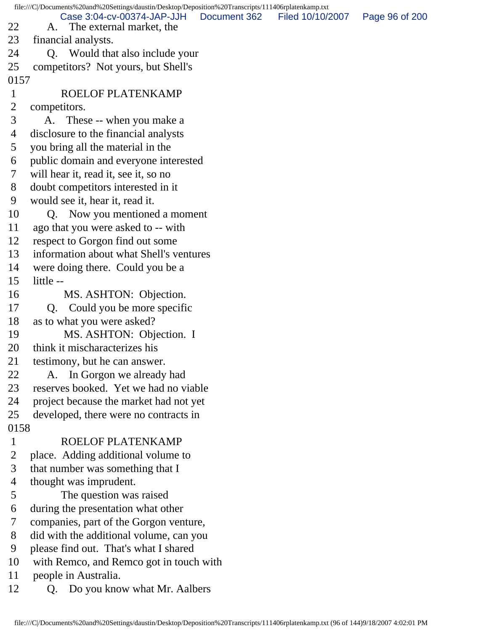file:///C|/Documents%20and%20Settings/daustin/Desktop/Deposition%20Transcripts/111406rplatenkamp.txt 22 A. The external market, the 23 financial analysts. 24 Q. Would that also include your 25 competitors? Not yours, but Shell's 0157 1 ROELOF PLATENKAMP 2 competitors. 3 A. These -- when you make a 4 disclosure to the financial analysts 5 you bring all the material in the 6 public domain and everyone interested 7 will hear it, read it, see it, so no 8 doubt competitors interested in it 9 would see it, hear it, read it. 10 Q. Now you mentioned a moment 11 ago that you were asked to -- with 12 respect to Gorgon find out some 13 information about what Shell's ventures 14 were doing there. Could you be a 15 little -- 16 MS. ASHTON: Objection. 17 Q. Could you be more specific 18 as to what you were asked? 19 MS. ASHTON: Objection. I 20 think it mischaracterizes his 21 testimony, but he can answer. 22 A. In Gorgon we already had 23 reserves booked. Yet we had no viable 24 project because the market had not yet 25 developed, there were no contracts in 0158 1 ROELOF PLATENKAMP 2 place. Adding additional volume to 3 that number was something that I 4 thought was imprudent. 5 The question was raised 6 during the presentation what other 7 companies, part of the Gorgon venture, 8 did with the additional volume, can you 9 please find out. That's what I shared 10 with Remco, and Remco got in touch with 11 people in Australia. 12 Q. Do you know what Mr. Aalbers Case 3:04-cv-00374-JAP-JJH Document 362 Filed 10/10/2007 Page 96 of 200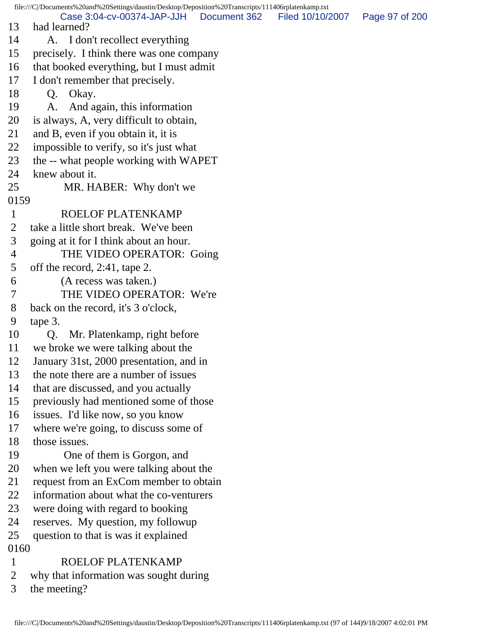file:///C|/Documents%20and%20Settings/daustin/Desktop/Deposition%20Transcripts/111406rplatenkamp.txt 13 had learned? 14 A. I don't recollect everything 15 precisely. I think there was one company 16 that booked everything, but I must admit 17 I don't remember that precisely. 18 Q. Okay. 19 A. And again, this information 20 is always, A, very difficult to obtain, 21 and B, even if you obtain it, it is 22 impossible to verify, so it's just what 23 the -- what people working with WAPET 24 knew about it. 25 MR. HABER: Why don't we 0159 1 ROELOF PLATENKAMP 2 take a little short break. We've been 3 going at it for I think about an hour. 4 THE VIDEO OPERATOR: Going 5 off the record, 2:41, tape 2. 6 (A recess was taken.) 7 THE VIDEO OPERATOR: We're 8 back on the record, it's 3 o'clock, 9 tape 3. 10 Q. Mr. Platenkamp, right before 11 we broke we were talking about the 12 January 31st, 2000 presentation, and in 13 the note there are a number of issues 14 that are discussed, and you actually 15 previously had mentioned some of those 16 issues. I'd like now, so you know 17 where we're going, to discuss some of 18 those issues. 19 One of them is Gorgon, and 20 when we left you were talking about the 21 request from an ExCom member to obtain 22 information about what the co-venturers 23 were doing with regard to booking 24 reserves. My question, my followup 25 question to that is was it explained 0160 1 ROELOF PLATENKAMP 2 why that information was sought during 3 the meeting? Case 3:04-cv-00374-JAP-JJH Document 362 Filed 10/10/2007 Page 97 of 200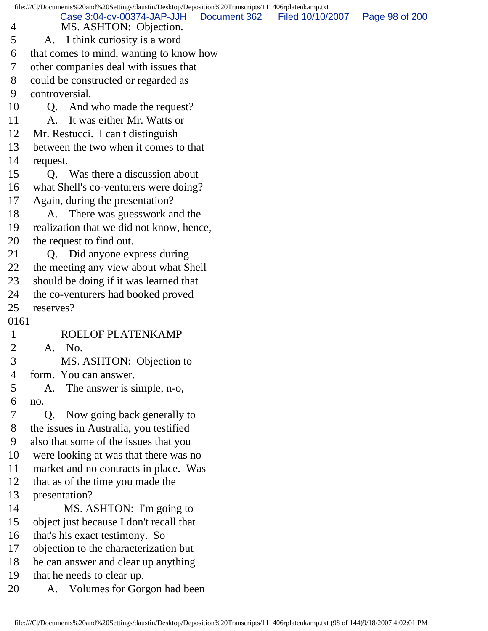|                | file:///C /Documents%20and%20Settings/daustin/Desktop/Deposition%20Transcripts/111406rplatenkamp.txt |              |                  |                |
|----------------|------------------------------------------------------------------------------------------------------|--------------|------------------|----------------|
| 4              | Case 3:04-cv-00374-JAP-JJH<br>MS. ASHTON: Objection.                                                 | Document 362 | Filed 10/10/2007 | Page 98 of 200 |
| 5              | I think curiosity is a word<br>A.                                                                    |              |                  |                |
| 6              | that comes to mind, wanting to know how                                                              |              |                  |                |
| 7              | other companies deal with issues that                                                                |              |                  |                |
| 8              | could be constructed or regarded as                                                                  |              |                  |                |
| 9              | controversial.                                                                                       |              |                  |                |
| 10             | And who made the request?<br>Q.                                                                      |              |                  |                |
| 11             | It was either Mr. Watts or<br>A.                                                                     |              |                  |                |
| 12             | Mr. Restucci. I can't distinguish                                                                    |              |                  |                |
| 13             | between the two when it comes to that                                                                |              |                  |                |
| 14             | request.                                                                                             |              |                  |                |
| 15             | Q. Was there a discussion about                                                                      |              |                  |                |
| 16             | what Shell's co-venturers were doing?                                                                |              |                  |                |
| 17             | Again, during the presentation?                                                                      |              |                  |                |
| 18             | There was guesswork and the<br>A.                                                                    |              |                  |                |
| 19             | realization that we did not know, hence,                                                             |              |                  |                |
| 20             | the request to find out.                                                                             |              |                  |                |
| 21             | Q. Did anyone express during                                                                         |              |                  |                |
| 22             | the meeting any view about what Shell                                                                |              |                  |                |
| 23             | should be doing if it was learned that                                                               |              |                  |                |
| 24             | the co-venturers had booked proved                                                                   |              |                  |                |
| 25             | reserves?                                                                                            |              |                  |                |
| 0161           |                                                                                                      |              |                  |                |
| 1              | ROELOF PLATENKAMP                                                                                    |              |                  |                |
| $\overline{2}$ | A. No.                                                                                               |              |                  |                |
| 3              | MS. ASHTON: Objection to                                                                             |              |                  |                |
| 4              | form. You can answer.                                                                                |              |                  |                |
| 5              | The answer is simple, n-o,<br>А.                                                                     |              |                  |                |
| 6              | no.                                                                                                  |              |                  |                |
| 7              | Now going back generally to<br>Q.                                                                    |              |                  |                |
| 8              | the issues in Australia, you testified                                                               |              |                  |                |
| 9              | also that some of the issues that you                                                                |              |                  |                |
| 10             | were looking at was that there was no                                                                |              |                  |                |
| 11             | market and no contracts in place. Was                                                                |              |                  |                |
| 12             | that as of the time you made the                                                                     |              |                  |                |
| 13             | presentation?                                                                                        |              |                  |                |
| 14             | MS. ASHTON: I'm going to                                                                             |              |                  |                |
| 15             | object just because I don't recall that                                                              |              |                  |                |
| 16             | that's his exact testimony. So                                                                       |              |                  |                |
| 17             | objection to the characterization but                                                                |              |                  |                |
| 18             | he can answer and clear up anything                                                                  |              |                  |                |
| 19             | that he needs to clear up.                                                                           |              |                  |                |
| 20             | Volumes for Gorgon had been<br>A.                                                                    |              |                  |                |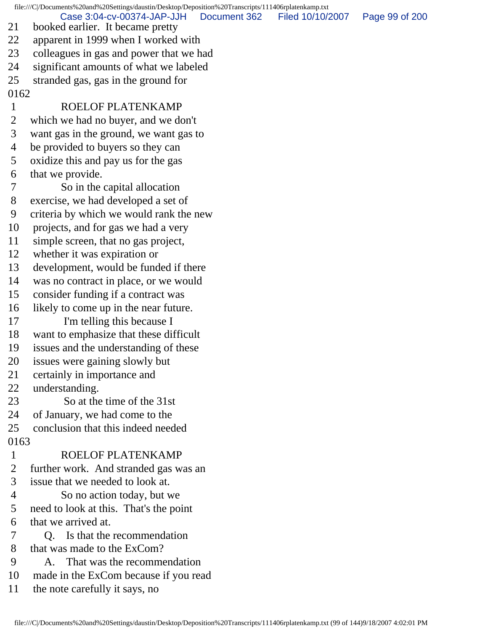file:///C|/Documents%20and%20Settings/daustin/Desktop/Deposition%20Transcripts/111406rplatenkamp.txt 21 booked earlier. It became pretty 22 apparent in 1999 when I worked with 23 colleagues in gas and power that we had 24 significant amounts of what we labeled 25 stranded gas, gas in the ground for 0162 1 ROELOF PLATENKAMP 2 which we had no buyer, and we don't 3 want gas in the ground, we want gas to 4 be provided to buyers so they can 5 oxidize this and pay us for the gas 6 that we provide. 7 So in the capital allocation 8 exercise, we had developed a set of 9 criteria by which we would rank the new 10 projects, and for gas we had a very 11 simple screen, that no gas project, 12 whether it was expiration or 13 development, would be funded if there 14 was no contract in place, or we would 15 consider funding if a contract was 16 likely to come up in the near future. 17 I'm telling this because I 18 want to emphasize that these difficult 19 issues and the understanding of these 20 issues were gaining slowly but 21 certainly in importance and 22 understanding. 23 So at the time of the 31st 24 of January, we had come to the 25 conclusion that this indeed needed 0163 1 ROELOF PLATENKAMP 2 further work. And stranded gas was an 3 issue that we needed to look at. 4 So no action today, but we 5 need to look at this. That's the point 6 that we arrived at. 7 Q. Is that the recommendation 8 that was made to the ExCom? 9 A. That was the recommendation 10 made in the ExCom because if you read 11 the note carefully it says, no Case 3:04-cv-00374-JAP-JJH Document 362 Filed 10/10/2007 Page 99 of 200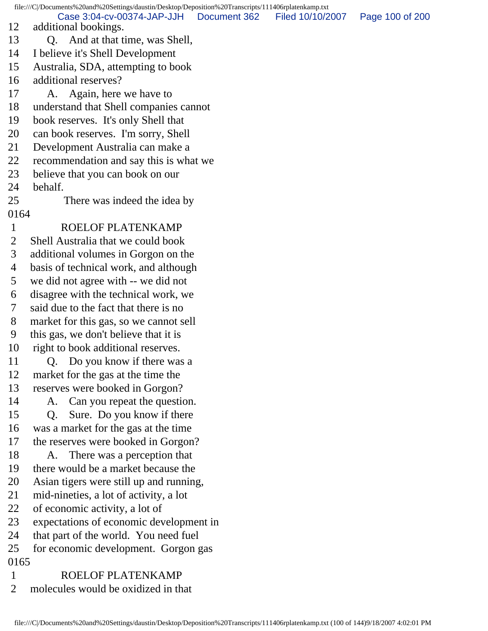file:///C|/Documents%20and%20Settings/daustin/Desktop/Deposition%20Transcripts/111406rplatenkamp.txt 12 additional bookings. 13 Q. And at that time, was Shell, 14 I believe it's Shell Development 15 Australia, SDA, attempting to book 16 additional reserves? 17 A. Again, here we have to 18 understand that Shell companies cannot 19 book reserves. It's only Shell that 20 can book reserves. I'm sorry, Shell 21 Development Australia can make a 22 recommendation and say this is what we 23 believe that you can book on our 24 behalf. 25 There was indeed the idea by 0164 1 ROELOF PLATENKAMP 2 Shell Australia that we could book 3 additional volumes in Gorgon on the 4 basis of technical work, and although 5 we did not agree with -- we did not 6 disagree with the technical work, we 7 said due to the fact that there is no 8 market for this gas, so we cannot sell 9 this gas, we don't believe that it is 10 right to book additional reserves. 11 Q. Do you know if there was a 12 market for the gas at the time the 13 reserves were booked in Gorgon? 14 A. Can you repeat the question. 15 Q. Sure. Do you know if there 16 was a market for the gas at the time 17 the reserves were booked in Gorgon? 18 A. There was a perception that 19 there would be a market because the 20 Asian tigers were still up and running, 21 mid-nineties, a lot of activity, a lot 22 of economic activity, a lot of 23 expectations of economic development in 24 that part of the world. You need fuel 25 for economic development. Gorgon gas 0165 1 ROELOF PLATENKAMP 2 molecules would be oxidized in that Case 3:04-cv-00374-JAP-JJH Document 362 Filed 10/10/2007 Page 100 of 200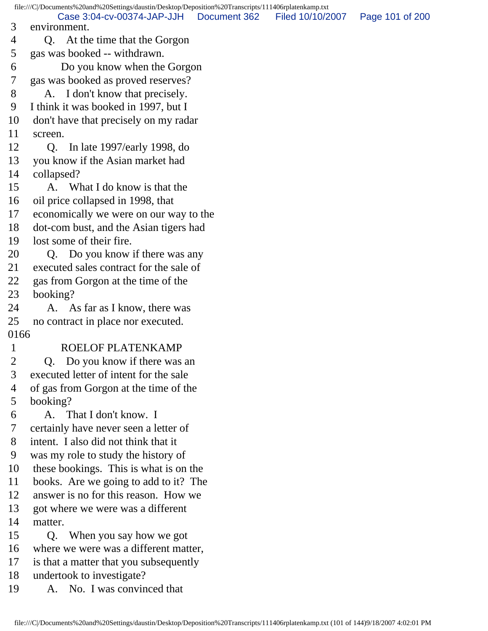file:///C|/Documents%20and%20Settings/daustin/Desktop/Deposition%20Transcripts/111406rplatenkamp.txt 3 environment. 4 Q. At the time that the Gorgon 5 gas was booked -- withdrawn. 6 Do you know when the Gorgon 7 gas was booked as proved reserves? 8 A. I don't know that precisely. 9 I think it was booked in 1997, but I 10 don't have that precisely on my radar 11 screen. 12 Q. In late 1997/early 1998, do 13 you know if the Asian market had 14 collapsed? 15 A. What I do know is that the 16 oil price collapsed in 1998, that 17 economically we were on our way to the 18 dot-com bust, and the Asian tigers had 19 lost some of their fire. 20 O. Do you know if there was any 21 executed sales contract for the sale of 22 gas from Gorgon at the time of the 23 booking? 24 A. As far as I know, there was 25 no contract in place nor executed. 0166 1 ROELOF PLATENKAMP 2 Q. Do you know if there was an 3 executed letter of intent for the sale 4 of gas from Gorgon at the time of the 5 booking? 6 A. That I don't know. I 7 certainly have never seen a letter of 8 intent. I also did not think that it 9 was my role to study the history of 10 these bookings. This is what is on the 11 books. Are we going to add to it? The 12 answer is no for this reason. How we 13 got where we were was a different 14 matter. 15 Q. When you say how we got 16 where we were was a different matter, 17 is that a matter that you subsequently 18 undertook to investigate? 19 A. No. I was convinced that Case 3:04-cv-00374-JAP-JJH Document 362 Filed 10/10/2007 Page 101 of 200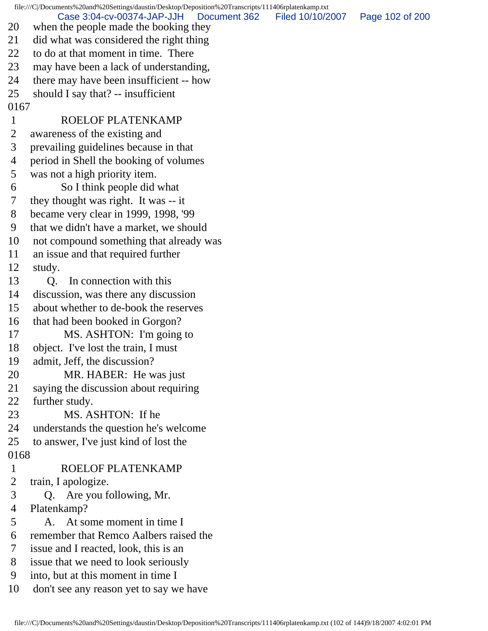file:///C|/Documents%20and%20Settings/daustin/Desktop/Deposition%20Transcripts/111406rplatenkamp.txt 20 when the people made the booking they 21 did what was considered the right thing 22 to do at that moment in time. There 23 may have been a lack of understanding, 24 there may have been insufficient -- how 25 should I say that? -- insufficient 0167 1 ROELOF PLATENKAMP 2 awareness of the existing and 3 prevailing guidelines because in that 4 period in Shell the booking of volumes 5 was not a high priority item. 6 So I think people did what 7 they thought was right. It was -- it 8 became very clear in 1999, 1998, '99 9 that we didn't have a market, we should 10 not compound something that already was 11 an issue and that required further 12 study. 13 O. In connection with this 14 discussion, was there any discussion 15 about whether to de-book the reserves 16 that had been booked in Gorgon? 17 MS. ASHTON: I'm going to 18 object. I've lost the train, I must 19 admit, Jeff, the discussion? 20 MR. HABER: He was just 21 saying the discussion about requiring 22 further study. 23 MS. ASHTON: If he 24 understands the question he's welcome 25 to answer, I've just kind of lost the 0168 1 ROELOF PLATENKAMP 2 train, I apologize. 3 Q. Are you following, Mr. 4 Platenkamp? 5 A. At some moment in time I 6 remember that Remco Aalbers raised the 7 issue and I reacted, look, this is an 8 issue that we need to look seriously 9 into, but at this moment in time I 10 don't see any reason yet to say we have Case 3:04-cv-00374-JAP-JJH Document 362 Filed 10/10/2007 Page 102 of 200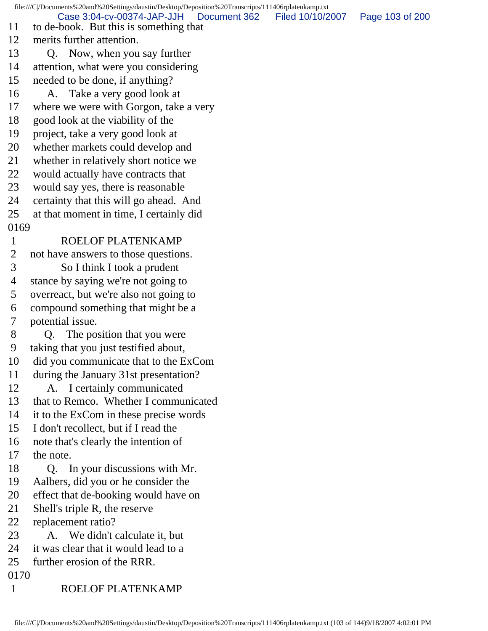file:///C|/Documents%20and%20Settings/daustin/Desktop/Deposition%20Transcripts/111406rplatenkamp.txt 11 to de-book. But this is something that 12 merits further attention. 13 Q. Now, when you say further 14 attention, what were you considering 15 needed to be done, if anything? 16 A. Take a very good look at 17 where we were with Gorgon, take a very 18 good look at the viability of the 19 project, take a very good look at 20 whether markets could develop and 21 whether in relatively short notice we 22 would actually have contracts that 23 would say yes, there is reasonable 24 certainty that this will go ahead. And 25 at that moment in time, I certainly did 0169 1 ROELOF PLATENKAMP 2 not have answers to those questions. 3 So I think I took a prudent 4 stance by saying we're not going to 5 overreact, but we're also not going to 6 compound something that might be a 7 potential issue. 8 Q. The position that you were 9 taking that you just testified about, 10 did you communicate that to the ExCom 11 during the January 31st presentation? 12 A. I certainly communicated 13 that to Remco. Whether I communicated 14 it to the ExCom in these precise words 15 I don't recollect, but if I read the 16 note that's clearly the intention of 17 the note. 18 Q. In your discussions with Mr. 19 Aalbers, did you or he consider the 20 effect that de-booking would have on 21 Shell's triple R, the reserve 22 replacement ratio? 23 A. We didn't calculate it, but 24 it was clear that it would lead to a 25 further erosion of the RRR. 0170 1 ROELOF PLATENKAMP Case 3:04-cv-00374-JAP-JJH Document 362 Filed 10/10/2007 Page 103 of 200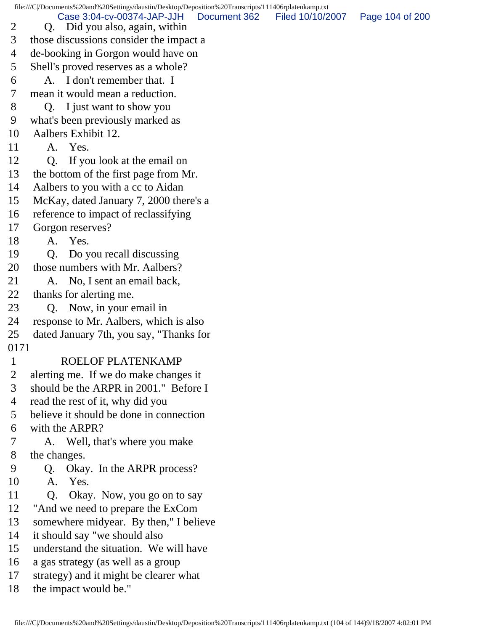file:///C|/Documents%20and%20Settings/daustin/Desktop/Deposition%20Transcripts/111406rplatenkamp.txt 2 Q. Did you also, again, within 3 those discussions consider the impact a 4 de-booking in Gorgon would have on 5 Shell's proved reserves as a whole? 6 A. I don't remember that. I 7 mean it would mean a reduction. 8 Q. I just want to show you 9 what's been previously marked as 10 Aalbers Exhibit 12. 11 A. Yes. 12 Q. If you look at the email on 13 the bottom of the first page from Mr. 14 Aalbers to you with a cc to Aidan 15 McKay, dated January 7, 2000 there's a 16 reference to impact of reclassifying 17 Gorgon reserves? 18 A. Yes. 19 Q. Do you recall discussing 20 those numbers with Mr. Aalbers? 21 A. No, I sent an email back, 22 thanks for alerting me. 23 Q. Now, in your email in 24 response to Mr. Aalbers, which is also 25 dated January 7th, you say, "Thanks for 0171 1 ROELOF PLATENKAMP 2 alerting me. If we do make changes it 3 should be the ARPR in 2001." Before I 4 read the rest of it, why did you 5 believe it should be done in connection 6 with the ARPR? 7 A. Well, that's where you make 8 the changes. 9 Q. Okay. In the ARPR process? 10 A. Yes. 11 Q. Okay. Now, you go on to say 12 "And we need to prepare the ExCom 13 somewhere midyear. By then," I believe 14 it should say "we should also 15 understand the situation. We will have 16 a gas strategy (as well as a group 17 strategy) and it might be clearer what Case 3:04-cv-00374-JAP-JJH Document 362 Filed 10/10/2007 Page 104 of 200

18 the impact would be."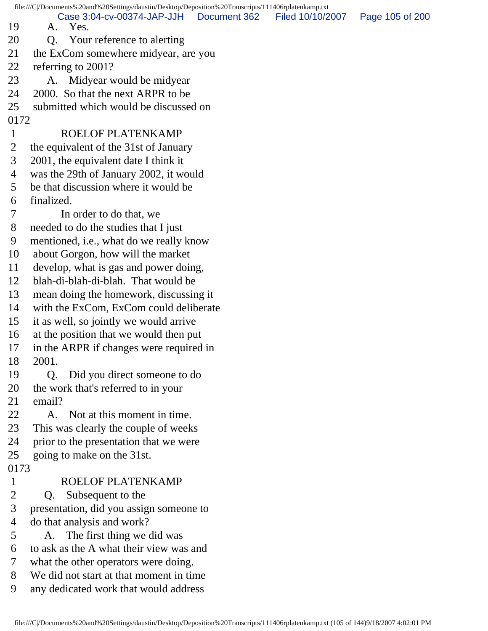|                      | file:///C /Documents%20and%20Settings/daustin/Desktop/Deposition%20Transcripts/111406rplatenkamp.txt |  |
|----------------------|------------------------------------------------------------------------------------------------------|--|
| 19                   | Case 3:04-cv-00374-JAP-JJH<br>Document 362<br>Filed 10/10/2007<br>Page 105 of 200<br>A. Yes.         |  |
| 20                   | Your reference to alerting<br>Q.                                                                     |  |
| 21                   | the ExCom somewhere midyear, are you                                                                 |  |
| 22                   | referring to 2001?                                                                                   |  |
| 23                   | A. Midyear would be midyear                                                                          |  |
| 24                   | 2000. So that the next ARPR to be                                                                    |  |
| 25                   | submitted which would be discussed on                                                                |  |
| 0172                 |                                                                                                      |  |
| $\mathbf{1}$         | <b>ROELOF PLATENKAMP</b>                                                                             |  |
| 2                    | the equivalent of the 31st of January                                                                |  |
| 3                    | 2001, the equivalent date I think it                                                                 |  |
| 4                    | was the 29th of January 2002, it would                                                               |  |
| 5                    | be that discussion where it would be                                                                 |  |
| 6                    | finalized.                                                                                           |  |
| 7                    | In order to do that, we                                                                              |  |
| 8                    | needed to do the studies that I just                                                                 |  |
| 9                    | mentioned, i.e., what do we really know                                                              |  |
| 10                   | about Gorgon, how will the market                                                                    |  |
| 11                   | develop, what is gas and power doing,                                                                |  |
| 12                   | blah-di-blah-di-blah. That would be                                                                  |  |
| 13                   | mean doing the homework, discussing it                                                               |  |
| 14                   | with the ExCom, ExCom could deliberate                                                               |  |
| 15                   | it as well, so jointly we would arrive                                                               |  |
| 16                   | at the position that we would then put                                                               |  |
| 17                   | in the ARPR if changes were required in                                                              |  |
| 18                   | 2001.                                                                                                |  |
| 19                   | Did you direct someone to do<br>Q.                                                                   |  |
| 20                   | the work that's referred to in your                                                                  |  |
| 21                   | email?                                                                                               |  |
| 22                   | A. Not at this moment in time.                                                                       |  |
| 23                   | This was clearly the couple of weeks                                                                 |  |
| 24                   | prior to the presentation that we were                                                               |  |
| 25                   | going to make on the 31st.                                                                           |  |
| 0173<br>$\mathbf{1}$ | ROELOF PLATENKAMP                                                                                    |  |
| 2                    |                                                                                                      |  |
| 3                    | Subsequent to the<br>Q.<br>presentation, did you assign someone to                                   |  |
| 4                    | do that analysis and work?                                                                           |  |
| 5                    | The first thing we did was<br>А.                                                                     |  |
| 6                    | to ask as the A what their view was and                                                              |  |
| 7                    | what the other operators were doing.                                                                 |  |
| 8                    | We did not start at that moment in time                                                              |  |
| 9                    | any dedicated work that would address                                                                |  |
|                      |                                                                                                      |  |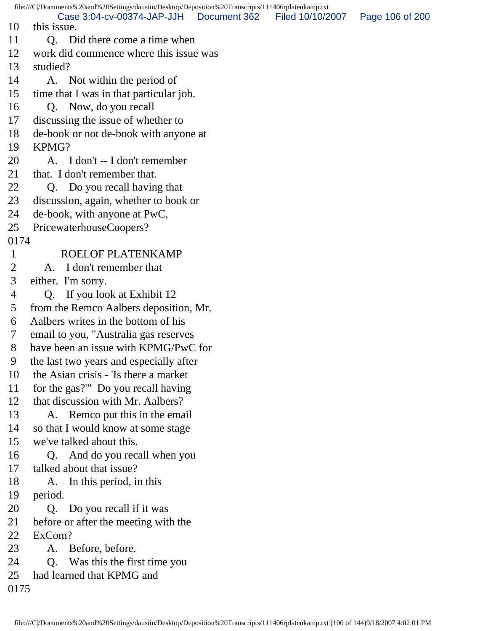file:///C|/Documents%20and%20Settings/daustin/Desktop/Deposition%20Transcripts/111406rplatenkamp.txt 10 this issue. 11 O. Did there come a time when 12 work did commence where this issue was 13 studied? 14 A. Not within the period of 15 time that I was in that particular job. 16 Q. Now, do you recall 17 discussing the issue of whether to 18 de-book or not de-book with anyone at 19 KPMG? 20 A. I don't -- I don't remember 21 that. I don't remember that. 22 Q. Do you recall having that 23 discussion, again, whether to book or 24 de-book, with anyone at PwC, 25 PricewaterhouseCoopers? 0174 1 ROELOF PLATENKAMP 2 A. I don't remember that 3 either. I'm sorry. 4 Q. If you look at Exhibit 12 5 from the Remco Aalbers deposition, Mr. 6 Aalbers writes in the bottom of his 7 email to you, "Australia gas reserves 8 have been an issue with KPMG/PwC for 9 the last two years and especially after 10 the Asian crisis - 'Is there a market 11 for the gas?'" Do you recall having 12 that discussion with Mr. Aalbers? 13 A. Remco put this in the email 14 so that I would know at some stage 15 we've talked about this. 16 Q. And do you recall when you 17 talked about that issue? 18 A. In this period, in this 19 period. 20 Q. Do you recall if it was 21 before or after the meeting with the 22 ExCom? 23 A. Before, before. 24 Q. Was this the first time you 25 had learned that KPMG and 0175 Case 3:04-cv-00374-JAP-JJH Document 362 Filed 10/10/2007 Page 106 of 200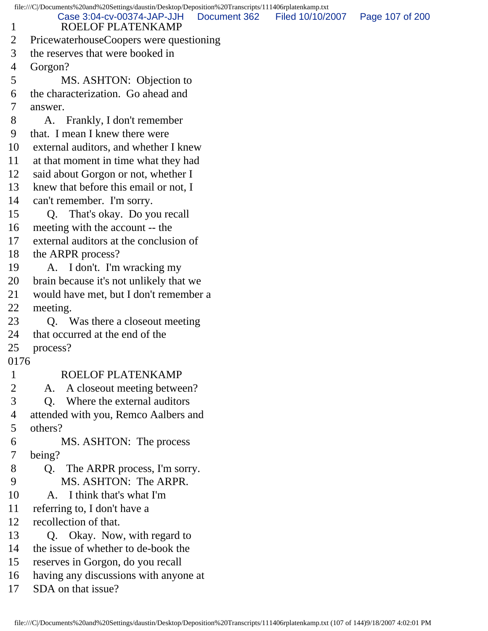file:///C|/Documents%20and%20Settings/daustin/Desktop/Deposition%20Transcripts/111406rplatenkamp.txt 1 ROELOF PLATENKAMP 2 PricewaterhouseCoopers were questioning 3 the reserves that were booked in 4 Gorgon? 5 MS. ASHTON: Objection to 6 the characterization. Go ahead and 7 answer. 8 A. Frankly, I don't remember 9 that. I mean I knew there were 10 external auditors, and whether I knew 11 at that moment in time what they had 12 said about Gorgon or not, whether I 13 knew that before this email or not, I 14 can't remember. I'm sorry. 15 Q. That's okay. Do you recall 16 meeting with the account -- the 17 external auditors at the conclusion of 18 the ARPR process? 19 A. I don't. I'm wracking my 20 brain because it's not unlikely that we 21 would have met, but I don't remember a 22 meeting. 23 Q. Was there a closeout meeting 24 that occurred at the end of the 25 process? 0176 1 ROELOF PLATENKAMP 2 A. A closeout meeting between? 3 Q. Where the external auditors 4 attended with you, Remco Aalbers and 5 others? 6 MS. ASHTON: The process 7 being? 8 Q. The ARPR process, I'm sorry. 9 MS. ASHTON: The ARPR. 10 A. I think that's what I'm 11 referring to, I don't have a 12 recollection of that. 13 Q. Okay. Now, with regard to 14 the issue of whether to de-book the 15 reserves in Gorgon, do you recall 16 having any discussions with anyone at 17 SDA on that issue? Case 3:04-cv-00374-JAP-JJH Document 362 Filed 10/10/2007 Page 107 of 200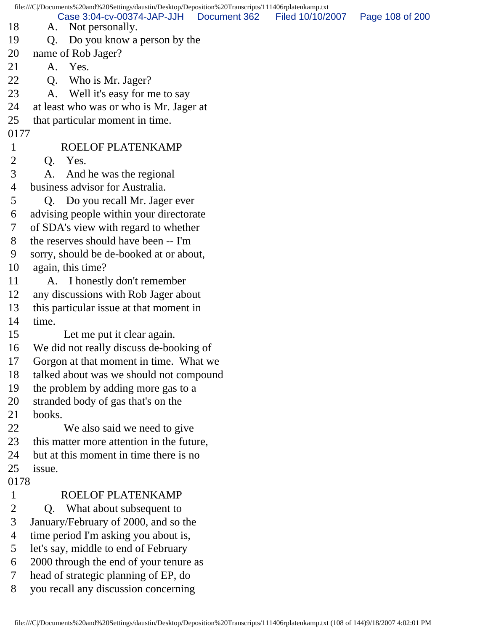file:///C|/Documents%20and%20Settings/daustin/Desktop/Deposition%20Transcripts/111406rplatenkamp.txt 18 A. Not personally. 19 Q. Do you know a person by the 20 name of Rob Jager? 21 A. Yes. 22 Q. Who is Mr. Jager? 23 A. Well it's easy for me to say 24 at least who was or who is Mr. Jager at 25 that particular moment in time. 0177 1 ROELOF PLATENKAMP 2 Q. Yes. 3 A. And he was the regional 4 business advisor for Australia. 5 Q. Do you recall Mr. Jager ever 6 advising people within your directorate 7 of SDA's view with regard to whether 8 the reserves should have been -- I'm 9 sorry, should be de-booked at or about, 10 again, this time? 11 A. I honestly don't remember 12 any discussions with Rob Jager about 13 this particular issue at that moment in 14 time. 15 Let me put it clear again. 16 We did not really discuss de-booking of 17 Gorgon at that moment in time. What we 18 talked about was we should not compound 19 the problem by adding more gas to a 20 stranded body of gas that's on the 21 books. 22 We also said we need to give 23 this matter more attention in the future, 24 but at this moment in time there is no 25 issue. 0178 1 ROELOF PLATENKAMP 2 Q. What about subsequent to 3 January/February of 2000, and so the 4 time period I'm asking you about is, 5 let's say, middle to end of February 6 2000 through the end of your tenure as 7 head of strategic planning of EP, do 8 you recall any discussion concerning Case 3:04-cv-00374-JAP-JJH Document 362 Filed 10/10/2007 Page 108 of 200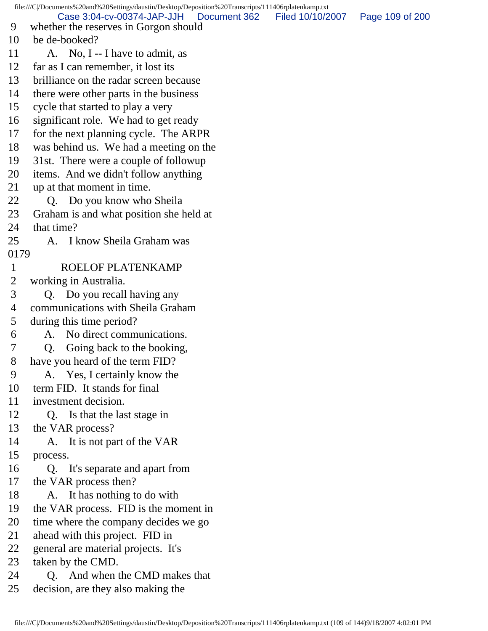file:///C|/Documents%20and%20Settings/daustin/Desktop/Deposition%20Transcripts/111406rplatenkamp.txt 9 whether the reserves in Gorgon should 10 be de-booked? 11 A. No, I -- I have to admit, as 12 far as I can remember, it lost its 13 brilliance on the radar screen because 14 there were other parts in the business 15 cycle that started to play a very 16 significant role. We had to get ready 17 for the next planning cycle. The ARPR 18 was behind us. We had a meeting on the 19 31st. There were a couple of followup 20 items. And we didn't follow anything 21 up at that moment in time. 22 Q. Do you know who Sheila 23 Graham is and what position she held at 24 that time? 25 A. I know Sheila Graham was 0179 1 ROELOF PLATENKAMP 2 working in Australia. 3 Q. Do you recall having any 4 communications with Sheila Graham 5 during this time period? 6 A. No direct communications. 7 Q. Going back to the booking, 8 have you heard of the term FID? 9 A. Yes, I certainly know the 10 term FID. It stands for final 11 investment decision. 12 Q. Is that the last stage in 13 the VAR process? 14 A. It is not part of the VAR 15 process. 16 Q. It's separate and apart from 17 the VAR process then? 18 A. It has nothing to do with 19 the VAR process. FID is the moment in 20 time where the company decides we go 21 ahead with this project. FID in 22 general are material projects. It's 23 taken by the CMD. 24 Q. And when the CMD makes that 25 decision, are they also making the Case 3:04-cv-00374-JAP-JJH Document 362 Filed 10/10/2007 Page 109 of 200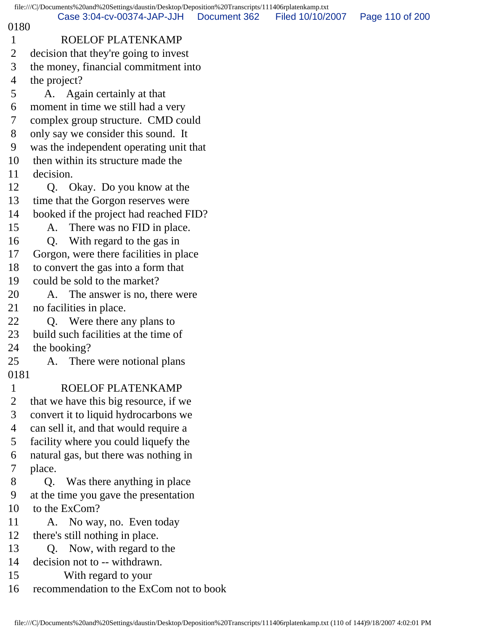|                | file:///C /Documents%20and%20Settings/daustin/Desktop/Deposition%20Transcripts/111406rplatenkamp.txt |                  |                 |
|----------------|------------------------------------------------------------------------------------------------------|------------------|-----------------|
| 0180           | Case 3:04-cv-00374-JAP-JJH<br>Document 362                                                           | Filed 10/10/2007 | Page 110 of 200 |
| $\mathbf{1}$   | ROELOF PLATENKAMP                                                                                    |                  |                 |
| $\overline{2}$ | decision that they're going to invest                                                                |                  |                 |
| 3              | the money, financial commitment into                                                                 |                  |                 |
| 4              | the project?                                                                                         |                  |                 |
| 5              | A. Again certainly at that                                                                           |                  |                 |
| 6              | moment in time we still had a very                                                                   |                  |                 |
| 7              | complex group structure. CMD could                                                                   |                  |                 |
| 8              | only say we consider this sound. It                                                                  |                  |                 |
| 9              | was the independent operating unit that                                                              |                  |                 |
| 10             | then within its structure made the                                                                   |                  |                 |
| 11             | decision.                                                                                            |                  |                 |
| 12             | Okay. Do you know at the<br>Q.                                                                       |                  |                 |
| 13             | time that the Gorgon reserves were                                                                   |                  |                 |
| 14             | booked if the project had reached FID?                                                               |                  |                 |
| 15             | There was no FID in place.<br>A.                                                                     |                  |                 |
| 16             | With regard to the gas in<br>Q <sub>r</sub>                                                          |                  |                 |
| 17             | Gorgon, were there facilities in place                                                               |                  |                 |
| 18             | to convert the gas into a form that                                                                  |                  |                 |
| 19             | could be sold to the market?                                                                         |                  |                 |
| 20             | A. The answer is no, there were                                                                      |                  |                 |
| 21             | no facilities in place.                                                                              |                  |                 |
| 22             | Were there any plans to<br>Q.                                                                        |                  |                 |
| 23             | build such facilities at the time of                                                                 |                  |                 |
| 24             | the booking?                                                                                         |                  |                 |
| 25             | A. There were notional plans                                                                         |                  |                 |
| 0181           |                                                                                                      |                  |                 |
| $\mathbf{1}$   | ROELOF PLATENKAMP                                                                                    |                  |                 |
| 2              | that we have this big resource, if we                                                                |                  |                 |
| 3              | convert it to liquid hydrocarbons we                                                                 |                  |                 |
| $\overline{4}$ | can sell it, and that would require a                                                                |                  |                 |
| 5              | facility where you could liquefy the                                                                 |                  |                 |
| 6              | natural gas, but there was nothing in                                                                |                  |                 |
| 7              | place.                                                                                               |                  |                 |
| $8\phantom{1}$ | Q. Was there anything in place                                                                       |                  |                 |
| 9              | at the time you gave the presentation                                                                |                  |                 |
| 10             | to the ExCom?                                                                                        |                  |                 |
| 11             | A. No way, no. Even today                                                                            |                  |                 |
| 12             | there's still nothing in place.                                                                      |                  |                 |
| 13             | Now, with regard to the<br>Q.                                                                        |                  |                 |
| 14             | decision not to -- withdrawn.                                                                        |                  |                 |
| 15             | With regard to your                                                                                  |                  |                 |
| 16             | recommendation to the ExCom not to book                                                              |                  |                 |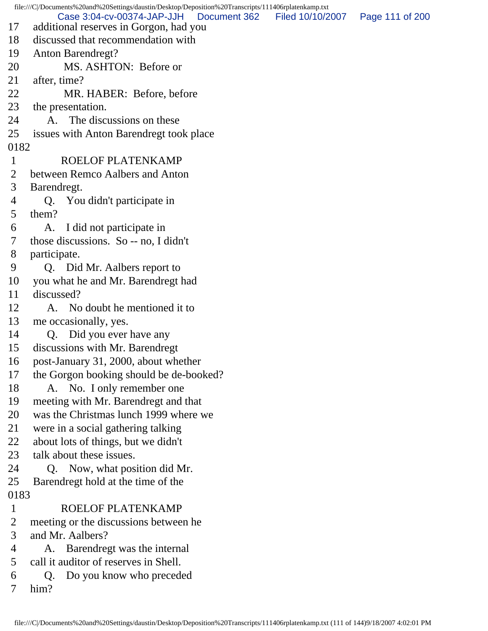file:///C|/Documents%20and%20Settings/daustin/Desktop/Deposition%20Transcripts/111406rplatenkamp.txt 17 additional reserves in Gorgon, had you 18 discussed that recommendation with 19 Anton Barendregt? 20 MS. ASHTON: Before or 21 after, time? 22 MR. HABER: Before, before 23 the presentation. 24 A. The discussions on these 25 issues with Anton Barendregt took place 0182 1 ROELOF PLATENKAMP 2 between Remco Aalbers and Anton 3 Barendregt. 4 Q. You didn't participate in 5 them? 6 A. I did not participate in 7 those discussions. So -- no, I didn't 8 participate. 9 Q. Did Mr. Aalbers report to 10 you what he and Mr. Barendregt had 11 discussed? 12 A. No doubt he mentioned it to 13 me occasionally, yes. 14 Q. Did you ever have any 15 discussions with Mr. Barendregt 16 post-January 31, 2000, about whether 17 the Gorgon booking should be de-booked? 18 A. No. I only remember one 19 meeting with Mr. Barendregt and that 20 was the Christmas lunch 1999 where we 21 were in a social gathering talking 22 about lots of things, but we didn't 23 talk about these issues. 24 Q. Now, what position did Mr. 25 Barendregt hold at the time of the 0183 1 ROELOF PLATENKAMP 2 meeting or the discussions between he 3 and Mr. Aalbers? 4 A. Barendregt was the internal 5 call it auditor of reserves in Shell. 6 Q. Do you know who preceded 7 him? Case 3:04-cv-00374-JAP-JJH Document 362 Filed 10/10/2007 Page 111 of 200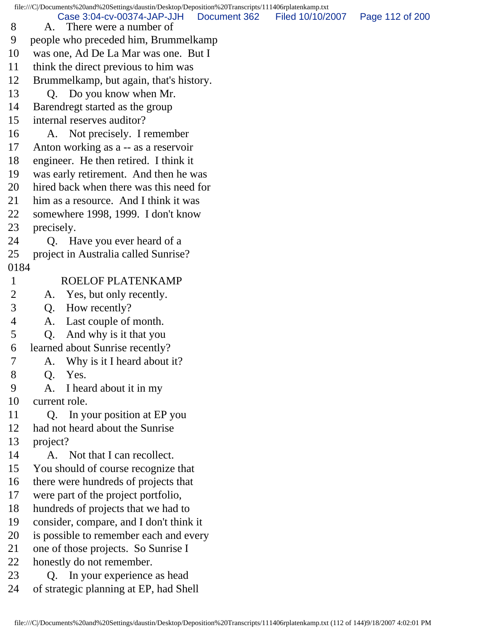file:///C|/Documents%20and%20Settings/daustin/Desktop/Deposition%20Transcripts/111406rplatenkamp.txt 8 A. There were a number of 9 people who preceded him, Brummelkamp 10 was one, Ad De La Mar was one. But I 11 think the direct previous to him was 12 Brummelkamp, but again, that's history. 13 Q. Do you know when Mr. 14 Barendregt started as the group 15 internal reserves auditor? 16 A. Not precisely. I remember 17 Anton working as a -- as a reservoir 18 engineer. He then retired. I think it 19 was early retirement. And then he was 20 hired back when there was this need for 21 him as a resource. And I think it was 22 somewhere 1998, 1999. I don't know 23 precisely. 24 Q. Have you ever heard of a 25 project in Australia called Sunrise? 0184 1 ROELOF PLATENKAMP 2 A. Yes, but only recently. 3 Q. How recently? 4 A. Last couple of month. 5 Q. And why is it that you 6 learned about Sunrise recently? 7 A. Why is it I heard about it? 8 Q. Yes. 9 A. I heard about it in my 10 current role. 11 Q. In your position at EP you 12 had not heard about the Sunrise 13 project? 14 A. Not that I can recollect. 15 You should of course recognize that 16 there were hundreds of projects that 17 were part of the project portfolio, 18 hundreds of projects that we had to 19 consider, compare, and I don't think it 20 is possible to remember each and every 21 one of those projects. So Sunrise I 22 honestly do not remember. 23 Q. In your experience as head Case 3:04-cv-00374-JAP-JJH Document 362 Filed 10/10/2007 Page 112 of 200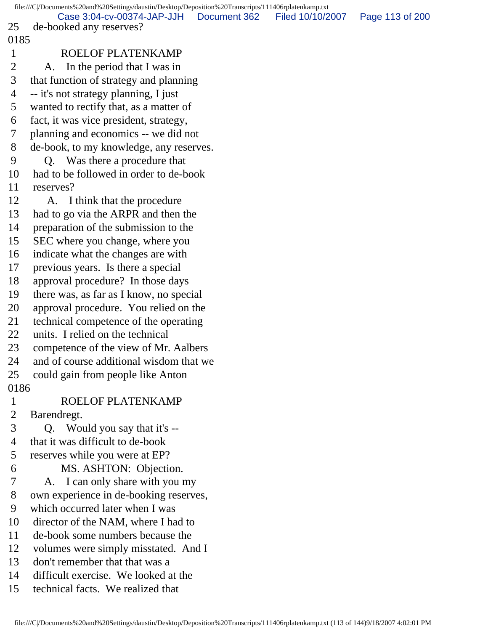file:///C|/Documents%20and%20Settings/daustin/Desktop/Deposition%20Transcripts/111406rplatenkamp.txt 25 de-booked any reserves? 0185 1 ROELOF PLATENKAMP 2 A. In the period that I was in 3 that function of strategy and planning 4 -- it's not strategy planning, I just 5 wanted to rectify that, as a matter of 6 fact, it was vice president, strategy, 7 planning and economics -- we did not 8 de-book, to my knowledge, any reserves. 9 Q. Was there a procedure that 10 had to be followed in order to de-book 11 reserves? 12 A. I think that the procedure 13 had to go via the ARPR and then the 14 preparation of the submission to the 15 SEC where you change, where you 16 indicate what the changes are with 17 previous years. Is there a special 18 approval procedure? In those days 19 there was, as far as I know, no special 20 approval procedure. You relied on the 21 technical competence of the operating 22 units. I relied on the technical 23 competence of the view of Mr. Aalbers 24 and of course additional wisdom that we 25 could gain from people like Anton 0186 1 ROELOF PLATENKAMP 2 Barendregt. 3 Q. Would you say that it's -- 4 that it was difficult to de-book 5 reserves while you were at EP? 6 MS. ASHTON: Objection. 7 A. I can only share with you my 8 own experience in de-booking reserves, 9 which occurred later when I was 10 director of the NAM, where I had to 11 de-book some numbers because the 12 volumes were simply misstated. And I 13 don't remember that that was a 14 difficult exercise. We looked at the 15 technical facts. We realized that Case 3:04-cv-00374-JAP-JJH Document 362 Filed 10/10/2007 Page 113 of 200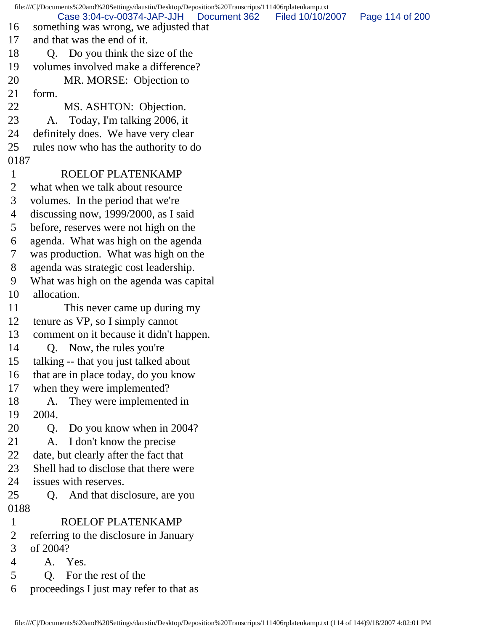file:///C|/Documents%20and%20Settings/daustin/Desktop/Deposition%20Transcripts/111406rplatenkamp.txt 16 something was wrong, we adjusted that 17 and that was the end of it. 18 O. Do you think the size of the 19 volumes involved make a difference? 20 MR. MORSE: Objection to 21 form. 22 MS. ASHTON: Objection. 23 A. Today, I'm talking 2006, it 24 definitely does. We have very clear 25 rules now who has the authority to do 0187 1 ROELOF PLATENKAMP 2 what when we talk about resource 3 volumes. In the period that we're 4 discussing now, 1999/2000, as I said 5 before, reserves were not high on the 6 agenda. What was high on the agenda 7 was production. What was high on the 8 agenda was strategic cost leadership. 9 What was high on the agenda was capital 10 allocation. 11 This never came up during my 12 tenure as VP, so I simply cannot 13 comment on it because it didn't happen. 14 Q. Now, the rules you're 15 talking -- that you just talked about 16 that are in place today, do you know 17 when they were implemented? 18 A. They were implemented in 19 2004. 20 Q. Do you know when in 2004? 21 A. I don't know the precise 22 date, but clearly after the fact that 23 Shell had to disclose that there were 24 issues with reserves. 25 Q. And that disclosure, are you 0188 1 ROELOF PLATENKAMP 2 referring to the disclosure in January 3 of 2004? 4 A. Yes. 5 Q. For the rest of the 6 proceedings I just may refer to that as Case 3:04-cv-00374-JAP-JJH Document 362 Filed 10/10/2007 Page 114 of 200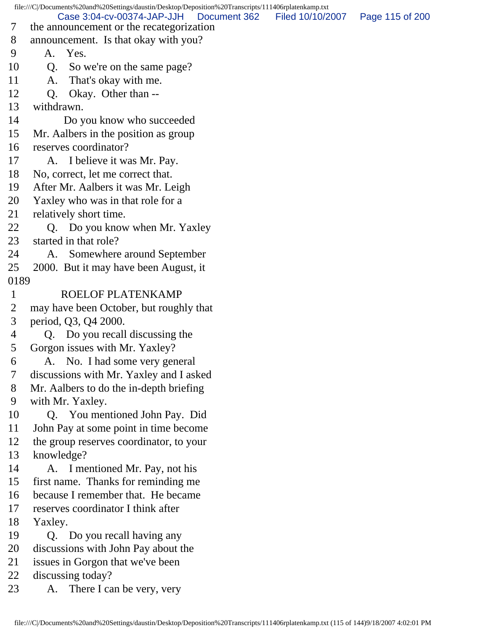file:///C|/Documents%20and%20Settings/daustin/Desktop/Deposition%20Transcripts/111406rplatenkamp.txt 7 the announcement or the recategorization 8 announcement. Is that okay with you? 9 A. Yes. 10 Q. So we're on the same page? 11 A. That's okay with me. 12 Q. Okay. Other than -- 13 withdrawn. 14 Do you know who succeeded 15 Mr. Aalbers in the position as group 16 reserves coordinator? 17 A. I believe it was Mr. Pay. 18 No, correct, let me correct that. 19 After Mr. Aalbers it was Mr. Leigh 20 Yaxley who was in that role for a 21 relatively short time. 22 Q. Do you know when Mr. Yaxley 23 started in that role? 24 A. Somewhere around September 25 2000. But it may have been August, it 0189 1 ROELOF PLATENKAMP 2 may have been October, but roughly that 3 period, Q3, Q4 2000. 4 Q. Do you recall discussing the 5 Gorgon issues with Mr. Yaxley? 6 A. No. I had some very general 7 discussions with Mr. Yaxley and I asked 8 Mr. Aalbers to do the in-depth briefing 9 with Mr. Yaxley. 10 Q. You mentioned John Pay. Did 11 John Pay at some point in time become 12 the group reserves coordinator, to your 13 knowledge? 14 A. I mentioned Mr. Pay, not his 15 first name. Thanks for reminding me 16 because I remember that. He became 17 reserves coordinator I think after 18 Yaxley. 19 Q. Do you recall having any 20 discussions with John Pay about the 21 issues in Gorgon that we've been 22 discussing today? 23 A. There I can be very, very Case 3:04-cv-00374-JAP-JJH Document 362 Filed 10/10/2007 Page 115 of 200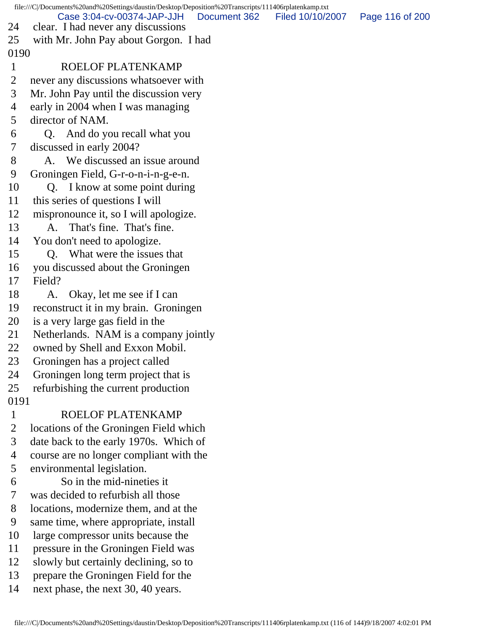file:///C|/Documents%20and%20Settings/daustin/Desktop/Deposition%20Transcripts/111406rplatenkamp.txt 24 clear. I had never any discussions 25 with Mr. John Pay about Gorgon. I had 0190 1 ROELOF PLATENKAMP 2 never any discussions whatsoever with 3 Mr. John Pay until the discussion very 4 early in 2004 when I was managing 5 director of NAM. 6 Q. And do you recall what you 7 discussed in early 2004? 8 A. We discussed an issue around 9 Groningen Field, G-r-o-n-i-n-g-e-n. 10 Q. I know at some point during 11 this series of questions I will 12 mispronounce it, so I will apologize. 13 A. That's fine. That's fine. 14 You don't need to apologize. 15 Q. What were the issues that 16 you discussed about the Groningen 17 Field? 18 A. Okay, let me see if I can 19 reconstruct it in my brain. Groningen 20 is a very large gas field in the 21 Netherlands. NAM is a company jointly 22 owned by Shell and Exxon Mobil. 23 Groningen has a project called 24 Groningen long term project that is 25 refurbishing the current production 0191 1 ROELOF PLATENKAMP 2 locations of the Groningen Field which 3 date back to the early 1970s. Which of 4 course are no longer compliant with the 5 environmental legislation. 6 So in the mid-nineties it 7 was decided to refurbish all those 8 locations, modernize them, and at the 9 same time, where appropriate, install 10 large compressor units because the 11 pressure in the Groningen Field was 12 slowly but certainly declining, so to 13 prepare the Groningen Field for the 14 next phase, the next 30, 40 years. Case 3:04-cv-00374-JAP-JJH Document 362 Filed 10/10/2007 Page 116 of 200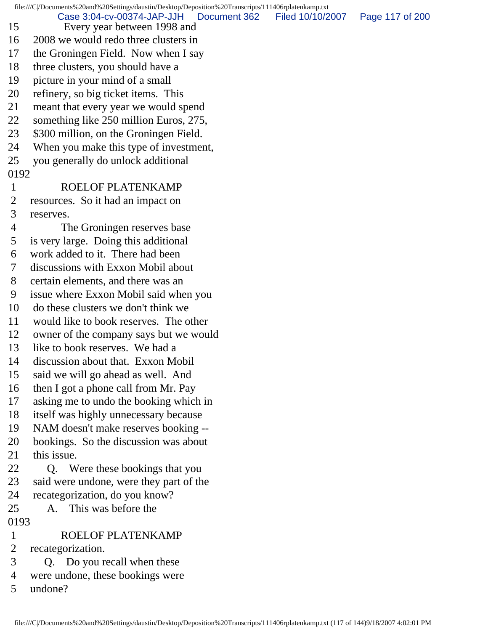file:///C|/Documents%20and%20Settings/daustin/Desktop/Deposition%20Transcripts/111406rplatenkamp.txt 15 Every year between 1998 and 16 2008 we would redo three clusters in 17 the Groningen Field. Now when I say 18 three clusters, you should have a 19 picture in your mind of a small 20 refinery, so big ticket items. This 21 meant that every year we would spend 22 something like 250 million Euros, 275, 23 \$300 million, on the Groningen Field. 24 When you make this type of investment, 25 you generally do unlock additional 0192 1 ROELOF PLATENKAMP 2 resources. So it had an impact on 3 reserves. 4 The Groningen reserves base 5 is very large. Doing this additional 6 work added to it. There had been 7 discussions with Exxon Mobil about 8 certain elements, and there was an 9 issue where Exxon Mobil said when you 10 do these clusters we don't think we 11 would like to book reserves. The other 12 owner of the company says but we would 13 like to book reserves. We had a 14 discussion about that. Exxon Mobil 15 said we will go ahead as well. And 16 then I got a phone call from Mr. Pay 17 asking me to undo the booking which in 18 itself was highly unnecessary because 19 NAM doesn't make reserves booking -- 20 bookings. So the discussion was about 21 this issue. 22 Q. Were these bookings that you 23 said were undone, were they part of the 24 recategorization, do you know? 25 A. This was before the 0193 1 ROELOF PLATENKAMP 2 recategorization. 3 Q. Do you recall when these 4 were undone, these bookings were Case 3:04-cv-00374-JAP-JJH Document 362 Filed 10/10/2007 Page 117 of 200

5 undone?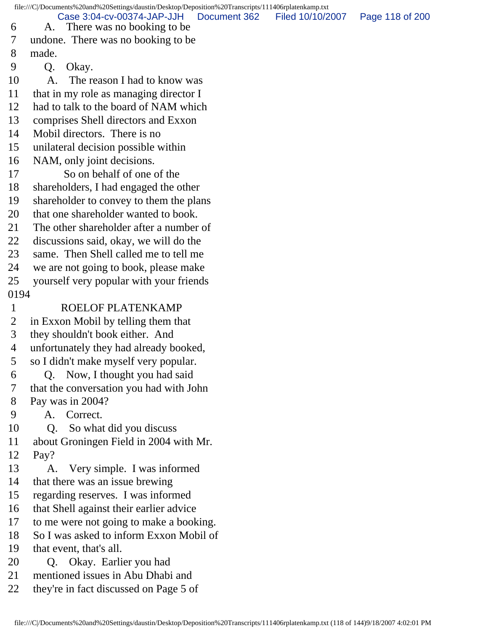file:///C|/Documents%20and%20Settings/daustin/Desktop/Deposition%20Transcripts/111406rplatenkamp.txt 6 A. There was no booking to be 7 undone. There was no booking to be 8 made. 9 Q. Okay. 10 A. The reason I had to know was 11 that in my role as managing director I 12 had to talk to the board of NAM which 13 comprises Shell directors and Exxon 14 Mobil directors. There is no 15 unilateral decision possible within 16 NAM, only joint decisions. 17 So on behalf of one of the 18 shareholders, I had engaged the other 19 shareholder to convey to them the plans 20 that one shareholder wanted to book. 21 The other shareholder after a number of 22 discussions said, okay, we will do the 23 same. Then Shell called me to tell me 24 we are not going to book, please make 25 yourself very popular with your friends 0194 1 ROELOF PLATENKAMP 2 in Exxon Mobil by telling them that 3 they shouldn't book either. And 4 unfortunately they had already booked, 5 so I didn't make myself very popular. 6 Q. Now, I thought you had said 7 that the conversation you had with John 8 Pay was in 2004? 9 A. Correct. 10 Q. So what did you discuss 11 about Groningen Field in 2004 with Mr. 12 Pay? 13 A. Very simple. I was informed 14 that there was an issue brewing 15 regarding reserves. I was informed 16 that Shell against their earlier advice 17 to me were not going to make a booking. 18 So I was asked to inform Exxon Mobil of 19 that event, that's all. 20 Q. Okay. Earlier you had 21 mentioned issues in Abu Dhabi and 22 they're in fact discussed on Page 5 of Case 3:04-cv-00374-JAP-JJH Document 362 Filed 10/10/2007 Page 118 of 200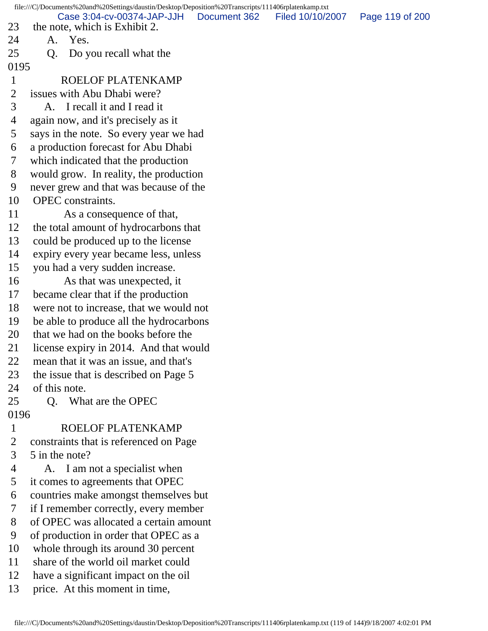file:///C|/Documents%20and%20Settings/daustin/Desktop/Deposition%20Transcripts/111406rplatenkamp.txt 23 the note, which is Exhibit 2. 24 A. Yes. 25 Q. Do you recall what the 0195 1 ROELOF PLATENKAMP 2 issues with Abu Dhabi were? 3 A. I recall it and I read it 4 again now, and it's precisely as it 5 says in the note. So every year we had 6 a production forecast for Abu Dhabi 7 which indicated that the production 8 would grow. In reality, the production 9 never grew and that was because of the 10 OPEC constraints. 11 As a consequence of that, 12 the total amount of hydrocarbons that 13 could be produced up to the license 14 expiry every year became less, unless 15 you had a very sudden increase. 16 As that was unexpected, it 17 became clear that if the production 18 were not to increase, that we would not 19 be able to produce all the hydrocarbons 20 that we had on the books before the 21 license expiry in 2014. And that would 22 mean that it was an issue, and that's 23 the issue that is described on Page 5 24 of this note. 25 Q. What are the OPEC 0196 1 ROELOF PLATENKAMP 2 constraints that is referenced on Page 3 5 in the note? 4 A. I am not a specialist when 5 it comes to agreements that OPEC 6 countries make amongst themselves but 7 if I remember correctly, every member 8 of OPEC was allocated a certain amount 9 of production in order that OPEC as a 10 whole through its around 30 percent 11 share of the world oil market could 12 have a significant impact on the oil 13 price. At this moment in time, Case 3:04-cv-00374-JAP-JJH Document 362 Filed 10/10/2007 Page 119 of 200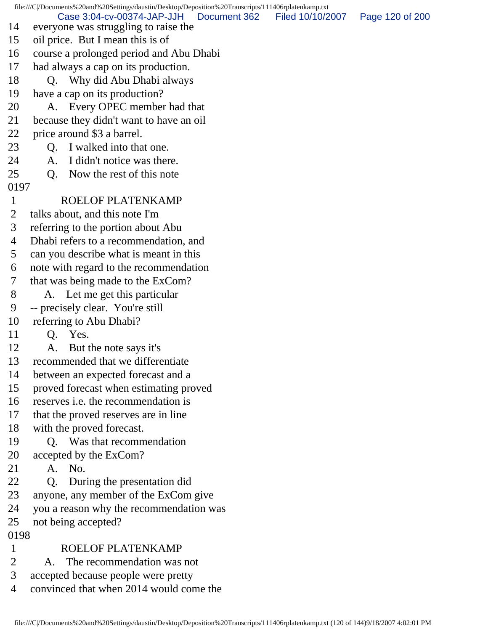file:///C|/Documents%20and%20Settings/daustin/Desktop/Deposition%20Transcripts/111406rplatenkamp.txt 14 everyone was struggling to raise the 15 oil price. But I mean this is of 16 course a prolonged period and Abu Dhabi 17 had always a cap on its production. 18 Q. Why did Abu Dhabi always 19 have a cap on its production? 20 A. Every OPEC member had that 21 because they didn't want to have an oil 22 price around \$3 a barrel. 23 O. I walked into that one. 24 A. I didn't notice was there. 25 Q. Now the rest of this note 0197 1 ROELOF PLATENKAMP 2 talks about, and this note I'm 3 referring to the portion about Abu 4 Dhabi refers to a recommendation, and 5 can you describe what is meant in this 6 note with regard to the recommendation 7 that was being made to the ExCom? 8 A. Let me get this particular 9 -- precisely clear. You're still 10 referring to Abu Dhabi? 11 Q. Yes. 12 A. But the note says it's 13 recommended that we differentiate 14 between an expected forecast and a 15 proved forecast when estimating proved 16 reserves i.e. the recommendation is 17 that the proved reserves are in line 18 with the proved forecast. 19 Q. Was that recommendation 20 accepted by the ExCom? 21 A. No. 22 Q. During the presentation did 23 anyone, any member of the ExCom give 24 you a reason why the recommendation was 25 not being accepted? 0198 1 ROELOF PLATENKAMP 2 A. The recommendation was not 3 accepted because people were pretty Case 3:04-cv-00374-JAP-JJH Document 362 Filed 10/10/2007 Page 120 of 200

4 convinced that when 2014 would come the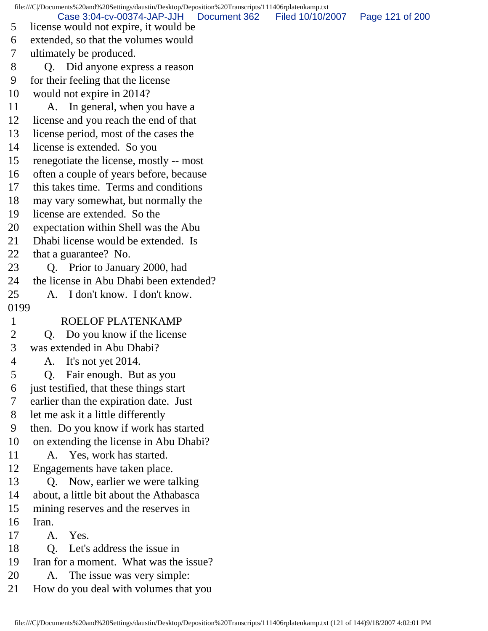file:///C|/Documents%20and%20Settings/daustin/Desktop/Deposition%20Transcripts/111406rplatenkamp.txt 5 license would not expire, it would be 6 extended, so that the volumes would 7 ultimately be produced. 8 Q. Did anyone express a reason 9 for their feeling that the license 10 would not expire in 2014? 11 A. In general, when you have a 12 license and you reach the end of that 13 license period, most of the cases the 14 license is extended. So you 15 renegotiate the license, mostly -- most 16 often a couple of years before, because 17 this takes time. Terms and conditions 18 may vary somewhat, but normally the 19 license are extended. So the 20 expectation within Shell was the Abu 21 Dhabi license would be extended. Is 22 that a guarantee? No. 23 Q. Prior to January 2000, had 24 the license in Abu Dhabi been extended? 25 A. I don't know. I don't know. 0199 1 ROELOF PLATENKAMP 2 Q. Do you know if the license 3 was extended in Abu Dhabi? 4 A. It's not yet 2014. 5 Q. Fair enough. But as you 6 just testified, that these things start 7 earlier than the expiration date. Just 8 let me ask it a little differently 9 then. Do you know if work has started 10 on extending the license in Abu Dhabi? 11 A. Yes, work has started. 12 Engagements have taken place. 13 Q. Now, earlier we were talking 14 about, a little bit about the Athabasca 15 mining reserves and the reserves in 16 Iran. 17 A. Yes. 18 Q. Let's address the issue in 19 Iran for a moment. What was the issue? 20 A. The issue was very simple: 21 How do you deal with volumes that you Case 3:04-cv-00374-JAP-JJH Document 362 Filed 10/10/2007 Page 121 of 200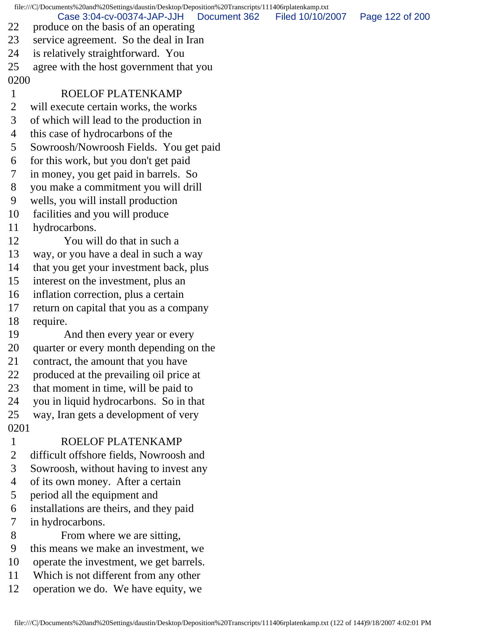file:///C|/Documents%20and%20Settings/daustin/Desktop/Deposition%20Transcripts/111406rplatenkamp.txt 22 produce on the basis of an operating 23 service agreement. So the deal in Iran 24 is relatively straightforward. You 25 agree with the host government that you 0200 1 ROELOF PLATENKAMP 2 will execute certain works, the works 3 of which will lead to the production in 4 this case of hydrocarbons of the 5 Sowroosh/Nowroosh Fields. You get paid 6 for this work, but you don't get paid 7 in money, you get paid in barrels. So 8 you make a commitment you will drill 9 wells, you will install production 10 facilities and you will produce 11 hydrocarbons. 12 You will do that in such a 13 way, or you have a deal in such a way 14 that you get your investment back, plus 15 interest on the investment, plus an 16 inflation correction, plus a certain 17 return on capital that you as a company 18 require. 19 And then every year or every 20 quarter or every month depending on the 21 contract, the amount that you have 22 produced at the prevailing oil price at 23 that moment in time, will be paid to 24 you in liquid hydrocarbons. So in that 25 way, Iran gets a development of very 0201 1 ROELOF PLATENKAMP 2 difficult offshore fields, Nowroosh and 3 Sowroosh, without having to invest any 4 of its own money. After a certain 5 period all the equipment and 6 installations are theirs, and they paid 7 in hydrocarbons. 8 From where we are sitting, 9 this means we make an investment, we 10 operate the investment, we get barrels. 11 Which is not different from any other 12 operation we do. We have equity, we Case 3:04-cv-00374-JAP-JJH Document 362 Filed 10/10/2007 Page 122 of 200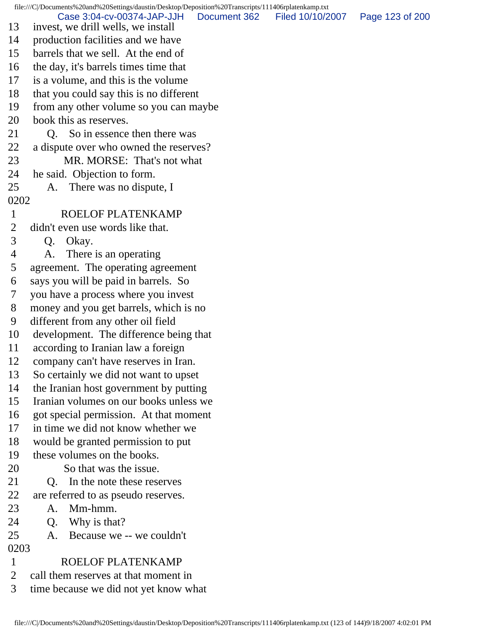file:///C|/Documents%20and%20Settings/daustin/Desktop/Deposition%20Transcripts/111406rplatenkamp.txt 13 invest, we drill wells, we install 14 production facilities and we have 15 barrels that we sell. At the end of 16 the day, it's barrels times time that 17 is a volume, and this is the volume 18 that you could say this is no different 19 from any other volume so you can maybe 20 book this as reserves. 21 Q. So in essence then there was 22 a dispute over who owned the reserves? 23 MR. MORSE: That's not what 24 he said. Objection to form. 25 A. There was no dispute, I 0202 1 ROELOF PLATENKAMP 2 didn't even use words like that. 3 Q. Okay. 4 A. There is an operating 5 agreement. The operating agreement 6 says you will be paid in barrels. So 7 you have a process where you invest 8 money and you get barrels, which is no 9 different from any other oil field 10 development. The difference being that 11 according to Iranian law a foreign 12 company can't have reserves in Iran. 13 So certainly we did not want to upset 14 the Iranian host government by putting 15 Iranian volumes on our books unless we 16 got special permission. At that moment 17 in time we did not know whether we 18 would be granted permission to put 19 these volumes on the books. 20 So that was the issue. 21 Q. In the note these reserves 22 are referred to as pseudo reserves. 23 A. Mm-hmm. 24 O. Why is that? 25 A. Because we -- we couldn't 0203 1 ROELOF PLATENKAMP 2 call them reserves at that moment in 3 time because we did not yet know what Case 3:04-cv-00374-JAP-JJH Document 362 Filed 10/10/2007 Page 123 of 200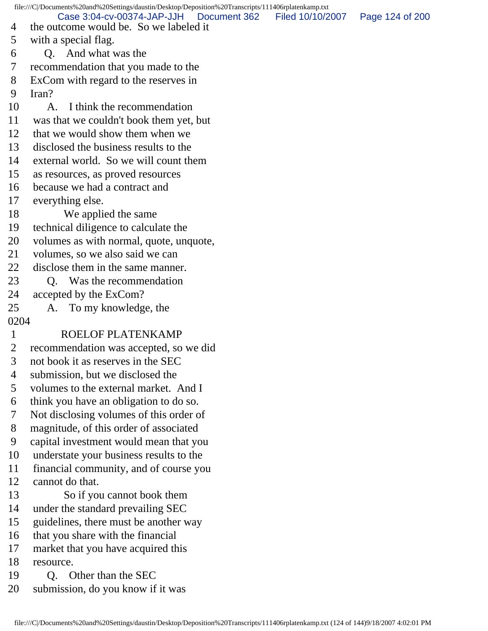file:///C|/Documents%20and%20Settings/daustin/Desktop/Deposition%20Transcripts/111406rplatenkamp.txt 4 the outcome would be. So we labeled it 5 with a special flag. 6 Q. And what was the 7 recommendation that you made to the 8 ExCom with regard to the reserves in 9 Iran? 10 A. I think the recommendation 11 was that we couldn't book them yet, but 12 that we would show them when we 13 disclosed the business results to the 14 external world. So we will count them 15 as resources, as proved resources 16 because we had a contract and 17 everything else. 18 We applied the same 19 technical diligence to calculate the 20 volumes as with normal, quote, unquote, 21 volumes, so we also said we can 22 disclose them in the same manner. 23 O. Was the recommendation 24 accepted by the ExCom? 25 A. To my knowledge, the 0204 1 ROELOF PLATENKAMP 2 recommendation was accepted, so we did 3 not book it as reserves in the SEC 4 submission, but we disclosed the 5 volumes to the external market. And I 6 think you have an obligation to do so. 7 Not disclosing volumes of this order of 8 magnitude, of this order of associated 9 capital investment would mean that you 10 understate your business results to the 11 financial community, and of course you 12 cannot do that. 13 So if you cannot book them 14 under the standard prevailing SEC 15 guidelines, there must be another way 16 that you share with the financial 17 market that you have acquired this 18 resource. 19 O. Other than the SEC 20 submission, do you know if it was Case 3:04-cv-00374-JAP-JJH Document 362 Filed 10/10/2007 Page 124 of 200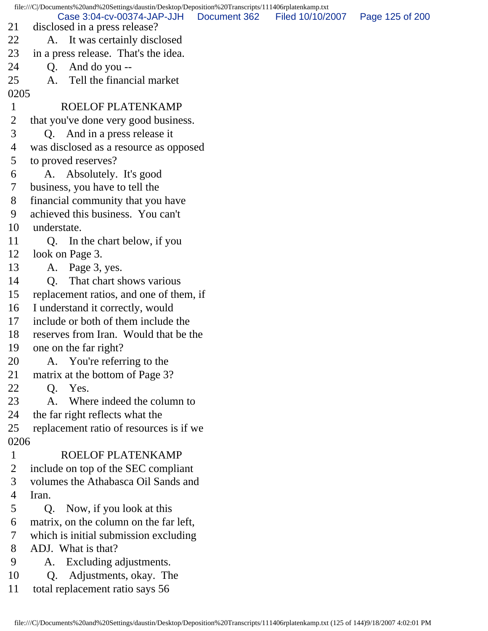file:///C|/Documents%20and%20Settings/daustin/Desktop/Deposition%20Transcripts/111406rplatenkamp.txt 21 disclosed in a press release? 22 A. It was certainly disclosed 23 in a press release. That's the idea.  $24$  Q. And do you --25 A. Tell the financial market 0205 1 ROELOF PLATENKAMP 2 that you've done very good business. 3 Q. And in a press release it 4 was disclosed as a resource as opposed 5 to proved reserves? 6 A. Absolutely. It's good 7 business, you have to tell the 8 financial community that you have 9 achieved this business. You can't 10 understate. 11 Q. In the chart below, if you 12 look on Page 3. 13 A. Page 3, yes. 14 Q. That chart shows various 15 replacement ratios, and one of them, if 16 I understand it correctly, would 17 include or both of them include the 18 reserves from Iran. Would that be the 19 one on the far right? 20 A. You're referring to the 21 matrix at the bottom of Page 3? 22 Q. Yes. 23 A. Where indeed the column to 24 the far right reflects what the 25 replacement ratio of resources is if we 0206 1 ROELOF PLATENKAMP 2 include on top of the SEC compliant 3 volumes the Athabasca Oil Sands and 4 Iran. 5 Q. Now, if you look at this 6 matrix, on the column on the far left, 7 which is initial submission excluding 8 ADJ. What is that? 9 A. Excluding adjustments. 10 Q. Adjustments, okay. The 11 total replacement ratio says 56 Case 3:04-cv-00374-JAP-JJH Document 362 Filed 10/10/2007 Page 125 of 200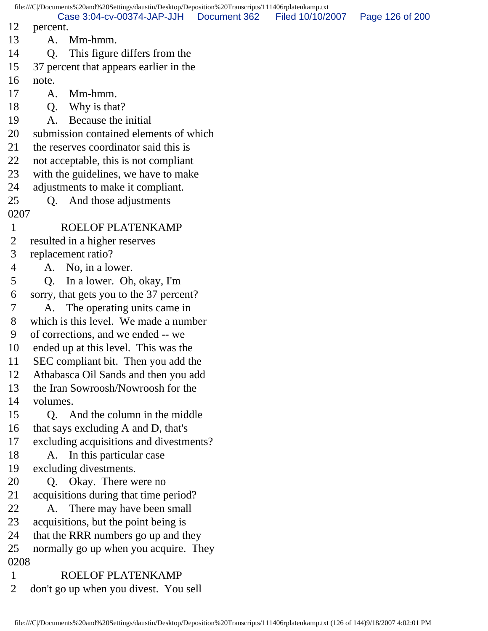file:///C|/Documents%20and%20Settings/daustin/Desktop/Deposition%20Transcripts/111406rplatenkamp.txt 12 percent. 13 A. Mm-hmm. 14 Q. This figure differs from the 15 37 percent that appears earlier in the 16 note. 17 A. Mm-hmm. 18 Q. Why is that? 19 A. Because the initial 20 submission contained elements of which 21 the reserves coordinator said this is 22 not acceptable, this is not compliant 23 with the guidelines, we have to make 24 adjustments to make it compliant. 25 Q. And those adjustments 0207 1 ROELOF PLATENKAMP 2 resulted in a higher reserves 3 replacement ratio? 4 A. No, in a lower. 5 Q. In a lower. Oh, okay, I'm 6 sorry, that gets you to the 37 percent? 7 A. The operating units came in 8 which is this level. We made a number 9 of corrections, and we ended -- we 10 ended up at this level. This was the 11 SEC compliant bit. Then you add the 12 Athabasca Oil Sands and then you add 13 the Iran Sowroosh/Nowroosh for the 14 volumes. 15 Q. And the column in the middle 16 that says excluding A and D, that's 17 excluding acquisitions and divestments? 18 A. In this particular case 19 excluding divestments. 20 Q. Okay. There were no 21 acquisitions during that time period? 22 A. There may have been small 23 acquisitions, but the point being is 24 that the RRR numbers go up and they 25 normally go up when you acquire. They 0208 1 ROELOF PLATENKAMP 2 don't go up when you divest. You sell Case 3:04-cv-00374-JAP-JJH Document 362 Filed 10/10/2007 Page 126 of 200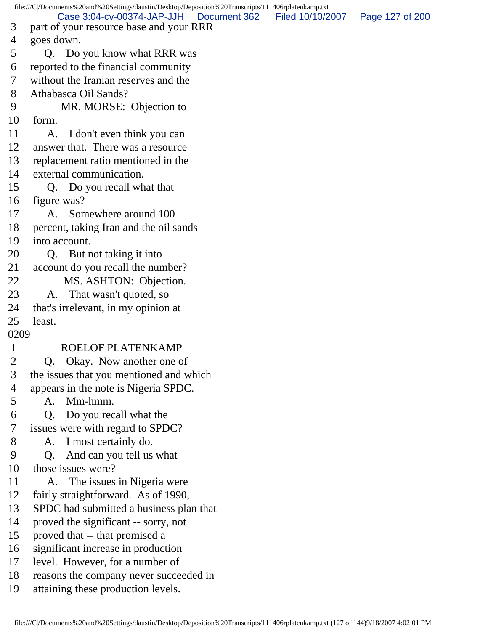file:///C|/Documents%20and%20Settings/daustin/Desktop/Deposition%20Transcripts/111406rplatenkamp.txt 3 part of your resource base and your RRR 4 goes down. 5 Q. Do you know what RRR was 6 reported to the financial community 7 without the Iranian reserves and the 8 Athabasca Oil Sands? 9 MR. MORSE: Objection to 10 form. 11 A. I don't even think you can 12 answer that. There was a resource 13 replacement ratio mentioned in the 14 external communication. 15 Q. Do you recall what that 16 figure was? 17 A. Somewhere around 100 18 percent, taking Iran and the oil sands 19 into account. 20 Q. But not taking it into 21 account do you recall the number? 22 MS. ASHTON: Objection. 23 A. That wasn't quoted, so 24 that's irrelevant, in my opinion at 25 least. 0209 1 ROELOF PLATENKAMP 2 Q. Okay. Now another one of 3 the issues that you mentioned and which 4 appears in the note is Nigeria SPDC. 5 A. Mm-hmm. 6 Q. Do you recall what the 7 issues were with regard to SPDC? 8 A. I most certainly do. 9 Q. And can you tell us what 10 those issues were? 11 A. The issues in Nigeria were 12 fairly straightforward. As of 1990, 13 SPDC had submitted a business plan that 14 proved the significant -- sorry, not 15 proved that -- that promised a 16 significant increase in production 17 level. However, for a number of 18 reasons the company never succeeded in 19 attaining these production levels. Case 3:04-cv-00374-JAP-JJH Document 362 Filed 10/10/2007 Page 127 of 200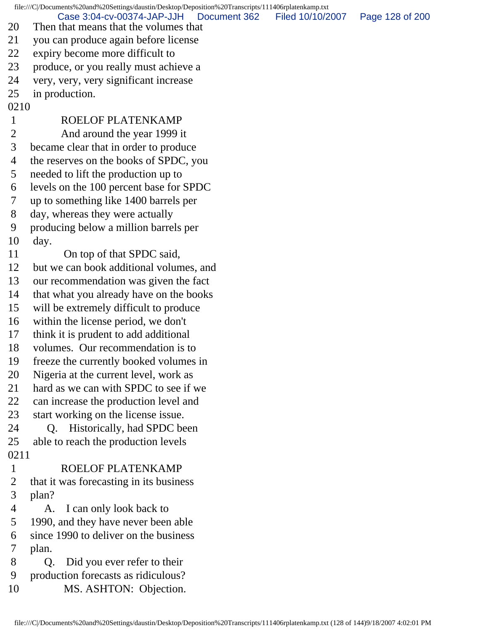file:///C|/Documents%20and%20Settings/daustin/Desktop/Deposition%20Transcripts/111406rplatenkamp.txt

Case 3:04-cv-00374-JAP-JJH Document 362 Filed 10/10/2007 Page 128 of 200

- 20 Then that means that the volumes that
- 21 you can produce again before license
- 22 expiry become more difficult to
- 23 produce, or you really must achieve a
- 24 very, very, very significant increase
- 25 in production.
- 0210 1 ROELOF PLATENKAMP 2 And around the year 1999 it 3 became clear that in order to produce 4 the reserves on the books of SPDC, you 5 needed to lift the production up to 6 levels on the 100 percent base for SPDC 7 up to something like 1400 barrels per 8 day, whereas they were actually 9 producing below a million barrels per 10 day. 11 On top of that SPDC said, 12 but we can book additional volumes, and 13 our recommendation was given the fact 14 that what you already have on the books 15 will be extremely difficult to produce 16 within the license period, we don't 17 think it is prudent to add additional 18 volumes. Our recommendation is to 19 freeze the currently booked volumes in 20 Nigeria at the current level, work as 21 hard as we can with SPDC to see if we 22 can increase the production level and 23 start working on the license issue. 24 Q. Historically, had SPDC been 25 able to reach the production levels 0211 1 ROELOF PLATENKAMP 2 that it was forecasting in its business 3 plan? 4 A. I can only look back to 5 1990, and they have never been able 6 since 1990 to deliver on the business 7 plan. 8 Q. Did you ever refer to their
- 9 production forecasts as ridiculous? 10 MS. ASHTON: Objection.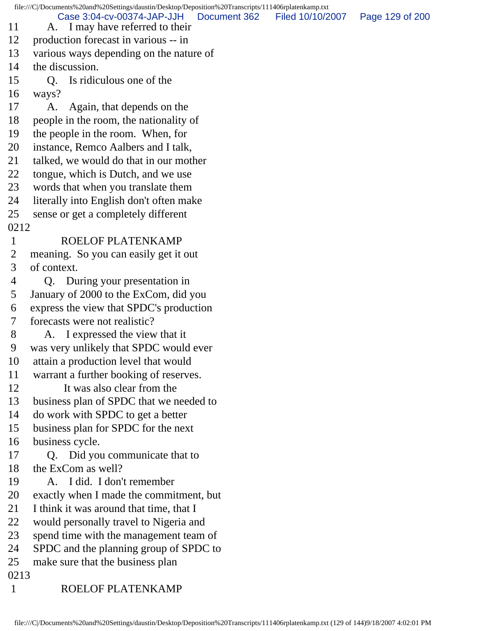file:///C|/Documents%20and%20Settings/daustin/Desktop/Deposition%20Transcripts/111406rplatenkamp.txt 11 A. I may have referred to their 12 production forecast in various -- in 13 various ways depending on the nature of 14 the discussion. 15 Q. Is ridiculous one of the 16 ways? 17 A. Again, that depends on the 18 people in the room, the nationality of 19 the people in the room. When, for 20 instance, Remco Aalbers and I talk, 21 talked, we would do that in our mother 22 tongue, which is Dutch, and we use 23 words that when you translate them 24 literally into English don't often make 25 sense or get a completely different 0212 1 ROELOF PLATENKAMP 2 meaning. So you can easily get it out 3 of context. 4 Q. During your presentation in 5 January of 2000 to the ExCom, did you 6 express the view that SPDC's production 7 forecasts were not realistic? 8 A. I expressed the view that it 9 was very unlikely that SPDC would ever 10 attain a production level that would 11 warrant a further booking of reserves. 12 It was also clear from the 13 business plan of SPDC that we needed to 14 do work with SPDC to get a better 15 business plan for SPDC for the next 16 business cycle. 17 Q. Did you communicate that to 18 the ExCom as well? 19 A. I did. I don't remember 20 exactly when I made the commitment, but 21 I think it was around that time, that I 22 would personally travel to Nigeria and 23 spend time with the management team of 24 SPDC and the planning group of SPDC to 25 make sure that the business plan 0213 1 ROELOF PLATENKAMP Case 3:04-cv-00374-JAP-JJH Document 362 Filed 10/10/2007 Page 129 of 200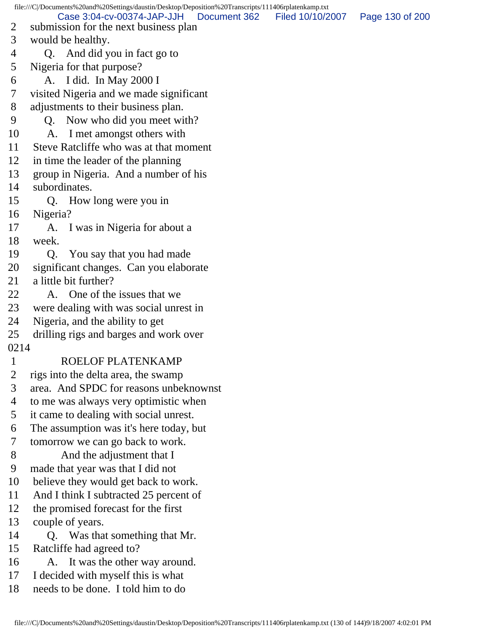file:///C|/Documents%20and%20Settings/daustin/Desktop/Deposition%20Transcripts/111406rplatenkamp.txt 2 submission for the next business plan 3 would be healthy. 4 Q. And did you in fact go to 5 Nigeria for that purpose? 6 A. I did. In May 2000 I 7 visited Nigeria and we made significant 8 adjustments to their business plan. 9 Q. Now who did you meet with? 10 A. I met amongst others with 11 Steve Ratcliffe who was at that moment 12 in time the leader of the planning 13 group in Nigeria. And a number of his 14 subordinates. 15 Q. How long were you in 16 Nigeria? 17 A. I was in Nigeria for about a 18 week. 19 Q. You say that you had made 20 significant changes. Can you elaborate 21 a little bit further? 22 A. One of the issues that we 23 were dealing with was social unrest in 24 Nigeria, and the ability to get 25 drilling rigs and barges and work over 0214 1 ROELOF PLATENKAMP 2 rigs into the delta area, the swamp 3 area. And SPDC for reasons unbeknownst 4 to me was always very optimistic when 5 it came to dealing with social unrest. 6 The assumption was it's here today, but 7 tomorrow we can go back to work. 8 And the adjustment that I 9 made that year was that I did not 10 believe they would get back to work. 11 And I think I subtracted 25 percent of 12 the promised forecast for the first 13 couple of years. 14 Q. Was that something that Mr. 15 Ratcliffe had agreed to? 16 A. It was the other way around. 17 I decided with myself this is what 18 needs to be done. I told him to do Case 3:04-cv-00374-JAP-JJH Document 362 Filed 10/10/2007 Page 130 of 200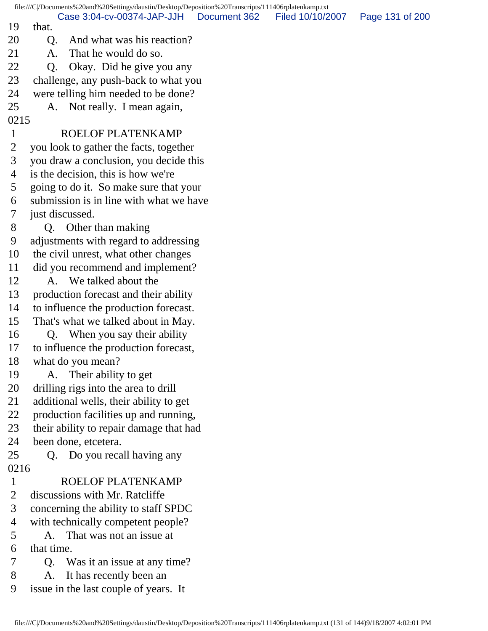|                |                 | file:///C /Documents%20and%20Settings/daustin/Desktop/Deposition%20Transcripts/111406rplatenkamp.txt |              |                  |                 |
|----------------|-----------------|------------------------------------------------------------------------------------------------------|--------------|------------------|-----------------|
| 19             | that.           | Case 3:04-cv-00374-JAP-JJH                                                                           | Document 362 | Filed 10/10/2007 | Page 131 of 200 |
| 20             | Q.              | And what was his reaction?                                                                           |              |                  |                 |
| 21             | A.              | That he would do so.                                                                                 |              |                  |                 |
| 22             | Q <sub>1</sub>  | Okay. Did he give you any                                                                            |              |                  |                 |
| 23             |                 | challenge, any push-back to what you                                                                 |              |                  |                 |
| 24             |                 | were telling him needed to be done?                                                                  |              |                  |                 |
| 25             |                 | A. Not really. I mean again,                                                                         |              |                  |                 |
| 0215           |                 |                                                                                                      |              |                  |                 |
| $\mathbf{1}$   |                 | ROELOF PLATENKAMP                                                                                    |              |                  |                 |
| $\overline{2}$ |                 | you look to gather the facts, together                                                               |              |                  |                 |
| 3              |                 | you draw a conclusion, you decide this                                                               |              |                  |                 |
| 4              |                 | is the decision, this is how we're                                                                   |              |                  |                 |
| 5              |                 | going to do it. So make sure that your                                                               |              |                  |                 |
| 6              |                 | submission is in line with what we have                                                              |              |                  |                 |
| 7              | just discussed. |                                                                                                      |              |                  |                 |
| 8              |                 | Q. Other than making                                                                                 |              |                  |                 |
| 9              |                 | adjustments with regard to addressing                                                                |              |                  |                 |
| 10             |                 | the civil unrest, what other changes                                                                 |              |                  |                 |
| 11             |                 | did you recommend and implement?                                                                     |              |                  |                 |
| 12             |                 | A. We talked about the                                                                               |              |                  |                 |
| 13             |                 | production forecast and their ability                                                                |              |                  |                 |
| 14             |                 | to influence the production forecast.                                                                |              |                  |                 |
| 15             |                 | That's what we talked about in May.                                                                  |              |                  |                 |
| 16             |                 | Q. When you say their ability                                                                        |              |                  |                 |
| 17             |                 | to influence the production forecast,                                                                |              |                  |                 |
| 18             |                 | what do you mean?                                                                                    |              |                  |                 |
| 19             | A.              | Their ability to get                                                                                 |              |                  |                 |
| 20             |                 | drilling rigs into the area to drill                                                                 |              |                  |                 |
| 21             |                 | additional wells, their ability to get                                                               |              |                  |                 |
| 22             |                 | production facilities up and running,                                                                |              |                  |                 |
| 23             |                 | their ability to repair damage that had                                                              |              |                  |                 |
| 24             |                 | been done, etcetera.                                                                                 |              |                  |                 |
| 25             | Q.              | Do you recall having any                                                                             |              |                  |                 |
| 0216           |                 |                                                                                                      |              |                  |                 |
| $\mathbf{1}$   |                 | ROELOF PLATENKAMP                                                                                    |              |                  |                 |
| $\overline{2}$ |                 | discussions with Mr. Ratcliffe                                                                       |              |                  |                 |
| 3              |                 | concerning the ability to staff SPDC                                                                 |              |                  |                 |
| 4              |                 | with technically competent people?                                                                   |              |                  |                 |
| 5              | A.              | That was not an issue at                                                                             |              |                  |                 |
| 6              | that time.      |                                                                                                      |              |                  |                 |
| 7              |                 | Q. Was it an issue at any time?                                                                      |              |                  |                 |
| 8              | A.              | It has recently been an                                                                              |              |                  |                 |
| 9              |                 | issue in the last couple of years. It                                                                |              |                  |                 |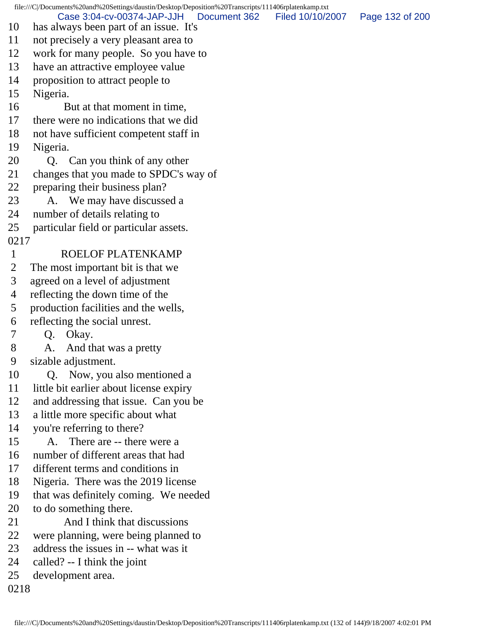file:///C|/Documents%20and%20Settings/daustin/Desktop/Deposition%20Transcripts/111406rplatenkamp.txt 10 has always been part of an issue. It's 11 not precisely a very pleasant area to 12 work for many people. So you have to 13 have an attractive employee value 14 proposition to attract people to 15 Nigeria. 16 But at that moment in time, 17 there were no indications that we did 18 not have sufficient competent staff in 19 Nigeria. 20 Q. Can you think of any other 21 changes that you made to SPDC's way of 22 preparing their business plan? 23 A. We may have discussed a 24 number of details relating to 25 particular field or particular assets. 0217 1 ROELOF PLATENKAMP 2 The most important bit is that we 3 agreed on a level of adjustment 4 reflecting the down time of the 5 production facilities and the wells, 6 reflecting the social unrest. 7 Q. Okay. 8 A. And that was a pretty 9 sizable adjustment. 10 Q. Now, you also mentioned a 11 little bit earlier about license expiry 12 and addressing that issue. Can you be 13 a little more specific about what 14 you're referring to there? 15 A. There are -- there were a 16 number of different areas that had 17 different terms and conditions in 18 Nigeria. There was the 2019 license 19 that was definitely coming. We needed 20 to do something there. 21 And I think that discussions 22 were planning, were being planned to 23 address the issues in -- what was it 24 called? -- I think the joint 25 development area. 0218 Case 3:04-cv-00374-JAP-JJH Document 362 Filed 10/10/2007 Page 132 of 200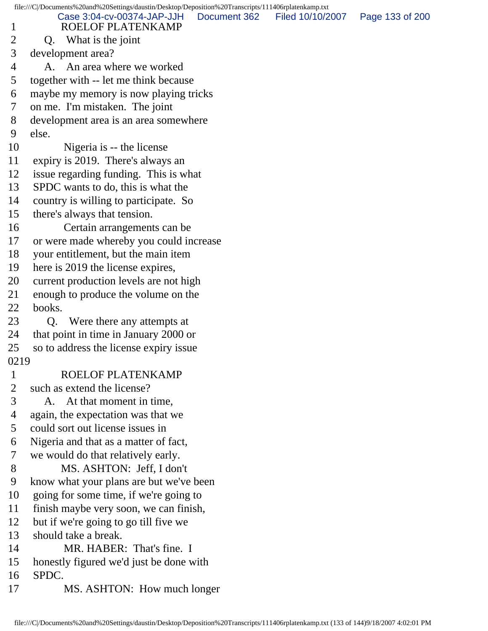|                | file:///C /Documents%20and%20Settings/daustin/Desktop/Deposition%20Transcripts/111406rplatenkamp.txt |                 |
|----------------|------------------------------------------------------------------------------------------------------|-----------------|
| $\mathbf{1}$   | Case 3:04-cv-00374-JAP-JJH<br>Document 362<br>Filed 10/10/2007<br>ROELOF PLATENKAMP                  | Page 133 of 200 |
| $\overline{2}$ | Q. What is the joint                                                                                 |                 |
| 3              | development area?                                                                                    |                 |
| 4              | A. An area where we worked                                                                           |                 |
| 5              | together with -- let me think because                                                                |                 |
| 6              | maybe my memory is now playing tricks                                                                |                 |
| 7              | on me. I'm mistaken. The joint                                                                       |                 |
| 8              | development area is an area somewhere                                                                |                 |
| 9              | else.                                                                                                |                 |
| 10             | Nigeria is -- the license                                                                            |                 |
| 11             | expiry is 2019. There's always an                                                                    |                 |
| 12             | issue regarding funding. This is what                                                                |                 |
| 13             | SPDC wants to do, this is what the                                                                   |                 |
| 14             | country is willing to participate. So                                                                |                 |
| 15             | there's always that tension.                                                                         |                 |
| 16             | Certain arrangements can be                                                                          |                 |
| 17             | or were made whereby you could increase                                                              |                 |
| 18             | your entitlement, but the main item                                                                  |                 |
| 19             | here is 2019 the license expires,                                                                    |                 |
| 20             | current production levels are not high                                                               |                 |
| 21             | enough to produce the volume on the                                                                  |                 |
| 22             | books.                                                                                               |                 |
| 23             | Were there any attempts at<br>Q.                                                                     |                 |
| 24             | that point in time in January 2000 or                                                                |                 |
| 25             | so to address the license expiry issue                                                               |                 |
| 0219           |                                                                                                      |                 |
| $\mathbf{1}$   | ROELOF PLATENKAMP                                                                                    |                 |
| $\overline{2}$ | such as extend the license?                                                                          |                 |
| 3              | A. At that moment in time,                                                                           |                 |
| 4              | again, the expectation was that we                                                                   |                 |
| 5              | could sort out license issues in                                                                     |                 |
| 6              | Nigeria and that as a matter of fact,                                                                |                 |
| 7              | we would do that relatively early.                                                                   |                 |
| 8              | MS. ASHTON: Jeff, I don't                                                                            |                 |
| 9              | know what your plans are but we've been                                                              |                 |
| 10             | going for some time, if we're going to                                                               |                 |
| 11             | finish maybe very soon, we can finish,                                                               |                 |
| 12             | but if we're going to go till five we                                                                |                 |
| 13             | should take a break.                                                                                 |                 |
| 14             | MR. HABER: That's fine. I                                                                            |                 |
| 15             | honestly figured we'd just be done with                                                              |                 |
| 16             | SPDC.                                                                                                |                 |
| 17             | MS. ASHTON: How much longer                                                                          |                 |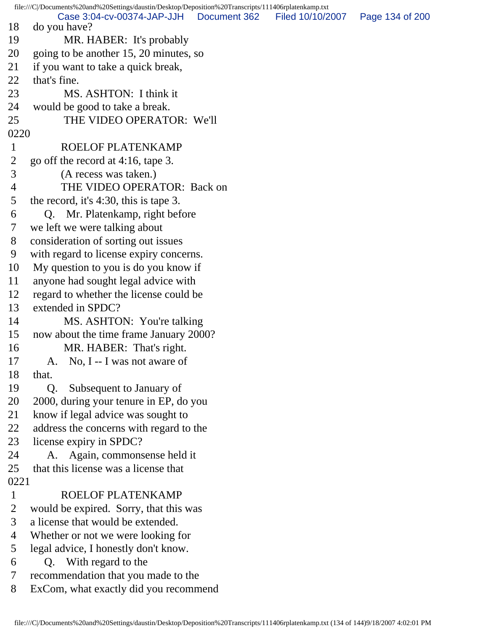file:///C|/Documents%20and%20Settings/daustin/Desktop/Deposition%20Transcripts/111406rplatenkamp.txt 18 do you have? 19 MR. HABER: It's probably 20 going to be another 15, 20 minutes, so 21 if you want to take a quick break, 22 that's fine. 23 MS. ASHTON: I think it 24 would be good to take a break. 25 THE VIDEO OPERATOR: We'll 0220 1 ROELOF PLATENKAMP 2 go off the record at 4:16, tape 3. 3 (A recess was taken.) 4 THE VIDEO OPERATOR: Back on 5 the record, it's 4:30, this is tape 3. 6 Q. Mr. Platenkamp, right before 7 we left we were talking about 8 consideration of sorting out issues 9 with regard to license expiry concerns. 10 My question to you is do you know if 11 anyone had sought legal advice with 12 regard to whether the license could be 13 extended in SPDC? 14 MS. ASHTON: You're talking 15 now about the time frame January 2000? 16 MR. HABER: That's right. 17 A. No, I -- I was not aware of 18 that. 19 Q. Subsequent to January of 20 2000, during your tenure in EP, do you 21 know if legal advice was sought to 22 address the concerns with regard to the 23 license expiry in SPDC? 24 A. Again, commonsense held it 25 that this license was a license that 0221 1 ROELOF PLATENKAMP 2 would be expired. Sorry, that this was 3 a license that would be extended. 4 Whether or not we were looking for 5 legal advice, I honestly don't know. 6 Q. With regard to the 7 recommendation that you made to the 8 ExCom, what exactly did you recommend Case 3:04-cv-00374-JAP-JJH Document 362 Filed 10/10/2007 Page 134 of 200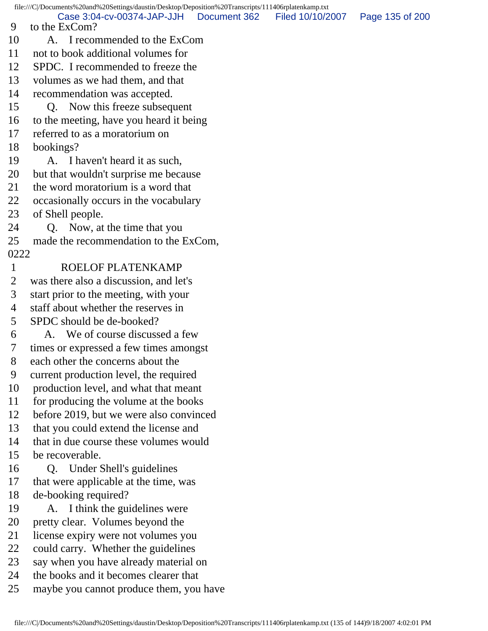file:///C|/Documents%20and%20Settings/daustin/Desktop/Deposition%20Transcripts/111406rplatenkamp.txt 9 to the ExCom? 10 A. I recommended to the ExCom 11 not to book additional volumes for 12 SPDC. I recommended to freeze the 13 volumes as we had them, and that 14 recommendation was accepted. 15 Q. Now this freeze subsequent 16 to the meeting, have you heard it being 17 referred to as a moratorium on 18 bookings? 19 A. I haven't heard it as such, 20 but that wouldn't surprise me because 21 the word moratorium is a word that 22 occasionally occurs in the vocabulary 23 of Shell people. 24 Q. Now, at the time that you 25 made the recommendation to the ExCom, 0222 1 ROELOF PLATENKAMP 2 was there also a discussion, and let's 3 start prior to the meeting, with your 4 staff about whether the reserves in 5 SPDC should be de-booked? 6 A. We of course discussed a few 7 times or expressed a few times amongst 8 each other the concerns about the 9 current production level, the required 10 production level, and what that meant 11 for producing the volume at the books 12 before 2019, but we were also convinced 13 that you could extend the license and 14 that in due course these volumes would 15 be recoverable. 16 Q. Under Shell's guidelines 17 that were applicable at the time, was 18 de-booking required? 19 A. I think the guidelines were 20 pretty clear. Volumes beyond the 21 license expiry were not volumes you 22 could carry. Whether the guidelines 23 say when you have already material on 24 the books and it becomes clearer that 25 maybe you cannot produce them, you have Case 3:04-cv-00374-JAP-JJH Document 362 Filed 10/10/2007 Page 135 of 200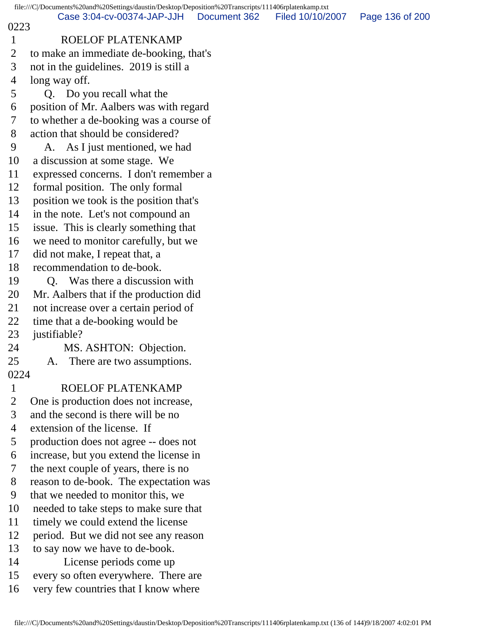|                | file:///C /Documents%20and%20Settings/daustin/Desktop/Deposition%20Transcripts/111406rplatenkamp.txt |              |                  |                 |
|----------------|------------------------------------------------------------------------------------------------------|--------------|------------------|-----------------|
| 0223           | Case 3:04-cv-00374-JAP-JJH                                                                           | Document 362 | Filed 10/10/2007 | Page 136 of 200 |
| $\mathbf{1}$   | ROELOF PLATENKAMP                                                                                    |              |                  |                 |
| $\overline{2}$ | to make an immediate de-booking, that's                                                              |              |                  |                 |
| 3              | not in the guidelines. 2019 is still a                                                               |              |                  |                 |
| 4              | long way off.                                                                                        |              |                  |                 |
| 5              | Q. Do you recall what the                                                                            |              |                  |                 |
| 6              | position of Mr. Aalbers was with regard                                                              |              |                  |                 |
| 7              | to whether a de-booking was a course of                                                              |              |                  |                 |
| 8              | action that should be considered?                                                                    |              |                  |                 |
| 9              | A. As I just mentioned, we had                                                                       |              |                  |                 |
| 10             | a discussion at some stage. We                                                                       |              |                  |                 |
| 11             | expressed concerns. I don't remember a                                                               |              |                  |                 |
| 12             | formal position. The only formal                                                                     |              |                  |                 |
| 13             | position we took is the position that's                                                              |              |                  |                 |
| 14             | in the note. Let's not compound an                                                                   |              |                  |                 |
| 15             | issue. This is clearly something that                                                                |              |                  |                 |
| 16             | we need to monitor carefully, but we                                                                 |              |                  |                 |
| 17             | did not make, I repeat that, a                                                                       |              |                  |                 |
| 18             | recommendation to de-book.                                                                           |              |                  |                 |
| 19             | Was there a discussion with<br>Q.                                                                    |              |                  |                 |
| 20             | Mr. Aalbers that if the production did                                                               |              |                  |                 |
| 21             | not increase over a certain period of                                                                |              |                  |                 |
| 22             | time that a de-booking would be                                                                      |              |                  |                 |
| 23             | justifiable?                                                                                         |              |                  |                 |
| 24             | MS. ASHTON: Objection.                                                                               |              |                  |                 |
| 25             | There are two assumptions.<br>A.                                                                     |              |                  |                 |
| 0224           |                                                                                                      |              |                  |                 |
| $\mathbf{1}$   | ROELOF PLATENKAMP                                                                                    |              |                  |                 |
| $\overline{2}$ | One is production does not increase,                                                                 |              |                  |                 |
| 3              | and the second is there will be no                                                                   |              |                  |                 |
| 4              | extension of the license. If                                                                         |              |                  |                 |
| 5              | production does not agree -- does not                                                                |              |                  |                 |
| 6              | increase, but you extend the license in                                                              |              |                  |                 |
| 7              | the next couple of years, there is no                                                                |              |                  |                 |
| 8              | reason to de-book. The expectation was                                                               |              |                  |                 |
| 9              | that we needed to monitor this, we                                                                   |              |                  |                 |
| 10             | needed to take steps to make sure that                                                               |              |                  |                 |
| 11             | timely we could extend the license                                                                   |              |                  |                 |
| 12             | period. But we did not see any reason                                                                |              |                  |                 |
| 13             | to say now we have to de-book.                                                                       |              |                  |                 |
| 14             | License periods come up                                                                              |              |                  |                 |
| 15             | every so often everywhere. There are                                                                 |              |                  |                 |
| 16             | very few countries that I know where                                                                 |              |                  |                 |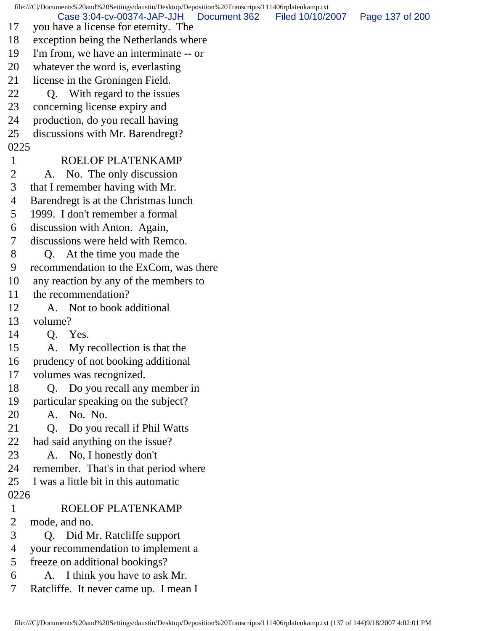file:///C|/Documents%20and%20Settings/daustin/Desktop/Deposition%20Transcripts/111406rplatenkamp.txt 17 you have a license for eternity. The 18 exception being the Netherlands where 19 I'm from, we have an interminate -- or 20 whatever the word is, everlasting 21 license in the Groningen Field. 22 Q. With regard to the issues 23 concerning license expiry and 24 production, do you recall having 25 discussions with Mr. Barendregt? 0225 1 ROELOF PLATENKAMP 2 A. No. The only discussion 3 that I remember having with Mr. 4 Barendregt is at the Christmas lunch 5 1999. I don't remember a formal 6 discussion with Anton. Again, 7 discussions were held with Remco. 8 Q. At the time you made the 9 recommendation to the ExCom, was there 10 any reaction by any of the members to 11 the recommendation? 12 A. Not to book additional 13 volume? 14 Q. Yes. 15 A. My recollection is that the 16 prudency of not booking additional 17 volumes was recognized. 18 Q. Do you recall any member in 19 particular speaking on the subject? 20 A. No. No. 21 Q. Do you recall if Phil Watts 22 had said anything on the issue? 23 A. No, I honestly don't 24 remember. That's in that period where 25 I was a little bit in this automatic 0226 1 ROELOF PLATENKAMP 2 mode, and no. 3 Q. Did Mr. Ratcliffe support 4 your recommendation to implement a 5 freeze on additional bookings? 6 A. I think you have to ask Mr. 7 Ratcliffe. It never came up. I mean I Case 3:04-cv-00374-JAP-JJH Document 362 Filed 10/10/2007 Page 137 of 200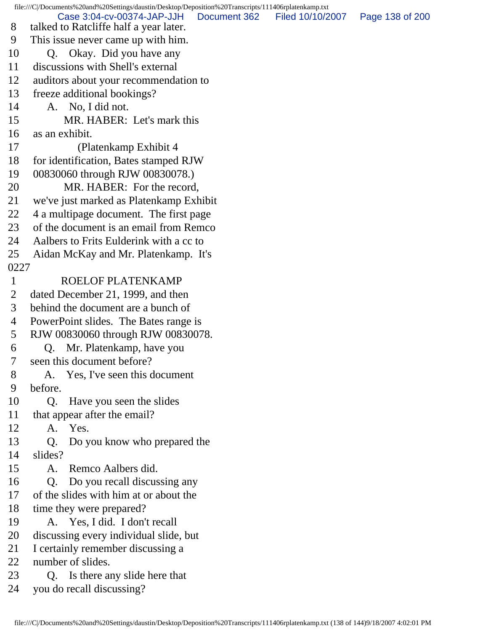file:///C|/Documents%20and%20Settings/daustin/Desktop/Deposition%20Transcripts/111406rplatenkamp.txt

Case 3:04-cv-00374-JAP-JJH Document 362 Filed 10/10/2007 Page 138 of 200

- 8 talked to Ratcliffe half a year later. 9 This issue never came up with him.
- 10 Q. Okay. Did you have any
- 11 discussions with Shell's external
- 12 auditors about your recommendation to
- 13 freeze additional bookings?
- 14 A. No, I did not.
- 15 MR. HABER: Let's mark this
- 16 as an exhibit.
- 17 (Platenkamp Exhibit 4
- 18 for identification, Bates stamped RJW
- 19 00830060 through RJW 00830078.)
- 20 MR. HABER: For the record,
- 21 we've just marked as Platenkamp Exhibit
- 22 4 a multipage document. The first page
- 23 of the document is an email from Remco
- 24 Aalbers to Frits Eulderink with a cc to
- 25 Aidan McKay and Mr. Platenkamp. It's 0227
- 

## 1 ROELOF PLATENKAMP

- 2 dated December 21, 1999, and then
- 3 behind the document are a bunch of
- 4 PowerPoint slides. The Bates range is
- 5 RJW 00830060 through RJW 00830078.
- 6 Q. Mr. Platenkamp, have you
- 7 seen this document before?
- 8 A. Yes, I've seen this document 9 before.
- 10 Q. Have you seen the slides
- 11 that appear after the email?
- 12 A. Yes.
- 13 Q. Do you know who prepared the
- 14 slides?
- 15 A. Remco Aalbers did.
- 16 Q. Do you recall discussing any
- 17 of the slides with him at or about the
- 18 time they were prepared?
- 19 A. Yes, I did. I don't recall
- 20 discussing every individual slide, but
- 21 I certainly remember discussing a
- 22 number of slides.
- 23 Q. Is there any slide here that
- 24 you do recall discussing?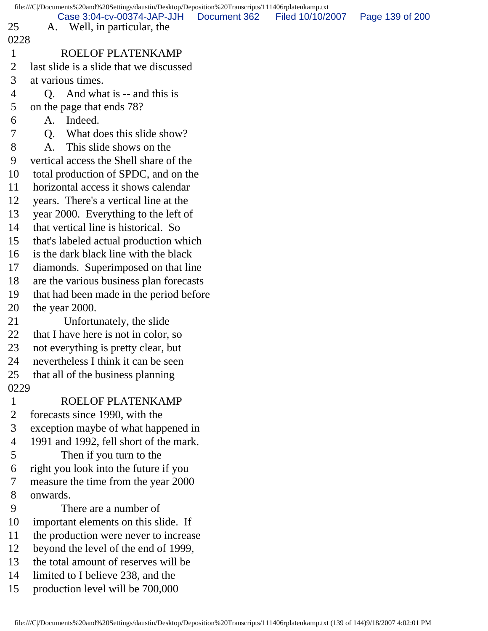|                | file:///C /Documents%20and%20Settings/daustin/Desktop/Deposition%20Transcripts/111406rplatenkamp.txt |              |                  |                 |
|----------------|------------------------------------------------------------------------------------------------------|--------------|------------------|-----------------|
| 25             | Case 3:04-cv-00374-JAP-JJH<br>A. Well, in particular, the                                            | Document 362 | Filed 10/10/2007 | Page 139 of 200 |
| 0228           |                                                                                                      |              |                  |                 |
| $\mathbf{1}$   | ROELOF PLATENKAMP                                                                                    |              |                  |                 |
| $\overline{2}$ | last slide is a slide that we discussed                                                              |              |                  |                 |
| 3              | at various times.                                                                                    |              |                  |                 |
| 4              | And what is -- and this is<br>Q.                                                                     |              |                  |                 |
| 5              | on the page that ends 78?                                                                            |              |                  |                 |
| 6              | Indeed.<br>A.                                                                                        |              |                  |                 |
| 7              | What does this slide show?<br>Q.                                                                     |              |                  |                 |
| 8              | This slide shows on the<br>A.                                                                        |              |                  |                 |
| 9              | vertical access the Shell share of the                                                               |              |                  |                 |
| 10             | total production of SPDC, and on the                                                                 |              |                  |                 |
| 11             | horizontal access it shows calendar                                                                  |              |                  |                 |
| 12             | years. There's a vertical line at the                                                                |              |                  |                 |
| 13             | year 2000. Everything to the left of                                                                 |              |                  |                 |
| 14             | that vertical line is historical. So                                                                 |              |                  |                 |
| 15             | that's labeled actual production which                                                               |              |                  |                 |
| 16             | is the dark black line with the black                                                                |              |                  |                 |
| 17             | diamonds. Superimposed on that line                                                                  |              |                  |                 |
| 18             | are the various business plan forecasts                                                              |              |                  |                 |
| 19             | that had been made in the period before                                                              |              |                  |                 |
| 20             | the year 2000.                                                                                       |              |                  |                 |
| 21             | Unfortunately, the slide                                                                             |              |                  |                 |
| 22             | that I have here is not in color, so                                                                 |              |                  |                 |
| 23             | not everything is pretty clear, but                                                                  |              |                  |                 |
| 24             | nevertheless I think it can be seen                                                                  |              |                  |                 |
| 25             | that all of the business planning                                                                    |              |                  |                 |
| 0229           |                                                                                                      |              |                  |                 |
| $\mathbf{1}$   | ROELOF PLATENKAMP                                                                                    |              |                  |                 |
| $\overline{2}$ | forecasts since 1990, with the                                                                       |              |                  |                 |
| 3              | exception maybe of what happened in                                                                  |              |                  |                 |
| 4              | 1991 and 1992, fell short of the mark.                                                               |              |                  |                 |
| 5              | Then if you turn to the                                                                              |              |                  |                 |
| 6              | right you look into the future if you                                                                |              |                  |                 |
| $\tau$         | measure the time from the year 2000                                                                  |              |                  |                 |
| 8              | onwards.                                                                                             |              |                  |                 |
| 9              | There are a number of                                                                                |              |                  |                 |
| 10             | important elements on this slide. If                                                                 |              |                  |                 |
| 11             | the production were never to increase                                                                |              |                  |                 |
| 12             | beyond the level of the end of 1999,                                                                 |              |                  |                 |
| 13             | the total amount of reserves will be                                                                 |              |                  |                 |
| 14             | limited to I believe 238, and the                                                                    |              |                  |                 |
| 15             | production level will be 700,000                                                                     |              |                  |                 |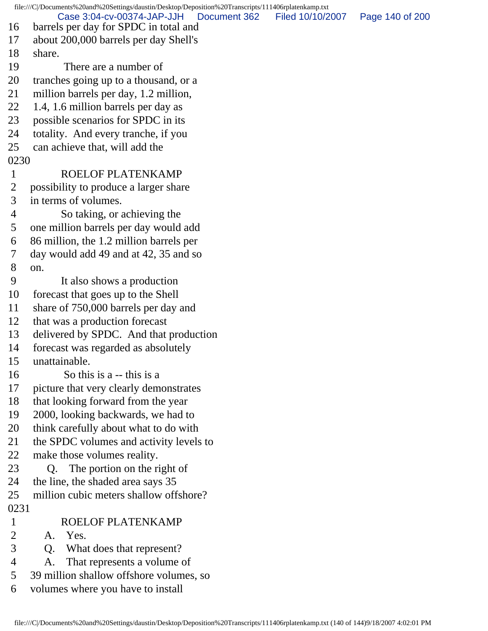file:///C|/Documents%20and%20Settings/daustin/Desktop/Deposition%20Transcripts/111406rplatenkamp.txt 16 barrels per day for SPDC in total and 17 about 200,000 barrels per day Shell's 18 share. 19 There are a number of 20 tranches going up to a thousand, or a 21 million barrels per day, 1.2 million, 22 1.4, 1.6 million barrels per day as 23 possible scenarios for SPDC in its 24 totality. And every tranche, if you 25 can achieve that, will add the 0230 1 ROELOF PLATENKAMP 2 possibility to produce a larger share 3 in terms of volumes. 4 So taking, or achieving the 5 one million barrels per day would add 6 86 million, the 1.2 million barrels per 7 day would add 49 and at 42, 35 and so 8 on. 9 It also shows a production 10 forecast that goes up to the Shell 11 share of 750,000 barrels per day and 12 that was a production forecast 13 delivered by SPDC. And that production 14 forecast was regarded as absolutely 15 unattainable. 16 So this is a -- this is a 17 picture that very clearly demonstrates 18 that looking forward from the year 19 2000, looking backwards, we had to 20 think carefully about what to do with 21 the SPDC volumes and activity levels to 22 make those volumes reality. 23 Q. The portion on the right of 24 the line, the shaded area says 35 25 million cubic meters shallow offshore? 0231 1 ROELOF PLATENKAMP 2 A. Yes. 3 Q. What does that represent? 4 A. That represents a volume of 5 39 million shallow offshore volumes, so 6 volumes where you have to install Case 3:04-cv-00374-JAP-JJH Document 362 Filed 10/10/2007 Page 140 of 200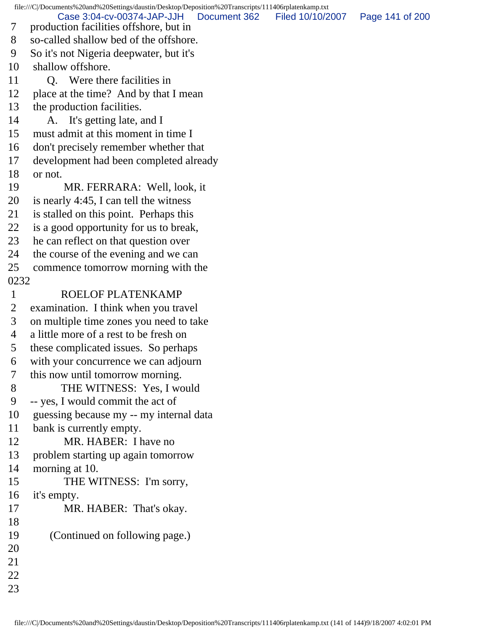file:///C|/Documents%20and%20Settings/daustin/Desktop/Deposition%20Transcripts/111406rplatenkamp.txt 7 production facilities offshore, but in 8 so-called shallow bed of the offshore. 9 So it's not Nigeria deepwater, but it's 10 shallow offshore. 11 O. Were there facilities in 12 place at the time? And by that I mean 13 the production facilities. 14 A. It's getting late, and I 15 must admit at this moment in time I 16 don't precisely remember whether that 17 development had been completed already 18 or not. 19 MR. FERRARA: Well, look, it 20 is nearly 4:45, I can tell the witness 21 is stalled on this point. Perhaps this 22 is a good opportunity for us to break, 23 he can reflect on that question over 24 the course of the evening and we can 25 commence tomorrow morning with the 0232 1 ROELOF PLATENKAMP 2 examination. I think when you travel 3 on multiple time zones you need to take 4 a little more of a rest to be fresh on 5 these complicated issues. So perhaps 6 with your concurrence we can adjourn 7 this now until tomorrow morning. 8 THE WITNESS: Yes, I would 9 -- yes, I would commit the act of 10 guessing because my -- my internal data 11 bank is currently empty. 12 MR. HABER: I have no 13 problem starting up again tomorrow 14 morning at 10. 15 THE WITNESS: I'm sorry, 16 it's empty. 17 MR. HABER: That's okay. 18 19 (Continued on following page.) 20 21 22 Case 3:04-cv-00374-JAP-JJH Document 362 Filed 10/10/2007 Page 141 of 200

23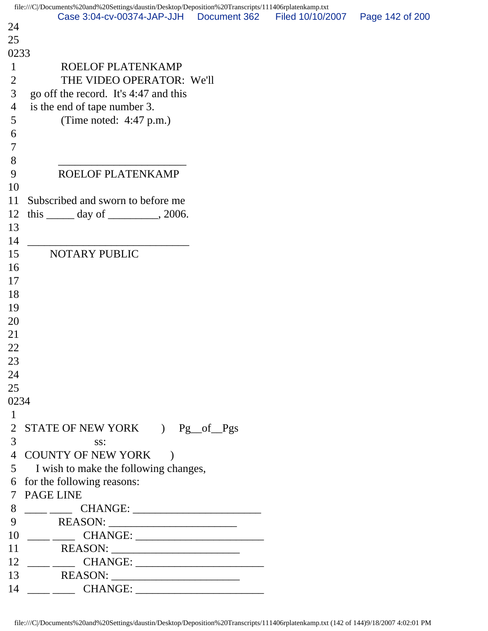|                     | file:///C /Documents%20and%20Settings/daustin/Desktop/Deposition%20Transcripts/111406rplatenkamp.txt                                                                                                                                                                                                                                                                                                                                           |                  |                 |
|---------------------|------------------------------------------------------------------------------------------------------------------------------------------------------------------------------------------------------------------------------------------------------------------------------------------------------------------------------------------------------------------------------------------------------------------------------------------------|------------------|-----------------|
| 24                  | Case 3:04-cv-00374-JAP-JJH Document 362                                                                                                                                                                                                                                                                                                                                                                                                        | Filed 10/10/2007 | Page 142 of 200 |
| 25                  |                                                                                                                                                                                                                                                                                                                                                                                                                                                |                  |                 |
| 0233                |                                                                                                                                                                                                                                                                                                                                                                                                                                                |                  |                 |
| $\mathbf{1}$        | ROELOF PLATENKAMP                                                                                                                                                                                                                                                                                                                                                                                                                              |                  |                 |
| $\overline{2}$      | THE VIDEO OPERATOR: We'll                                                                                                                                                                                                                                                                                                                                                                                                                      |                  |                 |
| 3                   | go off the record. It's 4:47 and this                                                                                                                                                                                                                                                                                                                                                                                                          |                  |                 |
| $\overline{4}$      | is the end of tape number 3.                                                                                                                                                                                                                                                                                                                                                                                                                   |                  |                 |
| 5                   | (Time noted: $4:47$ p.m.)                                                                                                                                                                                                                                                                                                                                                                                                                      |                  |                 |
| 6                   |                                                                                                                                                                                                                                                                                                                                                                                                                                                |                  |                 |
| $\tau$              |                                                                                                                                                                                                                                                                                                                                                                                                                                                |                  |                 |
| 8                   |                                                                                                                                                                                                                                                                                                                                                                                                                                                |                  |                 |
| 9                   | ROELOF PLATENKAMP                                                                                                                                                                                                                                                                                                                                                                                                                              |                  |                 |
| 10                  |                                                                                                                                                                                                                                                                                                                                                                                                                                                |                  |                 |
| 11                  | Subscribed and sworn to before me                                                                                                                                                                                                                                                                                                                                                                                                              |                  |                 |
| 12                  | this $\_\_\_\$ day of $\_\_\_\_\$ , 2006.                                                                                                                                                                                                                                                                                                                                                                                                      |                  |                 |
| 13                  |                                                                                                                                                                                                                                                                                                                                                                                                                                                |                  |                 |
| 14                  |                                                                                                                                                                                                                                                                                                                                                                                                                                                |                  |                 |
| 15                  | <b>NOTARY PUBLIC</b>                                                                                                                                                                                                                                                                                                                                                                                                                           |                  |                 |
| 16                  |                                                                                                                                                                                                                                                                                                                                                                                                                                                |                  |                 |
| 17                  |                                                                                                                                                                                                                                                                                                                                                                                                                                                |                  |                 |
| 18                  |                                                                                                                                                                                                                                                                                                                                                                                                                                                |                  |                 |
| 19                  |                                                                                                                                                                                                                                                                                                                                                                                                                                                |                  |                 |
| 20                  |                                                                                                                                                                                                                                                                                                                                                                                                                                                |                  |                 |
| 21                  |                                                                                                                                                                                                                                                                                                                                                                                                                                                |                  |                 |
| 22                  |                                                                                                                                                                                                                                                                                                                                                                                                                                                |                  |                 |
| 23                  |                                                                                                                                                                                                                                                                                                                                                                                                                                                |                  |                 |
| 24                  |                                                                                                                                                                                                                                                                                                                                                                                                                                                |                  |                 |
| 25                  |                                                                                                                                                                                                                                                                                                                                                                                                                                                |                  |                 |
| 0234                |                                                                                                                                                                                                                                                                                                                                                                                                                                                |                  |                 |
| $\mathbf{1}$        |                                                                                                                                                                                                                                                                                                                                                                                                                                                |                  |                 |
| $\overline{2}$<br>3 | STATE OF NEW YORK ) Pg_of_Pgs                                                                                                                                                                                                                                                                                                                                                                                                                  |                  |                 |
|                     | SS:<br>4 COUNTY OF NEW YORK                                                                                                                                                                                                                                                                                                                                                                                                                    |                  |                 |
|                     | 5 I wish to make the following changes,                                                                                                                                                                                                                                                                                                                                                                                                        |                  |                 |
|                     | 6 for the following reasons:                                                                                                                                                                                                                                                                                                                                                                                                                   |                  |                 |
|                     | 7 PAGE LINE                                                                                                                                                                                                                                                                                                                                                                                                                                    |                  |                 |
| 8                   | $\begin{tabular}{c} \begin{tabular}{c} \textbf{---} \\ \textbf{---} \end{tabular} \end{tabular} \begin{tabular}{p{\textbf{.} \textbf{.} \textbf{.} \textbf{.} \textbf{.} \textbf{.} \textbf{.} \textbf{.} \textbf{.} \textbf{.} \textbf{.} \textbf{.} \textbf{.} \textbf{.} \textbf{.} \textbf{.} \textbf{.} \textbf{.} \textbf{.} \textbf{.} \textbf{.} \textbf{.} \textbf{.} \textbf{.} \textbf{.} \textbf{.} \textbf{.} \textbf{.} \textbf$ |                  |                 |
| 9                   |                                                                                                                                                                                                                                                                                                                                                                                                                                                |                  |                 |
|                     |                                                                                                                                                                                                                                                                                                                                                                                                                                                |                  |                 |
| 11                  |                                                                                                                                                                                                                                                                                                                                                                                                                                                |                  |                 |
|                     |                                                                                                                                                                                                                                                                                                                                                                                                                                                |                  |                 |
| 13                  | REASON:                                                                                                                                                                                                                                                                                                                                                                                                                                        |                  |                 |
|                     |                                                                                                                                                                                                                                                                                                                                                                                                                                                |                  |                 |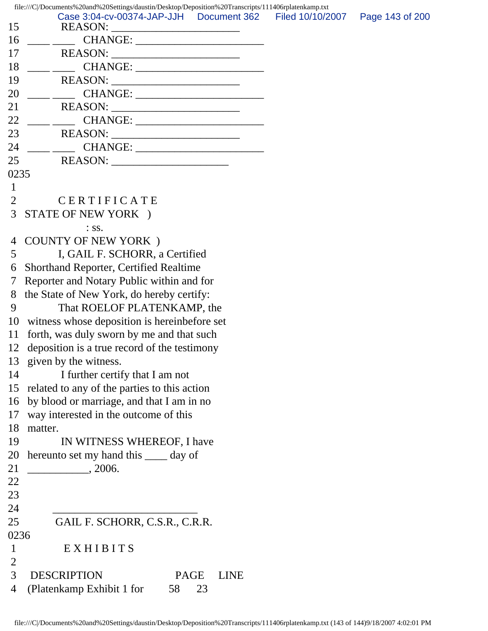15 REASON: 16 \_\_\_\_ \_\_\_\_ CHANGE: \_\_\_\_\_\_\_\_\_\_\_\_\_\_\_\_\_\_\_\_\_\_\_ 17 REASON: \_\_\_\_\_\_\_\_\_\_\_\_\_\_\_\_\_\_\_\_\_\_\_ 18 \_\_\_\_ \_\_\_\_ CHANGE: \_\_\_\_\_\_\_\_\_\_\_\_\_\_\_\_\_\_\_\_\_\_\_ 19 REASON: \_\_\_\_\_\_\_\_\_\_\_\_\_\_\_\_\_\_\_\_\_\_\_ 20 \_\_\_\_ \_\_\_\_ CHANGE: \_\_\_\_\_\_\_\_\_\_\_\_\_\_\_\_\_\_\_\_\_\_\_ 21 REASON: \_\_\_\_\_\_\_\_\_\_\_\_\_\_\_\_\_\_\_\_\_\_\_ 22 \_\_\_\_ \_\_\_\_ CHANGE: \_\_\_\_\_\_\_\_\_\_\_\_\_\_\_\_\_\_\_\_\_\_\_ 23 REASON: \_\_\_\_\_\_\_\_\_\_\_\_\_\_\_\_\_\_\_\_\_\_\_ 24 \_\_\_\_ \_\_\_\_ CHANGE: \_\_\_\_\_\_\_\_\_\_\_\_\_\_\_\_\_\_\_\_\_\_\_ 25 REASON: \_\_\_\_\_\_\_\_\_\_\_\_\_\_\_\_\_\_\_\_\_ 0235 1 2 CERTIFICATE 3 STATE OF NEW YORK ) : ss. 4 COUNTY OF NEW YORK ) 5 I, GAIL F. SCHORR, a Certified 6 Shorthand Reporter, Certified Realtime 7 Reporter and Notary Public within and for 8 the State of New York, do hereby certify: 9 That ROELOF PLATENKAMP, the 10 witness whose deposition is hereinbefore set 11 forth, was duly sworn by me and that such 12 deposition is a true record of the testimony 13 given by the witness. 14 I further certify that I am not 15 related to any of the parties to this action 16 by blood or marriage, and that I am in no 17 way interested in the outcome of this 18 matter. 19 IN WITNESS WHEREOF, I have 20 hereunto set my hand this \_\_\_\_ day of 21 \_\_\_\_\_\_\_\_\_\_\_, 2006. 22 23 24 \_\_\_\_\_\_\_\_\_\_\_\_\_\_\_\_\_\_\_\_\_\_\_\_\_\_ 25 GAIL F. SCHORR, C.S.R., C.R.R. 0236 1 EXHIBITS 2 3 DESCRIPTION PAGE LINE 4 (Platenkamp Exhibit 1 for 58 23 Case 3:04-cv-00374-JAP-JJH Document 362 Filed 10/10/2007 Page 143 of 200

file:///C|/Documents%20and%20Settings/daustin/Desktop/Deposition%20Transcripts/111406rplatenkamp.txt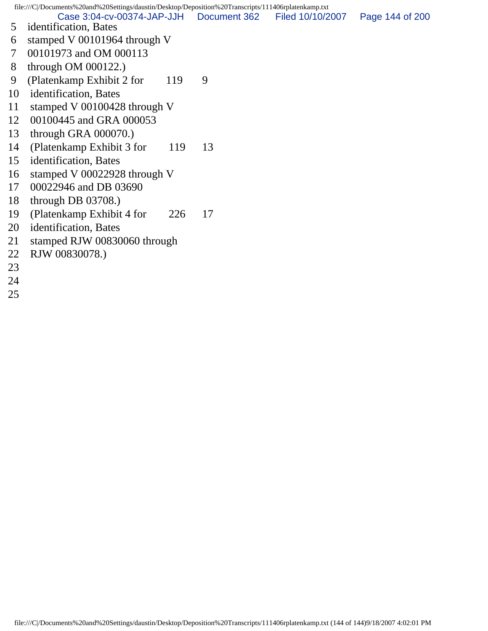file:///C|/Documents%20and%20Settings/daustin/Desktop/Deposition%20Transcripts/111406rplatenkamp.txt Case 3:04-cv-00374-JAP-JJH Document 362 Filed 10/10/2007 Page 144 of 200

- 5 identification, Bates
- 6 stamped V 00101964 through V
- 7 00101973 and OM 000113
- 8 through OM 000122.)
- 9 (Platenkamp Exhibit 2 for 119 9
- 10 identification, Bates
- 11 stamped V 00100428 through V
- 12 00100445 and GRA 000053
- 13 through GRA 000070.)
- 14 (Platenkamp Exhibit 3 for 119 13)
- 15 identification, Bates
- 16 stamped V 00022928 through V
- 17 00022946 and DB 03690
- 18 through DB 03708.)
- 19 (Platenkamp Exhibit 4 for 226 17
- 20 identification, Bates
- 21 stamped RJW 00830060 through
- 22 RJW 00830078.)
- 23
- 24
- 25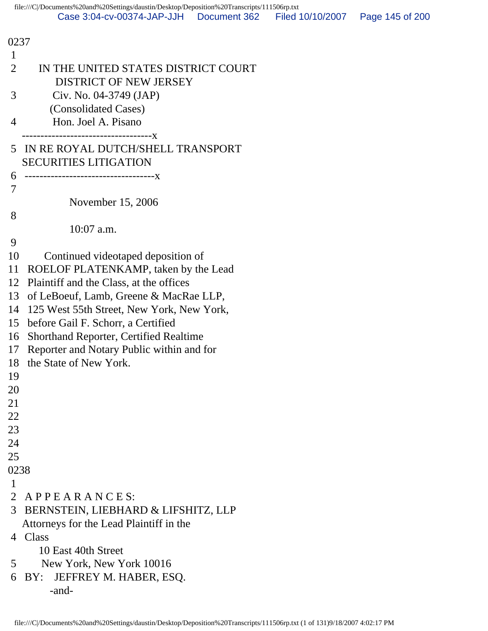| 0237           |                                                                      |  |  |  |
|----------------|----------------------------------------------------------------------|--|--|--|
| 1              |                                                                      |  |  |  |
| $\overline{2}$ | IN THE UNITED STATES DISTRICT COURT<br><b>DISTRICT OF NEW JERSEY</b> |  |  |  |
| 3              | Civ. No. 04-3749 (JAP)                                               |  |  |  |
|                | (Consolidated Cases)                                                 |  |  |  |
| 4              | Hon. Joel A. Pisano                                                  |  |  |  |
|                | ----------------------------X                                        |  |  |  |
| 5              | IN RE ROYAL DUTCH/SHELL TRANSPORT                                    |  |  |  |
|                | <b>SECURITIES LITIGATION</b>                                         |  |  |  |
| 6              |                                                                      |  |  |  |
| 7              |                                                                      |  |  |  |
|                | November 15, 2006                                                    |  |  |  |
| 8              |                                                                      |  |  |  |
|                | $10:07$ a.m.                                                         |  |  |  |
| 9              |                                                                      |  |  |  |
| 10             | Continued videotaped deposition of                                   |  |  |  |
| 11             | ROELOF PLATENKAMP, taken by the Lead                                 |  |  |  |
| 12             | Plaintiff and the Class, at the offices                              |  |  |  |
| 13             | of LeBoeuf, Lamb, Greene & MacRae LLP,                               |  |  |  |
| 14             | 125 West 55th Street, New York, New York,                            |  |  |  |
| 15             | before Gail F. Schorr, a Certified                                   |  |  |  |
| 16             | <b>Shorthand Reporter, Certified Realtime</b>                        |  |  |  |
| 17             | Reporter and Notary Public within and for                            |  |  |  |
| 18             | the State of New York.                                               |  |  |  |
| 19             |                                                                      |  |  |  |
| 20             |                                                                      |  |  |  |
| 21             |                                                                      |  |  |  |
| 22             |                                                                      |  |  |  |
| 23             |                                                                      |  |  |  |
| 24             |                                                                      |  |  |  |
| 25             |                                                                      |  |  |  |
| 0238           |                                                                      |  |  |  |
| 1              |                                                                      |  |  |  |
|                | 2 APPEARANCES:                                                       |  |  |  |
| 3              | BERNSTEIN, LIEBHARD & LIFSHITZ, LLP                                  |  |  |  |
|                | Attorneys for the Lead Plaintiff in the                              |  |  |  |
|                | 4 Class                                                              |  |  |  |
|                | 10 East 40th Street                                                  |  |  |  |
| 5              | New York, New York 10016                                             |  |  |  |
| 6              | JEFFREY M. HABER, ESQ.<br>BY:                                        |  |  |  |
|                | -and-                                                                |  |  |  |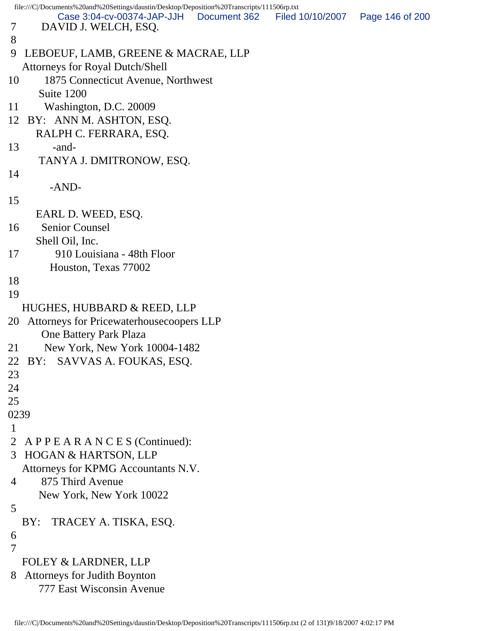```
file:///C|/Documents%20and%20Settings/daustin/Desktop/Deposition%20Transcripts/111506rp.txt
 7 DAVID J. WELCH, ESQ.
 8 
 9 LEBOEUF, LAMB, GREENE & MACRAE, LLP
   Attorneys for Royal Dutch/Shell
10 1875 Connecticut Avenue, Northwest
       Suite 1200
11 Washington, D.C. 20009
12 BY: ANN M. ASHTON, ESQ.
      RALPH C. FERRARA, ESQ.
13 -and-
       TANYA J. DMITRONOW, ESQ.
14 
         -AND-
15 
      EARL D. WEED, ESQ.
16 Senior Counsel
      Shell Oil, Inc.
17 910 Louisiana - 48th Floor
         Houston, Texas 77002
18 
19 
   HUGHES, HUBBARD & REED, LLP
20 Attorneys for Pricewaterhousecoopers LLP
       One Battery Park Plaza
21 New York, New York 10004-1482
22 BY: SAVVAS A. FOUKAS, ESQ.
23 
24 
25 
0239
 1 
 2 A P P E A R A N C E S (Continued):
 3 HOGAN & HARTSON, LLP
   Attorneys for KPMG Accountants N.V.
 4 875 Third Avenue
       New York, New York 10022
 5 
   BY: TRACEY A. TISKA, ESQ.
 6 
 7 
   FOLEY & LARDNER, LLP
 8 Attorneys for Judith Boynton
       777 East Wisconsin Avenue
         Case 3:04-cv-00374-JAP-JJH Document 362 Filed 10/10/2007 Page 146 of 200
```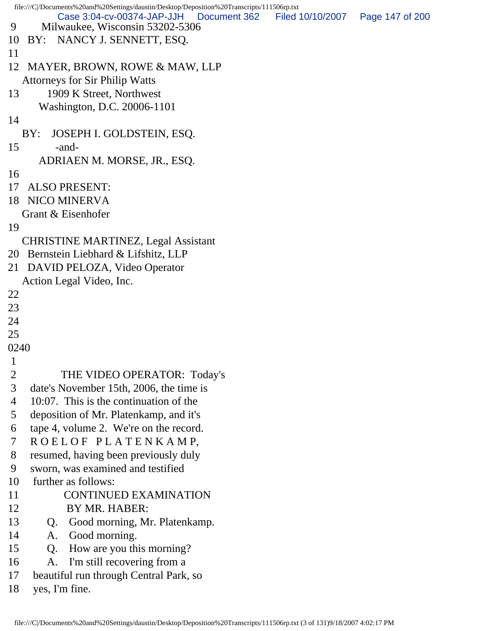```
file:///C|/Documents%20and%20Settings/daustin/Desktop/Deposition%20Transcripts/111506rp.txt
 9 Milwaukee, Wisconsin 53202-5306
10 BY: NANCY J. SENNETT, ESQ.
11 
12 MAYER, BROWN, ROWE & MAW, LLP
   Attorneys for Sir Philip Watts
13 1909 K Street, Northwest
      Washington, D.C. 20006-1101
14 
   BY: JOSEPH I. GOLDSTEIN, ESQ.
15 -and-
      ADRIAEN M. MORSE, JR., ESQ.
16 
17 ALSO PRESENT:
18 NICO MINERVA
   Grant & Eisenhofer
19 
   CHRISTINE MARTINEZ, Legal Assistant
20 Bernstein Liebhard & Lifshitz, LLP
21 DAVID PELOZA, Video Operator
   Action Legal Video, Inc.
22 
23 
24 
25 
0240
 1 
 2 THE VIDEO OPERATOR: Today's
 3 date's November 15th, 2006, the time is
 4 10:07. This is the continuation of the
 5 deposition of Mr. Platenkamp, and it's
 6 tape 4, volume 2. We're on the record.
 7 R O E L O F P L A T E N K A M P,
 8 resumed, having been previously duly
 9 sworn, was examined and testified
10 further as follows:
11 CONTINUED EXAMINATION
12 BY MR. HABER:
13 Q. Good morning, Mr. Platenkamp.
14 A. Good morning.
15 Q. How are you this morning?
16 A. I'm still recovering from a
17 beautiful run through Central Park, so
18 yes, I'm fine.
         Case 3:04-cv-00374-JAP-JJH Document 362 Filed 10/10/2007 Page 147 of 200
```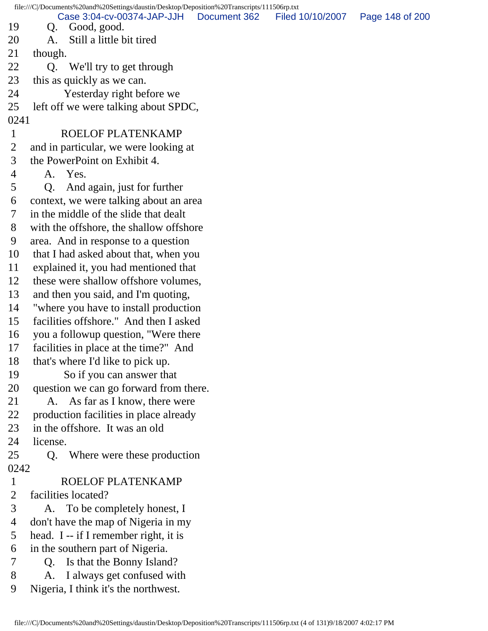file:///C|/Documents%20and%20Settings/daustin/Desktop/Deposition%20Transcripts/111506rp.txt 19 Q. Good, good. 20 A. Still a little bit tired 21 though. 22 Q. We'll try to get through 23 this as quickly as we can. 24 Yesterday right before we 25 left off we were talking about SPDC, 0241 1 ROELOF PLATENKAMP 2 and in particular, we were looking at 3 the PowerPoint on Exhibit 4. 4 A. Yes. 5 Q. And again, just for further 6 context, we were talking about an area 7 in the middle of the slide that dealt 8 with the offshore, the shallow offshore 9 area. And in response to a question 10 that I had asked about that, when you 11 explained it, you had mentioned that 12 these were shallow offshore volumes, 13 and then you said, and I'm quoting, 14 "where you have to install production 15 facilities offshore." And then I asked 16 you a followup question, "Were there 17 facilities in place at the time?" And 18 that's where I'd like to pick up. 19 So if you can answer that 20 question we can go forward from there. 21 A. As far as I know, there were 22 production facilities in place already 23 in the offshore. It was an old 24 license. 25 Q. Where were these production 0242 1 ROELOF PLATENKAMP 2 facilities located? 3 A. To be completely honest, I 4 don't have the map of Nigeria in my 5 head. I -- if I remember right, it is 6 in the southern part of Nigeria. 7 Q. Is that the Bonny Island? 8 A. I always get confused with 9 Nigeria, I think it's the northwest. Case 3:04-cv-00374-JAP-JJH Document 362 Filed 10/10/2007 Page 148 of 200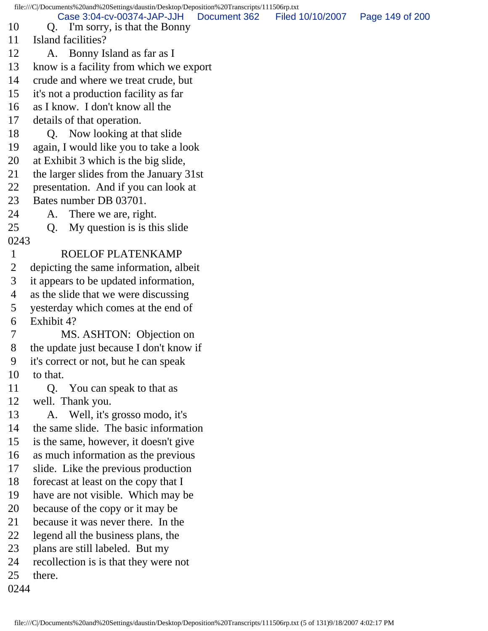file:///C|/Documents%20and%20Settings/daustin/Desktop/Deposition%20Transcripts/111506rp.txt 10 Q. I'm sorry, is that the Bonny 11 Island facilities? 12 A. Bonny Island as far as I 13 know is a facility from which we export 14 crude and where we treat crude, but 15 it's not a production facility as far 16 as I know. I don't know all the 17 details of that operation. 18 Q. Now looking at that slide 19 again, I would like you to take a look 20 at Exhibit 3 which is the big slide, 21 the larger slides from the January 31st 22 presentation. And if you can look at 23 Bates number DB 03701. 24 A. There we are, right. 25 Q. My question is is this slide 0243 1 ROELOF PLATENKAMP 2 depicting the same information, albeit 3 it appears to be updated information, 4 as the slide that we were discussing 5 yesterday which comes at the end of 6 Exhibit 4? 7 MS. ASHTON: Objection on 8 the update just because I don't know if 9 it's correct or not, but he can speak 10 to that. 11 Q. You can speak to that as 12 well. Thank you. 13 A. Well, it's grosso modo, it's 14 the same slide. The basic information 15 is the same, however, it doesn't give 16 as much information as the previous 17 slide. Like the previous production 18 forecast at least on the copy that I 19 have are not visible. Which may be 20 because of the copy or it may be 21 because it was never there. In the 22 legend all the business plans, the 23 plans are still labeled. But my 24 recollection is is that they were not 25 there. 0244 Case 3:04-cv-00374-JAP-JJH Document 362 Filed 10/10/2007 Page 149 of 200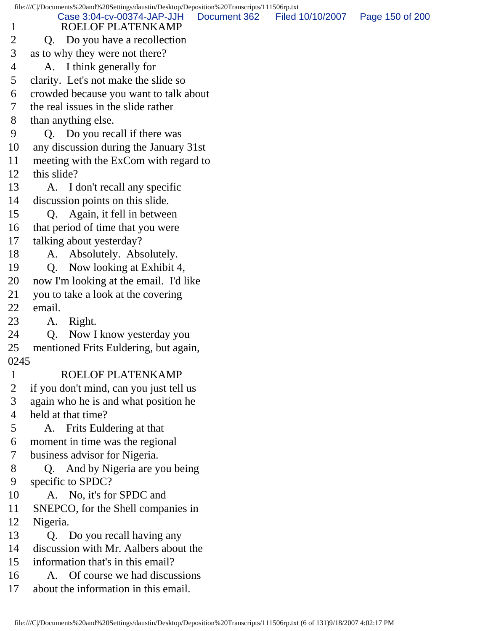2 Q. Do you have a recollection 3 as to why they were not there? 4 A. I think generally for 5 clarity. Let's not make the slide so 6 crowded because you want to talk about 7 the real issues in the slide rather 8 than anything else. 9 Q. Do you recall if there was 10 any discussion during the January 31st 11 meeting with the ExCom with regard to 12 this slide? 13 A. I don't recall any specific 14 discussion points on this slide. 15 Q. Again, it fell in between 16 that period of time that you were 17 talking about yesterday? 18 A. Absolutely. Absolutely. 19 Q. Now looking at Exhibit 4, 20 now I'm looking at the email. I'd like 21 you to take a look at the covering 22 email. 23 A. Right. 24 Q. Now I know yesterday you 25 mentioned Frits Euldering, but again, 0245 1 ROELOF PLATENKAMP 2 if you don't mind, can you just tell us 3 again who he is and what position he 4 held at that time? 5 A. Frits Euldering at that 6 moment in time was the regional 7 business advisor for Nigeria. 8 Q. And by Nigeria are you being 9 specific to SPDC? 10 A. No, it's for SPDC and 11 SNEPCO, for the Shell companies in 12 Nigeria. 13 Q. Do you recall having any 14 discussion with Mr. Aalbers about the 15 information that's in this email? 16 A. Of course we had discussions 17 about the information in this email.

file:///C|/Documents%20and%20Settings/daustin/Desktop/Deposition%20Transcripts/111506rp.txt

Case 3:04-cv-00374-JAP-JJH Document 362 Filed 10/10/2007 Page 150 of 200

1 ROELOF PLATENKAMP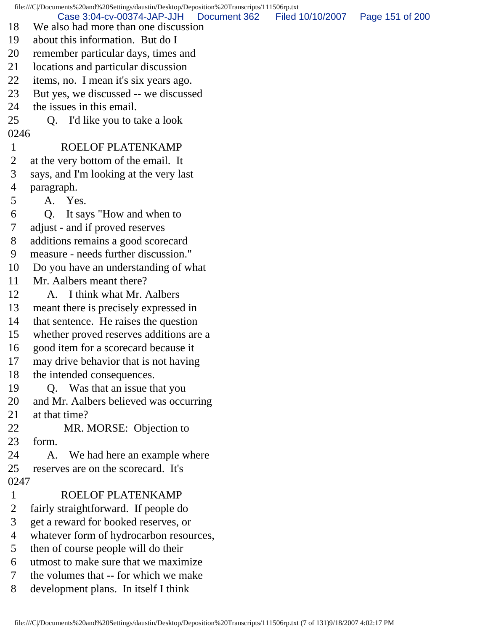file:///C|/Documents%20and%20Settings/daustin/Desktop/Deposition%20Transcripts/111506rp.txt 18 We also had more than one discussion 19 about this information. But do I 20 remember particular days, times and 21 locations and particular discussion 22 items, no. I mean it's six years ago. 23 But yes, we discussed -- we discussed 24 the issues in this email. 25 Q. I'd like you to take a look 0246 1 ROELOF PLATENKAMP 2 at the very bottom of the email. It 3 says, and I'm looking at the very last 4 paragraph. 5 A. Yes. 6 Q. It says "How and when to 7 adjust - and if proved reserves 8 additions remains a good scorecard 9 measure - needs further discussion." 10 Do you have an understanding of what 11 Mr. Aalbers meant there? 12 A. I think what Mr. Aalbers 13 meant there is precisely expressed in 14 that sentence. He raises the question 15 whether proved reserves additions are a 16 good item for a scorecard because it 17 may drive behavior that is not having 18 the intended consequences. 19 Q. Was that an issue that you 20 and Mr. Aalbers believed was occurring 21 at that time? 22 MR. MORSE: Objection to 23 form. 24 A. We had here an example where 25 reserves are on the scorecard. It's 0247 1 ROELOF PLATENKAMP 2 fairly straightforward. If people do 3 get a reward for booked reserves, or 4 whatever form of hydrocarbon resources, 5 then of course people will do their 6 utmost to make sure that we maximize 7 the volumes that -- for which we make 8 development plans. In itself I think Case 3:04-cv-00374-JAP-JJH Document 362 Filed 10/10/2007 Page 151 of 200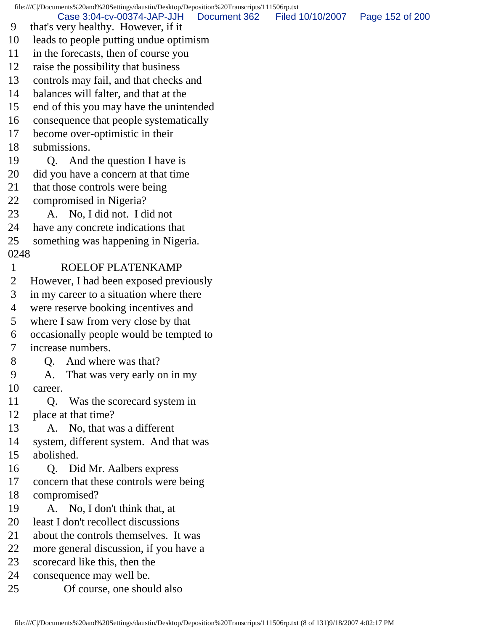file:///C|/Documents%20and%20Settings/daustin/Desktop/Deposition%20Transcripts/111506rp.txt

Case 3:04-cv-00374-JAP-JJH Document 362 Filed 10/10/2007 Page 152 of 200

- 9 that's very healthy. However, if it
- 10 leads to people putting undue optimism
- 11 in the forecasts, then of course you
- 12 raise the possibility that business
- 13 controls may fail, and that checks and
- 14 balances will falter, and that at the
- 15 end of this you may have the unintended
- 16 consequence that people systematically
- 17 become over-optimistic in their
- 18 submissions.
- 19 Q. And the question I have is
- 20 did you have a concern at that time
- 21 that those controls were being
- 22 compromised in Nigeria?
- 23 A. No, I did not. I did not
- 24 have any concrete indications that
- 25 something was happening in Nigeria.
- 0248

## 1 ROELOF PLATENKAMP

- 2 However, I had been exposed previously
- 3 in my career to a situation where there
- 4 were reserve booking incentives and
- 5 where I saw from very close by that
- 6 occasionally people would be tempted to
- 7 increase numbers.
- 8 Q. And where was that?
- 9 A. That was very early on in my 10 career.
- 11 Q. Was the scorecard system in 12 place at that time?
- 13 A. No, that was a different
- 14 system, different system. And that was 15 abolished.
- 
- 16 Q. Did Mr. Aalbers express
- 17 concern that these controls were being
- 18 compromised?
- 19 A. No, I don't think that, at
- 20 least I don't recollect discussions
- 21 about the controls themselves. It was
- 22 more general discussion, if you have a
- 23 scorecard like this, then the
- 24 consequence may well be.
- 25 Of course, one should also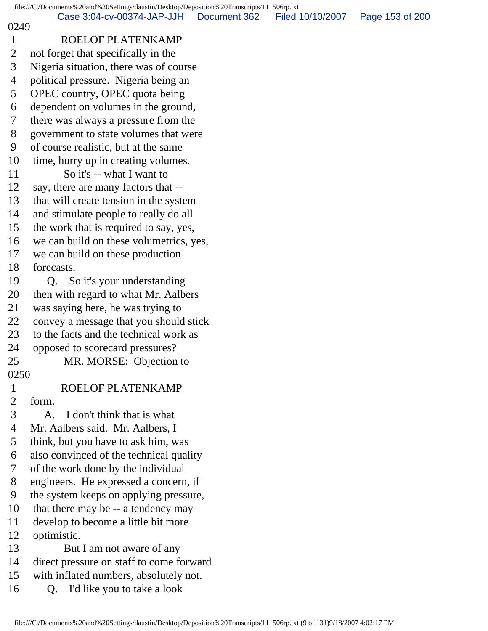## 0249

## 1 ROELOF PLATENKAMP

 2 not forget that specifically in the 3 Nigeria situation, there was of course 4 political pressure. Nigeria being an 5 OPEC country, OPEC quota being 6 dependent on volumes in the ground, 7 there was always a pressure from the 8 government to state volumes that were 9 of course realistic, but at the same 10 time, hurry up in creating volumes. 11 So it's -- what I want to 12 say, there are many factors that -- 13 that will create tension in the system 14 and stimulate people to really do all 15 the work that is required to say, yes, 16 we can build on these volumetrics, yes, 17 we can build on these production 18 forecasts. 19 Q. So it's your understanding 20 then with regard to what Mr. Aalbers 21 was saying here, he was trying to 22 convey a message that you should stick 23 to the facts and the technical work as 24 opposed to scorecard pressures? 25 MR. MORSE: Objection to 0250 1 ROELOF PLATENKAMP 2 form. 3 A. I don't think that is what 4 Mr. Aalbers said. Mr. Aalbers, I 5 think, but you have to ask him, was 6 also convinced of the technical quality 7 of the work done by the individual 8 engineers. He expressed a concern, if 9 the system keeps on applying pressure, 10 that there may be -- a tendency may 11 develop to become a little bit more 12 optimistic. 13 But I am not aware of any 14 direct pressure on staff to come forward 15 with inflated numbers, absolutely not. 16 Q. I'd like you to take a look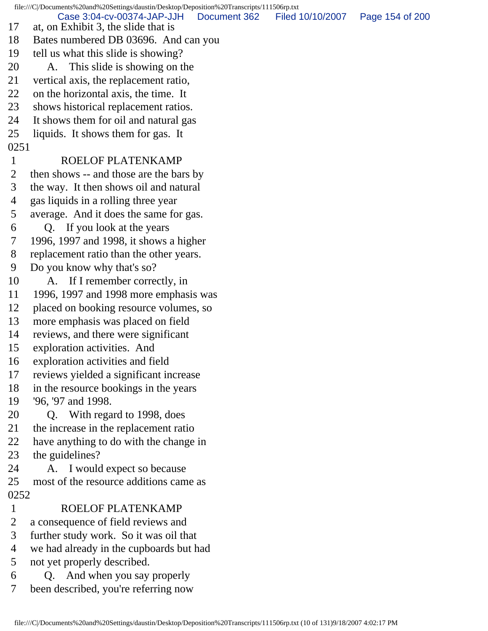file:///C|/Documents%20and%20Settings/daustin/Desktop/Deposition%20Transcripts/111506rp.txt 17 at, on Exhibit 3, the slide that is 18 Bates numbered DB 03696. And can you 19 tell us what this slide is showing? 20 A. This slide is showing on the 21 vertical axis, the replacement ratio, 22 on the horizontal axis, the time. It 23 shows historical replacement ratios. 24 It shows them for oil and natural gas 25 liquids. It shows them for gas. It 0251 1 ROELOF PLATENKAMP 2 then shows -- and those are the bars by 3 the way. It then shows oil and natural 4 gas liquids in a rolling three year 5 average. And it does the same for gas. 6 Q. If you look at the years 7 1996, 1997 and 1998, it shows a higher 8 replacement ratio than the other years. 9 Do you know why that's so? 10 A. If I remember correctly, in 11 1996, 1997 and 1998 more emphasis was 12 placed on booking resource volumes, so 13 more emphasis was placed on field 14 reviews, and there were significant 15 exploration activities. And 16 exploration activities and field 17 reviews yielded a significant increase 18 in the resource bookings in the years 19 '96, '97 and 1998. 20 Q. With regard to 1998, does 21 the increase in the replacement ratio 22 have anything to do with the change in 23 the guidelines? 24 A. I would expect so because 25 most of the resource additions came as 0252 1 ROELOF PLATENKAMP 2 a consequence of field reviews and 3 further study work. So it was oil that 4 we had already in the cupboards but had 5 not yet properly described. 6 Q. And when you say properly 7 been described, you're referring now Case 3:04-cv-00374-JAP-JJH Document 362 Filed 10/10/2007 Page 154 of 200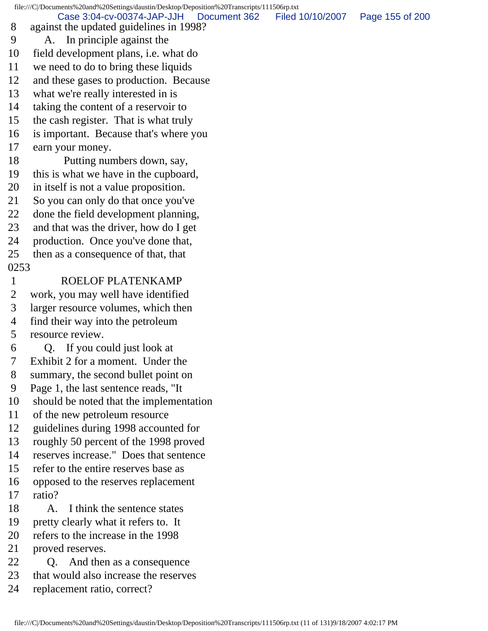file:///C|/Documents%20and%20Settings/daustin/Desktop/Deposition%20Transcripts/111506rp.txt 8 against the updated guidelines in 1998? 9 A. In principle against the 10 field development plans, i.e. what do 11 we need to do to bring these liquids 12 and these gases to production. Because 13 what we're really interested in is 14 taking the content of a reservoir to 15 the cash register. That is what truly 16 is important. Because that's where you 17 earn your money. 18 Putting numbers down, say, 19 this is what we have in the cupboard, 20 in itself is not a value proposition. 21 So you can only do that once you've 22 done the field development planning, 23 and that was the driver, how do I get 24 production. Once you've done that, 25 then as a consequence of that, that 0253 1 ROELOF PLATENKAMP 2 work, you may well have identified 3 larger resource volumes, which then 4 find their way into the petroleum 5 resource review. 6 Q. If you could just look at 7 Exhibit 2 for a moment. Under the 8 summary, the second bullet point on 9 Page 1, the last sentence reads, "It 10 should be noted that the implementation 11 of the new petroleum resource 12 guidelines during 1998 accounted for 13 roughly 50 percent of the 1998 proved 14 reserves increase." Does that sentence 15 refer to the entire reserves base as 16 opposed to the reserves replacement 17 ratio? 18 A. I think the sentence states 19 pretty clearly what it refers to. It 20 refers to the increase in the 1998 21 proved reserves. 22 Q. And then as a consequence 23 that would also increase the reserves Case 3:04-cv-00374-JAP-JJH Document 362 Filed 10/10/2007 Page 155 of 200

24 replacement ratio, correct?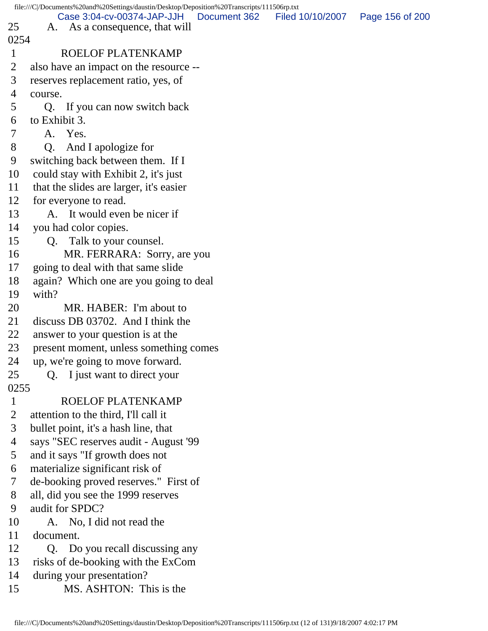file:///C|/Documents%20and%20Settings/daustin/Desktop/Deposition%20Transcripts/111506rp.txt 25 A. As a consequence, that will 0254 1 ROELOF PLATENKAMP 2 also have an impact on the resource -- 3 reserves replacement ratio, yes, of 4 course. 5 Q. If you can now switch back 6 to Exhibit 3. 7 A. Yes. 8 Q. And I apologize for 9 switching back between them. If I 10 could stay with Exhibit 2, it's just 11 that the slides are larger, it's easier 12 for everyone to read. 13 A. It would even be nicer if 14 you had color copies. 15 Q. Talk to your counsel. 16 MR. FERRARA: Sorry, are you 17 going to deal with that same slide 18 again? Which one are you going to deal 19 with? 20 MR. HABER: I'm about to 21 discuss DB 03702. And I think the 22 answer to your question is at the 23 present moment, unless something comes 24 up, we're going to move forward. 25 Q. I just want to direct your 0255 1 ROELOF PLATENKAMP 2 attention to the third, I'll call it 3 bullet point, it's a hash line, that 4 says "SEC reserves audit - August '99 5 and it says "If growth does not 6 materialize significant risk of 7 de-booking proved reserves." First of 8 all, did you see the 1999 reserves 9 audit for SPDC? 10 A. No, I did not read the 11 document. 12 Q. Do you recall discussing any 13 risks of de-booking with the ExCom 14 during your presentation? 15 MS. ASHTON: This is the Case 3:04-cv-00374-JAP-JJH Document 362 Filed 10/10/2007 Page 156 of 200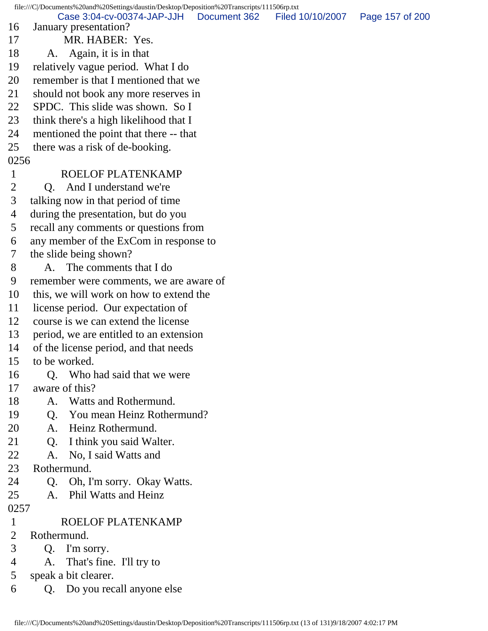file:///C|/Documents%20and%20Settings/daustin/Desktop/Deposition%20Transcripts/111506rp.txt 16 January presentation? 17 MR. HABER: Yes. 18 A. Again, it is in that 19 relatively vague period. What I do 20 remember is that I mentioned that we 21 should not book any more reserves in 22 SPDC. This slide was shown. So I 23 think there's a high likelihood that I 24 mentioned the point that there -- that 25 there was a risk of de-booking. 0256 1 ROELOF PLATENKAMP 2 O. And I understand we're 3 talking now in that period of time 4 during the presentation, but do you 5 recall any comments or questions from 6 any member of the ExCom in response to 7 the slide being shown? 8 A. The comments that I do 9 remember were comments, we are aware of 10 this, we will work on how to extend the 11 license period. Our expectation of 12 course is we can extend the license 13 period, we are entitled to an extension 14 of the license period, and that needs 15 to be worked. 16 O. Who had said that we were 17 aware of this? 18 A. Watts and Rothermund. 19 Q. You mean Heinz Rothermund? 20 A. Heinz Rothermund. 21 Q. I think you said Walter. 22 A. No, I said Watts and 23 Rothermund. 24 Q. Oh, I'm sorry. Okay Watts. 25 A. Phil Watts and Heinz 0257 1 ROELOF PLATENKAMP 2 Rothermund. 3 Q. I'm sorry. 4 A. That's fine. I'll try to 5 speak a bit clearer. 6 Q. Do you recall anyone else Case 3:04-cv-00374-JAP-JJH Document 362 Filed 10/10/2007 Page 157 of 200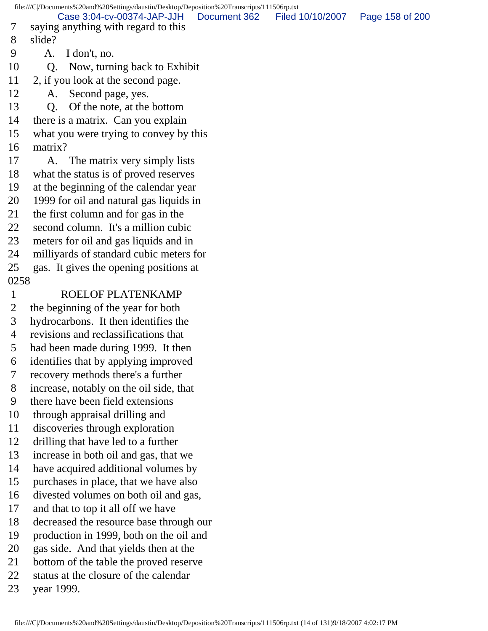file:///C|/Documents%20and%20Settings/daustin/Desktop/Deposition%20Transcripts/111506rp.txt

 7 saying anything with regard to this 8 slide? 9 A. I don't, no. 10 Q. Now, turning back to Exhibit 11 2, if you look at the second page. 12 A. Second page, yes. 13 Q. Of the note, at the bottom 14 there is a matrix. Can you explain 15 what you were trying to convey by this 16 matrix? 17 A. The matrix very simply lists 18 what the status is of proved reserves 19 at the beginning of the calendar year 20 1999 for oil and natural gas liquids in 21 the first column and for gas in the 22 second column. It's a million cubic 23 meters for oil and gas liquids and in 24 milliyards of standard cubic meters for 25 gas. It gives the opening positions at 0258 1 ROELOF PLATENKAMP 2 the beginning of the year for both 3 hydrocarbons. It then identifies the 4 revisions and reclassifications that 5 had been made during 1999. It then Case 3:04-cv-00374-JAP-JJH Document 362 Filed 10/10/2007 Page 158 of 200

- 6 identifies that by applying improved
- 7 recovery methods there's a further
- 8 increase, notably on the oil side, that
- 9 there have been field extensions
- 10 through appraisal drilling and
- 11 discoveries through exploration
- 12 drilling that have led to a further
- 13 increase in both oil and gas, that we
- 14 have acquired additional volumes by
- 15 purchases in place, that we have also
- 16 divested volumes on both oil and gas,
- 17 and that to top it all off we have
- 18 decreased the resource base through our
- 19 production in 1999, both on the oil and
- 20 gas side. And that yields then at the
- 21 bottom of the table the proved reserve
- 22 status at the closure of the calendar
- 23 year 1999.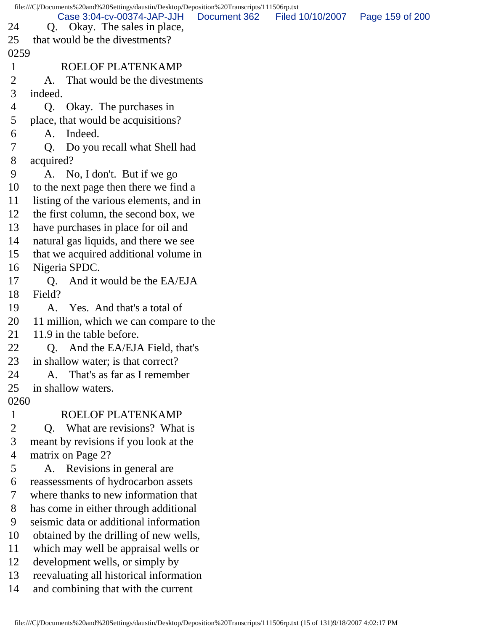file:///C|/Documents%20and%20Settings/daustin/Desktop/Deposition%20Transcripts/111506rp.txt 24 Q. Okay. The sales in place, 25 that would be the divestments? 0259 1 ROELOF PLATENKAMP 2 A. That would be the divestments 3 indeed. 4 Q. Okay. The purchases in 5 place, that would be acquisitions? 6 A. Indeed. 7 Q. Do you recall what Shell had 8 acquired? 9 A. No, I don't. But if we go 10 to the next page then there we find a 11 listing of the various elements, and in 12 the first column, the second box, we 13 have purchases in place for oil and 14 natural gas liquids, and there we see 15 that we acquired additional volume in 16 Nigeria SPDC. 17 O. And it would be the EA/EJA 18 Field? 19 A. Yes. And that's a total of 20 11 million, which we can compare to the 21 11.9 in the table before. 22 O. And the EA/EJA Field, that's 23 in shallow water; is that correct? 24 A. That's as far as I remember 25 in shallow waters. 0260 1 ROELOF PLATENKAMP 2 Q. What are revisions? What is 3 meant by revisions if you look at the 4 matrix on Page 2? 5 A. Revisions in general are 6 reassessments of hydrocarbon assets 7 where thanks to new information that 8 has come in either through additional 9 seismic data or additional information 10 obtained by the drilling of new wells, 11 which may well be appraisal wells or 12 development wells, or simply by 13 reevaluating all historical information 14 and combining that with the current Case 3:04-cv-00374-JAP-JJH Document 362 Filed 10/10/2007 Page 159 of 200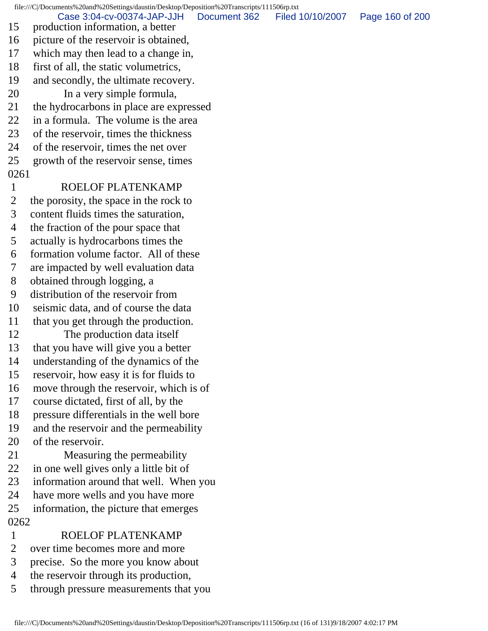file:///C|/Documents%20and%20Settings/daustin/Desktop/Deposition%20Transcripts/111506rp.txt 15 production information, a better 16 picture of the reservoir is obtained, 17 which may then lead to a change in, 18 first of all, the static volumetrics, 19 and secondly, the ultimate recovery. 20 In a very simple formula, 21 the hydrocarbons in place are expressed 22 in a formula. The volume is the area 23 of the reservoir, times the thickness 24 of the reservoir, times the net over 25 growth of the reservoir sense, times 0261 1 ROELOF PLATENKAMP 2 the porosity, the space in the rock to 3 content fluids times the saturation, 4 the fraction of the pour space that 5 actually is hydrocarbons times the 6 formation volume factor. All of these 7 are impacted by well evaluation data 8 obtained through logging, a 9 distribution of the reservoir from 10 seismic data, and of course the data 11 that you get through the production. 12 The production data itself 13 that you have will give you a better 14 understanding of the dynamics of the 15 reservoir, how easy it is for fluids to 16 move through the reservoir, which is of 17 course dictated, first of all, by the 18 pressure differentials in the well bore 19 and the reservoir and the permeability 20 of the reservoir. 21 Measuring the permeability 22 in one well gives only a little bit of 23 information around that well. When you 24 have more wells and you have more 25 information, the picture that emerges 0262 1 ROELOF PLATENKAMP 2 over time becomes more and more 3 precise. So the more you know about 4 the reservoir through its production, Case 3:04-cv-00374-JAP-JJH Document 362 Filed 10/10/2007 Page 160 of 200

5 through pressure measurements that you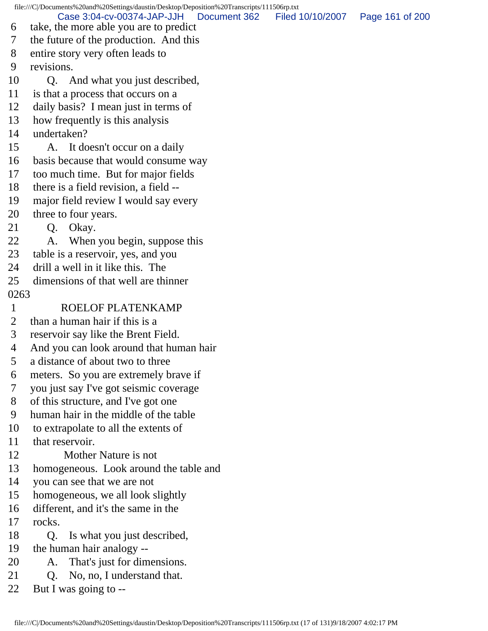file:///C|/Documents%20and%20Settings/daustin/Desktop/Deposition%20Transcripts/111506rp.txt 6 take, the more able you are to predict 7 the future of the production. And this 8 entire story very often leads to 9 revisions. 10 Q. And what you just described, 11 is that a process that occurs on a 12 daily basis? I mean just in terms of 13 how frequently is this analysis 14 undertaken? 15 A. It doesn't occur on a daily 16 basis because that would consume way 17 too much time. But for major fields 18 there is a field revision, a field -- 19 major field review I would say every 20 three to four years. 21 Q. Okay. 22 A. When you begin, suppose this 23 table is a reservoir, yes, and you 24 drill a well in it like this. The 25 dimensions of that well are thinner 0263 1 ROELOF PLATENKAMP 2 than a human hair if this is a 3 reservoir say like the Brent Field. 4 And you can look around that human hair 5 a distance of about two to three 6 meters. So you are extremely brave if 7 you just say I've got seismic coverage 8 of this structure, and I've got one 9 human hair in the middle of the table 10 to extrapolate to all the extents of 11 that reservoir. 12 Mother Nature is not 13 homogeneous. Look around the table and 14 you can see that we are not 15 homogeneous, we all look slightly 16 different, and it's the same in the 17 rocks. 18 Q. Is what you just described, 19 the human hair analogy -- 20 A. That's just for dimensions. 21 Q. No, no, I understand that. 22 But I was going to -- Case 3:04-cv-00374-JAP-JJH Document 362 Filed 10/10/2007 Page 161 of 200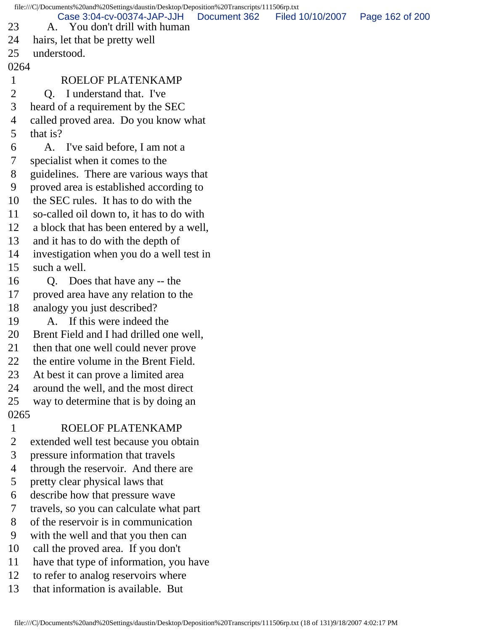file:///C|/Documents%20and%20Settings/daustin/Desktop/Deposition%20Transcripts/111506rp.txt 23 A. You don't drill with human 24 hairs, let that be pretty well 25 understood. 0264 1 ROELOF PLATENKAMP 2 Q. I understand that. I've 3 heard of a requirement by the SEC 4 called proved area. Do you know what 5 that is? 6 A. I've said before, I am not a 7 specialist when it comes to the 8 guidelines. There are various ways that 9 proved area is established according to 10 the SEC rules. It has to do with the 11 so-called oil down to, it has to do with 12 a block that has been entered by a well, 13 and it has to do with the depth of 14 investigation when you do a well test in 15 such a well. 16 Q. Does that have any -- the 17 proved area have any relation to the 18 analogy you just described? 19 A. If this were indeed the 20 Brent Field and I had drilled one well, 21 then that one well could never prove 22 the entire volume in the Brent Field. 23 At best it can prove a limited area 24 around the well, and the most direct 25 way to determine that is by doing an 0265 1 ROELOF PLATENKAMP 2 extended well test because you obtain 3 pressure information that travels 4 through the reservoir. And there are 5 pretty clear physical laws that 6 describe how that pressure wave 7 travels, so you can calculate what part 8 of the reservoir is in communication 9 with the well and that you then can 10 call the proved area. If you don't 11 have that type of information, you have 12 to refer to analog reservoirs where 13 that information is available. But Case 3:04-cv-00374-JAP-JJH Document 362 Filed 10/10/2007 Page 162 of 200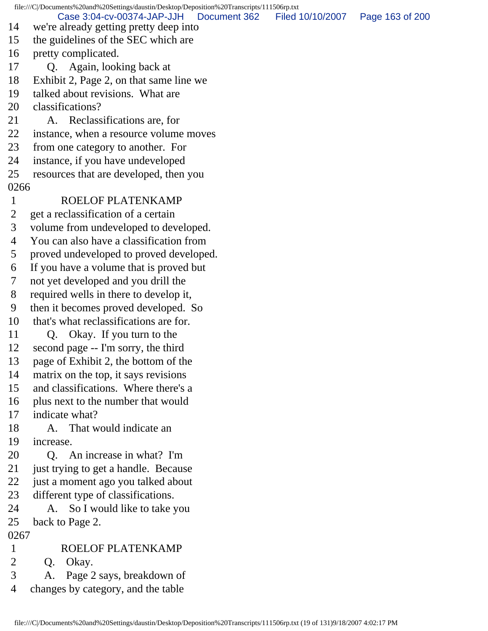file:///C|/Documents%20and%20Settings/daustin/Desktop/Deposition%20Transcripts/111506rp.txt 14 we're already getting pretty deep into 15 the guidelines of the SEC which are 16 pretty complicated. 17 Q. Again, looking back at 18 Exhibit 2, Page 2, on that same line we 19 talked about revisions. What are 20 classifications? 21 A. Reclassifications are, for 22 instance, when a resource volume moves 23 from one category to another. For 24 instance, if you have undeveloped 25 resources that are developed, then you 0266 1 ROELOF PLATENKAMP 2 get a reclassification of a certain 3 volume from undeveloped to developed. 4 You can also have a classification from 5 proved undeveloped to proved developed. 6 If you have a volume that is proved but 7 not yet developed and you drill the 8 required wells in there to develop it, 9 then it becomes proved developed. So 10 that's what reclassifications are for. 11 Q. Okay. If you turn to the 12 second page -- I'm sorry, the third 13 page of Exhibit 2, the bottom of the 14 matrix on the top, it says revisions 15 and classifications. Where there's a 16 plus next to the number that would 17 indicate what? 18 A. That would indicate an 19 increase. 20 Q. An increase in what? I'm 21 just trying to get a handle. Because 22 just a moment ago you talked about 23 different type of classifications. 24 A. So I would like to take you 25 back to Page 2. 0267 1 ROELOF PLATENKAMP 2 Q. Okay. 3 A. Page 2 says, breakdown of 4 changes by category, and the table Case 3:04-cv-00374-JAP-JJH Document 362 Filed 10/10/2007 Page 163 of 200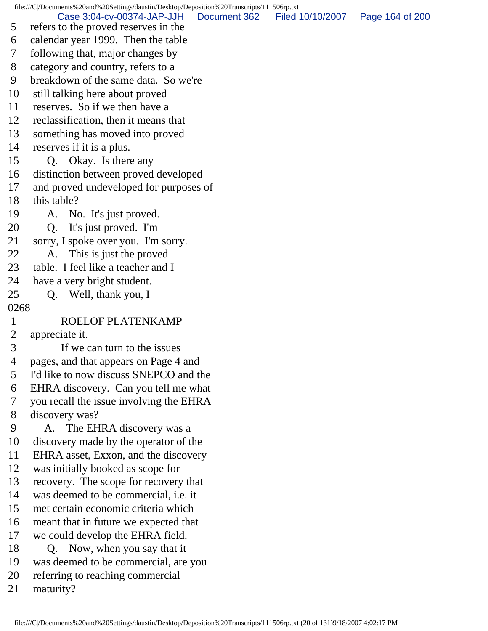file:///C|/Documents%20and%20Settings/daustin/Desktop/Deposition%20Transcripts/111506rp.txt

 5 refers to the proved reserves in the Case 3:04-cv-00374-JAP-JJH Document 362 Filed 10/10/2007 Page 164 of 200

- 6 calendar year 1999. Then the table
- 7 following that, major changes by
- 8 category and country, refers to a
- 9 breakdown of the same data. So we're
- 10 still talking here about proved
- 11 reserves. So if we then have a
- 12 reclassification, then it means that
- 13 something has moved into proved
- 14 reserves if it is a plus.
- 15 Q. Okay. Is there any
- 16 distinction between proved developed
- 17 and proved undeveloped for purposes of
- 18 this table?
- 19 A. No. It's just proved.
- 20 Q. It's just proved. I'm
- 21 sorry, I spoke over you. I'm sorry.
- 22 A. This is just the proved
- 23 table. I feel like a teacher and I
- 24 have a very bright student.
- 25 Q. Well, thank you, I
- 0268

## 1 ROELOF PLATENKAMP

- 2 appreciate it.
- 3 If we can turn to the issues
- 4 pages, and that appears on Page 4 and
- 5 I'd like to now discuss SNEPCO and the
- 6 EHRA discovery. Can you tell me what
- 7 you recall the issue involving the EHRA
- 8 discovery was?
- 9 A. The EHRA discovery was a
- 10 discovery made by the operator of the
- 11 EHRA asset, Exxon, and the discovery
- 12 was initially booked as scope for
- 13 recovery. The scope for recovery that
- 14 was deemed to be commercial, i.e. it
- 15 met certain economic criteria which
- 16 meant that in future we expected that
- 17 we could develop the EHRA field.
- 18 Q. Now, when you say that it
- 19 was deemed to be commercial, are you
- 20 referring to reaching commercial
- 21 maturity?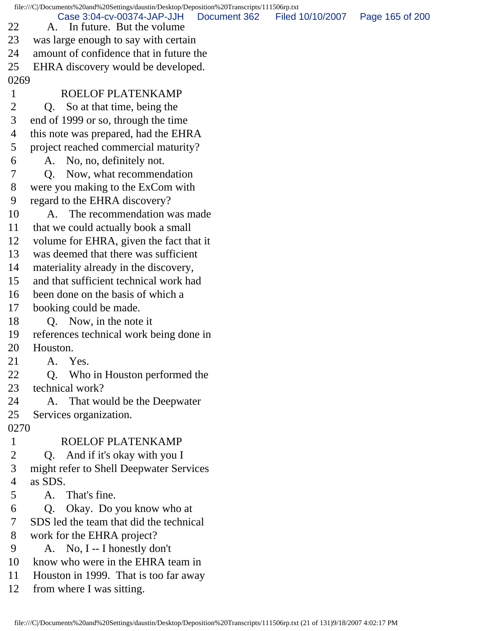file:///C|/Documents%20and%20Settings/daustin/Desktop/Deposition%20Transcripts/111506rp.txt 22 A. In future. But the volume 23 was large enough to say with certain 24 amount of confidence that in future the 25 EHRA discovery would be developed. 0269 1 ROELOF PLATENKAMP 2 Q. So at that time, being the 3 end of 1999 or so, through the time 4 this note was prepared, had the EHRA 5 project reached commercial maturity? 6 A. No, no, definitely not. 7 Q. Now, what recommendation 8 were you making to the ExCom with 9 regard to the EHRA discovery? 10 A. The recommendation was made 11 that we could actually book a small 12 volume for EHRA, given the fact that it 13 was deemed that there was sufficient 14 materiality already in the discovery, 15 and that sufficient technical work had 16 been done on the basis of which a 17 booking could be made. 18 O. Now, in the note it 19 references technical work being done in 20 Houston. 21 A. Yes. 22 Q. Who in Houston performed the 23 technical work? 24 A. That would be the Deepwater 25 Services organization. 0270 1 ROELOF PLATENKAMP 2 Q. And if it's okay with you I 3 might refer to Shell Deepwater Services 4 as SDS. 5 A. That's fine. 6 Q. Okay. Do you know who at 7 SDS led the team that did the technical 8 work for the EHRA project? 9 A. No, I -- I honestly don't 10 know who were in the EHRA team in 11 Houston in 1999. That is too far away 12 from where I was sitting. Document 362 Filed 10/10/2007 Page 165 of 200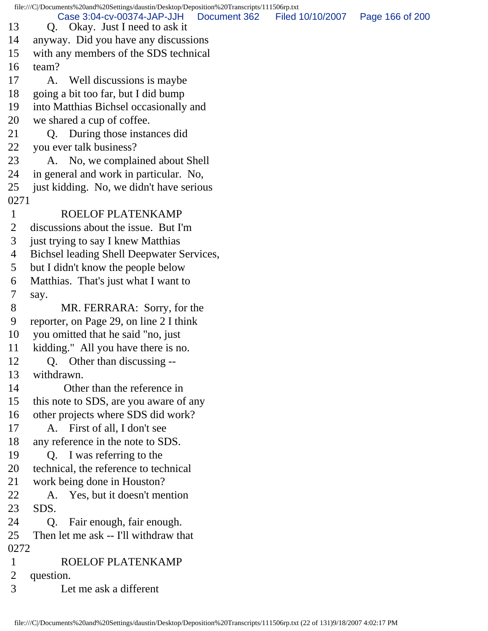file:///C|/Documents%20and%20Settings/daustin/Desktop/Deposition%20Transcripts/111506rp.txt 13 Q. Okay. Just I need to ask it 14 anyway. Did you have any discussions 15 with any members of the SDS technical 16 team? 17 A. Well discussions is maybe 18 going a bit too far, but I did bump 19 into Matthias Bichsel occasionally and 20 we shared a cup of coffee. 21 Q. During those instances did 22 you ever talk business? 23 A. No, we complained about Shell 24 in general and work in particular. No, 25 just kidding. No, we didn't have serious 0271 1 ROELOF PLATENKAMP 2 discussions about the issue. But I'm 3 just trying to say I knew Matthias 4 Bichsel leading Shell Deepwater Services, 5 but I didn't know the people below 6 Matthias. That's just what I want to 7 say. 8 MR. FERRARA: Sorry, for the 9 reporter, on Page 29, on line 2 I think 10 you omitted that he said "no, just 11 kidding." All you have there is no. 12 Q. Other than discussing -- 13 withdrawn. 14 Other than the reference in 15 this note to SDS, are you aware of any 16 other projects where SDS did work? 17 A. First of all, I don't see 18 any reference in the note to SDS. 19 Q. I was referring to the 20 technical, the reference to technical 21 work being done in Houston? 22 A. Yes, but it doesn't mention 23 SDS. 24 Q. Fair enough, fair enough. 25 Then let me ask -- I'll withdraw that 0272 1 ROELOF PLATENKAMP 2 question. 3 Let me ask a different Case 3:04-cv-00374-JAP-JJH Document 362 Filed 10/10/2007 Page 166 of 200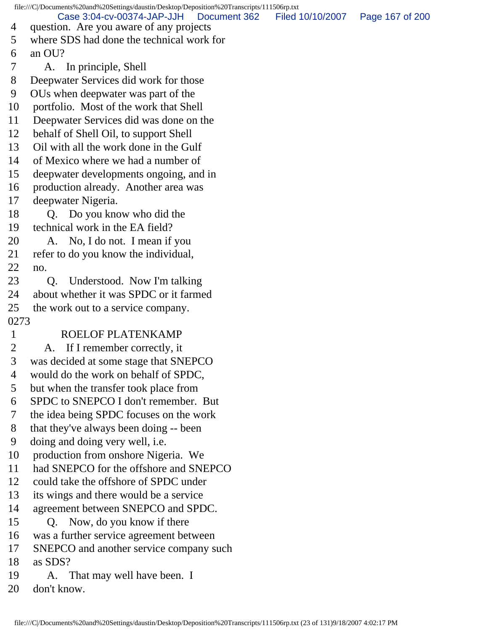file:///C|/Documents%20and%20Settings/daustin/Desktop/Deposition%20Transcripts/111506rp.txt 4 question. Are you aware of any projects 5 where SDS had done the technical work for 6 an OU? 7 A. In principle, Shell 8 Deepwater Services did work for those 9 OUs when deepwater was part of the 10 portfolio. Most of the work that Shell 11 Deepwater Services did was done on the 12 behalf of Shell Oil, to support Shell 13 Oil with all the work done in the Gulf 14 of Mexico where we had a number of 15 deepwater developments ongoing, and in 16 production already. Another area was 17 deepwater Nigeria. 18 Q. Do you know who did the 19 technical work in the EA field? 20 A. No, I do not. I mean if you 21 refer to do you know the individual, 22 no. 23 Q. Understood. Now I'm talking 24 about whether it was SPDC or it farmed 25 the work out to a service company. 0273 1 ROELOF PLATENKAMP 2 A. If I remember correctly, it 3 was decided at some stage that SNEPCO 4 would do the work on behalf of SPDC, 5 but when the transfer took place from 6 SPDC to SNEPCO I don't remember. But 7 the idea being SPDC focuses on the work 8 that they've always been doing -- been 9 doing and doing very well, i.e. 10 production from onshore Nigeria. We 11 had SNEPCO for the offshore and SNEPCO 12 could take the offshore of SPDC under 13 its wings and there would be a service 14 agreement between SNEPCO and SPDC. 15 Q. Now, do you know if there 16 was a further service agreement between 17 SNEPCO and another service company such 18 as SDS? 19 A. That may well have been. I 20 don't know. Case 3:04-cv-00374-JAP-JJH Document 362 Filed 10/10/2007 Page 167 of 200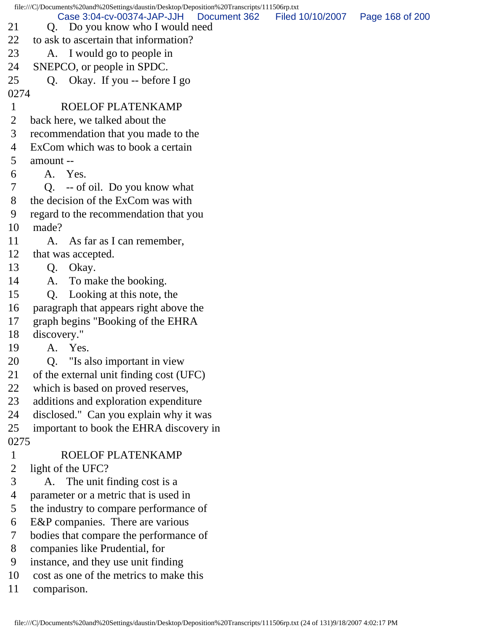file:///C|/Documents%20and%20Settings/daustin/Desktop/Deposition%20Transcripts/111506rp.txt 21 O. Do you know who I would need 22 to ask to ascertain that information? 23 A. I would go to people in 24 SNEPCO, or people in SPDC.  $25 \qquad$  O. Okay. If you -- before I go 0274 1 ROELOF PLATENKAMP 2 back here, we talked about the 3 recommendation that you made to the 4 ExCom which was to book a certain 5 amount -- 6 A. Yes. 7 Q. -- of oil. Do you know what 8 the decision of the ExCom was with 9 regard to the recommendation that you 10 made? 11 A. As far as I can remember, 12 that was accepted. 13 Q. Okay. 14 A. To make the booking. 15 Q. Looking at this note, the 16 paragraph that appears right above the 17 graph begins "Booking of the EHRA 18 discovery." 19 A. Yes. 20 Q. "Is also important in view 21 of the external unit finding cost (UFC) 22 which is based on proved reserves, 23 additions and exploration expenditure 24 disclosed." Can you explain why it was 25 important to book the EHRA discovery in 0275 1 ROELOF PLATENKAMP 2 light of the UFC? 3 A. The unit finding cost is a 4 parameter or a metric that is used in 5 the industry to compare performance of 6 E&P companies. There are various 7 bodies that compare the performance of 8 companies like Prudential, for 9 instance, and they use unit finding 10 cost as one of the metrics to make this 11 comparison. Case 3:04-cv-00374-JAP-JJH Document 362 Filed 10/10/2007 Page 168 of 200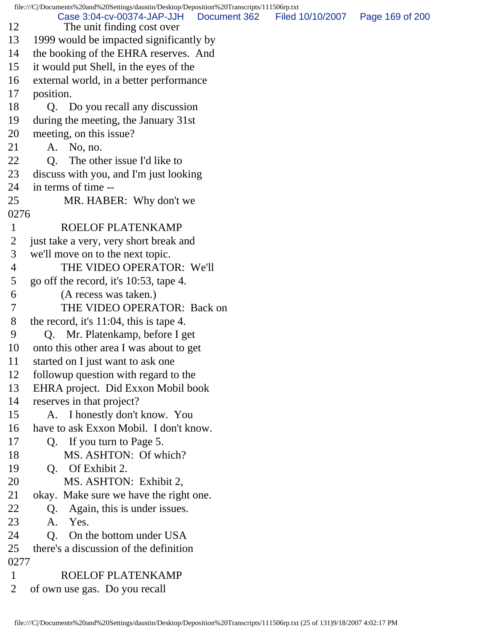file:///C|/Documents%20and%20Settings/daustin/Desktop/Deposition%20Transcripts/111506rp.txt 12 The unit finding cost over 13 1999 would be impacted significantly by 14 the booking of the EHRA reserves. And 15 it would put Shell, in the eyes of the 16 external world, in a better performance 17 position. 18 Q. Do you recall any discussion 19 during the meeting, the January 31st 20 meeting, on this issue? 21 A. No, no. 22 Q. The other issue I'd like to 23 discuss with you, and I'm just looking 24 in terms of time -- 25 MR. HABER: Why don't we 0276 1 ROELOF PLATENKAMP 2 just take a very, very short break and 3 we'll move on to the next topic. 4 THE VIDEO OPERATOR: We'll 5 go off the record, it's 10:53, tape 4. 6 (A recess was taken.) 7 THE VIDEO OPERATOR: Back on 8 the record, it's 11:04, this is tape 4. 9 Q. Mr. Platenkamp, before I get 10 onto this other area I was about to get 11 started on I just want to ask one 12 followup question with regard to the 13 EHRA project. Did Exxon Mobil book 14 reserves in that project? 15 A. I honestly don't know. You 16 have to ask Exxon Mobil. I don't know. 17 Q. If you turn to Page 5. 18 MS. ASHTON: Of which? 19 Q. Of Exhibit 2. 20 MS. ASHTON: Exhibit 2, 21 okay. Make sure we have the right one. 22 Q. Again, this is under issues. 23 A. Yes. 24 Q. On the bottom under USA 25 there's a discussion of the definition 0277 1 ROELOF PLATENKAMP 2 of own use gas. Do you recall Case 3:04-cv-00374-JAP-JJH Document 362 Filed 10/10/2007 Page 169 of 200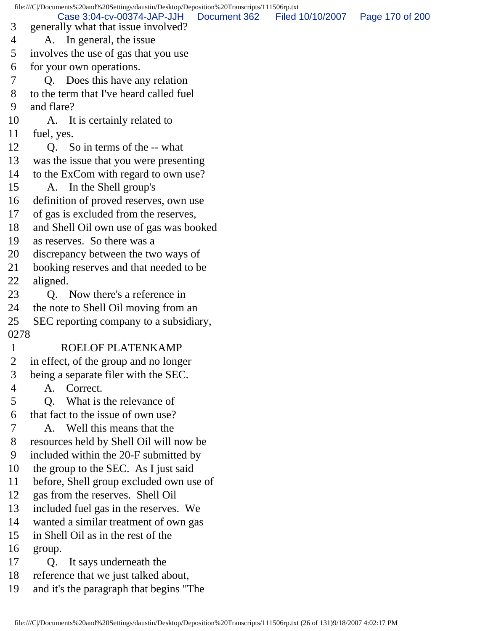file:///C|/Documents%20and%20Settings/daustin/Desktop/Deposition%20Transcripts/111506rp.txt 3 generally what that issue involved? 4 A. In general, the issue 5 involves the use of gas that you use 6 for your own operations. 7 Q. Does this have any relation 8 to the term that I've heard called fuel 9 and flare? 10 A. It is certainly related to 11 fuel, yes. 12 O. So in terms of the -- what 13 was the issue that you were presenting 14 to the ExCom with regard to own use? 15 A. In the Shell group's 16 definition of proved reserves, own use 17 of gas is excluded from the reserves, 18 and Shell Oil own use of gas was booked 19 as reserves. So there was a 20 discrepancy between the two ways of 21 booking reserves and that needed to be 22 aligned. 23 Q. Now there's a reference in 24 the note to Shell Oil moving from an 25 SEC reporting company to a subsidiary, 0278 1 ROELOF PLATENKAMP 2 in effect, of the group and no longer 3 being a separate filer with the SEC. 4 A. Correct. 5 Q. What is the relevance of 6 that fact to the issue of own use? 7 A. Well this means that the 8 resources held by Shell Oil will now be 9 included within the 20-F submitted by 10 the group to the SEC. As I just said 11 before, Shell group excluded own use of 12 gas from the reserves. Shell Oil 13 included fuel gas in the reserves. We 14 wanted a similar treatment of own gas 15 in Shell Oil as in the rest of the 16 group. 17 Q. It says underneath the 18 reference that we just talked about, 19 and it's the paragraph that begins "The Case 3:04-cv-00374-JAP-JJH Document 362 Filed 10/10/2007 Page 170 of 200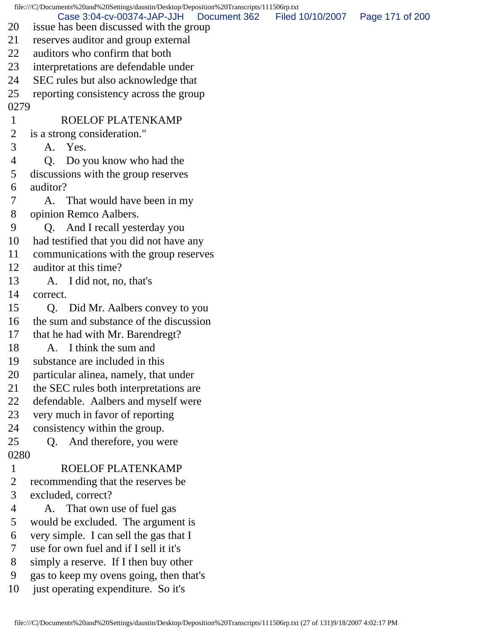file:///C|/Documents%20and%20Settings/daustin/Desktop/Deposition%20Transcripts/111506rp.txt 20 issue has been discussed with the group 21 reserves auditor and group external 22 auditors who confirm that both 23 interpretations are defendable under 24 SEC rules but also acknowledge that 25 reporting consistency across the group 0279 1 ROELOF PLATENKAMP 2 is a strong consideration." 3 A. Yes. 4 Q. Do you know who had the 5 discussions with the group reserves 6 auditor? 7 A. That would have been in my 8 opinion Remco Aalbers. 9 Q. And I recall yesterday you 10 had testified that you did not have any 11 communications with the group reserves 12 auditor at this time? 13 A. I did not, no, that's 14 correct. 15 Q. Did Mr. Aalbers convey to you 16 the sum and substance of the discussion 17 that he had with Mr. Barendregt? 18 A. I think the sum and 19 substance are included in this 20 particular alinea, namely, that under 21 the SEC rules both interpretations are 22 defendable. Aalbers and myself were 23 very much in favor of reporting 24 consistency within the group. 25 Q. And therefore, you were 0280 1 ROELOF PLATENKAMP 2 recommending that the reserves be 3 excluded, correct? 4 A. That own use of fuel gas 5 would be excluded. The argument is 6 very simple. I can sell the gas that I 7 use for own fuel and if I sell it it's 8 simply a reserve. If I then buy other 9 gas to keep my ovens going, then that's 10 just operating expenditure. So it's Case 3:04-cv-00374-JAP-JJH Document 362 Filed 10/10/2007 Page 171 of 200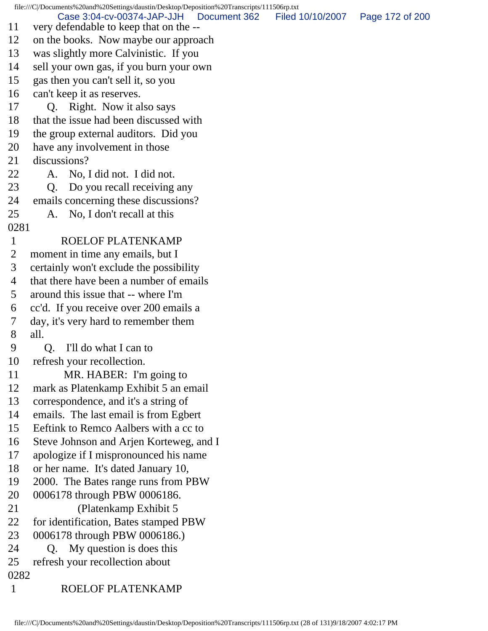file:///C|/Documents%20and%20Settings/daustin/Desktop/Deposition%20Transcripts/111506rp.txt 11 very defendable to keep that on the -- 12 on the books. Now maybe our approach 13 was slightly more Calvinistic. If you 14 sell your own gas, if you burn your own 15 gas then you can't sell it, so you 16 can't keep it as reserves. 17 Q. Right. Now it also says 18 that the issue had been discussed with 19 the group external auditors. Did you 20 have any involvement in those 21 discussions? 22 A. No, I did not. I did not. 23 Q. Do you recall receiving any 24 emails concerning these discussions? 25 A. No, I don't recall at this 0281 1 ROELOF PLATENKAMP 2 moment in time any emails, but I 3 certainly won't exclude the possibility 4 that there have been a number of emails 5 around this issue that -- where I'm 6 cc'd. If you receive over 200 emails a 7 day, it's very hard to remember them 8 all. 9 Q. I'll do what I can to 10 refresh your recollection. 11 MR. HABER: I'm going to 12 mark as Platenkamp Exhibit 5 an email 13 correspondence, and it's a string of 14 emails. The last email is from Egbert 15 Eeftink to Remco Aalbers with a cc to 16 Steve Johnson and Arjen Korteweg, and I 17 apologize if I mispronounced his name 18 or her name. It's dated January 10, 19 2000. The Bates range runs from PBW 20 0006178 through PBW 0006186. 21 (Platenkamp Exhibit 5 22 for identification, Bates stamped PBW 23 0006178 through PBW 0006186.) 24 Q. My question is does this 25 refresh your recollection about 0282 1 ROELOF PLATENKAMP Case 3:04-cv-00374-JAP-JJH Document 362 Filed 10/10/2007 Page 172 of 200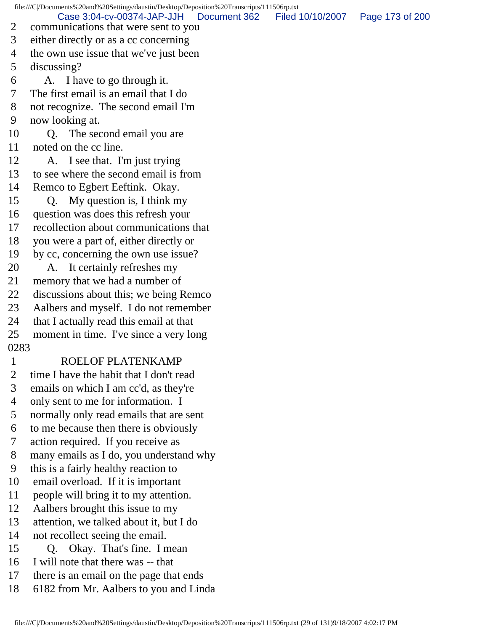file:///C|/Documents%20and%20Settings/daustin/Desktop/Deposition%20Transcripts/111506rp.txt 2 communications that were sent to you 3 either directly or as a cc concerning 4 the own use issue that we've just been 5 discussing? 6 A. I have to go through it. 7 The first email is an email that I do 8 not recognize. The second email I'm 9 now looking at. 10 O. The second email you are 11 noted on the cc line. 12 A. I see that. I'm just trying 13 to see where the second email is from 14 Remco to Egbert Eeftink. Okay. 15 Q. My question is, I think my 16 question was does this refresh your 17 recollection about communications that 18 you were a part of, either directly or 19 by cc, concerning the own use issue? 20 A. It certainly refreshes my 21 memory that we had a number of 22 discussions about this; we being Remco 23 Aalbers and myself. I do not remember 24 that I actually read this email at that 25 moment in time. I've since a very long 0283 1 ROELOF PLATENKAMP 2 time I have the habit that I don't read 3 emails on which I am cc'd, as they're 4 only sent to me for information. I 5 normally only read emails that are sent 6 to me because then there is obviously 7 action required. If you receive as 8 many emails as I do, you understand why 9 this is a fairly healthy reaction to 10 email overload. If it is important 11 people will bring it to my attention. 12 Aalbers brought this issue to my 13 attention, we talked about it, but I do 14 not recollect seeing the email. 15 Q. Okay. That's fine. I mean 16 I will note that there was -- that 17 there is an email on the page that ends Case 3:04-cv-00374-JAP-JJH Document 362 Filed 10/10/2007 Page 173 of 200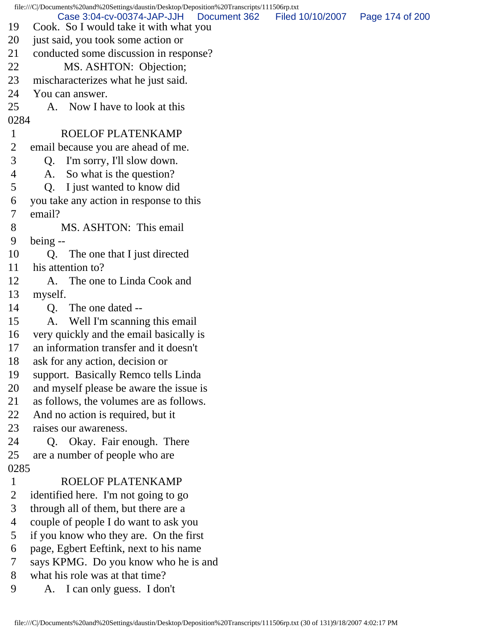| file:///C//Documents%20and%20Settings/daustin/Desktop/Deposition%20Transcripts/111506rp.txt |                                                                                      |                  |                 |  |
|---------------------------------------------------------------------------------------------|--------------------------------------------------------------------------------------|------------------|-----------------|--|
| 19                                                                                          | Case 3:04-cv-00374-JAP-JJH<br>Document 362<br>Cook. So I would take it with what you | Filed 10/10/2007 | Page 174 of 200 |  |
| 20                                                                                          | just said, you took some action or                                                   |                  |                 |  |
| 21                                                                                          | conducted some discussion in response?                                               |                  |                 |  |
| 22                                                                                          | MS. ASHTON: Objection;                                                               |                  |                 |  |
| 23                                                                                          | mischaracterizes what he just said.                                                  |                  |                 |  |
| 24                                                                                          | You can answer.                                                                      |                  |                 |  |
| 25                                                                                          | Now I have to look at this<br>A.                                                     |                  |                 |  |
| 0284                                                                                        |                                                                                      |                  |                 |  |
| $\mathbf{1}$                                                                                | ROELOF PLATENKAMP                                                                    |                  |                 |  |
| 2                                                                                           | email because you are ahead of me.                                                   |                  |                 |  |
| 3                                                                                           | I'm sorry, I'll slow down.<br>Q.                                                     |                  |                 |  |
| 4                                                                                           | So what is the question?<br>A.                                                       |                  |                 |  |
| 5                                                                                           | I just wanted to know did<br>Q.                                                      |                  |                 |  |
| 6                                                                                           | you take any action in response to this                                              |                  |                 |  |
| 7                                                                                           | email?                                                                               |                  |                 |  |
| 8                                                                                           | MS. ASHTON: This email                                                               |                  |                 |  |
| 9                                                                                           | being --                                                                             |                  |                 |  |
| 10                                                                                          | The one that I just directed<br>Q.                                                   |                  |                 |  |
| 11                                                                                          | his attention to?                                                                    |                  |                 |  |
| 12                                                                                          | The one to Linda Cook and<br>A.                                                      |                  |                 |  |
| 13                                                                                          | myself.                                                                              |                  |                 |  |
| 14                                                                                          | The one dated --<br>Q.                                                               |                  |                 |  |
| 15                                                                                          | Well I'm scanning this email<br>А.                                                   |                  |                 |  |
| 16                                                                                          | very quickly and the email basically is                                              |                  |                 |  |
| 17                                                                                          | an information transfer and it doesn't                                               |                  |                 |  |
| 18                                                                                          | ask for any action, decision or                                                      |                  |                 |  |
| 19                                                                                          | support. Basically Remco tells Linda                                                 |                  |                 |  |
| 20                                                                                          | and myself please be aware the issue is                                              |                  |                 |  |
| 21                                                                                          | as follows, the volumes are as follows.                                              |                  |                 |  |
| 22                                                                                          | And no action is required, but it                                                    |                  |                 |  |
| 23                                                                                          | raises our awareness.                                                                |                  |                 |  |
| 24                                                                                          | Q. Okay. Fair enough. There                                                          |                  |                 |  |
| 25                                                                                          | are a number of people who are                                                       |                  |                 |  |
| 0285                                                                                        |                                                                                      |                  |                 |  |
| $\mathbf{1}$                                                                                | ROELOF PLATENKAMP                                                                    |                  |                 |  |
| 2                                                                                           | identified here. I'm not going to go                                                 |                  |                 |  |
| 3                                                                                           | through all of them, but there are a                                                 |                  |                 |  |
| 4                                                                                           | couple of people I do want to ask you                                                |                  |                 |  |
| 5                                                                                           | if you know who they are. On the first                                               |                  |                 |  |
| 6                                                                                           | page, Egbert Eeftink, next to his name                                               |                  |                 |  |
| 7                                                                                           | says KPMG. Do you know who he is and                                                 |                  |                 |  |
| 8                                                                                           | what his role was at that time?                                                      |                  |                 |  |
| 9                                                                                           | I can only guess. I don't<br>A.                                                      |                  |                 |  |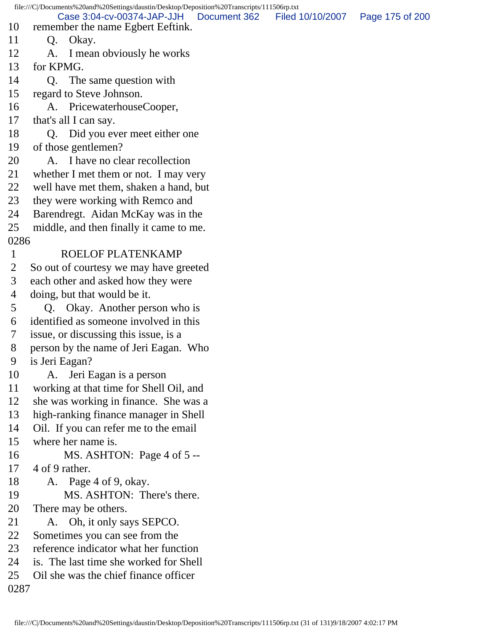file:///C|/Documents%20and%20Settings/daustin/Desktop/Deposition%20Transcripts/111506rp.txt 10 remember the name Egbert Eeftink. 11 Q. Okay. 12 A. I mean obviously he works 13 for KPMG. 14 O. The same question with 15 regard to Steve Johnson. 16 A. PricewaterhouseCooper, 17 that's all I can say. 18 Q. Did you ever meet either one 19 of those gentlemen? 20 A. I have no clear recollection 21 whether I met them or not. I may very 22 well have met them, shaken a hand, but 23 they were working with Remco and 24 Barendregt. Aidan McKay was in the 25 middle, and then finally it came to me. 0286 1 ROELOF PLATENKAMP 2 So out of courtesy we may have greeted 3 each other and asked how they were 4 doing, but that would be it. 5 Q. Okay. Another person who is 6 identified as someone involved in this 7 issue, or discussing this issue, is a 8 person by the name of Jeri Eagan. Who 9 is Jeri Eagan? 10 A. Jeri Eagan is a person 11 working at that time for Shell Oil, and 12 she was working in finance. She was a 13 high-ranking finance manager in Shell 14 Oil. If you can refer me to the email 15 where her name is. 16 MS. ASHTON: Page 4 of 5 -- 17 4 of 9 rather. 18 A. Page 4 of 9, okay. 19 MS. ASHTON: There's there. 20 There may be others. 21 A. Oh, it only says SEPCO. 22 Sometimes you can see from the 23 reference indicator what her function 24 is. The last time she worked for Shell 25 Oil she was the chief finance officer 0287 Case 3:04-cv-00374-JAP-JJH Document 362 Filed 10/10/2007 Page 175 of 200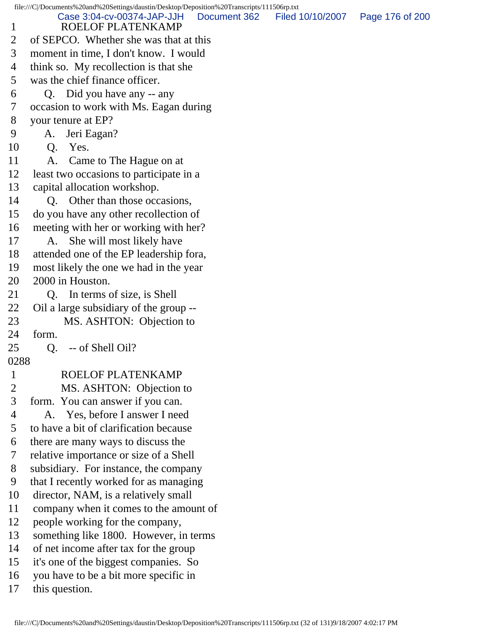file:///C|/Documents%20and%20Settings/daustin/Desktop/Deposition%20Transcripts/111506rp.txt 1 ROELOF PLATENKAMP 2 of SEPCO. Whether she was that at this 3 moment in time, I don't know. I would 4 think so. My recollection is that she 5 was the chief finance officer. 6 Q. Did you have any -- any 7 occasion to work with Ms. Eagan during 8 your tenure at EP? 9 A. Jeri Eagan? 10 Q. Yes. 11 A. Came to The Hague on at 12 least two occasions to participate in a 13 capital allocation workshop. 14 Q. Other than those occasions, 15 do you have any other recollection of 16 meeting with her or working with her? 17 A. She will most likely have 18 attended one of the EP leadership fora, 19 most likely the one we had in the year 20 2000 in Houston. 21 Q. In terms of size, is Shell 22 Oil a large subsidiary of the group -- 23 MS. ASHTON: Objection to 24 form. 25 Q. -- of Shell Oil? 0288 1 ROELOF PLATENKAMP<br>2 MS. ASHTON: Objection MS. ASHTON: Objection to 3 form. You can answer if you can. 4 A. Yes, before I answer I need 5 to have a bit of clarification because 6 there are many ways to discuss the 7 relative importance or size of a Shell 8 subsidiary. For instance, the company 9 that I recently worked for as managing 10 director, NAM, is a relatively small 11 company when it comes to the amount of 12 people working for the company, 13 something like 1800. However, in terms 14 of net income after tax for the group 15 it's one of the biggest companies. So 16 you have to be a bit more specific in 17 this question. Case 3:04-cv-00374-JAP-JJH Document 362 Filed 10/10/2007 Page 176 of 200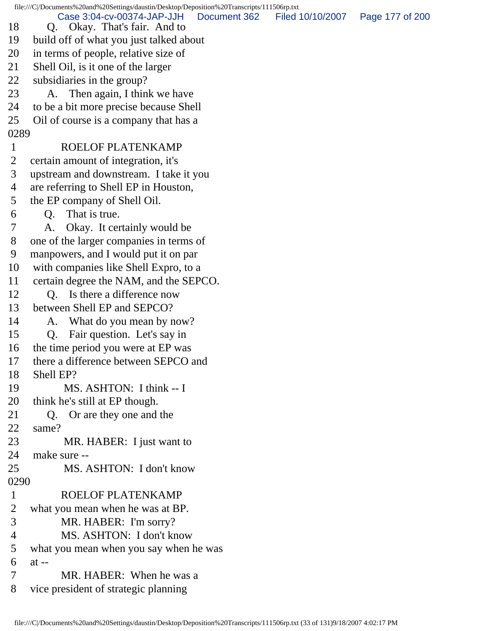file:///C|/Documents%20and%20Settings/daustin/Desktop/Deposition%20Transcripts/111506rp.txt 18 Q. Okay. That's fair. And to 19 build off of what you just talked about 20 in terms of people, relative size of 21 Shell Oil, is it one of the larger 22 subsidiaries in the group? 23 A. Then again, I think we have 24 to be a bit more precise because Shell 25 Oil of course is a company that has a 0289 1 ROELOF PLATENKAMP 2 certain amount of integration, it's 3 upstream and downstream. I take it you 4 are referring to Shell EP in Houston, 5 the EP company of Shell Oil. 6 Q. That is true. 7 A. Okay. It certainly would be 8 one of the larger companies in terms of 9 manpowers, and I would put it on par 10 with companies like Shell Expro, to a 11 certain degree the NAM, and the SEPCO. 12 Q. Is there a difference now 13 between Shell EP and SEPCO? 14 A. What do you mean by now? 15 Q. Fair question. Let's say in 16 the time period you were at EP was 17 there a difference between SEPCO and 18 Shell EP? 19 MS. ASHTON: I think -- I 20 think he's still at EP though. 21 Q. Or are they one and the 22 same? 23 MR. HABER: I just want to 24 make sure -- 25 MS. ASHTON: I don't know 0290 1 ROELOF PLATENKAMP 2 what you mean when he was at BP. 3 MR. HABER: I'm sorry? 4 MS. ASHTON: I don't know 5 what you mean when you say when he was 6 at -- 7 MR. HABER: When he was a 8 vice president of strategic planning Case 3:04-cv-00374-JAP-JJH Document 362 Filed 10/10/2007 Page 177 of 200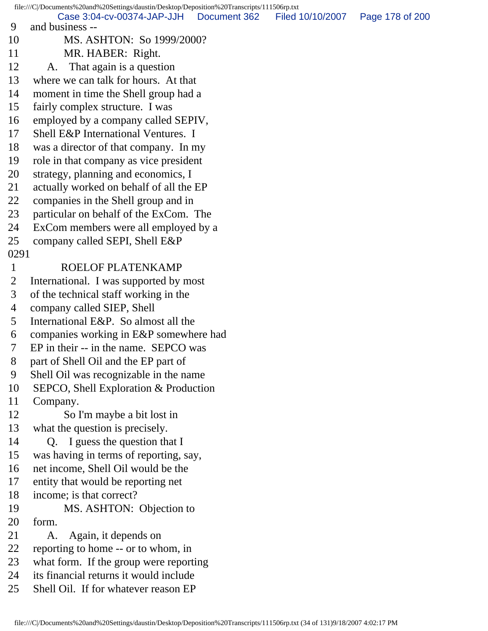file:///C|/Documents%20and%20Settings/daustin/Desktop/Deposition%20Transcripts/111506rp.txt 9 and business -- 10 MS. ASHTON: So 1999/2000? 11 MR. HABER: Right. 12 A. That again is a question 13 where we can talk for hours. At that 14 moment in time the Shell group had a 15 fairly complex structure. I was 16 employed by a company called SEPIV, 17 Shell E&P International Ventures. I 18 was a director of that company. In my 19 role in that company as vice president 20 strategy, planning and economics, I 21 actually worked on behalf of all the EP 22 companies in the Shell group and in 23 particular on behalf of the ExCom. The 24 ExCom members were all employed by a 25 company called SEPI, Shell E&P 0291 1 ROELOF PLATENKAMP 2 International. I was supported by most 3 of the technical staff working in the 4 company called SIEP, Shell 5 International E&P. So almost all the 6 companies working in E&P somewhere had 7 EP in their -- in the name. SEPCO was 8 part of Shell Oil and the EP part of 9 Shell Oil was recognizable in the name 10 SEPCO, Shell Exploration & Production 11 Company. 12 So I'm maybe a bit lost in 13 what the question is precisely. 14 Q. I guess the question that I 15 was having in terms of reporting, say, 16 net income, Shell Oil would be the 17 entity that would be reporting net 18 income; is that correct? 19 MS. ASHTON: Objection to 20 form. 21 A. Again, it depends on 22 reporting to home -- or to whom, in 23 what form. If the group were reporting 24 its financial returns it would include 25 Shell Oil. If for whatever reason EP Case 3:04-cv-00374-JAP-JJH Document 362 Filed 10/10/2007 Page 178 of 200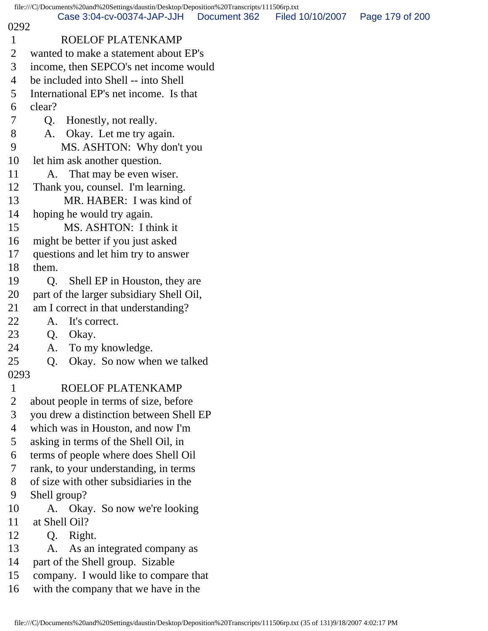file:///C|/Documents%20and%20Settings/daustin/Desktop/Deposition%20Transcripts/111506rp.txt 0292 1 ROELOF PLATENKAMP 2 wanted to make a statement about EP's 3 income, then SEPCO's net income would 4 be included into Shell -- into Shell 5 International EP's net income. Is that 6 clear? 7 Q. Honestly, not really. 8 A. Okay. Let me try again. 9 MS. ASHTON: Why don't you 10 let him ask another question. 11 A. That may be even wiser. 12 Thank you, counsel. I'm learning. 13 MR. HABER: I was kind of 14 hoping he would try again. 15 MS. ASHTON: I think it 16 might be better if you just asked 17 questions and let him try to answer 18 them. 19 O. Shell EP in Houston, they are 20 part of the larger subsidiary Shell Oil, 21 am I correct in that understanding? 22 A. It's correct. 23 Q. Okay. 24 A. To my knowledge. 25 Q. Okay. So now when we talked 0293 1 ROELOF PLATENKAMP 2 about people in terms of size, before 3 you drew a distinction between Shell EP 4 which was in Houston, and now I'm 5 asking in terms of the Shell Oil, in 6 terms of people where does Shell Oil 7 rank, to your understanding, in terms 8 of size with other subsidiaries in the 9 Shell group? 10 A. Okay. So now we're looking 11 at Shell Oil? 12 Q. Right. 13 A. As an integrated company as 14 part of the Shell group. Sizable 15 company. I would like to compare that 16 with the company that we have in the Case 3:04-cv-00374-JAP-JJH Document 362 Filed 10/10/2007 Page 179 of 200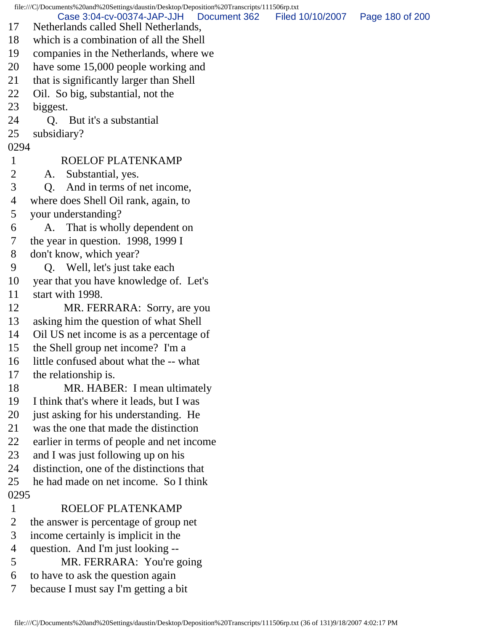file:///C|/Documents%20and%20Settings/daustin/Desktop/Deposition%20Transcripts/111506rp.txt 17 Netherlands called Shell Netherlands, 18 which is a combination of all the Shell 19 companies in the Netherlands, where we 20 have some 15,000 people working and 21 that is significantly larger than Shell 22 Oil. So big, substantial, not the 23 biggest. 24 Q. But it's a substantial 25 subsidiary? 0294 1 ROELOF PLATENKAMP 2 A. Substantial, yes. 3 Q. And in terms of net income, 4 where does Shell Oil rank, again, to 5 your understanding? 6 A. That is wholly dependent on 7 the year in question. 1998, 1999 I 8 don't know, which year? 9 Q. Well, let's just take each 10 year that you have knowledge of. Let's 11 start with 1998. 12 MR. FERRARA: Sorry, are you 13 asking him the question of what Shell 14 Oil US net income is as a percentage of 15 the Shell group net income? I'm a 16 little confused about what the -- what 17 the relationship is. 18 MR. HABER: I mean ultimately 19 I think that's where it leads, but I was 20 just asking for his understanding. He 21 was the one that made the distinction 22 earlier in terms of people and net income 23 and I was just following up on his 24 distinction, one of the distinctions that 25 he had made on net income. So I think 0295 1 ROELOF PLATENKAMP 2 the answer is percentage of group net 3 income certainly is implicit in the 4 question. And I'm just looking -- 5 MR. FERRARA: You're going 6 to have to ask the question again 7 because I must say I'm getting a bit Case 3:04-cv-00374-JAP-JJH Document 362 Filed 10/10/2007 Page 180 of 200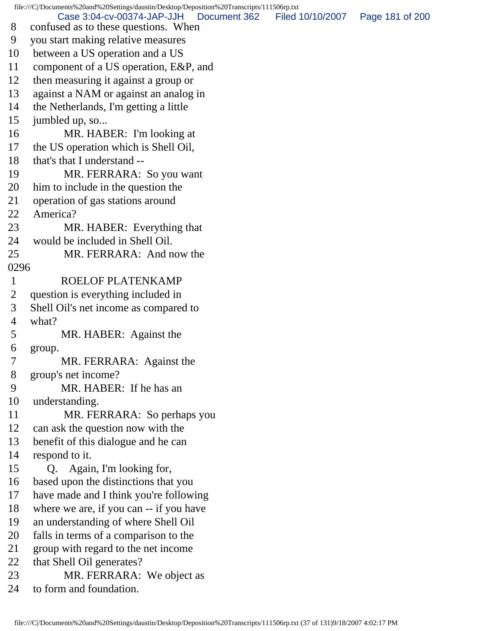file:///C|/Documents%20and%20Settings/daustin/Desktop/Deposition%20Transcripts/111506rp.txt 8 confused as to these questions. When 9 you start making relative measures 10 between a US operation and a US 11 component of a US operation, E&P, and 12 then measuring it against a group or 13 against a NAM or against an analog in 14 the Netherlands, I'm getting a little 15 jumbled up, so... 16 MR. HABER: I'm looking at 17 the US operation which is Shell Oil, 18 that's that I understand -- 19 MR. FERRARA: So you want 20 him to include in the question the 21 operation of gas stations around 22 America? 23 MR. HABER: Everything that 24 would be included in Shell Oil. 25 MR. FERRARA: And now the 0296 1 ROELOF PLATENKAMP 2 question is everything included in 3 Shell Oil's net income as compared to 4 what? 5 MR. HABER: Against the 6 group. 7 MR. FERRARA: Against the 8 group's net income? 9 MR. HABER: If he has an 10 understanding. 11 MR. FERRARA: So perhaps you 12 can ask the question now with the 13 benefit of this dialogue and he can 14 respond to it. 15 Q. Again, I'm looking for, 16 based upon the distinctions that you 17 have made and I think you're following 18 where we are, if you can -- if you have 19 an understanding of where Shell Oil 20 falls in terms of a comparison to the 21 group with regard to the net income 22 that Shell Oil generates? 23 MR. FERRARA: We object as 24 to form and foundation. Case 3:04-cv-00374-JAP-JJH Document 362 Filed 10/10/2007 Page 181 of 200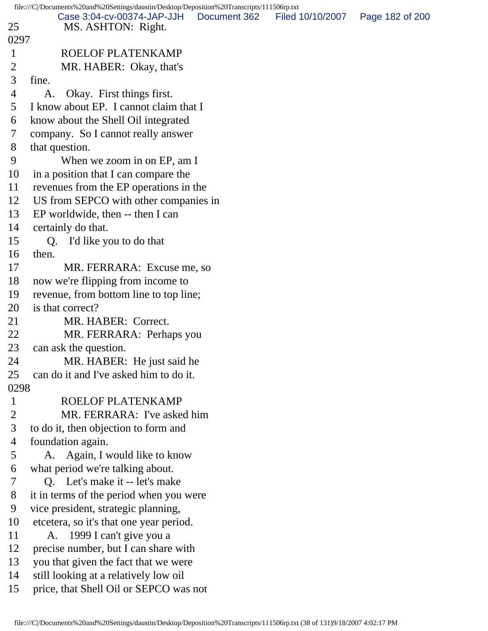file:///C|/Documents%20and%20Settings/daustin/Desktop/Deposition%20Transcripts/111506rp.txt 25 MS. ASHTON: Right. 0297 1 ROELOF PLATENKAMP 2 MR. HABER: Okay, that's 3 fine. 4 A. Okay. First things first. 5 I know about EP. I cannot claim that I 6 know about the Shell Oil integrated 7 company. So I cannot really answer 8 that question. 9 When we zoom in on EP, am I 10 in a position that I can compare the 11 revenues from the EP operations in the 12 US from SEPCO with other companies in 13 EP worldwide, then -- then I can 14 certainly do that. 15 Q. I'd like you to do that 16 then. 17 MR. FERRARA: Excuse me, so 18 now we're flipping from income to 19 revenue, from bottom line to top line; 20 is that correct? 21 MR. HABER: Correct. 22 MR. FERRARA: Perhaps you 23 can ask the question. 24 MR. HABER: He just said he 25 can do it and I've asked him to do it. 0298 1 ROELOF PLATENKAMP 2 MR. FERRARA: I've asked him 3 to do it, then objection to form and 4 foundation again. 5 A. Again, I would like to know 6 what period we're talking about. 7 Q. Let's make it -- let's make 8 it in terms of the period when you were 9 vice president, strategic planning, 10 etcetera, so it's that one year period. 11 A. 1999 I can't give you a 12 precise number, but I can share with 13 you that given the fact that we were 14 still looking at a relatively low oil 15 price, that Shell Oil or SEPCO was not Case 3:04-cv-00374-JAP-JJH Document 362 Filed 10/10/2007 Page 182 of 200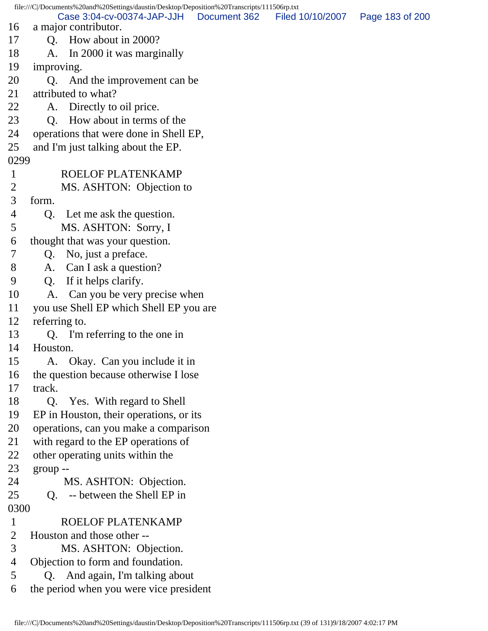file:///C|/Documents%20and%20Settings/daustin/Desktop/Deposition%20Transcripts/111506rp.txt 16 a major contributor. 17 Q. How about in 2000? 18 A. In 2000 it was marginally 19 improving. 20 Q. And the improvement can be 21 attributed to what? 22 A. Directly to oil price. 23 O. How about in terms of the 24 operations that were done in Shell EP, 25 and I'm just talking about the EP. 0299 1 ROELOF PLATENKAMP 2 MS. ASHTON: Objection to 3 form. 4 Q. Let me ask the question. 5 MS. ASHTON: Sorry, I 6 thought that was your question. 7 Q. No, just a preface. 8 A. Can I ask a question? 9 Q. If it helps clarify. 10 A. Can you be very precise when 11 you use Shell EP which Shell EP you are 12 referring to. 13 Q. I'm referring to the one in 14 Houston. 15 A. Okay. Can you include it in 16 the question because otherwise I lose 17 track. 18 Q. Yes. With regard to Shell 19 EP in Houston, their operations, or its 20 operations, can you make a comparison 21 with regard to the EP operations of 22 other operating units within the 23 group -- 24 MS. ASHTON: Objection. 25 Q. -- between the Shell EP in 0300 1 ROELOF PLATENKAMP 2 Houston and those other -- 3 MS. ASHTON: Objection. 4 Objection to form and foundation. 5 Q. And again, I'm talking about 6 the period when you were vice president Case 3:04-cv-00374-JAP-JJH Document 362 Filed 10/10/2007 Page 183 of 200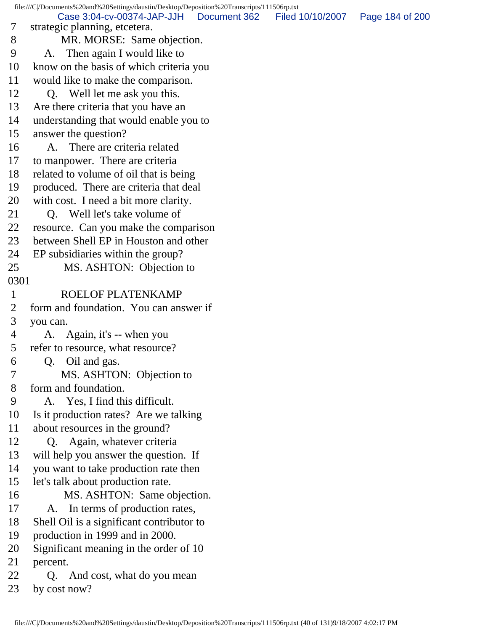file:///C|/Documents%20and%20Settings/daustin/Desktop/Deposition%20Transcripts/111506rp.txt 7 strategic planning, etcetera. 8 MR. MORSE: Same objection. 9 A. Then again I would like to 10 know on the basis of which criteria you 11 would like to make the comparison. 12 Q. Well let me ask you this. 13 Are there criteria that you have an 14 understanding that would enable you to 15 answer the question? 16 A. There are criteria related 17 to manpower. There are criteria 18 related to volume of oil that is being 19 produced. There are criteria that deal 20 with cost. I need a bit more clarity. 21 O. Well let's take volume of 22 resource. Can you make the comparison 23 between Shell EP in Houston and other 24 EP subsidiaries within the group? 25 MS. ASHTON: Objection to 0301 1 ROELOF PLATENKAMP 2 form and foundation. You can answer if 3 you can. 4 A. Again, it's -- when you 5 refer to resource, what resource? 6 Q. Oil and gas. 7 MS. ASHTON: Objection to 8 form and foundation. 9 A. Yes, I find this difficult. 10 Is it production rates? Are we talking 11 about resources in the ground? 12 Q. Again, whatever criteria 13 will help you answer the question. If 14 you want to take production rate then 15 let's talk about production rate. 16 MS. ASHTON: Same objection. 17 A. In terms of production rates, 18 Shell Oil is a significant contributor to 19 production in 1999 and in 2000. 20 Significant meaning in the order of 10 21 percent. 22 Q. And cost, what do you mean 23 by cost now? Case 3:04-cv-00374-JAP-JJH Document 362 Filed 10/10/2007 Page 184 of 200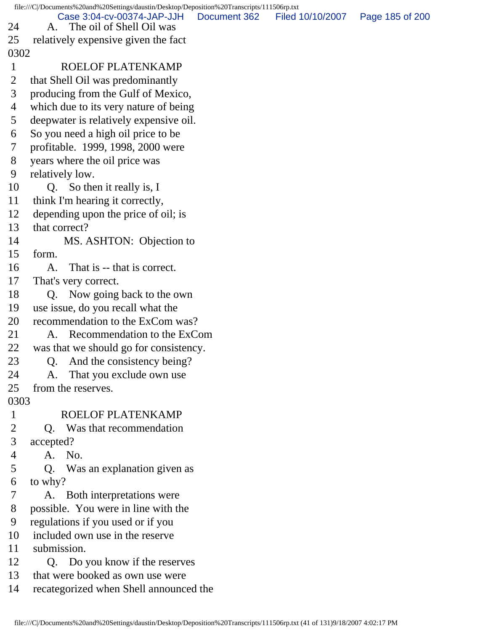file:///C|/Documents%20and%20Settings/daustin/Desktop/Deposition%20Transcripts/111506rp.txt 24 A. The oil of Shell Oil was 25 relatively expensive given the fact 0302 1 ROELOF PLATENKAMP 2 that Shell Oil was predominantly 3 producing from the Gulf of Mexico, 4 which due to its very nature of being 5 deepwater is relatively expensive oil. 6 So you need a high oil price to be 7 profitable. 1999, 1998, 2000 were 8 years where the oil price was 9 relatively low. 10 Q. So then it really is, I 11 think I'm hearing it correctly, 12 depending upon the price of oil; is 13 that correct? 14 MS. ASHTON: Objection to 15 form. 16 A. That is -- that is correct. 17 That's very correct. 18 Q. Now going back to the own 19 use issue, do you recall what the 20 recommendation to the ExCom was? 21 A. Recommendation to the ExCom 22 was that we should go for consistency. 23 Q. And the consistency being? 24 A. That you exclude own use 25 from the reserves. 0303 1 ROELOF PLATENKAMP 2 Q. Was that recommendation 3 accepted? 4 A. No. 5 Q. Was an explanation given as 6 to why? 7 A. Both interpretations were 8 possible. You were in line with the 9 regulations if you used or if you 10 included own use in the reserve 11 submission. 12 Q. Do you know if the reserves 13 that were booked as own use were 14 recategorized when Shell announced the Case 3:04-cv-00374-JAP-JJH Document 362 Filed 10/10/2007 Page 185 of 200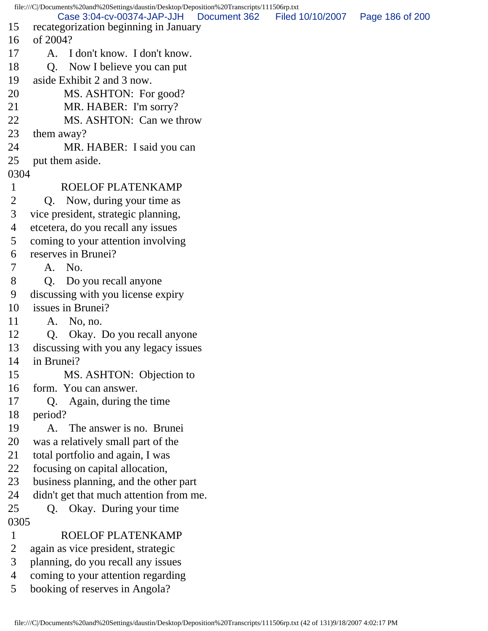file:///C|/Documents%20and%20Settings/daustin/Desktop/Deposition%20Transcripts/111506rp.txt 15 recategorization beginning in January 16 of 2004? 17 A. I don't know. I don't know. 18 O. Now I believe you can put 19 aside Exhibit 2 and 3 now. 20 MS. ASHTON: For good? 21 MR. HABER: I'm sorry? 22 MS. ASHTON: Can we throw 23 them away? 24 MR. HABER: I said you can 25 put them aside. 0304 1 ROELOF PLATENKAMP 2 Q. Now, during your time as 3 vice president, strategic planning, 4 etcetera, do you recall any issues 5 coming to your attention involving 6 reserves in Brunei? 7 A. No. 8 O. Do you recall anyone 9 discussing with you license expiry 10 issues in Brunei? 11 A. No, no. 12 Q. Okay. Do you recall anyone 13 discussing with you any legacy issues 14 in Brunei? 15 MS. ASHTON: Objection to 16 form. You can answer. 17 Q. Again, during the time 18 period? 19 A. The answer is no. Brunei 20 was a relatively small part of the 21 total portfolio and again, I was 22 focusing on capital allocation, 23 business planning, and the other part 24 didn't get that much attention from me. 25 Q. Okay. During your time 0305 1 ROELOF PLATENKAMP 2 again as vice president, strategic 3 planning, do you recall any issues 4 coming to your attention regarding 5 booking of reserves in Angola? Case 3:04-cv-00374-JAP-JJH Document 362 Filed 10/10/2007 Page 186 of 200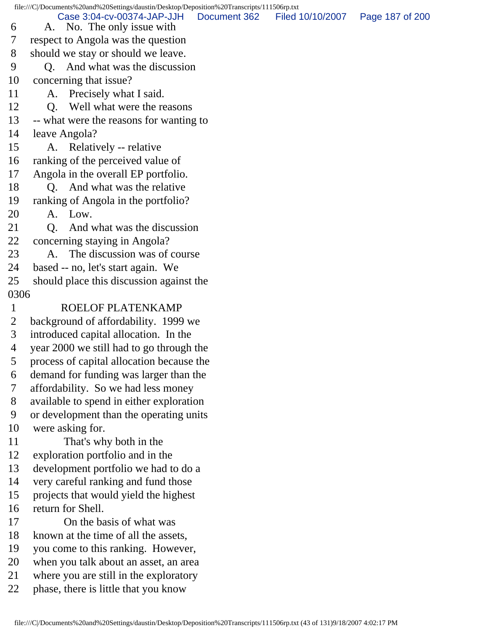file:///C|/Documents%20and%20Settings/daustin/Desktop/Deposition%20Transcripts/111506rp.txt

 6 A. No. The only issue with 7 respect to Angola was the question Case 3:04-cv-00374-JAP-JJH Document 362 Filed 10/10/2007 Page 187 of 200

- 8 should we stay or should we leave.
- 9 Q. And what was the discussion
- 10 concerning that issue?
- 11 A. Precisely what I said.
- 12 Q. Well what were the reasons
- 13 -- what were the reasons for wanting to
- 14 leave Angola?
- 15 A. Relatively -- relative
- 16 ranking of the perceived value of
- 17 Angola in the overall EP portfolio.
- 18 O. And what was the relative
- 19 ranking of Angola in the portfolio?
- 20 A. Low.
- 21 Q. And what was the discussion
- 22 concerning staying in Angola?
- 23 A. The discussion was of course
- 24 based -- no, let's start again. We
- 25 should place this discussion against the
- 0306
- 1 ROELOF PLATENKAMP
- 2 background of affordability. 1999 we
- 3 introduced capital allocation. In the
- 4 year 2000 we still had to go through the
- 5 process of capital allocation because the
- 6 demand for funding was larger than the
- 7 affordability. So we had less money
- 8 available to spend in either exploration
- 9 or development than the operating units
- 10 were asking for.
- 11 That's why both in the
- 12 exploration portfolio and in the
- 13 development portfolio we had to do a
- 14 very careful ranking and fund those
- 15 projects that would yield the highest
- 16 return for Shell.
- 17 On the basis of what was
- 18 known at the time of all the assets,
- 19 you come to this ranking. However,
- 20 when you talk about an asset, an area
- 21 where you are still in the exploratory
- 22 phase, there is little that you know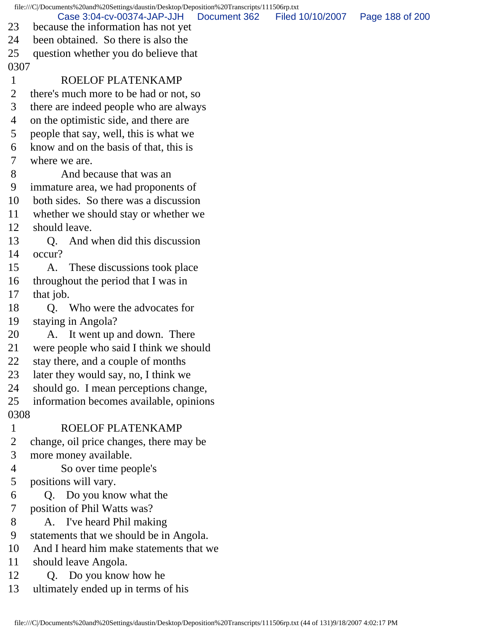|                | file:///C//Documents%20and%20Settings/daustin/Desktop/Deposition%20Transcripts/111506rp.txt |                  |                 |  |  |  |  |  |
|----------------|---------------------------------------------------------------------------------------------|------------------|-----------------|--|--|--|--|--|
| 23             | Case 3:04-cv-00374-JAP-JJH<br>Document 362<br>because the information has not yet           | Filed 10/10/2007 | Page 188 of 200 |  |  |  |  |  |
| 24             | been obtained. So there is also the                                                         |                  |                 |  |  |  |  |  |
| 25             | question whether you do believe that                                                        |                  |                 |  |  |  |  |  |
| 0307           |                                                                                             |                  |                 |  |  |  |  |  |
| $\mathbf{1}$   | ROELOF PLATENKAMP                                                                           |                  |                 |  |  |  |  |  |
| $\overline{2}$ | there's much more to be had or not, so                                                      |                  |                 |  |  |  |  |  |
| 3              | there are indeed people who are always                                                      |                  |                 |  |  |  |  |  |
| 4              | on the optimistic side, and there are                                                       |                  |                 |  |  |  |  |  |
| 5              | people that say, well, this is what we                                                      |                  |                 |  |  |  |  |  |
| 6              | know and on the basis of that, this is                                                      |                  |                 |  |  |  |  |  |
| 7              | where we are.                                                                               |                  |                 |  |  |  |  |  |
| 8              | And because that was an                                                                     |                  |                 |  |  |  |  |  |
| 9              | immature area, we had proponents of                                                         |                  |                 |  |  |  |  |  |
| 10             | both sides. So there was a discussion                                                       |                  |                 |  |  |  |  |  |
| 11             | whether we should stay or whether we                                                        |                  |                 |  |  |  |  |  |
| 12             | should leave.                                                                               |                  |                 |  |  |  |  |  |
| 13             | And when did this discussion<br>Q.                                                          |                  |                 |  |  |  |  |  |
| 14             | occur?                                                                                      |                  |                 |  |  |  |  |  |
| 15             | These discussions took place<br>A.                                                          |                  |                 |  |  |  |  |  |
| 16             | throughout the period that I was in                                                         |                  |                 |  |  |  |  |  |
| 17             | that job.                                                                                   |                  |                 |  |  |  |  |  |
| 18             | Who were the advocates for<br>О.                                                            |                  |                 |  |  |  |  |  |
| 19             | staying in Angola?                                                                          |                  |                 |  |  |  |  |  |
| 20             | A. It went up and down. There                                                               |                  |                 |  |  |  |  |  |
| 21             | were people who said I think we should                                                      |                  |                 |  |  |  |  |  |
| 22             | stay there, and a couple of months                                                          |                  |                 |  |  |  |  |  |
| 23             | later they would say, no, I think we                                                        |                  |                 |  |  |  |  |  |
| 24             | should go. I mean perceptions change,                                                       |                  |                 |  |  |  |  |  |
| 25             | information becomes available, opinions                                                     |                  |                 |  |  |  |  |  |
| 0308           |                                                                                             |                  |                 |  |  |  |  |  |
| $\mathbf{1}$   | ROELOF PLATENKAMP                                                                           |                  |                 |  |  |  |  |  |
| $\overline{2}$ | change, oil price changes, there may be                                                     |                  |                 |  |  |  |  |  |
| 3              | more money available.                                                                       |                  |                 |  |  |  |  |  |
| 4              | So over time people's                                                                       |                  |                 |  |  |  |  |  |
| 5              | positions will vary.                                                                        |                  |                 |  |  |  |  |  |
| 6              | Q. Do you know what the                                                                     |                  |                 |  |  |  |  |  |
| 7              | position of Phil Watts was?                                                                 |                  |                 |  |  |  |  |  |
| 8              | A. I've heard Phil making                                                                   |                  |                 |  |  |  |  |  |
| 9              | statements that we should be in Angola.                                                     |                  |                 |  |  |  |  |  |
| 10             | And I heard him make statements that we                                                     |                  |                 |  |  |  |  |  |
| 11             | should leave Angola.                                                                        |                  |                 |  |  |  |  |  |
| 12             | Q. Do you know how he                                                                       |                  |                 |  |  |  |  |  |
| 13             | ultimately ended up in terms of his                                                         |                  |                 |  |  |  |  |  |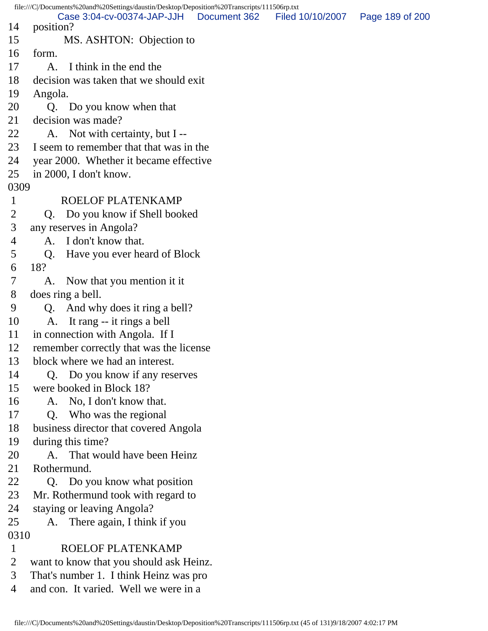file:///C|/Documents%20and%20Settings/daustin/Desktop/Deposition%20Transcripts/111506rp.txt 14 position? 15 MS. ASHTON: Objection to 16 form. 17 A. I think in the end the 18 decision was taken that we should exit 19 Angola. 20 Q. Do you know when that 21 decision was made? 22 A. Not with certainty, but I -- 23 I seem to remember that that was in the 24 year 2000. Whether it became effective 25 in 2000, I don't know. 0309 1 ROELOF PLATENKAMP 2 Q. Do you know if Shell booked 3 any reserves in Angola? 4 A. I don't know that. 5 Q. Have you ever heard of Block 6 18? 7 A. Now that you mention it it 8 does ring a bell. 9 Q. And why does it ring a bell? 10 A. It rang -- it rings a bell 11 in connection with Angola. If I 12 remember correctly that was the license 13 block where we had an interest. 14 Q. Do you know if any reserves 15 were booked in Block 18? 16 A. No, I don't know that. 17 Q. Who was the regional 18 business director that covered Angola 19 during this time? 20 A. That would have been Heinz 21 Rothermund. 22 Q. Do you know what position 23 Mr. Rothermund took with regard to 24 staying or leaving Angola? 25 A. There again, I think if you 0310 1 ROELOF PLATENKAMP 2 want to know that you should ask Heinz. 3 That's number 1. I think Heinz was pro 4 and con. It varied. Well we were in a Case 3:04-cv-00374-JAP-JJH Document 362 Filed 10/10/2007 Page 189 of 200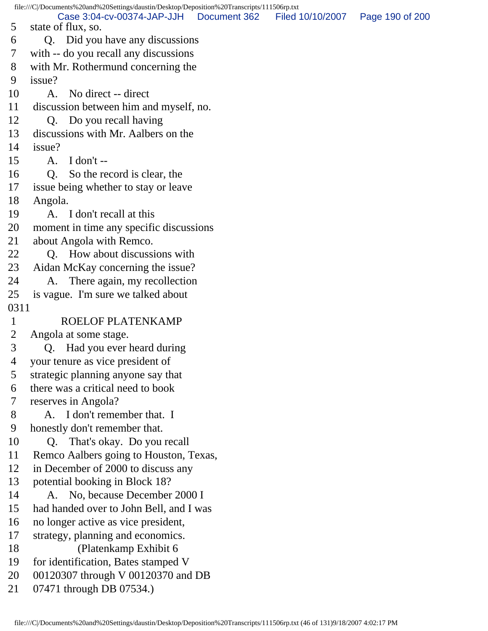file:///C|/Documents%20and%20Settings/daustin/Desktop/Deposition%20Transcripts/111506rp.txt 5 state of flux, so. 6 Q. Did you have any discussions 7 with -- do you recall any discussions 8 with Mr. Rothermund concerning the 9 issue? 10 A. No direct -- direct 11 discussion between him and myself, no. 12 Q. Do you recall having 13 discussions with Mr. Aalbers on the 14 issue? 15 A. I don't -- 16 Q. So the record is clear, the 17 issue being whether to stay or leave 18 Angola. 19 A. I don't recall at this 20 moment in time any specific discussions 21 about Angola with Remco. 22 O. How about discussions with 23 Aidan McKay concerning the issue? 24 A. There again, my recollection 25 is vague. I'm sure we talked about 0311 1 ROELOF PLATENKAMP 2 Angola at some stage. 3 Q. Had you ever heard during 4 your tenure as vice president of 5 strategic planning anyone say that 6 there was a critical need to book 7 reserves in Angola? 8 A. I don't remember that. I 9 honestly don't remember that. 10 Q. That's okay. Do you recall 11 Remco Aalbers going to Houston, Texas, 12 in December of 2000 to discuss any 13 potential booking in Block 18? 14 A. No, because December 2000 I 15 had handed over to John Bell, and I was 16 no longer active as vice president, 17 strategy, planning and economics. 18 (Platenkamp Exhibit 6 19 for identification, Bates stamped V 20 00120307 through V 00120370 and DB 21 07471 through DB 07534.) Case 3:04-cv-00374-JAP-JJH Document 362 Filed 10/10/2007 Page 190 of 200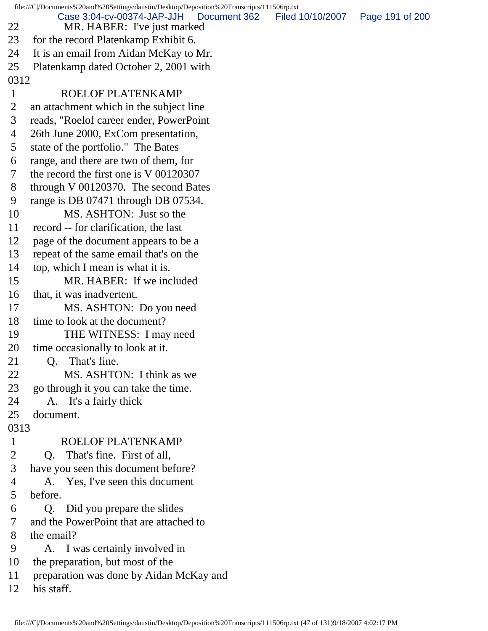file:///C|/Documents%20and%20Settings/daustin/Desktop/Deposition%20Transcripts/111506rp.txt 22 MR. HABER: I've just marked 23 for the record Platenkamp Exhibit 6. 24 It is an email from Aidan McKay to Mr. 25 Platenkamp dated October 2, 2001 with 0312 1 ROELOF PLATENKAMP 2 an attachment which in the subject line 3 reads, "Roelof career ender, PowerPoint 4 26th June 2000, ExCom presentation, 5 state of the portfolio." The Bates 6 range, and there are two of them, for 7 the record the first one is V 00120307 8 through V 00120370. The second Bates 9 range is DB 07471 through DB 07534. 10 MS. ASHTON: Just so the 11 record -- for clarification, the last 12 page of the document appears to be a 13 repeat of the same email that's on the 14 top, which I mean is what it is. 15 MR. HABER: If we included 16 that, it was inadvertent. 17 MS. ASHTON: Do you need 18 time to look at the document? 19 THE WITNESS: I may need 20 time occasionally to look at it. 21 Q. That's fine. 22 MS. ASHTON: I think as we 23 go through it you can take the time. 24 A. It's a fairly thick 25 document. 0313 1 ROELOF PLATENKAMP 2 Q. That's fine. First of all, 3 have you seen this document before? 4 A. Yes, I've seen this document 5 before. 6 Q. Did you prepare the slides 7 and the PowerPoint that are attached to 8 the email? 9 A. I was certainly involved in 10 the preparation, but most of the 11 preparation was done by Aidan McKay and 12 his staff. Case 3:04-cv-00374-JAP-JJH Document 362 Filed 10/10/2007 Page 191 of 200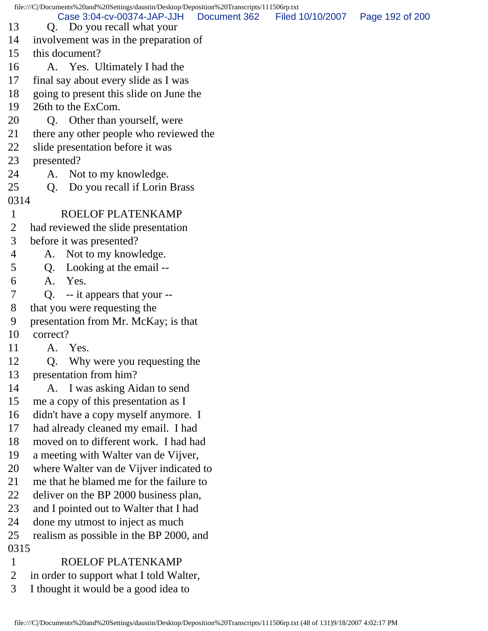file:///C|/Documents%20and%20Settings/daustin/Desktop/Deposition%20Transcripts/111506rp.txt 13 Q. Do you recall what your 14 involvement was in the preparation of 15 this document? 16 A. Yes. Ultimately I had the 17 final say about every slide as I was 18 going to present this slide on June the 19 26th to the ExCom. 20 Q. Other than yourself, were 21 there any other people who reviewed the 22 slide presentation before it was 23 presented? 24 A. Not to my knowledge. 25 Q. Do you recall if Lorin Brass 0314 1 ROELOF PLATENKAMP 2 had reviewed the slide presentation 3 before it was presented? 4 A. Not to my knowledge. 5 Q. Looking at the email -- 6 A. Yes. 7 Q. -- it appears that your -- 8 that you were requesting the 9 presentation from Mr. McKay; is that 10 correct? 11 A. Yes. 12 Q. Why were you requesting the 13 presentation from him? 14 A. I was asking Aidan to send 15 me a copy of this presentation as I 16 didn't have a copy myself anymore. I 17 had already cleaned my email. I had 18 moved on to different work. I had had 19 a meeting with Walter van de Vijver, 20 where Walter van de Vijver indicated to 21 me that he blamed me for the failure to 22 deliver on the BP 2000 business plan, 23 and I pointed out to Walter that I had 24 done my utmost to inject as much 25 realism as possible in the BP 2000, and 0315 1 ROELOF PLATENKAMP 2 in order to support what I told Walter, Case 3:04-cv-00374-JAP-JJH Document 362 Filed 10/10/2007 Page 192 of 200

3 I thought it would be a good idea to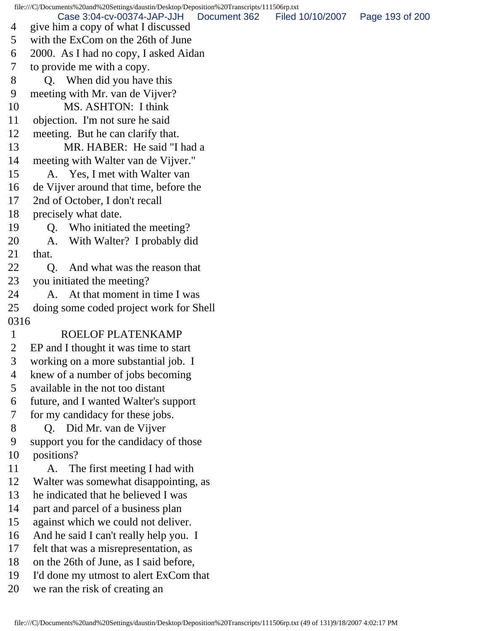file:///C|/Documents%20and%20Settings/daustin/Desktop/Deposition%20Transcripts/111506rp.txt 4 give him a copy of what I discussed 5 with the ExCom on the 26th of June 6 2000. As I had no copy, I asked Aidan 7 to provide me with a copy. 8 Q. When did you have this 9 meeting with Mr. van de Vijver? 10 MS. ASHTON: I think 11 objection. I'm not sure he said 12 meeting. But he can clarify that. 13 MR. HABER: He said "I had a 14 meeting with Walter van de Vijver." 15 A. Yes, I met with Walter van 16 de Vijver around that time, before the 17 2nd of October, I don't recall 18 precisely what date. 19 Q. Who initiated the meeting? 20 A. With Walter? I probably did 21 that. 22 Q. And what was the reason that 23 you initiated the meeting? 24 A. At that moment in time I was 25 doing some coded project work for Shell 0316 1 ROELOF PLATENKAMP 2 EP and I thought it was time to start 3 working on a more substantial job. I 4 knew of a number of jobs becoming 5 available in the not too distant 6 future, and I wanted Walter's support 7 for my candidacy for these jobs. 8 Q. Did Mr. van de Vijver 9 support you for the candidacy of those 10 positions? 11 A. The first meeting I had with 12 Walter was somewhat disappointing, as 13 he indicated that he believed I was 14 part and parcel of a business plan 15 against which we could not deliver. 16 And he said I can't really help you. I 17 felt that was a misrepresentation, as 18 on the 26th of June, as I said before, 19 I'd done my utmost to alert ExCom that 20 we ran the risk of creating an Case 3:04-cv-00374-JAP-JJH Document 362 Filed 10/10/2007 Page 193 of 200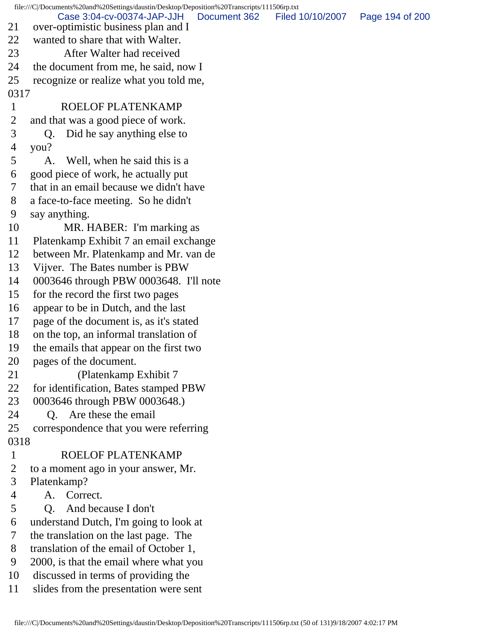file:///C|/Documents%20and%20Settings/daustin/Desktop/Deposition%20Transcripts/111506rp.txt 21 over-optimistic business plan and I 22 wanted to share that with Walter. 23 After Walter had received 24 the document from me, he said, now I 25 recognize or realize what you told me, 0317 1 ROELOF PLATENKAMP 2 and that was a good piece of work. 3 Q. Did he say anything else to 4 you? 5 A. Well, when he said this is a 6 good piece of work, he actually put 7 that in an email because we didn't have 8 a face-to-face meeting. So he didn't 9 say anything. 10 MR. HABER: I'm marking as 11 Platenkamp Exhibit 7 an email exchange 12 between Mr. Platenkamp and Mr. van de 13 Vijver. The Bates number is PBW 14 0003646 through PBW 0003648. I'll note 15 for the record the first two pages 16 appear to be in Dutch, and the last 17 page of the document is, as it's stated 18 on the top, an informal translation of 19 the emails that appear on the first two 20 pages of the document. 21 (Platenkamp Exhibit 7 22 for identification, Bates stamped PBW 23 0003646 through PBW 0003648.) 24 Q. Are these the email 25 correspondence that you were referring 0318 1 ROELOF PLATENKAMP 2 to a moment ago in your answer, Mr. 3 Platenkamp? 4 A. Correct. 5 Q. And because I don't 6 understand Dutch, I'm going to look at 7 the translation on the last page. The 8 translation of the email of October 1, 9 2000, is that the email where what you 10 discussed in terms of providing the 11 slides from the presentation were sent Case 3:04-cv-00374-JAP-JJH Document 362 Filed 10/10/2007 Page 194 of 200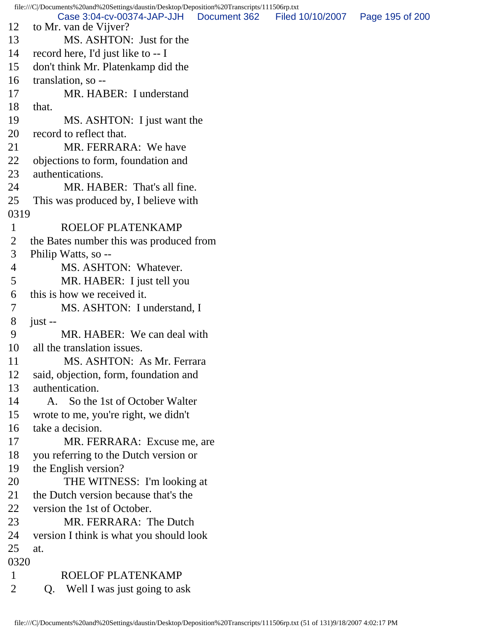file:///C|/Documents%20and%20Settings/daustin/Desktop/Deposition%20Transcripts/111506rp.txt 12 to Mr. van de Vijver? 13 MS. ASHTON: Just for the 14 record here, I'd just like to -- I 15 don't think Mr. Platenkamp did the 16 translation, so -- 17 MR. HABER: I understand 18 that. 19 MS. ASHTON: I just want the 20 record to reflect that. 21 MR. FERRARA: We have 22 objections to form, foundation and 23 authentications. 24 MR. HABER: That's all fine. 25 This was produced by, I believe with 0319 1 ROELOF PLATENKAMP 2 the Bates number this was produced from 3 Philip Watts, so -- 4 MS. ASHTON: Whatever. 5 MR. HABER: I just tell you 6 this is how we received it. 7 MS. ASHTON: I understand, I  $8$  just -- 9 MR. HABER: We can deal with 10 all the translation issues. 11 MS. ASHTON: As Mr. Ferrara 12 said, objection, form, foundation and 13 authentication. 14 A. So the 1st of October Walter 15 wrote to me, you're right, we didn't 16 take a decision. 17 MR. FERRARA: Excuse me, are 18 you referring to the Dutch version or 19 the English version? 20 THE WITNESS: I'm looking at 21 the Dutch version because that's the 22 version the 1st of October. 23 MR. FERRARA: The Dutch 24 version I think is what you should look 25 at. 0320 1 ROELOF PLATENKAMP 2 Q. Well I was just going to ask Case 3:04-cv-00374-JAP-JJH Document 362 Filed 10/10/2007 Page 195 of 200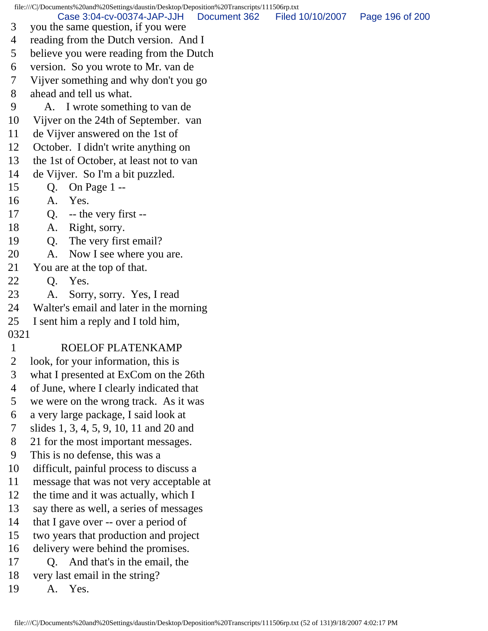file:///C|/Documents%20and%20Settings/daustin/Desktop/Deposition%20Transcripts/111506rp.txt 3 you the same question, if you were 4 reading from the Dutch version. And I 5 believe you were reading from the Dutch 6 version. So you wrote to Mr. van de 7 Vijver something and why don't you go 8 ahead and tell us what. 9 A. I wrote something to van de 10 Vijver on the 24th of September. van 11 de Vijver answered on the 1st of 12 October. I didn't write anything on 13 the 1st of October, at least not to van 14 de Vijver. So I'm a bit puzzled. 15 Q. On Page 1 -- 16 A. Yes. 17 Q. -- the very first -- 18 A. Right, sorry. 19 Q. The very first email? 20 A. Now I see where you are. 21 You are at the top of that. 22 Q. Yes. 23 A. Sorry, sorry. Yes, I read 24 Walter's email and later in the morning 25 I sent him a reply and I told him, 0321 1 ROELOF PLATENKAMP 2 look, for your information, this is 3 what I presented at ExCom on the 26th 4 of June, where I clearly indicated that 5 we were on the wrong track. As it was 6 a very large package, I said look at 7 slides 1, 3, 4, 5, 9, 10, 11 and 20 and 8 21 for the most important messages. 9 This is no defense, this was a 10 difficult, painful process to discuss a 11 message that was not very acceptable at 12 the time and it was actually, which I 13 say there as well, a series of messages 14 that I gave over -- over a period of 15 two years that production and project 16 delivery were behind the promises. 17 Q. And that's in the email, the 18 very last email in the string? 19 A. Yes. Case 3:04-cv-00374-JAP-JJH Document 362 Filed 10/10/2007 Page 196 of 200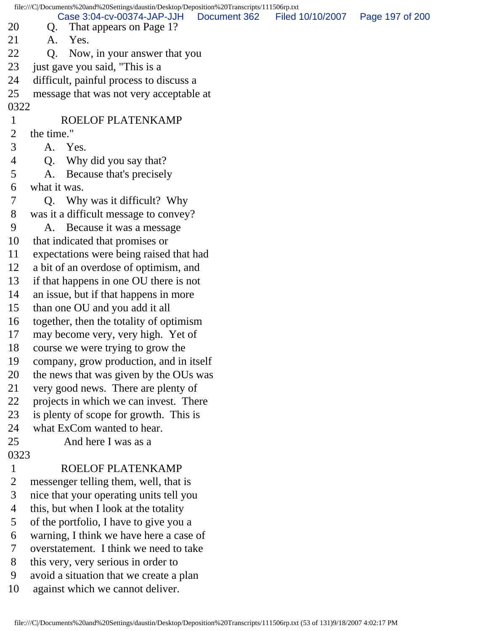| file:///C /Documents%20and%20Settings/daustin/Desktop/Deposition%20Transcripts/111506rp.txt |                                                |                                                       |              |                  |                 |  |  |  |  |  |
|---------------------------------------------------------------------------------------------|------------------------------------------------|-------------------------------------------------------|--------------|------------------|-----------------|--|--|--|--|--|
| 20                                                                                          | Q.                                             | Case 3:04-cv-00374-JAP-JJH<br>That appears on Page 1? | Document 362 | Filed 10/10/2007 | Page 197 of 200 |  |  |  |  |  |
| 21                                                                                          | A.                                             | Yes.                                                  |              |                  |                 |  |  |  |  |  |
| 22                                                                                          | Q <sub>1</sub><br>Now, in your answer that you |                                                       |              |                  |                 |  |  |  |  |  |
| 23                                                                                          |                                                | just gave you said, "This is a                        |              |                  |                 |  |  |  |  |  |
| 24                                                                                          |                                                | difficult, painful process to discuss a               |              |                  |                 |  |  |  |  |  |
| 25                                                                                          | message that was not very acceptable at        |                                                       |              |                  |                 |  |  |  |  |  |
|                                                                                             | 0322                                           |                                                       |              |                  |                 |  |  |  |  |  |
| $\mathbf{1}$                                                                                |                                                | ROELOF PLATENKAMP                                     |              |                  |                 |  |  |  |  |  |
| $\overline{2}$                                                                              | the time."                                     |                                                       |              |                  |                 |  |  |  |  |  |
| 3                                                                                           |                                                | A. Yes.                                               |              |                  |                 |  |  |  |  |  |
| 4                                                                                           | Q.                                             | Why did you say that?                                 |              |                  |                 |  |  |  |  |  |
| 5                                                                                           | A.                                             | Because that's precisely                              |              |                  |                 |  |  |  |  |  |
| 6                                                                                           | what it was.                                   |                                                       |              |                  |                 |  |  |  |  |  |
| 7                                                                                           | Q. Why was it difficult? Why                   |                                                       |              |                  |                 |  |  |  |  |  |
| 8                                                                                           | was it a difficult message to convey?          |                                                       |              |                  |                 |  |  |  |  |  |
| 9                                                                                           | A. Because it was a message                    |                                                       |              |                  |                 |  |  |  |  |  |
| 10                                                                                          | that indicated that promises or                |                                                       |              |                  |                 |  |  |  |  |  |
| 11                                                                                          | expectations were being raised that had        |                                                       |              |                  |                 |  |  |  |  |  |
| 12                                                                                          | a bit of an overdose of optimism, and          |                                                       |              |                  |                 |  |  |  |  |  |
| 13                                                                                          | if that happens in one OU there is not         |                                                       |              |                  |                 |  |  |  |  |  |
| 14                                                                                          |                                                | an issue, but if that happens in more                 |              |                  |                 |  |  |  |  |  |
| 15                                                                                          | than one OU and you add it all                 |                                                       |              |                  |                 |  |  |  |  |  |
| 16                                                                                          |                                                | together, then the totality of optimism               |              |                  |                 |  |  |  |  |  |
| 17                                                                                          | may become very, very high. Yet of             |                                                       |              |                  |                 |  |  |  |  |  |
| 18                                                                                          |                                                | course we were trying to grow the                     |              |                  |                 |  |  |  |  |  |
| 19                                                                                          | company, grow production, and in itself        |                                                       |              |                  |                 |  |  |  |  |  |
| 20                                                                                          | the news that was given by the OUs was         |                                                       |              |                  |                 |  |  |  |  |  |
| 21                                                                                          | very good news. There are plenty of            |                                                       |              |                  |                 |  |  |  |  |  |
| 22                                                                                          | projects in which we can invest. There         |                                                       |              |                  |                 |  |  |  |  |  |
| 23                                                                                          | is plenty of scope for growth. This is         |                                                       |              |                  |                 |  |  |  |  |  |
| 24                                                                                          |                                                | what ExCom wanted to hear.                            |              |                  |                 |  |  |  |  |  |
| 25                                                                                          | And here I was as a                            |                                                       |              |                  |                 |  |  |  |  |  |
| 0323                                                                                        |                                                |                                                       |              |                  |                 |  |  |  |  |  |
| $\mathbf{1}$                                                                                |                                                | ROELOF PLATENKAMP                                     |              |                  |                 |  |  |  |  |  |
| $\overline{2}$                                                                              |                                                | messenger telling them, well, that is                 |              |                  |                 |  |  |  |  |  |
| 3                                                                                           |                                                | nice that your operating units tell you               |              |                  |                 |  |  |  |  |  |
| $\overline{4}$                                                                              |                                                | this, but when I look at the totality                 |              |                  |                 |  |  |  |  |  |
| 5                                                                                           |                                                | of the portfolio, I have to give you a                |              |                  |                 |  |  |  |  |  |
| 6                                                                                           | warning, I think we have here a case of        |                                                       |              |                  |                 |  |  |  |  |  |
| 7                                                                                           | overstatement. I think we need to take         |                                                       |              |                  |                 |  |  |  |  |  |
| 8                                                                                           |                                                | this very, very serious in order to                   |              |                  |                 |  |  |  |  |  |
| 9                                                                                           |                                                | avoid a situation that we create a plan               |              |                  |                 |  |  |  |  |  |
| 10                                                                                          |                                                | against which we cannot deliver.                      |              |                  |                 |  |  |  |  |  |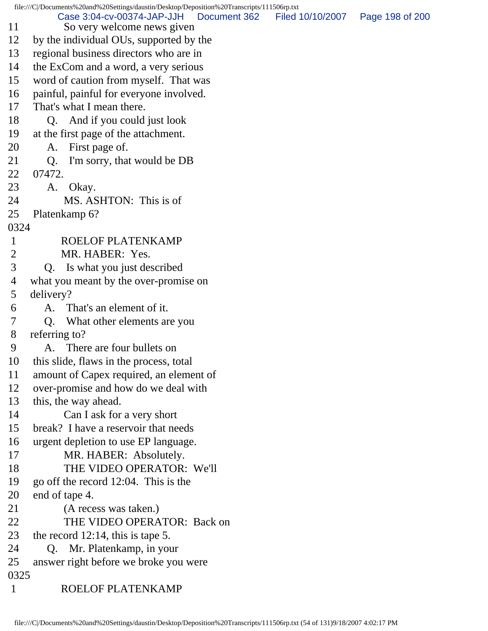file:///C|/Documents%20and%20Settings/daustin/Desktop/Deposition%20Transcripts/111506rp.txt 11 So very welcome news given 12 by the individual OUs, supported by the 13 regional business directors who are in 14 the ExCom and a word, a very serious 15 word of caution from myself. That was 16 painful, painful for everyone involved. 17 That's what I mean there. 18 Q. And if you could just look 19 at the first page of the attachment. 20 A. First page of. 21 Q. I'm sorry, that would be DB 22 07472. 23 A. Okay. 24 MS. ASHTON: This is of 25 Platenkamp 6? 0324 1 ROELOF PLATENKAMP 2 MR. HABER: Yes. 3 Q. Is what you just described 4 what you meant by the over-promise on 5 delivery? 6 A. That's an element of it. 7 Q. What other elements are you 8 referring to? 9 A. There are four bullets on 10 this slide, flaws in the process, total 11 amount of Capex required, an element of 12 over-promise and how do we deal with 13 this, the way ahead. 14 Can I ask for a very short 15 break? I have a reservoir that needs 16 urgent depletion to use EP language. 17 MR. HABER: Absolutely. 18 THE VIDEO OPERATOR: We'll 19 go off the record 12:04. This is the 20 end of tape 4. 21 (A recess was taken.) 22 THE VIDEO OPERATOR: Back on 23 the record 12:14, this is tape 5. 24 Q. Mr. Platenkamp, in your 25 answer right before we broke you were 0325 1 ROELOF PLATENKAMP Case 3:04-cv-00374-JAP-JJH Document 362 Filed 10/10/2007 Page 198 of 200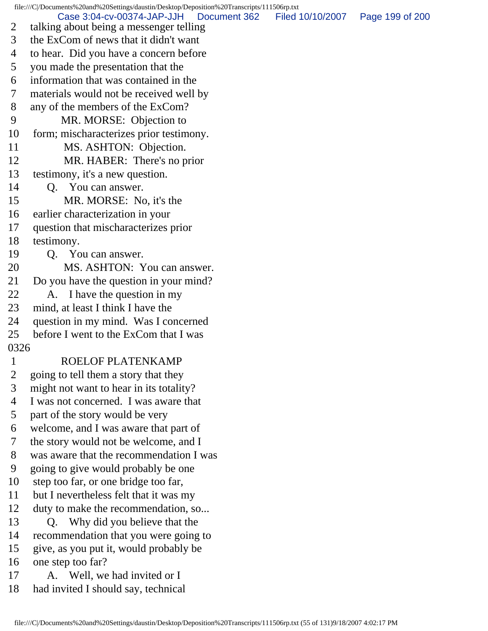file:///C|/Documents%20and%20Settings/daustin/Desktop/Deposition%20Transcripts/111506rp.txt 2 talking about being a messenger telling 3 the ExCom of news that it didn't want 4 to hear. Did you have a concern before 5 you made the presentation that the 6 information that was contained in the 7 materials would not be received well by 8 any of the members of the ExCom? 9 MR. MORSE: Objection to 10 form; mischaracterizes prior testimony. 11 MS. ASHTON: Objection. 12 MR. HABER: There's no prior 13 testimony, it's a new question. 14 Q. You can answer. 15 MR. MORSE: No, it's the 16 earlier characterization in your 17 question that mischaracterizes prior 18 testimony. 19 Q. You can answer. 20 MS. ASHTON: You can answer. 21 Do you have the question in your mind? 22 A. I have the question in my 23 mind, at least I think I have the 24 question in my mind. Was I concerned 25 before I went to the ExCom that I was 0326 1 ROELOF PLATENKAMP 2 going to tell them a story that they 3 might not want to hear in its totality? 4 I was not concerned. I was aware that 5 part of the story would be very 6 welcome, and I was aware that part of 7 the story would not be welcome, and I 8 was aware that the recommendation I was 9 going to give would probably be one 10 step too far, or one bridge too far, 11 but I nevertheless felt that it was my 12 duty to make the recommendation, so... 13 Q. Why did you believe that the 14 recommendation that you were going to 15 give, as you put it, would probably be 16 one step too far? 17 A. Well, we had invited or I 18 had invited I should say, technical Case 3:04-cv-00374-JAP-JJH Document 362 Filed 10/10/2007 Page 199 of 200